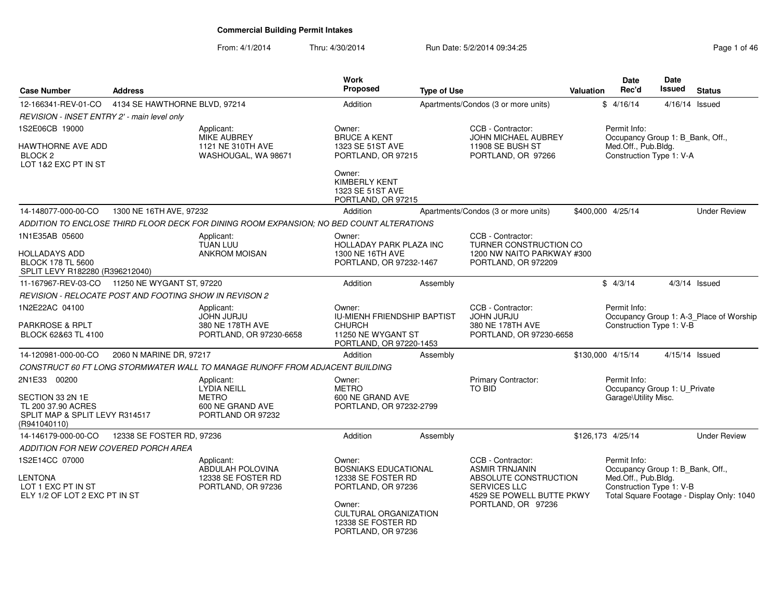From: 4/1/2014Thru: 4/30/2014 Run Date: 5/2/2014 09:34:25 Research 2010 12:46

| <b>Case Number</b>                                                                             | <b>Address</b>                |                                                                                          | Work<br><b>Proposed</b>                                                                     | <b>Type of Use</b> |                                                                                                                                               | Valuation | <b>Date</b><br>Rec'd                                                                                | Date<br><b>Issued</b> | <b>Status</b>                             |
|------------------------------------------------------------------------------------------------|-------------------------------|------------------------------------------------------------------------------------------|---------------------------------------------------------------------------------------------|--------------------|-----------------------------------------------------------------------------------------------------------------------------------------------|-----------|-----------------------------------------------------------------------------------------------------|-----------------------|-------------------------------------------|
| 12-166341-REV-01-CO                                                                            | 4134 SE HAWTHORNE BLVD, 97214 |                                                                                          | Addition                                                                                    |                    | Apartments/Condos (3 or more units)                                                                                                           |           | \$4/16/14                                                                                           | 4/16/14 Issued        |                                           |
| REVISION - INSET ENTRY 2' - main level only                                                    |                               |                                                                                          |                                                                                             |                    |                                                                                                                                               |           |                                                                                                     |                       |                                           |
| 1S2E06CB 19000                                                                                 |                               | Applicant:<br><b>MIKE AUBREY</b>                                                         | Owner:<br><b>BRUCE A KENT</b>                                                               |                    | CCB - Contractor:<br><b>JOHN MICHAEL AUBREY</b>                                                                                               |           | Permit Info:<br>Occupancy Group 1: B_Bank, Off.,                                                    |                       |                                           |
| HAWTHORNE AVE ADD<br>BLOCK 2<br>LOT 1&2 EXC PT IN ST                                           |                               | 1121 NE 310TH AVE<br>WASHOUGAL, WA 98671                                                 | 1323 SE 51ST AVE<br>PORTLAND, OR 97215                                                      |                    | 11908 SE BUSH ST<br>PORTLAND, OR 97266                                                                                                        |           | Med.Off., Pub.Bldg.<br>Construction Type 1: V-A                                                     |                       |                                           |
|                                                                                                |                               |                                                                                          | Owner:<br><b>KIMBERLY KENT</b><br>1323 SE 51ST AVE<br>PORTLAND, OR 97215                    |                    |                                                                                                                                               |           |                                                                                                     |                       |                                           |
| 14-148077-000-00-CO                                                                            | 1300 NE 16TH AVE, 97232       |                                                                                          | Addition                                                                                    |                    | Apartments/Condos (3 or more units)                                                                                                           |           | \$400,000 4/25/14                                                                                   |                       | <b>Under Review</b>                       |
|                                                                                                |                               | ADDITION TO ENCLOSE THIRD FLOOR DECK FOR DINING ROOM EXPANSION; NO BED COUNT ALTERATIONS |                                                                                             |                    |                                                                                                                                               |           |                                                                                                     |                       |                                           |
| 1N1E35AB 05600<br>HOLLADAYS ADD<br><b>BLOCK 178 TL 5600</b><br>SPLIT LEVY R182280 (R396212040) |                               | Applicant:<br><b>TUAN LUU</b><br><b>ANKROM MOISAN</b>                                    | Owner:<br><b>HOLLADAY PARK PLAZA INC</b><br>1300 NE 16TH AVE<br>PORTLAND, OR 97232-1467     |                    | CCB - Contractor:<br><b>TURNER CONSTRUCTION CO</b><br>1200 NW NAITO PARKWAY #300<br>PORTLAND, OR 972209                                       |           |                                                                                                     |                       |                                           |
| 11-167967-REV-03-CO                                                                            | 11250 NE WYGANT ST, 97220     |                                                                                          | Addition                                                                                    | Assembly           |                                                                                                                                               |           | \$4/3/14                                                                                            |                       | $4/3/14$ Issued                           |
| REVISION - RELOCATE POST AND FOOTING SHOW IN REVISON 2                                         |                               |                                                                                          |                                                                                             |                    |                                                                                                                                               |           |                                                                                                     |                       |                                           |
| 1N2E22AC 04100<br>PARKROSE & RPLT                                                              |                               | Applicant:<br>JOHN JURJU<br>380 NE 178TH AVE                                             | Owner:<br><b>IU-MIENH FRIENDSHIP BAPTIST</b><br><b>CHURCH</b>                               |                    | CCB - Contractor:<br><b>JOHN JURJU</b><br>380 NE 178TH AVE                                                                                    |           | Permit Info:<br>Construction Type 1: V-B                                                            |                       | Occupancy Group 1: A-3 Place of Worship   |
| BLOCK 62&63 TL 4100                                                                            |                               | PORTLAND, OR 97230-6658                                                                  | 11250 NE WYGANT ST<br>PORTLAND, OR 97220-1453                                               |                    | PORTLAND, OR 97230-6658                                                                                                                       |           |                                                                                                     |                       |                                           |
| 14-120981-000-00-CO                                                                            | 2060 N MARINE DR, 97217       |                                                                                          | Addition                                                                                    | Assembly           |                                                                                                                                               |           | \$130,000 4/15/14                                                                                   | 4/15/14 Issued        |                                           |
|                                                                                                |                               | CONSTRUCT 60 FT LONG STORMWATER WALL TO MANAGE RUNOFF FROM ADJACENT BUILDING             |                                                                                             |                    |                                                                                                                                               |           |                                                                                                     |                       |                                           |
| 2N1E33 00200<br>SECTION 33 2N 1E                                                               |                               | Applicant:<br>LYDIA NEILL<br><b>METRO</b>                                                | Owner:<br><b>METRO</b><br>600 NE GRAND AVE                                                  |                    | Primary Contractor:<br><b>TO BID</b>                                                                                                          |           | Permit Info:<br>Occupancy Group 1: U_Private<br>Garage\Utility Misc.                                |                       |                                           |
| TL 200 37.90 ACRES<br>SPLIT MAP & SPLIT LEVY R314517<br>(R941040110)                           |                               | 600 NE GRAND AVE<br>PORTLAND OR 97232                                                    | PORTLAND, OR 97232-2799                                                                     |                    |                                                                                                                                               |           |                                                                                                     |                       |                                           |
| 14-146179-000-00-CO                                                                            | 12338 SE FOSTER RD, 97236     |                                                                                          | Addition                                                                                    | Assembly           |                                                                                                                                               |           | \$126,173 4/25/14                                                                                   |                       | <b>Under Review</b>                       |
| ADDITION FOR NEW COVERED PORCH AREA                                                            |                               |                                                                                          |                                                                                             |                    |                                                                                                                                               |           |                                                                                                     |                       |                                           |
| 1S2E14CC 07000<br><b>LENTONA</b><br>LOT 1 EXC PT IN ST<br>ELY 1/2 OF LOT 2 EXC PT IN ST        |                               | Applicant:<br>ABDULAH POLOVINA<br>12338 SE FOSTER RD<br>PORTLAND, OR 97236               | Owner:<br><b>BOSNIAKS EDUCATIONAL</b><br>12338 SE FOSTER RD<br>PORTLAND, OR 97236<br>Owner: |                    | CCB - Contractor:<br><b>ASMIR TRNJANIN</b><br>ABSOLUTE CONSTRUCTION<br><b>SERVICES LLC</b><br>4529 SE POWELL BUTTE PKWY<br>PORTLAND, OR 97236 |           | Permit Info:<br>Occupancy Group 1: B Bank, Off.,<br>Med.Off., Pub.Bldg.<br>Construction Type 1: V-B |                       | Total Square Footage - Display Only: 1040 |
|                                                                                                |                               |                                                                                          | <b>CULTURAL ORGANIZATION</b><br>12338 SE FOSTER RD<br>PORTLAND, OR 97236                    |                    |                                                                                                                                               |           |                                                                                                     |                       |                                           |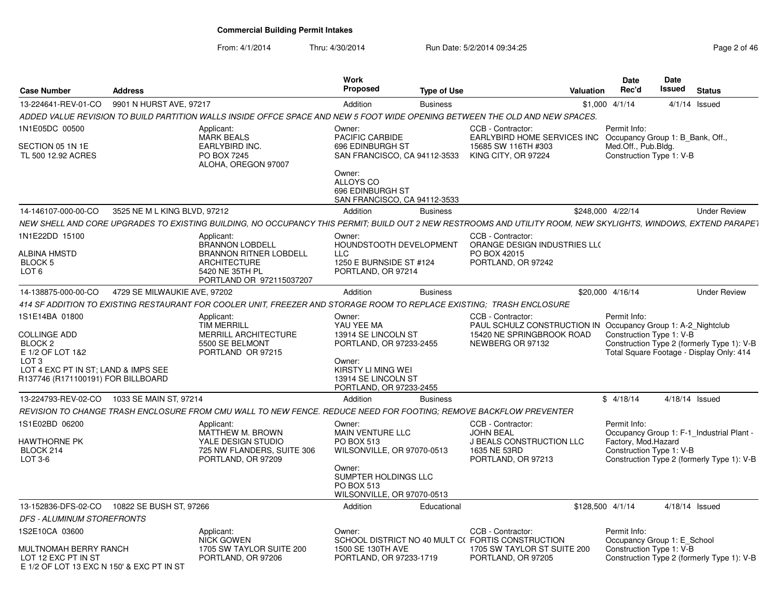From: 4/1/2014Thru: 4/30/2014 Run Date: 5/2/2014 09:34:25 Research 2010 12:45

| <b>Case Number</b>                                                                                                                                                               | <b>Address</b>               |                                                                                                                                                                                                                                                                                                               | <b>Work</b><br><b>Proposed</b>                                                                                                                                     | <b>Type of Use</b> | Valuation                                                                                                                          |                  | <b>Date</b><br>Rec'd                | <b>Date</b><br><b>Issued</b>                                 | <b>Status</b>                                                                           |
|----------------------------------------------------------------------------------------------------------------------------------------------------------------------------------|------------------------------|---------------------------------------------------------------------------------------------------------------------------------------------------------------------------------------------------------------------------------------------------------------------------------------------------------------|--------------------------------------------------------------------------------------------------------------------------------------------------------------------|--------------------|------------------------------------------------------------------------------------------------------------------------------------|------------------|-------------------------------------|--------------------------------------------------------------|-----------------------------------------------------------------------------------------|
| 13-224641-REV-01-CO                                                                                                                                                              | 9901 N HURST AVE, 97217      |                                                                                                                                                                                                                                                                                                               | Addition                                                                                                                                                           | <b>Business</b>    |                                                                                                                                    | $$1,000$ 4/1/14  |                                     |                                                              | $4/1/14$ Issued                                                                         |
|                                                                                                                                                                                  |                              | ADDED VALUE REVISION TO BUILD PARTITION WALLS INSIDE OFFCE SPACE AND NEW 5 FOOT WIDE OPENING BETWEEN THE OLD AND NEW SPACES.                                                                                                                                                                                  |                                                                                                                                                                    |                    |                                                                                                                                    |                  |                                     |                                                              |                                                                                         |
| 1N1E05DC 00500<br>SECTION 05 1N 1E<br>TL 500 12.92 ACRES                                                                                                                         |                              | Applicant:<br><b>MARK BEALS</b><br>EARLYBIRD INC.<br>PO BOX 7245<br>ALOHA, OREGON 97007                                                                                                                                                                                                                       | Owner:<br>PACIFIC CARBIDE<br>696 EDINBURGH ST<br>SAN FRANCISCO, CA 94112-3533<br>Owner:<br>ALLOYS CO<br>696 EDINBURGH ST                                           |                    | CCB - Contractor:<br>EARLYBIRD HOME SERVICES INC<br>15685 SW 116TH #303<br>KING CITY, OR 97224                                     |                  | Permit Info:<br>Med.Off., Pub.Bldg. | Occupancy Group 1: B Bank, Off.,<br>Construction Type 1: V-B |                                                                                         |
| 14-146107-000-00-CO                                                                                                                                                              |                              |                                                                                                                                                                                                                                                                                                               | SAN FRANCISCO, CA 94112-3533                                                                                                                                       |                    |                                                                                                                                    |                  |                                     |                                                              | <b>Under Review</b>                                                                     |
|                                                                                                                                                                                  | 3525 NE M L KING BLVD, 97212 |                                                                                                                                                                                                                                                                                                               | Addition                                                                                                                                                           | <b>Business</b>    |                                                                                                                                    |                  | \$248,000 4/22/14                   |                                                              |                                                                                         |
| 1N1E22DD 15100<br>ALBINA HMSTD<br><b>BLOCK 5</b><br>LOT <sub>6</sub>                                                                                                             |                              | NEW SHELL AND CORE UPGRADES TO EXISTING BUILDING, NO OCCUPANCY THIS PERMIT; BUILD OUT 2 NEW RESTROOMS AND UTILITY ROOM, NEW SKYLIGHTS, WINDOWS, EXTEND PARAPET<br>Applicant:<br><b>BRANNON LOBDELL</b><br><b>BRANNON RITNER LOBDELL</b><br><b>ARCHITECTURE</b><br>5420 NE 35TH PL<br>PORTLAND OR 972115037207 | Owner:<br>HOUNDSTOOTH DEVELOPMENT<br><b>LLC</b><br>1250 E BURNSIDE ST #124<br>PORTLAND, OR 97214                                                                   |                    | CCB - Contractor:<br>ORANGE DESIGN INDUSTRIES LLO<br>PO BOX 42015<br>PORTLAND, OR 97242                                            |                  |                                     |                                                              |                                                                                         |
| 14-138875-000-00-CO                                                                                                                                                              | 4729 SE MILWAUKIE AVE, 97202 |                                                                                                                                                                                                                                                                                                               | Addition                                                                                                                                                           | <b>Business</b>    |                                                                                                                                    |                  | \$20,000 4/16/14                    |                                                              | <b>Under Review</b>                                                                     |
|                                                                                                                                                                                  |                              | 414 SF ADDITION TO EXISTING RESTAURANT FOR COOLER UNIT, FREEZER AND STORAGE ROOM TO REPLACE EXISTING; TRASH ENCLOSURE                                                                                                                                                                                         |                                                                                                                                                                    |                    |                                                                                                                                    |                  |                                     |                                                              |                                                                                         |
| 1S1E14BA 01800<br><b>COLLINGE ADD</b><br>BLOCK <sub>2</sub><br>E 1/2 OF LOT 1&2<br>LOT <sub>3</sub><br>LOT 4 EXC PT IN ST; LAND & IMPS SEE<br>R137746 (R171100191) FOR BILLBOARD |                              | Applicant:<br><b>TIM MERRILL</b><br>MERRILL ARCHITECTURE<br>5500 SE BELMONT<br>PORTLAND OR 97215                                                                                                                                                                                                              | Owner:<br>YAU YEE MA<br>13914 SE LINCOLN ST<br>PORTLAND, OR 97233-2455<br>Owner:<br>KIRSTY LI MING WEI<br>13914 SE LINCOLN ST<br>PORTLAND, OR 97233-2455           |                    | CCB - Contractor:<br>PAUL SCHULZ CONSTRUCTION IN Occupancy Group 1: A-2_Nightclub<br>15420 NE SPRINGBROOK ROAD<br>NEWBERG OR 97132 |                  | Permit Info:                        | Construction Type 1: V-B                                     | Construction Type 2 (formerly Type 1): V-B<br>Total Square Footage - Display Only: 414  |
| 13-224793-REV-02-CO                                                                                                                                                              | 1033 SE MAIN ST, 97214       |                                                                                                                                                                                                                                                                                                               | Addition                                                                                                                                                           | <b>Business</b>    |                                                                                                                                    |                  | \$4/18/14                           |                                                              | 4/18/14 Issued                                                                          |
|                                                                                                                                                                                  |                              | REVISION TO CHANGE TRASH ENCLOSURE FROM CMU WALL TO NEW FENCE. REDUCE NEED FOR FOOTING: REMOVE BACKFLOW PREVENTER                                                                                                                                                                                             |                                                                                                                                                                    |                    |                                                                                                                                    |                  |                                     |                                                              |                                                                                         |
| 1S1E02BD 06200<br>HAWTHORNE PK<br>BLOCK 214<br>LOT 3-6                                                                                                                           |                              | Applicant:<br>MATTHEW M. BROWN<br>YALE DESIGN STUDIO<br>725 NW FLANDERS, SUITE 306<br>PORTLAND, OR 97209                                                                                                                                                                                                      | Owner:<br><b>MAIN VENTURE LLC</b><br><b>PO BOX 513</b><br>WILSONVILLE, OR 97070-0513<br>Owner:<br>SUMPTER HOLDINGS LLC<br>PO BOX 513<br>WILSONVILLE, OR 97070-0513 |                    | CCB - Contractor:<br><b>JOHN BEAL</b><br><b>J BEALS CONSTRUCTION LLC</b><br>1635 NE 53RD<br>PORTLAND, OR 97213                     |                  | Permit Info:<br>Factory, Mod.Hazard | Construction Type 1: V-B                                     | Occupancy Group 1: F-1 Industrial Plant -<br>Construction Type 2 (formerly Type 1): V-B |
| 13-152836-DFS-02-CO                                                                                                                                                              | 10822 SE BUSH ST, 97266      |                                                                                                                                                                                                                                                                                                               | Addition                                                                                                                                                           | Educational        |                                                                                                                                    | \$128,500 4/1/14 |                                     |                                                              | 4/18/14 Issued                                                                          |
| DFS - ALUMINUM STOREFRONTS                                                                                                                                                       |                              |                                                                                                                                                                                                                                                                                                               |                                                                                                                                                                    |                    |                                                                                                                                    |                  |                                     |                                                              |                                                                                         |
| 1S2E10CA 03600<br>MULTNOMAH BERRY RANCH<br>LOT 12 EXC PT IN ST<br>F 1/2 OF LOT 13 FXC N 150' & FXC PT IN ST                                                                      |                              | Applicant:<br>NICK GOWEN<br>1705 SW TAYLOR SUITE 200<br>PORTLAND, OR 97206                                                                                                                                                                                                                                    | Owner:<br>1500 SE 130TH AVE<br>PORTLAND, OR 97233-1719                                                                                                             |                    | CCB - Contractor:<br>SCHOOL DISTRICT NO 40 MULT C(FORTIS CONSTRUCTION<br>1705 SW TAYLOR ST SUITE 200<br>PORTLAND, OR 97205         |                  | Permit Info:                        | Occupancy Group 1: E School<br>Construction Type 1: V-B      | Construction Type 2 (formerly Type 1): V-B                                              |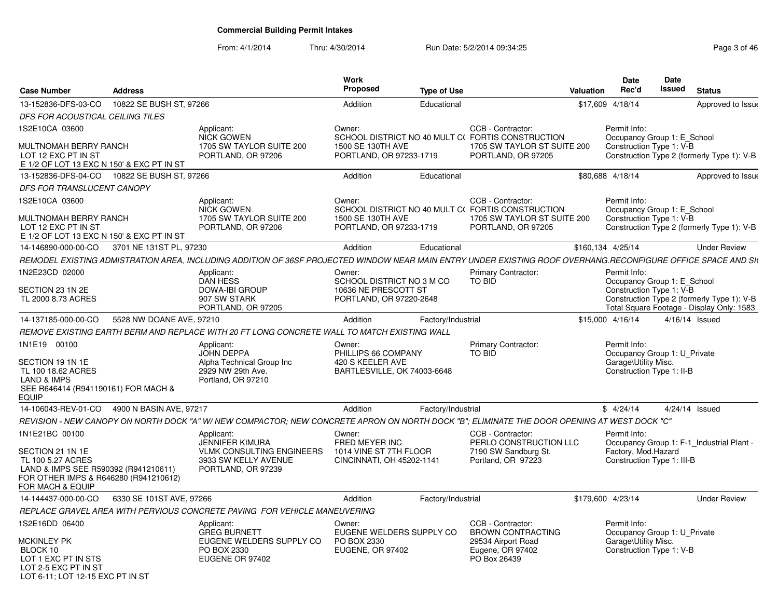From: 4/1/2014Thru: 4/30/2014 Run Date: 5/2/2014 09:34:25 Research 2010 12:49 Page 3 of 46

| <b>Case Number</b>                                                                                                                                           | <b>Address</b>           |                                                                                                                                                               | Work<br><b>Proposed</b>                                                          | <b>Type of Use</b> |                                                                                                        | Valuation | <b>Date</b><br>Rec'd                                                                              | Date<br>Issued | <b>Status</b>                                                                           |
|--------------------------------------------------------------------------------------------------------------------------------------------------------------|--------------------------|---------------------------------------------------------------------------------------------------------------------------------------------------------------|----------------------------------------------------------------------------------|--------------------|--------------------------------------------------------------------------------------------------------|-----------|---------------------------------------------------------------------------------------------------|----------------|-----------------------------------------------------------------------------------------|
| 13-152836-DFS-03-CO                                                                                                                                          | 10822 SE BUSH ST, 97266  |                                                                                                                                                               | Addition                                                                         | Educational        |                                                                                                        |           | \$17,609 4/18/14                                                                                  |                | Approved to Issue                                                                       |
| DFS FOR ACOUSTICAL CEILING TILES                                                                                                                             |                          |                                                                                                                                                               |                                                                                  |                    |                                                                                                        |           |                                                                                                   |                |                                                                                         |
| 1S2E10CA 03600                                                                                                                                               |                          | Applicant:                                                                                                                                                    | Owner:                                                                           |                    | CCB - Contractor:                                                                                      |           | Permit Info:                                                                                      |                |                                                                                         |
| MULTNOMAH BERRY RANCH<br>LOT 12 EXC PT IN ST<br>E 1/2 OF LOT 13 EXC N 150' & EXC PT IN ST                                                                    |                          | <b>NICK GOWEN</b><br>1705 SW TAYLOR SUITE 200<br>PORTLAND, OR 97206                                                                                           | 1500 SE 130TH AVE<br>PORTLAND, OR 97233-1719                                     |                    | SCHOOL DISTRICT NO 40 MULT C( FORTIS CONSTRUCTION<br>1705 SW TAYLOR ST SUITE 200<br>PORTLAND, OR 97205 |           | Occupancy Group 1: E_School<br>Construction Type 1: V-B                                           |                | Construction Type 2 (formerly Type 1): V-B                                              |
| 13-152836-DFS-04-CO                                                                                                                                          | 10822 SE BUSH ST, 97266  |                                                                                                                                                               | Addition                                                                         | Educational        |                                                                                                        |           | \$80,688 4/18/14                                                                                  |                | Approved to Issue                                                                       |
| DFS FOR TRANSLUCENT CANOPY                                                                                                                                   |                          |                                                                                                                                                               |                                                                                  |                    |                                                                                                        |           |                                                                                                   |                |                                                                                         |
| 1S2E10CA 03600                                                                                                                                               |                          | Applicant:<br>NICK GOWEN                                                                                                                                      | Owner:                                                                           |                    | CCB - Contractor:<br>SCHOOL DISTRICT NO 40 MULT C(FORTIS CONSTRUCTION                                  |           | Permit Info:<br>Occupancy Group 1: E School                                                       |                |                                                                                         |
| MULTNOMAH BERRY RANCH<br>LOT 12 EXC PT IN ST<br>E 1/2 OF LOT 13 EXC N 150' & EXC PT IN ST                                                                    |                          | 1705 SW TAYLOR SUITE 200<br>PORTLAND, OR 97206                                                                                                                | 1500 SE 130TH AVE<br>PORTLAND, OR 97233-1719                                     |                    | 1705 SW TAYLOR ST SUITE 200<br>PORTLAND, OR 97205                                                      |           | Construction Type 1: V-B                                                                          |                | Construction Type 2 (formerly Type 1): V-B                                              |
| 14-146890-000-00-CO                                                                                                                                          | 3701 NE 131ST PL, 97230  |                                                                                                                                                               | Addition                                                                         | Educational        |                                                                                                        |           | \$160,134 4/25/14                                                                                 |                | <b>Under Review</b>                                                                     |
|                                                                                                                                                              |                          | REMODEL EXISTING ADMISTRATION AREA, INCLUDING ADDITION OF 36SF PROJECTED WINDOW NEAR MAIN ENTRY UNDER EXISTING ROOF OVERHANG.RECONFIGURE OFFICE SPACE AND SIN |                                                                                  |                    |                                                                                                        |           |                                                                                                   |                |                                                                                         |
| 1N2E23CD 02000                                                                                                                                               |                          | Applicant:<br><b>DAN HESS</b>                                                                                                                                 | Owner:<br>SCHOOL DISTRICT NO 3 M CO                                              |                    | Primary Contractor:<br><b>TO BID</b>                                                                   |           | Permit Info:<br>Occupancy Group 1: E School                                                       |                |                                                                                         |
| SECTION 23 1N 2E<br>TL 2000 8.73 ACRES                                                                                                                       |                          | <b>DOWA-IBI GROUP</b><br>907 SW STARK<br>PORTLAND, OR 97205                                                                                                   | 10636 NE PRESCOTT ST<br>PORTLAND, OR 97220-2648                                  |                    |                                                                                                        |           | Construction Type 1: V-B                                                                          |                | Construction Type 2 (formerly Type 1): V-B<br>Total Square Footage - Display Only: 1583 |
| 14-137185-000-00-CO                                                                                                                                          | 5528 NW DOANE AVE, 97210 |                                                                                                                                                               | Addition                                                                         | Factory/Industrial |                                                                                                        |           | \$15,000 4/16/14                                                                                  |                | $4/16/14$ Issued                                                                        |
|                                                                                                                                                              |                          | REMOVE EXISTING EARTH BERM AND REPLACE WITH 20 FT LONG CONCRETE WALL TO MATCH EXISTING WALL                                                                   |                                                                                  |                    |                                                                                                        |           |                                                                                                   |                |                                                                                         |
| 1N1E19 00100<br>SECTION 19 1N 1E<br>TL 100 18.62 ACRES<br>LAND & IMPS<br>SEE R646414 (R941190161) FOR MACH &<br>EQUIP                                        |                          | Applicant:<br>JOHN DEPPA<br>Alpha Technical Group Inc<br>2929 NW 29th Ave.<br>Portland, OR 97210                                                              | Owner:<br>PHILLIPS 66 COMPANY<br>420 S KEELER AVE<br>BARTLESVILLE, OK 74003-6648 |                    | <b>Primary Contractor:</b><br><b>TO BID</b>                                                            |           | Permit Info:<br>Occupancy Group 1: U Private<br>Garage\Utility Misc.<br>Construction Type 1: II-B |                |                                                                                         |
| 14-106043-REV-01-CO 4900 N BASIN AVE, 97217                                                                                                                  |                          |                                                                                                                                                               | Addition                                                                         | Factory/Industrial |                                                                                                        |           | \$4/24/14                                                                                         |                | 4/24/14 Issued                                                                          |
|                                                                                                                                                              |                          | REVISION - NEW CANOPY ON NORTH DOCK "A" W/ NEW COMPACTOR: NEW CONCRETE APRON ON NORTH DOCK "B": ELIMINATE THE DOOR OPENING AT WEST DOCK "C"                   |                                                                                  |                    |                                                                                                        |           |                                                                                                   |                |                                                                                         |
| 1N1E21BC 00100<br>SECTION 21 1N 1E<br>TL 100 5.27 ACRES<br>LAND & IMPS SEE R590392 (R941210611)<br>FOR OTHER IMPS & R646280 (R941210612)<br>FOR MACH & EQUIP |                          | Applicant:<br><b>JENNIFER KIMURA</b><br><b>VLMK CONSULTING ENGINEERS</b><br>3933 SW KELLY AVENUE<br>PORTLAND, OR 97239                                        | Owner:<br>FRED MEYER INC<br>1014 VINE ST 7TH FLOOR<br>CINCINNATI, OH 45202-1141  |                    | CCB - Contractor:<br>PERLO CONSTRUCTION LLC<br>7190 SW Sandburg St.<br>Portland, OR 97223              |           | Permit Info:<br>Factory, Mod.Hazard<br>Construction Type 1: III-B                                 |                | Occupancy Group 1: F-1 Industrial Plant -                                               |
| 14-144437-000-00-CO                                                                                                                                          | 6330 SE 101ST AVE, 97266 |                                                                                                                                                               | Addition                                                                         | Factory/Industrial |                                                                                                        |           | \$179,600 4/23/14                                                                                 |                | <b>Under Review</b>                                                                     |
|                                                                                                                                                              |                          | REPLACE GRAVEL AREA WITH PERVIOUS CONCRETE PAVING FOR VEHICLE MANEUVERING                                                                                     |                                                                                  |                    |                                                                                                        |           |                                                                                                   |                |                                                                                         |
| 1S2E16DD 06400                                                                                                                                               |                          | Applicant:<br><b>GREG BURNETT</b>                                                                                                                             | Owner:<br>EUGENE WELDERS SUPPLY CO                                               |                    | CCB - Contractor:<br><b>BROWN CONTRACTING</b>                                                          |           | Permit Info:<br>Occupancy Group 1: U Private                                                      |                |                                                                                         |
| MCKINLEY PK<br>BLOCK 10<br>LOT 1 EXC PT IN STS<br>LOT 2-5 EXC PT IN ST<br>LOT 6-11; LOT 12-15 EXC PT IN ST                                                   |                          | EUGENE WELDERS SUPPLY CO<br>PO BOX 2330<br>EUGENE OR 97402                                                                                                    | PO BOX 2330<br><b>EUGENE, OR 97402</b>                                           |                    | 29534 Airport Road<br>Eugene, OR 97402<br>PO Box 26439                                                 |           | Garage\Utility Misc.<br>Construction Type 1: V-B                                                  |                |                                                                                         |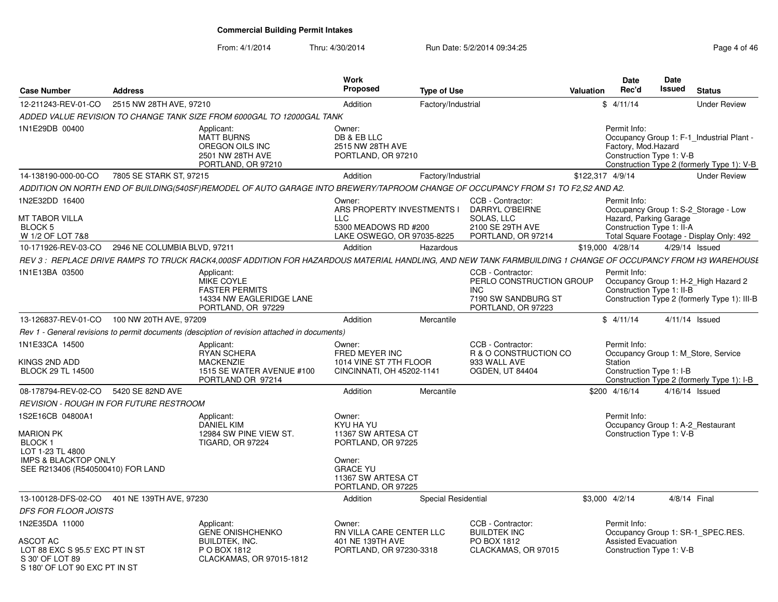S 180' OF LOT 90 EXC PT IN ST

#### From: 4/1/2014Thru: 4/30/2014 Run Date: 5/2/2014 09:34:25 Research 2010 146

| <b>Case Number</b>                                                                                                                                     | <b>Address</b>                                                                                                                                               | Work<br>Proposed                                                                                                                         | <b>Type of Use</b>  |                                                                                                          | <b>Valuation</b> | <b>Date</b><br>Rec'd                                                          | Date<br><b>Issued</b> | <b>Status</b>                                                                           |
|--------------------------------------------------------------------------------------------------------------------------------------------------------|--------------------------------------------------------------------------------------------------------------------------------------------------------------|------------------------------------------------------------------------------------------------------------------------------------------|---------------------|----------------------------------------------------------------------------------------------------------|------------------|-------------------------------------------------------------------------------|-----------------------|-----------------------------------------------------------------------------------------|
| 12-211243-REV-01-CO                                                                                                                                    | 2515 NW 28TH AVE, 97210                                                                                                                                      | Addition                                                                                                                                 | Factory/Industrial  |                                                                                                          |                  | \$4/11/14                                                                     |                       | <b>Under Review</b>                                                                     |
|                                                                                                                                                        | ADDED VALUE REVISION TO CHANGE TANK SIZE FROM 6000GAL TO 12000GAL TANK                                                                                       |                                                                                                                                          |                     |                                                                                                          |                  |                                                                               |                       |                                                                                         |
| 1N1E29DB 00400                                                                                                                                         | Applicant:<br><b>MATT BURNS</b><br>OREGON OILS INC<br>2501 NW 28TH AVE<br>PORTLAND, OR 97210                                                                 | Owner:<br>DB & EB LLC<br>2515 NW 28TH AVE<br>PORTLAND, OR 97210                                                                          |                     |                                                                                                          |                  | Permit Info:<br>Factory, Mod.Hazard<br>Construction Type 1: V-B               |                       | Occupancy Group 1: F-1_Industrial Plant -<br>Construction Type 2 (formerly Type 1): V-B |
| 14-138190-000-00-CO                                                                                                                                    | 7805 SE STARK ST, 97215                                                                                                                                      | Addition                                                                                                                                 | Factory/Industrial  |                                                                                                          |                  | \$122,317 4/9/14                                                              |                       | <b>Under Review</b>                                                                     |
|                                                                                                                                                        | ADDITION ON NORTH END OF BUILDING(540SF)REMODEL OF AUTO GARAGE INTO BREWERY/TAPROOM CHANGE OF OCCUPANCY FROM S1 TO F2,S2 AND A2.                             |                                                                                                                                          |                     |                                                                                                          |                  |                                                                               |                       |                                                                                         |
| 1N2E32DD 16400<br>MT TABOR VILLA<br><b>BLOCK 5</b><br>W 1/2 OF LOT 7&8                                                                                 |                                                                                                                                                              | Owner:<br>ARS PROPERTY INVESTMENTS I<br><b>LLC</b><br>5300 MEADOWS RD #200<br>LAKE OSWEGO, OR 97035-8225                                 |                     | CCB - Contractor:<br>DARRYL O'BEIRNE<br>SOLAS, LLC<br>2100 SE 29TH AVE<br>PORTLAND, OR 97214             |                  | Permit Info:<br>Hazard, Parking Garage<br>Construction Type 1: II-A           |                       | Occupancy Group 1: S-2_Storage - Low<br>Total Square Footage - Display Only: 492        |
| 10-171926-REV-03-CO                                                                                                                                    | 2946 NE COLUMBIA BLVD, 97211                                                                                                                                 | Addition                                                                                                                                 | Hazardous           |                                                                                                          |                  | \$19,000 4/28/14                                                              |                       | 4/29/14 Issued                                                                          |
|                                                                                                                                                        | REV 3 : REPLACE DRIVE RAMPS TO TRUCK RACK4.000SF ADDITION FOR HAZARDOUS MATERIAL HANDLING, AND NEW TANK FARMBUILDING 1 CHANGE OF OCCUPANCY FROM H3 WAREHOUSL |                                                                                                                                          |                     |                                                                                                          |                  |                                                                               |                       |                                                                                         |
| 1N1E13BA 03500                                                                                                                                         | Applicant:<br>MIKE COYLE<br><b>FASTER PERMITS</b><br>14334 NW EAGLERIDGE LANE<br>PORTLAND, OR 97229                                                          |                                                                                                                                          |                     | CCB - Contractor:<br>PERLO CONSTRUCTION GROUP<br><b>INC</b><br>7190 SW SANDBURG ST<br>PORTLAND, OR 97223 |                  | Permit Info:<br>Construction Type 1: II-B                                     |                       | Occupancy Group 1: H-2_High Hazard 2<br>Construction Type 2 (formerly Type 1): III-B    |
| 13-126837-REV-01-CO                                                                                                                                    | 100 NW 20TH AVE, 97209                                                                                                                                       | Addition                                                                                                                                 | Mercantile          |                                                                                                          |                  | \$4/11/14                                                                     |                       | $4/11/14$ Issued                                                                        |
|                                                                                                                                                        | Rev 1 - General revisions to permit documents (desciption of revision attached in documents)                                                                 |                                                                                                                                          |                     |                                                                                                          |                  |                                                                               |                       |                                                                                         |
| 1N1E33CA 14500<br>KINGS 2ND ADD<br><b>BLOCK 29 TL 14500</b>                                                                                            | Applicant:<br><b>RYAN SCHERA</b><br><b>MACKENZIE</b><br>1515 SE WATER AVENUE #100<br>PORTLAND OR 97214                                                       | Owner:<br>FRED MEYER INC<br>1014 VINE ST 7TH FLOOR<br>CINCINNATI, OH 45202-1141                                                          |                     | CCB - Contractor:<br>R & O CONSTRUCTION CO<br>933 WALL AVE<br><b>OGDEN, UT 84404</b>                     |                  | Permit Info:<br>Station<br>Construction Type 1: I-B                           |                       | Occupancy Group 1: M Store, Service<br>Construction Type 2 (formerly Type 1): I-B       |
| 08-178794-REV-02-CO                                                                                                                                    | 5420 SE 82ND AVE                                                                                                                                             | Addition                                                                                                                                 | Mercantile          |                                                                                                          |                  | \$200 4/16/14                                                                 |                       | 4/16/14 Issued                                                                          |
|                                                                                                                                                        | <b>REVISION - ROUGH IN FOR FUTURE RESTROOM</b>                                                                                                               |                                                                                                                                          |                     |                                                                                                          |                  |                                                                               |                       |                                                                                         |
| 1S2E16CB 04800A1<br><b>MARION PK</b><br>BLOCK <sub>1</sub><br>LOT 1-23 TL 4800<br><b>IMPS &amp; BLACKTOP ONLY</b><br>SEE R213406 (R540500410) FOR LAND | Applicant:<br><b>DANIEL KIM</b><br>12984 SW PINE VIEW ST.<br><b>TIGARD, OR 97224</b>                                                                         | Owner:<br>KYU HA YU<br>11367 SW ARTESA CT<br>PORTLAND, OR 97225<br>Owner:<br><b>GRACE YU</b><br>11367 SW ARTESA CT<br>PORTLAND, OR 97225 |                     |                                                                                                          |                  | Permit Info:<br>Occupancy Group 1: A-2 Restaurant<br>Construction Type 1: V-B |                       |                                                                                         |
| 13-100128-DFS-02-CO                                                                                                                                    | 401 NE 139TH AVE, 97230                                                                                                                                      | Addition                                                                                                                                 | Special Residential |                                                                                                          |                  | \$3,000 4/2/14                                                                | 4/8/14 Final          |                                                                                         |
| <b>DFS FOR FLOOR JOISTS</b>                                                                                                                            |                                                                                                                                                              |                                                                                                                                          |                     |                                                                                                          |                  |                                                                               |                       |                                                                                         |
| 1N2E35DA 11000<br>ASCOT AC<br>LOT 88 EXC S 95.5' EXC PT IN ST<br>S 30' OF LOT 89                                                                       | Applicant:<br><b>GENE ONISHCHENKO</b><br>BUILDTEK, INC.<br>P O BOX 1812<br>CLACKAMAS, OR 97015-1812                                                          | Owner:<br>RN VILLA CARE CENTER LLC<br>401 NE 139TH AVE<br>PORTLAND, OR 97230-3318                                                        |                     | CCB - Contractor:<br><b>BUILDTEK INC</b><br>PO BOX 1812<br>CLACKAMAS, OR 97015                           |                  | Permit Info:<br>Assisted Evacuation<br>Construction Type 1: V-B               |                       | Occupancy Group 1: SR-1_SPEC.RES.                                                       |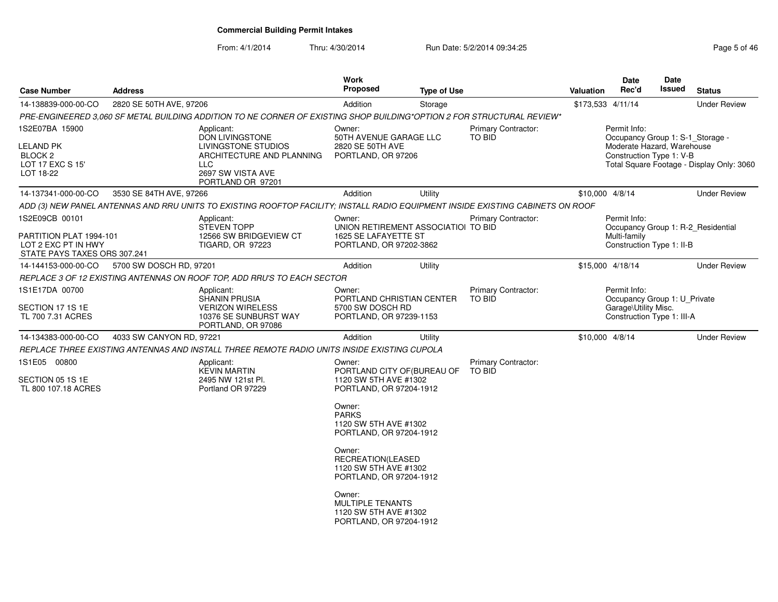From: 4/1/2014Thru: 4/30/2014 Run Date: 5/2/2014 09:34:25 Rege 5 of 46

| <b>Case Number</b>                                                                               | <b>Address</b>           |                                                                                                                                           | Work<br><b>Proposed</b>                                                                          | <b>Type of Use</b> |                                      | <b>Valuation</b>  | Date<br>Rec'd                                                                                              | <b>Date</b><br>Issued | <b>Status</b>                             |
|--------------------------------------------------------------------------------------------------|--------------------------|-------------------------------------------------------------------------------------------------------------------------------------------|--------------------------------------------------------------------------------------------------|--------------------|--------------------------------------|-------------------|------------------------------------------------------------------------------------------------------------|-----------------------|-------------------------------------------|
| 14-138839-000-00-CO                                                                              | 2820 SE 50TH AVE, 97206  |                                                                                                                                           | Addition                                                                                         | Storage            |                                      | \$173,533 4/11/14 |                                                                                                            |                       | <b>Under Review</b>                       |
|                                                                                                  |                          | PRE-ENGINEERED 3,060 SF METAL BUILDING ADDITION TO NE CORNER OF EXISTING SHOP BUILDING*OPTION 2 FOR STRUCTURAL REVIEW*                    |                                                                                                  |                    |                                      |                   |                                                                                                            |                       |                                           |
| 1S2E07BA 15900<br>LELAND PK<br>BLOCK <sub>2</sub><br>LOT 17 EXC S 15'<br>LOT 18-22               |                          | Applicant:<br><b>DON LIVINGSTONE</b><br>LIVINGSTONE STUDIOS<br>ARCHITECTURE AND PLANNING<br>LLC<br>2697 SW VISTA AVE<br>PORTLAND OR 97201 | Owner:<br>50TH AVENUE GARAGE LLC<br>2820 SE 50TH AVE<br>PORTLAND, OR 97206                       |                    | <b>Primary Contractor:</b><br>TO BID |                   | Permit Info:<br>Occupancy Group 1: S-1_Storage -<br>Moderate Hazard, Warehouse<br>Construction Type 1: V-B |                       | Total Square Footage - Display Only: 3060 |
| 14-137341-000-00-CO                                                                              | 3530 SE 84TH AVE, 97266  |                                                                                                                                           | Addition                                                                                         | Utility            |                                      | \$10,000 4/8/14   |                                                                                                            |                       | <b>Under Review</b>                       |
|                                                                                                  |                          | ADD (3) NEW PANEL ANTENNAS AND RRU UNITS TO EXISTING ROOFTOP FACILITY; INSTALL RADIO EQUIPMENT INSIDE EXISTING CABINETS ON ROOF           |                                                                                                  |                    |                                      |                   |                                                                                                            |                       |                                           |
| 1S2E09CB 00101<br>PARTITION PLAT 1994-101<br>LOT 2 EXC PT IN HWY<br>STATE PAYS TAXES ORS 307.241 |                          | Applicant:<br><b>STEVEN TOPP</b><br>12566 SW BRIDGEVIEW CT<br>TIGARD, OR 97223                                                            | Owner:<br>UNION RETIREMENT ASSOCIATIOI TO BID<br>1625 SE LAFAYETTE ST<br>PORTLAND, OR 97202-3862 |                    | <b>Primary Contractor:</b>           |                   | Permit Info:<br>Multi-family<br>Construction Type 1: II-B                                                  |                       | Occupancy Group 1: R-2 Residential        |
| 14-144153-000-00-CO                                                                              | 5700 SW DOSCH RD, 97201  |                                                                                                                                           | Addition                                                                                         | Utility            |                                      | \$15,000 4/18/14  |                                                                                                            |                       | <b>Under Review</b>                       |
|                                                                                                  |                          | REPLACE 3 OF 12 EXISTING ANTENNAS ON ROOF TOP, ADD RRU'S TO EACH SECTOR                                                                   |                                                                                                  |                    |                                      |                   |                                                                                                            |                       |                                           |
| 1S1E17DA 00700<br>SECTION 17 1S 1E<br>TL 700 7.31 ACRES                                          |                          | Applicant:<br><b>SHANIN PRUSIA</b><br><b>VERIZON WIRELESS</b><br>10376 SE SUNBURST WAY<br>PORTLAND, OR 97086                              | Owner:<br>PORTLAND CHRISTIAN CENTER<br>5700 SW DOSCH RD<br>PORTLAND, OR 97239-1153               |                    | Primary Contractor:<br>TO BID        |                   | Permit Info:<br>Occupancy Group 1: U Private<br>Garage\Utility Misc.<br>Construction Type 1: III-A         |                       |                                           |
| 14-134383-000-00-CO                                                                              | 4033 SW CANYON RD, 97221 |                                                                                                                                           | Addition                                                                                         | Utility            |                                      | \$10,000 4/8/14   |                                                                                                            |                       | <b>Under Review</b>                       |
|                                                                                                  |                          | REPLACE THREE EXISTING ANTENNAS AND INSTALL THREE REMOTE RADIO UNITS INSIDE EXISTING CUPOLA                                               |                                                                                                  |                    |                                      |                   |                                                                                                            |                       |                                           |
| 1S1E05 00800<br>SECTION 05 1S 1E<br>TL 800 107.18 ACRES                                          |                          | Applicant:<br><b>KEVIN MARTIN</b><br>2495 NW 121st Pl.<br>Portland OR 97229                                                               | Owner:<br>PORTLAND CITY OF (BUREAU OF<br>1120 SW 5TH AVE #1302<br>PORTLAND, OR 97204-1912        |                    | Primary Contractor:<br>TO BID        |                   |                                                                                                            |                       |                                           |
|                                                                                                  |                          |                                                                                                                                           | Owner:<br><b>PARKS</b><br>1120 SW 5TH AVE #1302<br>PORTLAND, OR 97204-1912                       |                    |                                      |                   |                                                                                                            |                       |                                           |
|                                                                                                  |                          |                                                                                                                                           | Owner:<br>RECREATION(LEASED<br>1120 SW 5TH AVE #1302<br>PORTLAND, OR 97204-1912                  |                    |                                      |                   |                                                                                                            |                       |                                           |
|                                                                                                  |                          |                                                                                                                                           | Owner:<br><b>MULTIPLE TENANTS</b><br>1120 SW 5TH AVE #1302<br>PORTLAND, OR 97204-1912            |                    |                                      |                   |                                                                                                            |                       |                                           |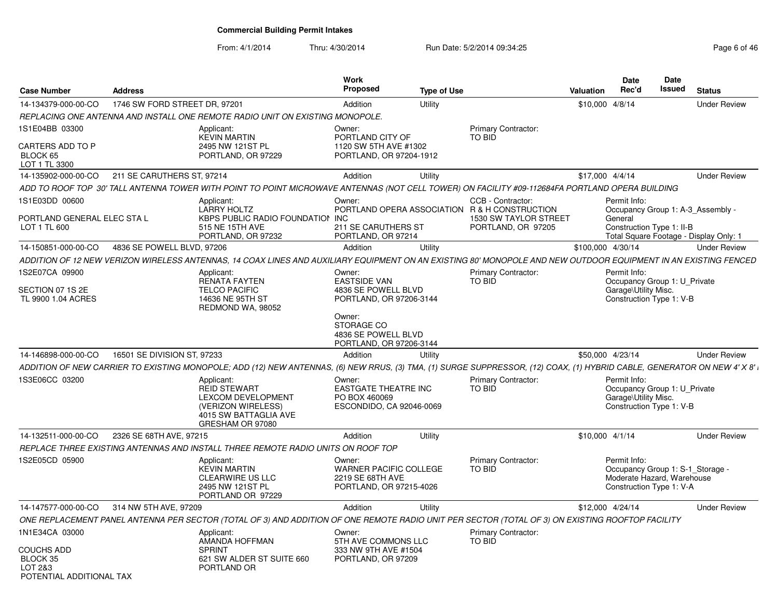From: 4/1/2014Thru: 4/30/2014 Run Date: 5/2/2014 09:34:25 Rege 6 of 46

| <b>Case Number</b>                                                   | <b>Address</b>                |                                                                                                                                                                           | Work<br><b>Proposed</b>                                                                | <b>Type of Use</b> |                                                                    | Valuation         | <b>Date</b><br>Rec'd                                                                                       | Date<br>Issued | <b>Status</b>                          |
|----------------------------------------------------------------------|-------------------------------|---------------------------------------------------------------------------------------------------------------------------------------------------------------------------|----------------------------------------------------------------------------------------|--------------------|--------------------------------------------------------------------|-------------------|------------------------------------------------------------------------------------------------------------|----------------|----------------------------------------|
| 14-134379-000-00-CO                                                  | 1746 SW FORD STREET DR. 97201 |                                                                                                                                                                           | Addition                                                                               | Utility            |                                                                    | \$10,000 4/8/14   |                                                                                                            |                | <b>Under Review</b>                    |
|                                                                      |                               | REPLACING ONE ANTENNA AND INSTALL ONE REMOTE RADIO UNIT ON EXISTING MONOPOLE.                                                                                             |                                                                                        |                    |                                                                    |                   |                                                                                                            |                |                                        |
| 1S1E04BB 03300<br>CARTERS ADD TO P                                   |                               | Applicant:<br><b>KEVIN MARTIN</b><br>2495 NW 121ST PL                                                                                                                     | Owner:<br>PORTLAND CITY OF<br>1120 SW 5TH AVE #1302                                    |                    | Primary Contractor:<br><b>TO BID</b>                               |                   |                                                                                                            |                |                                        |
| BLOCK 65<br>LOT 1 TL 3300                                            |                               | PORTLAND, OR 97229                                                                                                                                                        | PORTLAND, OR 97204-1912                                                                |                    |                                                                    |                   |                                                                                                            |                |                                        |
| 14-135902-000-00-CO                                                  | 211 SE CARUTHERS ST, 97214    |                                                                                                                                                                           | Addition                                                                               | Utility            |                                                                    | \$17,000 4/4/14   |                                                                                                            |                | <b>Under Review</b>                    |
|                                                                      |                               | ADD TO ROOF TOP 30' TALL ANTENNA TOWER WITH POINT TO POINT MICROWAVE ANTENNAS (NOT CELL TOWER) ON FACILITY #09-112684FA PORTLAND OPERA BUILDING                           |                                                                                        |                    |                                                                    |                   |                                                                                                            |                |                                        |
| 1S1E03DD 00600                                                       |                               | Applicant:<br><b>LARRY HOLTZ</b>                                                                                                                                          | Owner:                                                                                 |                    | CCB - Contractor:<br>PORTLAND OPERA ASSOCIATION R & H CONSTRUCTION |                   | Permit Info:                                                                                               |                | Occupancy Group 1: A-3 Assembly -      |
| PORTLAND GENERAL ELEC STA L<br>LOT 1 TL 600                          |                               | <b>KBPS PUBLIC RADIO FOUNDATION INC.</b><br>515 NE 15TH AVE<br>PORTLAND, OR 97232                                                                                         | 211 SE CARUTHERS ST<br>PORTLAND, OR 97214                                              |                    | <b>1530 SW TAYLOR STREET</b><br>PORTLAND, OR 97205                 |                   | General<br>Construction Type 1: II-B                                                                       |                | Total Square Footage - Display Only: 1 |
| 14-150851-000-00-CO                                                  | 4836 SE POWELL BLVD, 97206    |                                                                                                                                                                           | Addition                                                                               | Utility            |                                                                    | \$100,000 4/30/14 |                                                                                                            |                | <b>Under Review</b>                    |
|                                                                      |                               | ADDITION OF 12 NEW VERIZON WIRELESS ANTENNAS, 14 COAX LINES AND AUXILIARY EQUIPMENT ON AN EXISTING 80' MONOPOLE AND NEW OUTDOOR EQUIPMENT IN AN EXISTING FENCED           |                                                                                        |                    |                                                                    |                   |                                                                                                            |                |                                        |
| 1S2E07CA 09900                                                       |                               | Applicant:<br><b>RENATA FAYTEN</b>                                                                                                                                        | Owner:<br><b>EASTSIDE VAN</b>                                                          |                    | Primary Contractor:<br>TO BID                                      |                   | Permit Info:<br>Occupancy Group 1: U Private                                                               |                |                                        |
| SECTION 07 1S 2E<br>TL 9900 1.04 ACRES                               |                               | <b>TELCO PACIFIC</b><br>14636 NE 95TH ST<br>REDMOND WA, 98052                                                                                                             | 4836 SE POWELL BLVD<br>PORTLAND, OR 97206-3144                                         |                    |                                                                    |                   | Garage\Utility Misc.<br>Construction Type 1: V-B                                                           |                |                                        |
|                                                                      |                               |                                                                                                                                                                           | Owner:<br>STORAGE CO<br>4836 SE POWELL BLVD<br>PORTLAND, OR 97206-3144                 |                    |                                                                    |                   |                                                                                                            |                |                                        |
| 14-146898-000-00-CO                                                  | 16501 SE DIVISION ST, 97233   |                                                                                                                                                                           | Addition                                                                               | Utility            |                                                                    | \$50,000 4/23/14  |                                                                                                            |                | <b>Under Review</b>                    |
|                                                                      |                               | ADDITION OF NEW CARRIER TO EXISTING MONOPOLE; ADD (12) NEW ANTENNAS, (6) NEW RRUS, (3) TMA, (1) SURGE SUPPRESSOR, (12) COAX, (1) HYBRID CABLE, GENERATOR ON NEW 4' X 8' i |                                                                                        |                    |                                                                    |                   |                                                                                                            |                |                                        |
| 1S3E06CC 03200                                                       |                               | Applicant:<br><b>REID STEWART</b><br><b>LEXCOM DEVELOPMENT</b><br>(VERIZON WIRELESS)<br>4015 SW BATTAGLIA AVE<br>GRESHAM OR 97080                                         | Owner:<br><b>EASTGATE THEATRE INC</b><br>PO BOX 460069<br>ESCONDIDO, CA 92046-0069     |                    | <b>Primary Contractor:</b><br><b>TO BID</b>                        |                   | Permit Info:<br>Occupancy Group 1: U Private<br>Garage\Utility Misc.<br>Construction Type 1: V-B           |                |                                        |
| 14-132511-000-00-CO                                                  | 2326 SE 68TH AVE, 97215       |                                                                                                                                                                           | Addition                                                                               | Utility            |                                                                    | $$10,000$ 4/1/14  |                                                                                                            |                | <b>Under Review</b>                    |
|                                                                      |                               | REPLACE THREE EXISTING ANTENNAS AND INSTALL THREE REMOTE RADIO UNITS ON ROOF TOP                                                                                          |                                                                                        |                    |                                                                    |                   |                                                                                                            |                |                                        |
| 1S2E05CD 05900                                                       |                               | Applicant:<br><b>KEVIN MARTIN</b><br><b>CLEARWIRE US LLC</b><br>2495 NW 121ST PL<br>PORTLAND OR 97229                                                                     | Owner:<br><b>WARNER PACIFIC COLLEGE</b><br>2219 SE 68TH AVE<br>PORTLAND, OR 97215-4026 |                    | <b>Primary Contractor:</b><br>TO BID                               |                   | Permit Info:<br>Occupancy Group 1: S-1_Storage -<br>Moderate Hazard, Warehouse<br>Construction Type 1: V-A |                |                                        |
| 14-147577-000-00-CO                                                  | 314 NW 5TH AVE, 97209         |                                                                                                                                                                           | Addition                                                                               | Utility            |                                                                    | \$12,000 4/24/14  |                                                                                                            |                | <b>Under Review</b>                    |
|                                                                      |                               | ONE REPLACEMENT PANEL ANTENNA PER SECTOR (TOTAL OF 3) AND ADDITION OF ONE REMOTE RADIO UNIT PER SECTOR (TOTAL OF 3) ON EXISTING ROOFTOP FACILITY                          |                                                                                        |                    |                                                                    |                   |                                                                                                            |                |                                        |
| 1N1E34CA 03000                                                       |                               | Applicant:<br>AMANDA HOFFMAN                                                                                                                                              | Owner:<br>5TH AVE COMMONS LLC                                                          |                    | Primary Contractor:<br>TO BID                                      |                   |                                                                                                            |                |                                        |
| <b>COUCHS ADD</b><br>BLOCK 35<br>LOT 2&3<br>POTENTIAL ADDITIONAL TAX |                               | <b>SPRINT</b><br>621 SW ALDER ST SUITE 660<br>PORTLAND OR                                                                                                                 | 333 NW 9TH AVE #1504<br>PORTLAND, OR 97209                                             |                    |                                                                    |                   |                                                                                                            |                |                                        |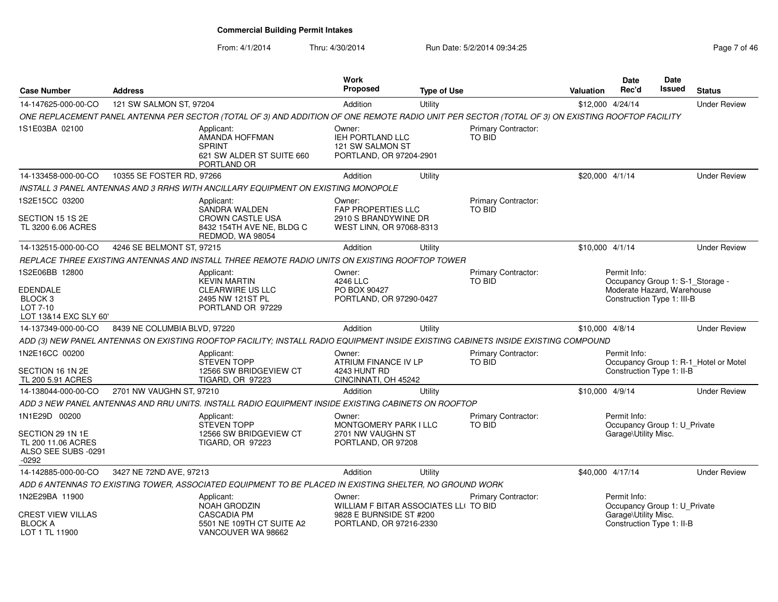From: 4/1/2014

Thru: 4/30/2014 Run Date: 5/2/2014 09:34:25 Rege 7 of 46

| <b>Case Number</b>                                                                        | <b>Address</b>               |                                                                                                                                                  | <b>Work</b><br><b>Proposed</b>                                                                        | <b>Type of Use</b> |                                      | Valuation        | <b>Date</b><br>Rec'd                                                                                         | <b>Date</b><br>Issued | <b>Status</b>                         |
|-------------------------------------------------------------------------------------------|------------------------------|--------------------------------------------------------------------------------------------------------------------------------------------------|-------------------------------------------------------------------------------------------------------|--------------------|--------------------------------------|------------------|--------------------------------------------------------------------------------------------------------------|-----------------------|---------------------------------------|
| 14-147625-000-00-CO                                                                       | 121 SW SALMON ST, 97204      |                                                                                                                                                  | Addition                                                                                              | Utility            |                                      | \$12,000 4/24/14 |                                                                                                              |                       | <b>Under Review</b>                   |
|                                                                                           |                              | ONE REPLACEMENT PANEL ANTENNA PER SECTOR (TOTAL OF 3) AND ADDITION OF ONE REMOTE RADIO UNIT PER SECTOR (TOTAL OF 3) ON EXISTING ROOFTOP FACILITY |                                                                                                       |                    |                                      |                  |                                                                                                              |                       |                                       |
| 1S1E03BA 02100                                                                            |                              | Applicant:<br>AMANDA HOFFMAN<br><b>SPRINT</b><br>621 SW ALDER ST SUITE 660<br>PORTLAND OR                                                        | Owner:<br><b>IEH PORTLAND LLC</b><br>121 SW SALMON ST<br>PORTLAND, OR 97204-2901                      |                    | Primary Contractor:<br><b>TO BID</b> |                  |                                                                                                              |                       |                                       |
| 14-133458-000-00-CO                                                                       | 10355 SE FOSTER RD, 97266    |                                                                                                                                                  | Addition                                                                                              | Utility            |                                      | \$20,000 4/1/14  |                                                                                                              |                       | <b>Under Review</b>                   |
|                                                                                           |                              | INSTALL 3 PANEL ANTENNAS AND 3 RRHS WITH ANCILLARY EQUIPMENT ON EXISTING MONOPOLE                                                                |                                                                                                       |                    |                                      |                  |                                                                                                              |                       |                                       |
| 1S2E15CC 03200<br>SECTION 15 1S 2E<br>TL 3200 6.06 ACRES                                  |                              | Applicant:<br><b>SANDRA WALDEN</b><br><b>CROWN CASTLE USA</b><br>8432 154TH AVE NE, BLDG C<br>REDMOD, WA 98054                                   | Owner:<br><b>FAP PROPERTIES LLC</b><br>2910 S BRANDYWINE DR<br>WEST LINN, OR 97068-8313               |                    | Primary Contractor:<br><b>TO BID</b> |                  |                                                                                                              |                       |                                       |
| 14-132515-000-00-CO                                                                       | 4246 SE BELMONT ST, 97215    |                                                                                                                                                  | Addition                                                                                              | Utility            |                                      | $$10,000$ 4/1/14 |                                                                                                              |                       | <b>Under Review</b>                   |
|                                                                                           |                              | REPLACE THREE EXISTING ANTENNAS AND INSTALL THREE REMOTE RADIO UNITS ON EXISTING ROOFTOP TOWER                                                   |                                                                                                       |                    |                                      |                  |                                                                                                              |                       |                                       |
| 1S2E06BB 12800<br>EDENDALE<br>BLOCK <sub>3</sub><br>LOT 7-10<br>LOT 13&14 EXC SLY 60'     |                              | Applicant:<br><b>KEVIN MARTIN</b><br><b>CLEARWIRE US LLC</b><br>2495 NW 121ST PL<br>PORTLAND OR 97229                                            | Owner:<br>4246 LLC<br>PO BOX 90427<br>PORTLAND, OR 97290-0427                                         |                    | Primary Contractor:<br>TO BID        |                  | Permit Info:<br>Occupancy Group 1: S-1_Storage -<br>Moderate Hazard, Warehouse<br>Construction Type 1: III-B |                       |                                       |
| 14-137349-000-00-CO                                                                       | 8439 NE COLUMBIA BLVD, 97220 |                                                                                                                                                  | Addition                                                                                              | Utility            |                                      | \$10,000 4/8/14  |                                                                                                              |                       | <b>Under Review</b>                   |
|                                                                                           |                              | ADD (3) NEW PANEL ANTENNAS ON EXISTING ROOFTOP FACILITY; INSTALL RADIO EQUIPMENT INSIDE EXISTING CABINETS INSIDE EXISTING COMPOUND               |                                                                                                       |                    |                                      |                  |                                                                                                              |                       |                                       |
| 1N2E16CC 00200<br>SECTION 16 1N 2E<br>TL 200 5.91 ACRES                                   |                              | Applicant:<br><b>STEVEN TOPP</b><br>12566 SW BRIDGEVIEW CT<br><b>TIGARD, OR 97223</b>                                                            | Owner:<br>ATRIUM FINANCE IV LP<br>4243 HUNT RD<br>CINCINNATI, OH 45242                                |                    | Primary Contractor:<br><b>TO BID</b> |                  | Permit Info:<br>Construction Type 1: II-B                                                                    |                       | Occupancy Group 1: R-1_Hotel or Motel |
| 14-138044-000-00-CO                                                                       | 2701 NW VAUGHN ST, 97210     |                                                                                                                                                  | Addition                                                                                              | Utility            |                                      | \$10,000 4/9/14  |                                                                                                              |                       | <b>Under Review</b>                   |
|                                                                                           |                              | ADD 3 NEW PANEL ANTENNAS AND RRU UNITS. INSTALL RADIO EQUIPMENT INSIDE EXISTING CABINETS ON ROOFTOP                                              |                                                                                                       |                    |                                      |                  |                                                                                                              |                       |                                       |
| 1N1E29D 00200<br>SECTION 29 1N 1E<br>TL 200 11.06 ACRES<br>ALSO SEE SUBS -0291<br>$-0292$ |                              | Applicant:<br><b>STEVEN TOPP</b><br>12566 SW BRIDGEVIEW CT<br><b>TIGARD, OR 97223</b>                                                            | Owner:<br><b>MONTGOMERY PARK I LLC</b><br>2701 NW VAUGHN ST<br>PORTLAND, OR 97208                     |                    | Primary Contractor:<br>TO BID        |                  | Permit Info:<br>Occupancy Group 1: U_Private<br>Garage\Utility Misc.                                         |                       |                                       |
| 14-142885-000-00-CO                                                                       | 3427 NE 72ND AVE, 97213      |                                                                                                                                                  | Addition                                                                                              | Utility            |                                      | \$40,000 4/17/14 |                                                                                                              |                       | <b>Under Review</b>                   |
|                                                                                           |                              | ADD 6 ANTENNAS TO EXISTING TOWER, ASSOCIATED EQUIPMENT TO BE PLACED IN EXISTING SHELTER, NO GROUND WORK                                          |                                                                                                       |                    |                                      |                  |                                                                                                              |                       |                                       |
| 1N2E29BA 11900<br>CREST VIEW VILLAS<br><b>BLOCK A</b><br>LOT 1 TL 11900                   |                              | Applicant:<br><b>NOAH GRODZIN</b><br><b>CASCADIA PM</b><br>5501 NE 109TH CT SUITE A2<br>VANCOUVER WA 98662                                       | Owner:<br>WILLIAM F BITAR ASSOCIATES LLI TO BID<br>9828 E BURNSIDE ST #200<br>PORTLAND, OR 97216-2330 |                    | Primary Contractor:                  |                  | Permit Info:<br>Occupancy Group 1: U_Private<br>Garage\Utility Misc.<br>Construction Type 1: II-B            |                       |                                       |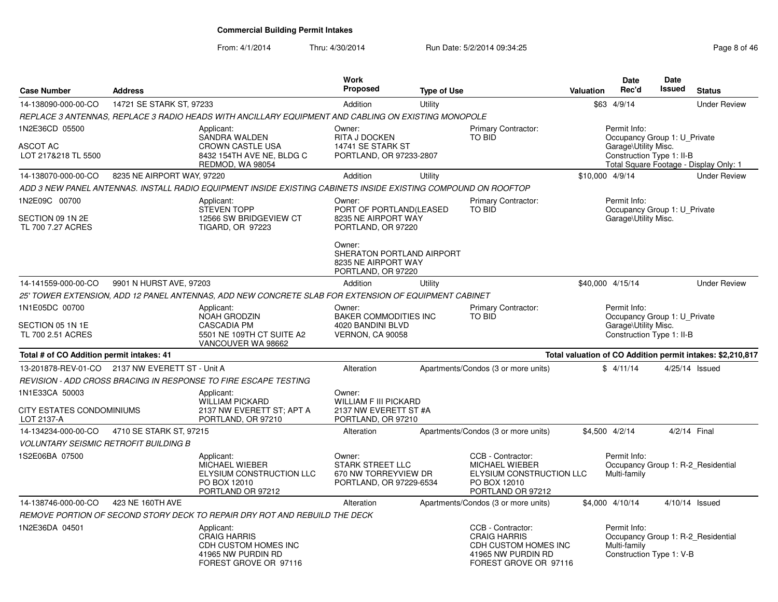From: 4/1/2014Thru: 4/30/2014 Run Date: 5/2/2014 09:34:25 Rege 8 of 46

| <b>Case Number</b>                                        | <b>Address</b>                                   |                                                                                                                | <b>Work</b><br>Proposed                                                                                                                      | <b>Type of Use</b>                          |                                                                                                                 | <b>Valuation</b>                                                                                  | <b>Date</b><br>Rec'd                                                                              | <b>Date</b><br><b>Issued</b> | <b>Status</b>                                              |
|-----------------------------------------------------------|--------------------------------------------------|----------------------------------------------------------------------------------------------------------------|----------------------------------------------------------------------------------------------------------------------------------------------|---------------------------------------------|-----------------------------------------------------------------------------------------------------------------|---------------------------------------------------------------------------------------------------|---------------------------------------------------------------------------------------------------|------------------------------|------------------------------------------------------------|
| 14-138090-000-00-CO                                       | 14721 SE STARK ST, 97233                         |                                                                                                                | Addition                                                                                                                                     | Utility                                     |                                                                                                                 |                                                                                                   | \$63 4/9/14                                                                                       |                              | <b>Under Review</b>                                        |
|                                                           |                                                  | REPLACE 3 ANTENNAS, REPLACE 3 RADIO HEADS WITH ANCILLARY EQUIPMENT AND CABLING ON EXISTING MONOPOLE            |                                                                                                                                              |                                             |                                                                                                                 |                                                                                                   |                                                                                                   |                              |                                                            |
| 1N2E36CD 05500<br>ASCOT AC<br>LOT 217&218 TL 5500         |                                                  | Applicant:<br>SANDRA WALDEN<br><b>CROWN CASTLE USA</b><br>8432 154TH AVE NE, BLDG C<br>REDMOD, WA 98054        | Owner:<br><b>RITA J DOCKEN</b><br>14741 SE STARK ST<br>PORTLAND, OR 97233-2807                                                               |                                             | <b>Primary Contractor:</b><br><b>TO BID</b>                                                                     |                                                                                                   | Permit Info:<br>Occupancy Group 1: U Private<br>Garage\Utility Misc.<br>Construction Type 1: II-B |                              | Total Square Footage - Display Only: 1                     |
| 14-138070-000-00-CO                                       | 8235 NE AIRPORT WAY, 97220                       |                                                                                                                | Addition                                                                                                                                     | Utility                                     |                                                                                                                 | \$10,000 4/9/14                                                                                   |                                                                                                   |                              | <b>Under Review</b>                                        |
|                                                           |                                                  | ADD 3 NEW PANEL ANTENNAS. INSTALL RADIO EQUIPMENT INSIDE EXISTING CABINETS INSIDE EXISTING COMPOUND ON ROOFTOP |                                                                                                                                              |                                             |                                                                                                                 |                                                                                                   |                                                                                                   |                              |                                                            |
| 1N2E09C 00700<br>SECTION 09 1N 2E<br>TL 700 7.27 ACRES    |                                                  | Applicant:<br><b>STEVEN TOPP</b><br>12566 SW BRIDGEVIEW CT<br><b>TIGARD, OR 97223</b>                          | Owner:<br>PORT OF PORTLAND(LEASED<br>8235 NE AIRPORT WAY<br>PORTLAND, OR 97220<br>Owner:<br>SHERATON PORTLAND AIRPORT<br>8235 NE AIRPORT WAY |                                             | Primary Contractor:<br><b>TO BID</b>                                                                            |                                                                                                   | Permit Info:<br>Occupancy Group 1: U_Private<br>Garage\Utility Misc.                              |                              |                                                            |
|                                                           |                                                  |                                                                                                                | PORTLAND, OR 97220                                                                                                                           |                                             |                                                                                                                 |                                                                                                   |                                                                                                   |                              |                                                            |
| 14-141559-000-00-CO                                       | 9901 N HURST AVE, 97203                          |                                                                                                                | Addition                                                                                                                                     | Utility                                     |                                                                                                                 | \$40,000 4/15/14                                                                                  |                                                                                                   |                              | <b>Under Review</b>                                        |
|                                                           |                                                  | 25' TOWER EXTENSION, ADD 12 PANEL ANTENNAS, ADD NEW CONCRETE SLAB FOR EXTENSION OF EQUIPMENT CABINET           |                                                                                                                                              |                                             |                                                                                                                 |                                                                                                   |                                                                                                   |                              |                                                            |
| 1N1E05DC 00700<br>SECTION 05 1N 1E<br>TL 700 2.51 ACRES   |                                                  | Applicant:<br>NOAH GRODZIN<br>CASCADIA PM<br>5501 NE 109TH CT SUITE A2<br>VANCOUVER WA 98662                   | Owner:<br><b>BAKER COMMODITIES INC</b><br>4020 BANDINI BLVD<br><b>VERNON, CA 90058</b>                                                       | <b>Primary Contractor:</b><br><b>TO BID</b> |                                                                                                                 | Permit Info:<br>Occupancy Group 1: U_Private<br>Garage\Utility Misc.<br>Construction Type 1: II-B |                                                                                                   |                              |                                                            |
| Total # of CO Addition permit intakes: 41                 |                                                  |                                                                                                                |                                                                                                                                              |                                             |                                                                                                                 |                                                                                                   |                                                                                                   |                              | Total valuation of CO Addition permit intakes: \$2,210,817 |
|                                                           | 13-201878-REV-01-CO  2137 NW EVERETT ST - Unit A |                                                                                                                | Alteration                                                                                                                                   |                                             | Apartments/Condos (3 or more units)                                                                             |                                                                                                   | \$4/11/14                                                                                         |                              | 4/25/14 Issued                                             |
|                                                           |                                                  | REVISION - ADD CROSS BRACING IN RESPONSE TO FIRE ESCAPE TESTING                                                |                                                                                                                                              |                                             |                                                                                                                 |                                                                                                   |                                                                                                   |                              |                                                            |
| 1N1E33CA 50003<br>CITY ESTATES CONDOMINIUMS<br>LOT 2137-A |                                                  | Applicant:<br><b>WILLIAM PICKARD</b><br>2137 NW EVERETT ST; APT A<br>PORTLAND, OR 97210                        | Owner:<br><b>WILLIAM F III PICKARD</b><br>2137 NW EVERETT ST #A<br>PORTLAND, OR 97210                                                        |                                             |                                                                                                                 |                                                                                                   |                                                                                                   |                              |                                                            |
| 14-134234-000-00-CO                                       | 4710 SE STARK ST, 97215                          |                                                                                                                | Alteration                                                                                                                                   |                                             | Apartments/Condos (3 or more units)                                                                             | \$4,500 4/2/14                                                                                    |                                                                                                   |                              | 4/2/14 Final                                               |
| <b>VOLUNTARY SEISMIC RETROFIT BUILDING B</b>              |                                                  |                                                                                                                |                                                                                                                                              |                                             |                                                                                                                 |                                                                                                   |                                                                                                   |                              |                                                            |
| 1S2E06BA 07500                                            |                                                  | Applicant:<br>MICHAEL WIEBER<br>ELYSIUM CONSTRUCTION LLC<br>PO BOX 12010<br>PORTLAND OR 97212                  | Owner:<br><b>STARK STREET LLC</b><br>670 NW TORREYVIEW DR<br>PORTLAND, OR 97229-6534                                                         |                                             | CCB - Contractor:<br>MICHAEL WIEBER<br>ELYSIUM CONSTRUCTION LLC<br>PO BOX 12010<br>PORTLAND OR 97212            |                                                                                                   | Permit Info:<br>Multi-family                                                                      |                              | Occupancy Group 1: R-2 Residential                         |
| 14-138746-000-00-CO                                       | 423 NE 160TH AVE                                 |                                                                                                                | Alteration                                                                                                                                   |                                             | Apartments/Condos (3 or more units)                                                                             | \$4,000 4/10/14                                                                                   |                                                                                                   |                              | 4/10/14 Issued                                             |
|                                                           |                                                  | REMOVE PORTION OF SECOND STORY DECK TO REPAIR DRY ROT AND REBUILD THE DECK                                     |                                                                                                                                              |                                             |                                                                                                                 |                                                                                                   |                                                                                                   |                              |                                                            |
| 1N2E36DA 04501                                            |                                                  | Applicant:<br><b>CRAIG HARRIS</b><br>CDH CUSTOM HOMES INC<br>41965 NW PURDIN RD<br>FOREST GROVE OR 97116       |                                                                                                                                              |                                             | CCB - Contractor:<br><b>CRAIG HARRIS</b><br>CDH CUSTOM HOMES INC<br>41965 NW PURDIN RD<br>FOREST GROVE OR 97116 |                                                                                                   | Permit Info:<br>Multi-family<br>Construction Type 1: V-B                                          |                              | Occupancy Group 1: R-2 Residential                         |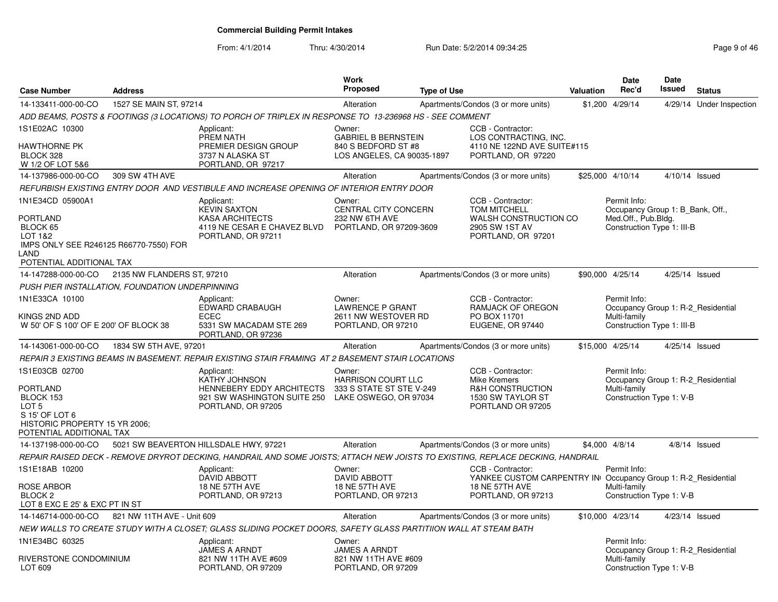From: 4/1/2014Thru: 4/30/2014 Run Date: 5/2/2014 09:34:25 Research 2010 12:45

| <b>Case Number</b>                                                                                                                                | <b>Address</b>             |                                                                                                                                | <b>Work</b><br><b>Proposed</b>                                                            | <b>Type of Use</b> |                                                                                                                                   | Valuation | <b>Date</b><br>Rec'd                                                                                  | <b>Date</b><br><b>Issued</b> | <b>Status</b>            |
|---------------------------------------------------------------------------------------------------------------------------------------------------|----------------------------|--------------------------------------------------------------------------------------------------------------------------------|-------------------------------------------------------------------------------------------|--------------------|-----------------------------------------------------------------------------------------------------------------------------------|-----------|-------------------------------------------------------------------------------------------------------|------------------------------|--------------------------|
| 14-133411-000-00-CO                                                                                                                               | 1527 SE MAIN ST, 97214     |                                                                                                                                | Alteration                                                                                |                    | Apartments/Condos (3 or more units)                                                                                               |           | \$1,200 4/29/14                                                                                       |                              | 4/29/14 Under Inspection |
|                                                                                                                                                   |                            | ADD BEAMS, POSTS & FOOTINGS (3 LOCATIONS) TO PORCH OF TRIPLEX IN RESPONSE TO 13-236968 HS - SEE COMMENT                        |                                                                                           |                    |                                                                                                                                   |           |                                                                                                       |                              |                          |
| 1S1E02AC 10300<br>HAWTHORNE PK<br>BLOCK 328<br>W 1/2 OF LOT 5&6                                                                                   |                            | Applicant:<br>PREM NATH<br>PREMIER DESIGN GROUP<br>3737 N ALASKA ST<br>PORTLAND, OR 97217                                      | Owner:<br><b>GABRIEL B BERNSTEIN</b><br>840 S BEDFORD ST #8<br>LOS ANGELES, CA 90035-1897 |                    | CCB - Contractor:<br>LOS CONTRACTING, INC.<br>4110 NE 122ND AVE SUITE#115<br>PORTLAND, OR 97220                                   |           |                                                                                                       |                              |                          |
| 14-137986-000-00-CO                                                                                                                               | 309 SW 4TH AVE             |                                                                                                                                | Alteration                                                                                |                    | Apartments/Condos (3 or more units)                                                                                               |           | \$25,000 4/10/14                                                                                      | $4/10/14$ Issued             |                          |
|                                                                                                                                                   |                            | REFURBISH EXISTING ENTRY DOOR  AND VESTIBULE AND INCREASE OPENING OF INTERIOR ENTRY DOOR                                       |                                                                                           |                    |                                                                                                                                   |           |                                                                                                       |                              |                          |
| 1N1E34CD 05900A1<br><b>PORTLAND</b><br>BLOCK 65<br>LOT 1&2<br>IMPS ONLY SEE R246125 R66770-7550) FOR<br>LAND<br>POTENTIAL ADDITIONAL TAX          |                            | Applicant:<br><b>KEVIN SAXTON</b><br><b>KASA ARCHITECTS</b><br>4119 NE CESAR E CHAVEZ BLVD<br>PORTLAND, OR 97211               | Owner:<br>CENTRAL CITY CONCERN<br>232 NW 6TH AVE<br>PORTLAND, OR 97209-3609               |                    | CCB - Contractor:<br><b>TOM MITCHELL</b><br><b>WALSH CONSTRUCTION CO</b><br>2905 SW 1ST AV<br>PORTLAND, OR 97201                  |           | Permit Info:<br>Occupancy Group 1: B Bank, Off.,<br>Med.Off., Pub.Bldg.<br>Construction Type 1: III-B |                              |                          |
| 14-147288-000-00-CO                                                                                                                               | 2135 NW FLANDERS ST, 97210 |                                                                                                                                | Alteration                                                                                |                    | Apartments/Condos (3 or more units)                                                                                               |           | \$90,000 4/25/14                                                                                      | $4/25/14$ Issued             |                          |
| PUSH PIER INSTALLATION, FOUNDATION UNDERPINNING                                                                                                   |                            |                                                                                                                                |                                                                                           |                    |                                                                                                                                   |           |                                                                                                       |                              |                          |
| 1N1E33CA 10100<br>KINGS 2ND ADD<br>W 50' OF S 100' OF E 200' OF BLOCK 38                                                                          |                            | Applicant:<br>EDWARD CRABAUGH<br><b>ECEC</b><br>5331 SW MACADAM STE 269<br>PORTLAND, OR 97236                                  | Owner:<br><b>LAWRENCE P GRANT</b><br>2611 NW WESTOVER RD<br>PORTLAND, OR 97210            |                    | CCB - Contractor:<br>RAMJACK OF OREGON<br>PO BOX 11701<br>EUGENE, OR 97440                                                        |           | Permit Info:<br>Occupancy Group 1: R-2_Residential<br>Multi-family<br>Construction Type 1: III-B      |                              |                          |
| 14-143061-000-00-CO                                                                                                                               | 1834 SW 5TH AVE, 97201     |                                                                                                                                | Alteration                                                                                |                    | Apartments/Condos (3 or more units)                                                                                               |           | \$15,000 4/25/14                                                                                      | 4/25/14 Issued               |                          |
|                                                                                                                                                   |                            | REPAIR 3 EXISTING BEAMS IN BASEMENT. REPAIR EXISTING STAIR FRAMING  AT 2 BASEMENT STAIR LOCATIONS                              |                                                                                           |                    |                                                                                                                                   |           |                                                                                                       |                              |                          |
| 1S1E03CB 02700<br><b>PORTLAND</b><br>BLOCK 153<br>LOT <sub>5</sub><br>S 15' OF LOT 6<br>HISTORIC PROPERTY 15 YR 2006;<br>POTENTIAL ADDITIONAL TAX |                            | Applicant:<br>KATHY JOHNSON<br>HENNEBERY EDDY ARCHITECTS<br>921 SW WASHINGTON SUITE 250<br>PORTLAND, OR 97205                  | Owner:<br><b>HARRISON COURT LLC</b><br>333 S STATE ST STE V-249<br>LAKE OSWEGO, OR 97034  |                    | CCB - Contractor:<br>Mike Kremers<br><b>R&amp;H CONSTRUCTION</b><br>1530 SW TAYLOR ST<br>PORTLAND OR 97205                        |           | Permit Info:<br>Occupancy Group 1: R-2 Residential<br>Multi-family<br>Construction Type 1: V-B        |                              |                          |
| 14-137198-000-00-CO                                                                                                                               |                            | 5021 SW BEAVERTON HILLSDALE HWY, 97221                                                                                         | Alteration                                                                                |                    | Apartments/Condos (3 or more units)                                                                                               |           | \$4,000 4/8/14                                                                                        |                              | $4/8/14$ Issued          |
|                                                                                                                                                   |                            | REPAIR RAISED DECK - REMOVE DRYROT DECKING, HANDRAIL AND SOME JOISTS; ATTACH NEW JOISTS TO EXISTING, REPLACE DECKING, HANDRAIL |                                                                                           |                    |                                                                                                                                   |           |                                                                                                       |                              |                          |
| 1S1E18AB 10200<br><b>ROSE ARBOR</b><br>BLOCK <sub>2</sub><br>LOT 8 EXC E 25' & EXC PT IN ST                                                       |                            | Applicant:<br><b>DAVID ABBOTT</b><br><b>18 NE 57TH AVE</b><br>PORTLAND, OR 97213                                               | Owner:<br>DAVID ABBOTT<br><b>18 NE 57TH AVE</b><br>PORTLAND, OR 97213                     |                    | CCB - Contractor:<br>YANKEE CUSTOM CARPENTRY IN Occupancy Group 1: R-2_Residential<br><b>18 NE 57TH AVE</b><br>PORTLAND, OR 97213 |           | Permit Info:<br>Multi-family<br>Construction Type 1: V-B                                              |                              |                          |
| 14-146714-000-00-CO                                                                                                                               | 821 NW 11TH AVE - Unit 609 |                                                                                                                                | Alteration                                                                                |                    | Apartments/Condos (3 or more units)                                                                                               |           | \$10,000 4/23/14                                                                                      | 4/23/14 Issued               |                          |
|                                                                                                                                                   |                            | NEW WALLS TO CREATE STUDY WITH A CLOSET; GLASS SLIDING POCKET DOORS, SAFETY GLASS PARTITIION WALL AT STEAM BATH                |                                                                                           |                    |                                                                                                                                   |           |                                                                                                       |                              |                          |
| 1N1E34BC 60325<br>RIVERSTONE CONDOMINIUM<br>LOT 609                                                                                               |                            | Applicant:<br>JAMES A ARNDT<br>821 NW 11TH AVE #609<br>PORTLAND, OR 97209                                                      | Owner:<br><b>JAMES A ARNDT</b><br>821 NW 11TH AVE #609<br>PORTLAND, OR 97209              |                    |                                                                                                                                   |           | Permit Info:<br>Occupancy Group 1: R-2 Residential<br>Multi-family<br>Construction Type 1: V-B        |                              |                          |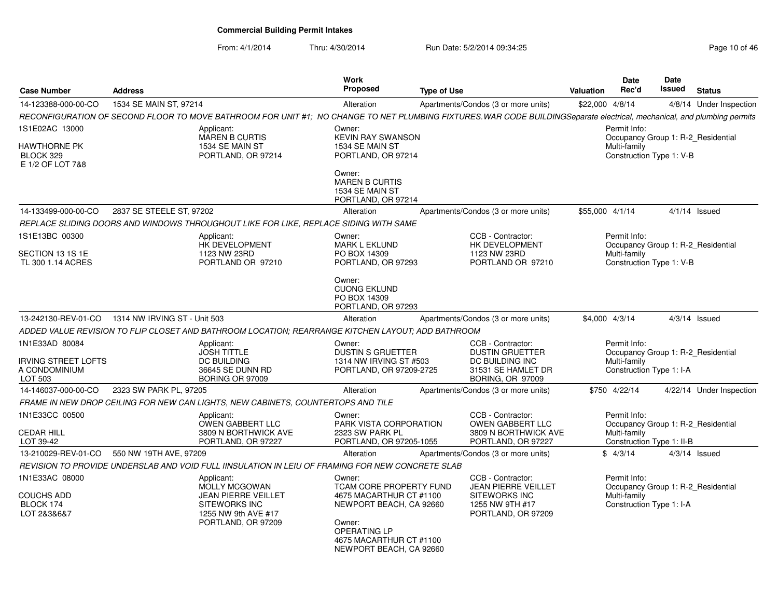#### From: 4/1/2014Thru: 4/30/2014 **Run Date: 5/2/2014 09:34:25** Page 10 of 46 of 46 of 46

| Page 10 of 46 |  |  |  |
|---------------|--|--|--|
|---------------|--|--|--|

| <b>Case Number</b>                                                       | <b>Address</b>                                                                                    |                                                                                                                                       | Work<br><b>Proposed</b>                                                                                  | <b>Type of Use</b>                                                                                                                                                      | <b>Valuation</b> | <b>Date</b><br>Rec'd                                      | <b>Date</b><br><b>Issued</b> | <b>Status</b>                      |
|--------------------------------------------------------------------------|---------------------------------------------------------------------------------------------------|---------------------------------------------------------------------------------------------------------------------------------------|----------------------------------------------------------------------------------------------------------|-------------------------------------------------------------------------------------------------------------------------------------------------------------------------|------------------|-----------------------------------------------------------|------------------------------|------------------------------------|
| 14-123388-000-00-CO                                                      | 1534 SE MAIN ST, 97214                                                                            |                                                                                                                                       | Alteration                                                                                               | Apartments/Condos (3 or more units)                                                                                                                                     | \$22,000 4/8/14  |                                                           |                              | 4/8/14 Under Inspection            |
|                                                                          |                                                                                                   |                                                                                                                                       |                                                                                                          | RECONFIGURATION OF SECOND FLOOR TO MOVE BATHROOM FOR UNIT #1; NO CHANGE TO NET PLUMBING FIXTURES WAR CODE BUILDINGSeparate electrical, mechanical, and plumbing permits |                  |                                                           |                              |                                    |
| 1S1E02AC 13000                                                           |                                                                                                   | Applicant:<br><b>MAREN B CURTIS</b>                                                                                                   | Owner:<br><b>KEVIN RAY SWANSON</b>                                                                       |                                                                                                                                                                         |                  | Permit Info:                                              |                              | Occupancy Group 1: R-2_Residential |
| <b>HAWTHORNE PK</b><br>BLOCK 329<br>E 1/2 OF LOT 7&8                     |                                                                                                   | 1534 SE MAIN ST<br>PORTLAND, OR 97214                                                                                                 | 1534 SE MAIN ST<br>PORTLAND, OR 97214                                                                    |                                                                                                                                                                         |                  | Multi-family<br>Construction Type 1: V-B                  |                              |                                    |
|                                                                          |                                                                                                   |                                                                                                                                       | Owner:<br><b>MAREN B CURTIS</b><br>1534 SE MAIN ST<br>PORTLAND, OR 97214                                 |                                                                                                                                                                         |                  |                                                           |                              |                                    |
| 14-133499-000-00-CO                                                      | 2837 SE STEELE ST, 97202                                                                          |                                                                                                                                       | Alteration                                                                                               | Apartments/Condos (3 or more units)                                                                                                                                     | \$55,000 4/1/14  |                                                           |                              | $4/1/14$ Issued                    |
|                                                                          | REPLACE SLIDING DOORS AND WINDOWS THROUGHOUT LIKE FOR LIKE, REPLACE SIDING WITH SAME              |                                                                                                                                       |                                                                                                          |                                                                                                                                                                         |                  |                                                           |                              |                                    |
| 1S1E13BC 00300<br>SECTION 13 1S 1E<br>TL 300 1.14 ACRES                  |                                                                                                   | Applicant:<br>HK DEVELOPMENT<br>1123 NW 23RD<br>PORTLAND OR 97210                                                                     | Owner:<br><b>MARK L EKLUND</b><br>PO BOX 14309<br>PORTLAND, OR 97293                                     | CCB - Contractor:<br>HK DEVELOPMENT<br>1123 NW 23RD<br>PORTLAND OR 97210                                                                                                |                  | Permit Info:<br>Multi-family<br>Construction Type 1: V-B  |                              | Occupancy Group 1: R-2 Residential |
|                                                                          |                                                                                                   |                                                                                                                                       | Owner:<br><b>CUONG EKLUND</b><br>PO BOX 14309<br>PORTLAND, OR 97293                                      |                                                                                                                                                                         |                  |                                                           |                              |                                    |
| 13-242130-REV-01-CO                                                      | 1314 NW IRVING ST - Unit 503                                                                      |                                                                                                                                       | Alteration                                                                                               | Apartments/Condos (3 or more units)                                                                                                                                     |                  | \$4,000 4/3/14                                            |                              | $4/3/14$ Issued                    |
|                                                                          | ADDED VALUE REVISION TO FLIP CLOSET AND BATHROOM LOCATION; REARRANGE KITCHEN LAYOUT; ADD BATHROOM |                                                                                                                                       |                                                                                                          |                                                                                                                                                                         |                  |                                                           |                              |                                    |
| 1N1E33AD 80084<br><b>IRVING STREET LOFTS</b><br>A CONDOMINIUM<br>LOT 503 |                                                                                                   | Applicant:<br><b>JOSH TITTLE</b><br><b>DC BUILDING</b><br>36645 SE DUNN RD<br><b>BORING OR 97009</b>                                  | Owner:<br><b>DUSTIN S GRUETTER</b><br>1314 NW IRVING ST #503<br>PORTLAND, OR 97209-2725                  | CCB - Contractor:<br><b>DUSTIN GRUETTER</b><br><b>DC BUILDING INC</b><br>31531 SE HAMLET DR<br><b>BORING, OR 97009</b>                                                  |                  | Permit Info:<br>Multi-family<br>Construction Type 1: I-A  |                              | Occupancy Group 1: R-2 Residential |
| 14-146037-000-00-CO                                                      | 2323 SW PARK PL, 97205                                                                            |                                                                                                                                       | Alteration                                                                                               | Apartments/Condos (3 or more units)                                                                                                                                     |                  | \$750 4/22/14                                             |                              | 4/22/14 Under Inspection           |
|                                                                          | FRAME IN NEW DROP CEILING FOR NEW CAN LIGHTS, NEW CABINETS, COUNTERTOPS AND TILE                  |                                                                                                                                       |                                                                                                          |                                                                                                                                                                         |                  |                                                           |                              |                                    |
| 1N1E33CC 00500<br><b>CEDAR HILL</b><br>LOT 39-42                         |                                                                                                   | Applicant:<br>OWEN GABBERT LLC<br>3809 N BORTHWICK AVE<br>PORTLAND, OR 97227                                                          | Owner:<br>PARK VISTA CORPORATION<br>2323 SW PARK PL<br>PORTLAND, OR 97205-1055                           | CCB - Contractor:<br>OWEN GABBERT LLC<br>3809 N BORTHWICK AVE<br>PORTLAND, OR 97227                                                                                     |                  | Permit Info:<br>Multi-family<br>Construction Type 1: II-B |                              | Occupancy Group 1: R-2_Residential |
| 13-210029-REV-01-CO                                                      | 550 NW 19TH AVE, 97209                                                                            |                                                                                                                                       | Alteration                                                                                               | Apartments/Condos (3 or more units)                                                                                                                                     |                  | \$4/3/14                                                  |                              | $4/3/14$ Issued                    |
|                                                                          | REVISION TO PROVIDE UNDERSLAB AND VOID FULL IINSULATION IN LEIU OF FRAMING FOR NEW CONCRETE SLAB  |                                                                                                                                       |                                                                                                          |                                                                                                                                                                         |                  |                                                           |                              |                                    |
| 1N1E33AC 08000<br><b>COUCHS ADD</b><br>BLOCK 174<br>LOT 2&3&6&7          |                                                                                                   | Applicant:<br><b>MOLLY MCGOWAN</b><br><b>JEAN PIERRE VEILLET</b><br><b>SITEWORKS INC</b><br>1255 NW 9th AVE #17<br>PORTLAND, OR 97209 | Owner:<br><b>TCAM CORE PROPERTY FUND</b><br>4675 MACARTHUR CT #1100<br>NEWPORT BEACH, CA 92660<br>Owner: | CCB - Contractor:<br><b>JEAN PIERRE VEILLET</b><br><b>SITEWORKS INC</b><br>1255 NW 9TH #17<br>PORTLAND, OR 97209                                                        |                  | Permit Info:<br>Multi-family<br>Construction Type 1: I-A  |                              | Occupancy Group 1: R-2 Residential |
|                                                                          |                                                                                                   |                                                                                                                                       | OPERATING LP<br>4675 MACARTHUR CT #1100<br>NEWPORT BEACH, CA 92660                                       |                                                                                                                                                                         |                  |                                                           |                              |                                    |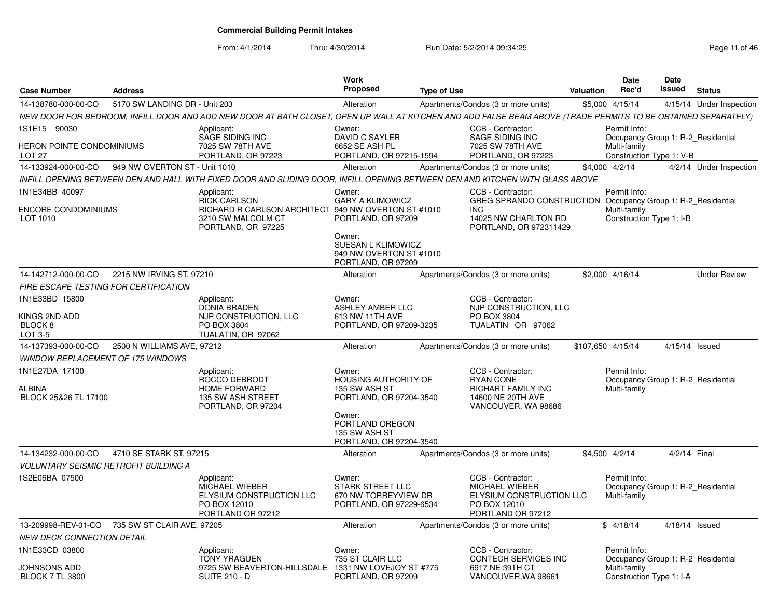| <b>Case Number</b>                     | <b>Address</b>                |                                                                                                                                                               | <b>Work</b><br><b>Proposed</b>                                                       | <b>Type of Use</b> |                                                                                                                              | <b>Valuation</b> | <b>Date</b><br>Rec'd                                               | <b>Date</b><br>Issued | <b>Status</b>            |
|----------------------------------------|-------------------------------|---------------------------------------------------------------------------------------------------------------------------------------------------------------|--------------------------------------------------------------------------------------|--------------------|------------------------------------------------------------------------------------------------------------------------------|------------------|--------------------------------------------------------------------|-----------------------|--------------------------|
| 14-138780-000-00-CO                    | 5170 SW LANDING DR - Unit 203 |                                                                                                                                                               | Alteration                                                                           |                    | Apartments/Condos (3 or more units)                                                                                          |                  | \$5,000 4/15/14                                                    |                       | 4/15/14 Under Inspection |
|                                        |                               | NEW DOOR FOR BEDROOM, INFILL DOOR AND ADD NEW DOOR AT BATH CLOSET, OPEN UP WALL AT KITCHEN AND ADD FALSE BEAM ABOVE (TRADE PERMITS TO BE OBTAINED SEPARATELY) |                                                                                      |                    |                                                                                                                              |                  |                                                                    |                       |                          |
| 1S1E15 90030                           |                               | Applicant:<br>SAGE SIDING INC                                                                                                                                 | Owner:<br><b>DAVID C SAYLER</b>                                                      |                    | CCB - Contractor:<br>SAGE SIDING INC                                                                                         |                  | Permit Info:<br>Occupancy Group 1: R-2 Residential                 |                       |                          |
| HERON POINTE CONDOMINIUMS<br>LOT 27    |                               | 7025 SW 78TH AVE<br>PORTLAND, OR 97223                                                                                                                        | 6652 SE ASH PL<br>PORTLAND, OR 97215-1594                                            |                    | 7025 SW 78TH AVE<br>PORTLAND, OR 97223                                                                                       |                  | Multi-family<br>Construction Type 1: V-B                           |                       |                          |
| 14-133924-000-00-CO                    | 949 NW OVERTON ST - Unit 1010 |                                                                                                                                                               | Alteration                                                                           |                    | Apartments/Condos (3 or more units)                                                                                          |                  | \$4,000 4/2/14                                                     |                       | 4/2/14 Under Inspection  |
|                                        |                               | INFILL OPENING BETWEEN DEN AND HALL WITH FIXED DOOR AND SLIDING DOOR. INFILL OPENING BETWEEN DEN AND KITCHEN WITH GLASS ABOVE                                 |                                                                                      |                    |                                                                                                                              |                  |                                                                    |                       |                          |
| 1N1E34BB 40097                         |                               | Applicant:                                                                                                                                                    | Owner:                                                                               |                    | CCB - Contractor:                                                                                                            |                  | Permit Info:                                                       |                       |                          |
| <b>ENCORE CONDOMINIUMS</b><br>LOT 1010 |                               | <b>RICK CARLSON</b><br>RICHARD R CARLSON ARCHITECT 949 NW OVERTON ST #1010<br>3210 SW MALCOLM CT<br>PORTLAND, OR 97225                                        | <b>GARY A KLIMOWICZ</b><br>PORTLAND, OR 97209<br>Owner:                              |                    | GREG SPRANDO CONSTRUCTION Occupancy Group 1: R-2_Residential<br><b>INC</b><br>14025 NW CHARLTON RD<br>PORTLAND, OR 972311429 |                  | Multi-family<br>Construction Type 1: I-B                           |                       |                          |
|                                        |                               |                                                                                                                                                               | SUESAN L KLIMOWICZ<br>949 NW OVERTON ST #1010<br>PORTLAND, OR 97209                  |                    |                                                                                                                              |                  |                                                                    |                       |                          |
| 14-142712-000-00-CO                    | 2215 NW IRVING ST, 97210      |                                                                                                                                                               | Alteration                                                                           |                    | Apartments/Condos (3 or more units)                                                                                          |                  | \$2,000 4/16/14                                                    |                       | <b>Under Review</b>      |
| FIRE ESCAPE TESTING FOR CERTIFICATION  |                               |                                                                                                                                                               |                                                                                      |                    |                                                                                                                              |                  |                                                                    |                       |                          |
| 1N1E33BD 15800                         |                               | Applicant:<br><b>DONIA BRADEN</b>                                                                                                                             | Owner:<br><b>ASHLEY AMBER LLC</b>                                                    |                    | CCB - Contractor:<br>NJP CONSTRUCTION, LLC                                                                                   |                  |                                                                    |                       |                          |
| KINGS 2ND ADD<br>BLOCK 8<br>LOT 3-5    |                               | NJP CONSTRUCTION, LLC<br>PO BOX 3804<br>TUALATIN, OR 97062                                                                                                    | 613 NW 11TH AVE<br>PORTLAND, OR 97209-3235                                           |                    | PO BOX 3804<br>TUALATIN OR 97062                                                                                             |                  |                                                                    |                       |                          |
| 14-137393-000-00-CO                    | 2500 N WILLIAMS AVE, 97212    |                                                                                                                                                               | Alteration                                                                           |                    | Apartments/Condos (3 or more units)                                                                                          |                  | \$107,650 4/15/14                                                  |                       | 4/15/14 Issued           |
| WINDOW REPLACEMENT OF 175 WINDOWS      |                               |                                                                                                                                                               |                                                                                      |                    |                                                                                                                              |                  |                                                                    |                       |                          |
| 1N1E27DA 17100                         |                               | Applicant:<br>ROCCO DEBRODT                                                                                                                                   | Owner:<br><b>HOUSING AUTHORITY OF</b>                                                |                    | CCB - Contractor:<br><b>RYAN CONE</b>                                                                                        |                  | Permit Info:<br>Occupancy Group 1: R-2 Residential                 |                       |                          |
| ALBINA<br>BLOCK 25&26 TL 17100         |                               | <b>HOME FORWARD</b><br>135 SW ASH STREET<br>PORTLAND, OR 97204                                                                                                | 135 SW ASH ST<br>PORTLAND, OR 97204-3540                                             |                    | RICHART FAMILY INC<br>14600 NE 20TH AVE<br>VANCOUVER, WA 98686                                                               |                  | Multi-family                                                       |                       |                          |
|                                        |                               |                                                                                                                                                               | Owner:<br>PORTLAND OREGON<br>135 SW ASH ST<br>PORTLAND, OR 97204-3540                |                    |                                                                                                                              |                  |                                                                    |                       |                          |
| 14-134232-000-00-CO                    | 4710 SE STARK ST, 97215       |                                                                                                                                                               | Alteration                                                                           |                    | Apartments/Condos (3 or more units)                                                                                          |                  | \$4,500 4/2/14                                                     |                       | 4/2/14 Final             |
| VOLUNTARY SEISMIC RETROFIT BUILDING A  |                               |                                                                                                                                                               |                                                                                      |                    |                                                                                                                              |                  |                                                                    |                       |                          |
| 1S2E06BA 07500                         |                               | Applicant:<br>MICHAEL WIEBER<br>ELYSIUM CONSTRUCTION LLC<br>PO BOX 12010<br>PORTLAND OR 97212                                                                 | Owner:<br><b>STARK STREET LLC</b><br>670 NW TORREYVIEW DR<br>PORTLAND, OR 97229-6534 |                    | CCB - Contractor:<br><b>MICHAEL WIEBER</b><br>ELYSIUM CONSTRUCTION LLC<br>PO BOX 12010<br>PORTLAND OR 97212                  |                  | Permit Info:<br>Occupancy Group 1: R-2 Residential<br>Multi-family |                       |                          |
| 13-209998-REV-01-CO                    | 735 SW ST CLAIR AVE, 97205    |                                                                                                                                                               | Alteration                                                                           |                    | Apartments/Condos (3 or more units)                                                                                          |                  | \$4/18/14                                                          |                       | 4/18/14 Issued           |
| <b>NEW DECK CONNECTION DETAIL</b>      |                               |                                                                                                                                                               |                                                                                      |                    |                                                                                                                              |                  |                                                                    |                       |                          |
| 1N1E33CD 03800                         |                               | Applicant:<br><b>TONY YRAGUEN</b>                                                                                                                             | Owner:<br>735 ST CLAIR LLC                                                           |                    | CCB - Contractor:<br>CONTECH SERVICES INC                                                                                    |                  | Permit Info:<br>Occupancy Group 1: R-2 Residential                 |                       |                          |
| JOHNSONS ADD<br><b>BLOCK 7 TL 3800</b> |                               | 9725 SW BEAVERTON-HILLSDALE<br><b>SUITE 210 - D</b>                                                                                                           | 1331 NW LOVEJOY ST #775<br>PORTLAND, OR 97209                                        |                    | 6917 NE 39TH CT<br>VANCOUVER, WA 98661                                                                                       |                  | Multi-family<br>Construction Type 1: I-A                           |                       |                          |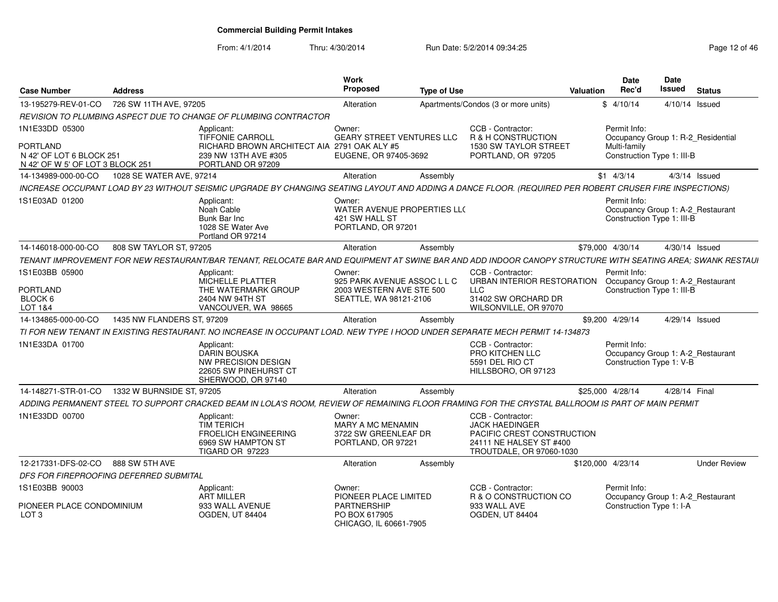| 726 SW 11TH AVE, 97205<br>13-195279-REV-01-CO<br>Apartments/Condos (3 or more units)<br>\$4/10/14<br>4/10/14 Issued<br>Alteration<br>REVISION TO PLUMBING ASPECT DUE TO CHANGE OF PLUMBING CONTRACTOR<br>1N1E33DD 05300<br>Owner:<br>CCB - Contractor:<br>Permit Info:<br>Applicant:<br><b>TIFFONIE CARROLI</b><br><b>GEARY STREET VENTURES LLC</b><br>R & H CONSTRUCTION<br>Occupancy Group 1: R-2 Residential<br><b>PORTLAND</b><br>RICHARD BROWN ARCHITECT AIA 2791 OAK ALY #5<br>1530 SW TAYLOR STREET<br>Multi-family<br>N 42' OF LOT 6 BLOCK 251<br>239 NW 13TH AVE #305<br>EUGENE, OR 97405-3692<br>PORTLAND, OR 97205<br>Construction Type 1: III-B<br>N 42' OF W 5' OF LOT 3 BLOCK 251<br>PORTLAND OR 97209<br>1028 SE WATER AVE, 97214<br>Assembly<br>$$1 \quad 4/3/14$<br>$4/3/14$ Issued<br>14-134989-000-00-CO<br>Alteration<br>INCREASE OCCUPANT LOAD BY 23 WITHOUT SEISMIC UPGRADE BY CHANGING SEATING LAYOUT AND ADDING A DANCE FLOOR. (REQUIRED PER ROBERT CRUSER FIRE INSPECTIONS)<br>1S1E03AD 01200<br>Permit Info:<br>Applicant:<br>Owner:<br>WATER AVENUE PROPERTIES LL(<br>Noah Cable<br>Occupancy Group 1: A-2_Restaurant<br>Construction Type 1: III-B<br><b>Bunk Bar Inc</b><br>421 SW HALL ST<br>1028 SE Water Ave<br>PORTLAND, OR 97201<br>Portland OR 97214<br>808 SW TAYLOR ST, 97205<br>14-146018-000-00-CO<br>\$79,000 4/30/14<br>4/30/14 Issued<br>Alteration<br>Assembly<br>TENANT IMPROVEMENT FOR NEW RESTAURANT/BAR TENANT. RELOCATE BAR AND EQUIPMENT AT SWINE BAR AND ADD INDOOR CANOPY STRUCTURE WITH SEATING AREA: SWANK RESTAUI<br>1S1E03BB 05900<br>CCB - Contractor:<br>Permit Info:<br>Owner:<br>Applicant:<br>MICHELLE PLATTER<br>925 PARK AVENUE ASSOC L L C<br>URBAN INTERIOR RESTORATION<br>Occupancy Group 1: A-2_Restaurant<br>PORTLAND<br>Construction Type 1: III-B<br>THE WATERMARK GROUP<br>2003 WESTERN AVE STE 500<br><b>LLC</b><br>BLOCK 6<br>2404 NW 94TH ST<br>SEATTLE, WA 98121-2106<br>31402 SW ORCHARD DR<br>LOT 1&4<br>VANCOUVER, WA 98665<br>WILSONVILLE, OR 97070<br>14-134865-000-00-CO<br>1435 NW FLANDERS ST, 97209<br>\$9,200 4/29/14<br>4/29/14 Issued<br>Alteration<br>Assembly<br>TI FOR NEW TENANT IN EXISTING RESTAURANT. NO INCREASE IN OCCUPANT LOAD. NEW TYPE I HOOD UNDER SEPARATE MECH PERMIT 14-134873<br>1N1E33DA 01700<br>Permit Info:<br>Applicant:<br>CCB - Contractor:<br><b>DARIN BOUSKA</b><br>PRO KITCHEN LLC<br>Occupancy Group 1: A-2_Restaurant<br>5591 DEL RIO CT<br>Construction Type 1: V-B<br>NW PRECISION DESIGN<br>22605 SW PINEHURST CT<br>HILLSBORO, OR 97123<br>SHERWOOD, OR 97140<br>14-148271-STR-01-CO<br>1332 W BURNSIDE ST, 97205<br>4/28/14 Final<br>Alteration<br>\$25,000 4/28/14<br>Assembly<br>ADDING PERMANENT STEEL TO SUPPORT CRACKED BEAM IN LOLA'S ROOM, REVIEW OF REMAINING FLOOR FRAMING FOR THE CRYSTAL BALLROOM IS PART OF MAIN PERMIT<br>1N1E33DD 00700<br>CCB - Contractor:<br>Applicant:<br>Owner:<br><b>TIM TERICH</b><br><b>JACK HAEDINGER</b><br><b>MARY A MC MENAMIN</b><br>3722 SW GREENLEAF DR<br><b>FROELICH ENGINEERING</b><br>PACIFIC CREST CONSTRUCTION<br>6969 SW HAMPTON ST<br>PORTLAND, OR 97221<br>24111 NE HALSEY ST #400<br>TIGARD OR 97223<br>TROUTDALE, OR 97060-1030 | <b>Case Number</b> | <b>Address</b> | Work<br>Proposed | <b>Type of Use</b> | Valuation | Date<br>Rec'd | Date<br>Issued | <b>Status</b>       |
|------------------------------------------------------------------------------------------------------------------------------------------------------------------------------------------------------------------------------------------------------------------------------------------------------------------------------------------------------------------------------------------------------------------------------------------------------------------------------------------------------------------------------------------------------------------------------------------------------------------------------------------------------------------------------------------------------------------------------------------------------------------------------------------------------------------------------------------------------------------------------------------------------------------------------------------------------------------------------------------------------------------------------------------------------------------------------------------------------------------------------------------------------------------------------------------------------------------------------------------------------------------------------------------------------------------------------------------------------------------------------------------------------------------------------------------------------------------------------------------------------------------------------------------------------------------------------------------------------------------------------------------------------------------------------------------------------------------------------------------------------------------------------------------------------------------------------------------------------------------------------------------------------------------------------------------------------------------------------------------------------------------------------------------------------------------------------------------------------------------------------------------------------------------------------------------------------------------------------------------------------------------------------------------------------------------------------------------------------------------------------------------------------------------------------------------------------------------------------------------------------------------------------------------------------------------------------------------------------------------------------------------------------------------------------------------------------------------------------------------------------------------------------------------------------------------------------------------------------------------------------------------------------------------------------------------------------------------------------------------------------------------------------------------------------------------------------------------------------------------------------------------------------------------------------------------------------------------|--------------------|----------------|------------------|--------------------|-----------|---------------|----------------|---------------------|
|                                                                                                                                                                                                                                                                                                                                                                                                                                                                                                                                                                                                                                                                                                                                                                                                                                                                                                                                                                                                                                                                                                                                                                                                                                                                                                                                                                                                                                                                                                                                                                                                                                                                                                                                                                                                                                                                                                                                                                                                                                                                                                                                                                                                                                                                                                                                                                                                                                                                                                                                                                                                                                                                                                                                                                                                                                                                                                                                                                                                                                                                                                                                                                                                                  |                    |                |                  |                    |           |               |                |                     |
|                                                                                                                                                                                                                                                                                                                                                                                                                                                                                                                                                                                                                                                                                                                                                                                                                                                                                                                                                                                                                                                                                                                                                                                                                                                                                                                                                                                                                                                                                                                                                                                                                                                                                                                                                                                                                                                                                                                                                                                                                                                                                                                                                                                                                                                                                                                                                                                                                                                                                                                                                                                                                                                                                                                                                                                                                                                                                                                                                                                                                                                                                                                                                                                                                  |                    |                |                  |                    |           |               |                |                     |
|                                                                                                                                                                                                                                                                                                                                                                                                                                                                                                                                                                                                                                                                                                                                                                                                                                                                                                                                                                                                                                                                                                                                                                                                                                                                                                                                                                                                                                                                                                                                                                                                                                                                                                                                                                                                                                                                                                                                                                                                                                                                                                                                                                                                                                                                                                                                                                                                                                                                                                                                                                                                                                                                                                                                                                                                                                                                                                                                                                                                                                                                                                                                                                                                                  |                    |                |                  |                    |           |               |                |                     |
|                                                                                                                                                                                                                                                                                                                                                                                                                                                                                                                                                                                                                                                                                                                                                                                                                                                                                                                                                                                                                                                                                                                                                                                                                                                                                                                                                                                                                                                                                                                                                                                                                                                                                                                                                                                                                                                                                                                                                                                                                                                                                                                                                                                                                                                                                                                                                                                                                                                                                                                                                                                                                                                                                                                                                                                                                                                                                                                                                                                                                                                                                                                                                                                                                  |                    |                |                  |                    |           |               |                |                     |
|                                                                                                                                                                                                                                                                                                                                                                                                                                                                                                                                                                                                                                                                                                                                                                                                                                                                                                                                                                                                                                                                                                                                                                                                                                                                                                                                                                                                                                                                                                                                                                                                                                                                                                                                                                                                                                                                                                                                                                                                                                                                                                                                                                                                                                                                                                                                                                                                                                                                                                                                                                                                                                                                                                                                                                                                                                                                                                                                                                                                                                                                                                                                                                                                                  |                    |                |                  |                    |           |               |                |                     |
|                                                                                                                                                                                                                                                                                                                                                                                                                                                                                                                                                                                                                                                                                                                                                                                                                                                                                                                                                                                                                                                                                                                                                                                                                                                                                                                                                                                                                                                                                                                                                                                                                                                                                                                                                                                                                                                                                                                                                                                                                                                                                                                                                                                                                                                                                                                                                                                                                                                                                                                                                                                                                                                                                                                                                                                                                                                                                                                                                                                                                                                                                                                                                                                                                  |                    |                |                  |                    |           |               |                |                     |
|                                                                                                                                                                                                                                                                                                                                                                                                                                                                                                                                                                                                                                                                                                                                                                                                                                                                                                                                                                                                                                                                                                                                                                                                                                                                                                                                                                                                                                                                                                                                                                                                                                                                                                                                                                                                                                                                                                                                                                                                                                                                                                                                                                                                                                                                                                                                                                                                                                                                                                                                                                                                                                                                                                                                                                                                                                                                                                                                                                                                                                                                                                                                                                                                                  |                    |                |                  |                    |           |               |                |                     |
|                                                                                                                                                                                                                                                                                                                                                                                                                                                                                                                                                                                                                                                                                                                                                                                                                                                                                                                                                                                                                                                                                                                                                                                                                                                                                                                                                                                                                                                                                                                                                                                                                                                                                                                                                                                                                                                                                                                                                                                                                                                                                                                                                                                                                                                                                                                                                                                                                                                                                                                                                                                                                                                                                                                                                                                                                                                                                                                                                                                                                                                                                                                                                                                                                  |                    |                |                  |                    |           |               |                |                     |
|                                                                                                                                                                                                                                                                                                                                                                                                                                                                                                                                                                                                                                                                                                                                                                                                                                                                                                                                                                                                                                                                                                                                                                                                                                                                                                                                                                                                                                                                                                                                                                                                                                                                                                                                                                                                                                                                                                                                                                                                                                                                                                                                                                                                                                                                                                                                                                                                                                                                                                                                                                                                                                                                                                                                                                                                                                                                                                                                                                                                                                                                                                                                                                                                                  |                    |                |                  |                    |           |               |                |                     |
|                                                                                                                                                                                                                                                                                                                                                                                                                                                                                                                                                                                                                                                                                                                                                                                                                                                                                                                                                                                                                                                                                                                                                                                                                                                                                                                                                                                                                                                                                                                                                                                                                                                                                                                                                                                                                                                                                                                                                                                                                                                                                                                                                                                                                                                                                                                                                                                                                                                                                                                                                                                                                                                                                                                                                                                                                                                                                                                                                                                                                                                                                                                                                                                                                  |                    |                |                  |                    |           |               |                |                     |
|                                                                                                                                                                                                                                                                                                                                                                                                                                                                                                                                                                                                                                                                                                                                                                                                                                                                                                                                                                                                                                                                                                                                                                                                                                                                                                                                                                                                                                                                                                                                                                                                                                                                                                                                                                                                                                                                                                                                                                                                                                                                                                                                                                                                                                                                                                                                                                                                                                                                                                                                                                                                                                                                                                                                                                                                                                                                                                                                                                                                                                                                                                                                                                                                                  |                    |                |                  |                    |           |               |                |                     |
|                                                                                                                                                                                                                                                                                                                                                                                                                                                                                                                                                                                                                                                                                                                                                                                                                                                                                                                                                                                                                                                                                                                                                                                                                                                                                                                                                                                                                                                                                                                                                                                                                                                                                                                                                                                                                                                                                                                                                                                                                                                                                                                                                                                                                                                                                                                                                                                                                                                                                                                                                                                                                                                                                                                                                                                                                                                                                                                                                                                                                                                                                                                                                                                                                  |                    |                |                  |                    |           |               |                |                     |
|                                                                                                                                                                                                                                                                                                                                                                                                                                                                                                                                                                                                                                                                                                                                                                                                                                                                                                                                                                                                                                                                                                                                                                                                                                                                                                                                                                                                                                                                                                                                                                                                                                                                                                                                                                                                                                                                                                                                                                                                                                                                                                                                                                                                                                                                                                                                                                                                                                                                                                                                                                                                                                                                                                                                                                                                                                                                                                                                                                                                                                                                                                                                                                                                                  |                    |                |                  |                    |           |               |                |                     |
|                                                                                                                                                                                                                                                                                                                                                                                                                                                                                                                                                                                                                                                                                                                                                                                                                                                                                                                                                                                                                                                                                                                                                                                                                                                                                                                                                                                                                                                                                                                                                                                                                                                                                                                                                                                                                                                                                                                                                                                                                                                                                                                                                                                                                                                                                                                                                                                                                                                                                                                                                                                                                                                                                                                                                                                                                                                                                                                                                                                                                                                                                                                                                                                                                  |                    |                |                  |                    |           |               |                |                     |
|                                                                                                                                                                                                                                                                                                                                                                                                                                                                                                                                                                                                                                                                                                                                                                                                                                                                                                                                                                                                                                                                                                                                                                                                                                                                                                                                                                                                                                                                                                                                                                                                                                                                                                                                                                                                                                                                                                                                                                                                                                                                                                                                                                                                                                                                                                                                                                                                                                                                                                                                                                                                                                                                                                                                                                                                                                                                                                                                                                                                                                                                                                                                                                                                                  |                    |                |                  |                    |           |               |                |                     |
| 888 SW 5TH AVE<br>12-217331-DFS-02-CO<br>Alteration<br>\$120,000 4/23/14<br>Assembly                                                                                                                                                                                                                                                                                                                                                                                                                                                                                                                                                                                                                                                                                                                                                                                                                                                                                                                                                                                                                                                                                                                                                                                                                                                                                                                                                                                                                                                                                                                                                                                                                                                                                                                                                                                                                                                                                                                                                                                                                                                                                                                                                                                                                                                                                                                                                                                                                                                                                                                                                                                                                                                                                                                                                                                                                                                                                                                                                                                                                                                                                                                             |                    |                |                  |                    |           |               |                | <b>Under Review</b> |
| DFS FOR FIREPROOFING DEFERRED SUBMITAL                                                                                                                                                                                                                                                                                                                                                                                                                                                                                                                                                                                                                                                                                                                                                                                                                                                                                                                                                                                                                                                                                                                                                                                                                                                                                                                                                                                                                                                                                                                                                                                                                                                                                                                                                                                                                                                                                                                                                                                                                                                                                                                                                                                                                                                                                                                                                                                                                                                                                                                                                                                                                                                                                                                                                                                                                                                                                                                                                                                                                                                                                                                                                                           |                    |                |                  |                    |           |               |                |                     |
| 1S1E03BB 90003<br>CCB - Contractor:<br>Permit Info:<br>Applicant:<br>Owner:<br><b>ART MILLER</b><br>PIONEER PLACE LIMITED<br>R & O CONSTRUCTION CO<br>Occupancy Group 1: A-2_Restaurant<br>PIONEER PLACE CONDOMINIUM<br>933 WALL AVENUE<br><b>PARTNERSHIP</b><br>933 WALL AVE<br>Construction Type 1: I-A<br>LOT <sub>3</sub><br><b>OGDEN, UT 84404</b><br>PO BOX 617905<br><b>OGDEN, UT 84404</b>                                                                                                                                                                                                                                                                                                                                                                                                                                                                                                                                                                                                                                                                                                                                                                                                                                                                                                                                                                                                                                                                                                                                                                                                                                                                                                                                                                                                                                                                                                                                                                                                                                                                                                                                                                                                                                                                                                                                                                                                                                                                                                                                                                                                                                                                                                                                                                                                                                                                                                                                                                                                                                                                                                                                                                                                               |                    |                |                  |                    |           |               |                |                     |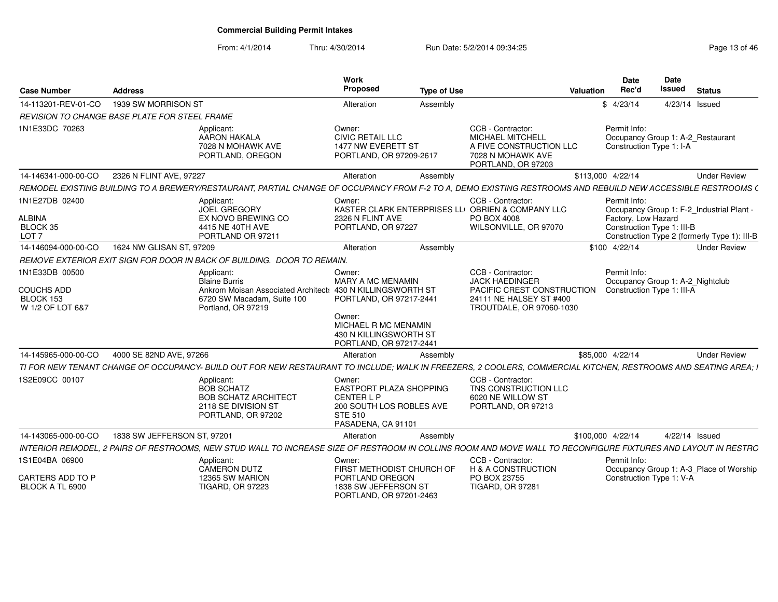| <b>Case Number</b>                                            | <b>Address</b>           |                                                                                                                                                               | Work<br>Propose                                                                                                                                      | <b>Type of Use</b> |                                                                                                                                                            | Date<br>Rec'd<br>Valuation          | <b>Date</b><br>Issued                                         | Status                                                                                    |
|---------------------------------------------------------------|--------------------------|---------------------------------------------------------------------------------------------------------------------------------------------------------------|------------------------------------------------------------------------------------------------------------------------------------------------------|--------------------|------------------------------------------------------------------------------------------------------------------------------------------------------------|-------------------------------------|---------------------------------------------------------------|-------------------------------------------------------------------------------------------|
| 14-113201-REV-01-CO  1939 SW MORRISON ST                      |                          |                                                                                                                                                               | Alteration                                                                                                                                           | Assembly           |                                                                                                                                                            | \$4/23/14                           | 4/23/14 Issued                                                |                                                                                           |
| REVISION TO CHANGE BASE PLATE FOR STEEL FRAME                 |                          |                                                                                                                                                               |                                                                                                                                                      |                    |                                                                                                                                                            |                                     |                                                               |                                                                                           |
| 1N1E33DC 70263                                                |                          | Applicant:<br>AARON HAKALA<br>7028 N MOHAWK AVE<br>PORTLAND, OREGON                                                                                           | Owner:<br><b>CIVIC RETAIL LLC</b><br>1477 NW EVERETT ST<br>PORTLAND, OR 97209-2617                                                                   |                    | CCB - Contractor:<br>MICHAEL MITCHELL<br>A FIVE CONSTRUCTION LLC<br>7028 N MOHAWK AVE<br>PORTLAND, OR 97203                                                | Permit Info:                        | Occupancy Group 1: A-2_Restaurant<br>Construction Type 1: I-A |                                                                                           |
| 14-146341-000-00-CO 2326 N FLINT AVE, 97227                   |                          |                                                                                                                                                               | Alteration                                                                                                                                           | Assembly           |                                                                                                                                                            | \$113,000 4/22/14                   |                                                               | <b>Under Review</b>                                                                       |
|                                                               |                          | REMODEL EXISTING BUILDING TO A BREWERY/RESTAURANT, PARTIAL CHANGE OF OCCUPANCY FROM F-2 TO A, DEMO EXISTING RESTROOMS AND REBUILD NEW ACCESSIBLE RESTROOMS    |                                                                                                                                                      |                    |                                                                                                                                                            |                                     |                                                               |                                                                                           |
| 1N1E27DB 02400<br>ALBINA<br>BLOCK 35<br>LOT <sub>7</sub>      |                          | Applicant:<br>JOEL GREGORY<br>EX NOVO BREWING CO<br>4415 NE 40TH AVE<br>PORTLAND OR 9721                                                                      | Owner:<br>KASTER CLARK ENTERPRISES LL<br>2326 N FLINT AVE<br>PORTLAND, OR 97227                                                                      |                    | CCB - Contractor:<br><b>U OBRIEN &amp; COMPANY LLC</b><br>PO BOX 4008<br>WILSONVILLE, OR 97070                                                             | Permit Info:<br>Factory, Low Hazard | Construction Type 1: III-B                                    | Occupancy Group 1: F-2_Industrial Plant -<br>Construction Type 2 (formerly Type 1): III-B |
| 14-146094-000-00-CO                                           | 1624 NW GLISAN ST. 97209 |                                                                                                                                                               | Alteration                                                                                                                                           | Assembly           |                                                                                                                                                            | \$100 4/22/14                       |                                                               | <b>Under Review</b>                                                                       |
|                                                               |                          | REMOVE EXTERIOR EXIT SIGN FOR DOOR IN BACK OF BUILDING. DOOR TO REMAIN.                                                                                       |                                                                                                                                                      |                    |                                                                                                                                                            |                                     |                                                               |                                                                                           |
| 1N1E33DB 00500<br>COUCHS ADD<br>BLOCK 153<br>W 1/2 OF LOT 6&7 |                          | Applicant:<br><b>Blaine Burris</b><br>Ankrom Moisan Associated Architect: 430 N KILLINGSWORTH ST<br>6720 SW Macadam, Suite 100<br>Portland, OR 97219          | Owner:<br><b>MARY A MC MENAMIN</b><br>PORTLAND, OR 97217-2441<br>Owner:<br>MICHAEL R MC MENAMIN<br>430 N KILLINGSWORTH ST<br>PORTLAND, OR 97217-2441 |                    | CCB - Contractor:<br><b>JACK HAEDINGER</b><br>PACIFIC CREST CONSTRUCTION Construction Type 1: III-A<br>24111 NE HALSEY ST #400<br>TROUTDALE, OR 97060-1030 | Permit Info:                        | Occupancy Group 1: A-2_Nightclub                              |                                                                                           |
| 14-145965-000-00-CO 4000 SE 82ND AVE, 97266                   |                          |                                                                                                                                                               | Alteration                                                                                                                                           | Assembly           |                                                                                                                                                            | \$85,000 4/22/14                    |                                                               | <b>Under Review</b>                                                                       |
|                                                               |                          | TI FOR NEW TENANT CHANGE OF OCCUPANCY- BUILD OUT FOR NEW RESTAURANT TO INCLUDE; WALK IN FREEZERS, 2 COOLERS, COMMERCIAL KITCHEN, RESTROOMS AND SEATING AREA;  |                                                                                                                                                      |                    |                                                                                                                                                            |                                     |                                                               |                                                                                           |
| 1S2E09CC 00107                                                |                          | Applicant:<br><b>BOB SCHATZ</b><br><b>BOB SCHATZ ARCHITECT</b><br>2118 SE DIVISION ST<br>PORTLAND, OR 97202                                                   | Owner:<br>EASTPORT PLAZA SHOPPING<br><b>CENTER L P</b><br>200 SOUTH LOS ROBLES AVE<br><b>STE 510</b><br>PASADENA, CA 91101                           |                    | CCB - Contractor:<br>TNS CONSTRUCTION LLC<br>6020 NE WILLOW ST<br>PORTLAND, OR 97213                                                                       |                                     |                                                               |                                                                                           |
| 14-143065-000-00-CO   1838 SW JEFFERSON ST, 97201             |                          |                                                                                                                                                               | Alteration                                                                                                                                           | Assemblv           |                                                                                                                                                            | \$100,000 4/22/14                   | 4/22/14 Issued                                                |                                                                                           |
|                                                               |                          | INTERIOR REMODEL, 2 PAIRS OF RESTROOMS, NEW STUD WALL TO INCREASE SIZE OF RESTROOM IN COLLINS ROOM AND MOVE WALL TO RECONFIGURE FIXTURES AND LAYOUT IN RESTRO |                                                                                                                                                      |                    |                                                                                                                                                            |                                     |                                                               |                                                                                           |
| 1S1E04BA 06900                                                |                          | Applicant:<br>CAMERON DUTZ                                                                                                                                    | Owner:<br>FIRST METHODIST CHURCH OF                                                                                                                  |                    | CCB - Contractor:<br><b>H &amp; A CONSTRUCTION</b>                                                                                                         | Permit Info:                        |                                                               | Occupancy Group 1: A-3_Place of Worship                                                   |
| CARTERS ADD TO P<br>BLOCK A TL 6900                           |                          | 12365 SW MARION<br><b>TIGARD, OR 97223</b>                                                                                                                    | PORTLAND OREGON<br>1838 SW JEFFERSON ST<br>PORTLAND, OR 97201-2463                                                                                   |                    | PO BOX 23755<br><b>TIGARD, OR 97281</b>                                                                                                                    |                                     | Construction Type 1: V-A                                      |                                                                                           |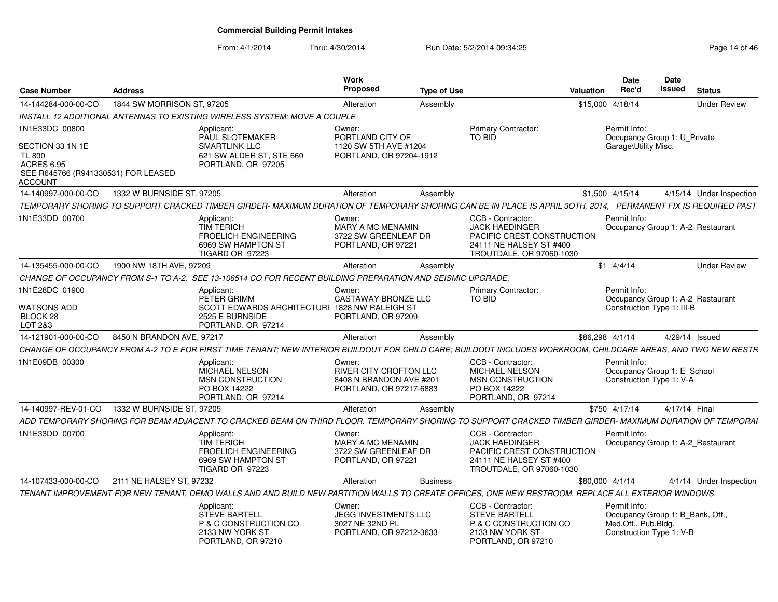| <b>Case Number</b>                                                                                                         | <b>Address</b>             |                                                                                                                                                               | Work<br><b>Proposed</b>                                                                       | <b>Type of Use</b> |                                                                                                                                 | Valuation       | <b>Date</b><br>Rec'd                                                                                | Date<br><b>Issued</b> | <b>Status</b>            |  |
|----------------------------------------------------------------------------------------------------------------------------|----------------------------|---------------------------------------------------------------------------------------------------------------------------------------------------------------|-----------------------------------------------------------------------------------------------|--------------------|---------------------------------------------------------------------------------------------------------------------------------|-----------------|-----------------------------------------------------------------------------------------------------|-----------------------|--------------------------|--|
| 14-144284-000-00-CO                                                                                                        | 1844 SW MORRISON ST, 97205 |                                                                                                                                                               | Alteration                                                                                    | Assembly           |                                                                                                                                 |                 | \$15,000 4/18/14                                                                                    |                       | <b>Under Review</b>      |  |
|                                                                                                                            |                            | INSTALL 12 ADDITIONAL ANTENNAS TO EXISTING WIRELESS SYSTEM; MOVE A COUPLE                                                                                     |                                                                                               |                    |                                                                                                                                 |                 |                                                                                                     |                       |                          |  |
| 1N1E33DC 00800<br>SECTION 33 1N 1E<br><b>TL 800</b><br><b>ACRES 6.95</b><br>SEE R645766 (R941330531) FOR LEASED<br>ACCOUNT |                            | Applicant:<br>PAUL SLOTEMAKER<br><b>SMARTLINK LLC</b><br>621 SW ALDER ST, STE 660<br>PORTLAND, OR 97205                                                       | Owner:<br>PORTLAND CITY OF<br>1120 SW 5TH AVE #1204<br>PORTLAND, OR 97204-1912                |                    | <b>Primary Contractor:</b><br>TO BID                                                                                            |                 | Permit Info:<br>Occupancy Group 1: U Private<br>Garage\Utility Misc.                                |                       |                          |  |
| 14-140997-000-00-CO                                                                                                        | 1332 W BURNSIDE ST, 97205  |                                                                                                                                                               | Alteration                                                                                    | Assembly           |                                                                                                                                 |                 | \$1,500 4/15/14                                                                                     |                       | 4/15/14 Under Inspection |  |
|                                                                                                                            |                            | TEMPORARY SHORING TO SUPPORT CRACKED TIMBER GIRDER- MAXIMUM DURATION OF TEMPORARY SHORING CAN BE IN PLACE IS APRIL 30TH, 2014, PERMANENT FIX IS REQUIRED PAST |                                                                                               |                    |                                                                                                                                 |                 |                                                                                                     |                       |                          |  |
| 1N1E33DD 00700                                                                                                             |                            | Applicant:<br><b>TIM TERICH</b><br><b>FROELICH ENGINEERING</b><br>6969 SW HAMPTON ST<br>TIGARD OR 97223                                                       | Owner:<br><b>MARY A MC MENAMIN</b><br>3722 SW GREENLEAF DR<br>PORTLAND, OR 97221              |                    | CCB - Contractor:<br><b>JACK HAEDINGER</b><br>PACIFIC CREST CONSTRUCTION<br>24111 NE HALSEY ST #400<br>TROUTDALE, OR 97060-1030 |                 | Permit Info:<br>Occupancy Group 1: A-2 Restaurant                                                   |                       |                          |  |
| 14-135455-000-00-CO                                                                                                        | 1900 NW 18TH AVE, 97209    |                                                                                                                                                               | Alteration                                                                                    | Assembly           |                                                                                                                                 |                 | $$1$ 4/4/14                                                                                         |                       | <b>Under Review</b>      |  |
| CHANGE OF OCCUPANCY FROM S-1 TO A-2.                                                                                       |                            | SEE 13-106514 CO FOR RECENT BUILDING PREPARATION AND SEISMIC UPGRADE.                                                                                         |                                                                                               |                    |                                                                                                                                 |                 |                                                                                                     |                       |                          |  |
| 1N1E28DC 01900<br><b>WATSONS ADD</b>                                                                                       |                            | Applicant:<br>PETER GRIMM<br>SCOTT EDWARDS ARCHITECTURI 1828 NW RALEIGH ST                                                                                    | Owner:<br><b>CASTAWAY BRONZE LLC</b>                                                          |                    | <b>Primary Contractor:</b><br><b>TO BID</b>                                                                                     |                 | Permit Info:<br>Occupancy Group 1: A-2_Restaurant<br>Construction Type 1: III-B                     |                       |                          |  |
| BLOCK 28<br>LOT 2&3                                                                                                        |                            | 2525 E BURNSIDE<br>PORTLAND, OR 97214                                                                                                                         | PORTLAND, OR 97209                                                                            |                    |                                                                                                                                 |                 |                                                                                                     |                       |                          |  |
| 14-121901-000-00-CO                                                                                                        | 8450 N BRANDON AVE, 97217  |                                                                                                                                                               | Alteration                                                                                    | Assembly           |                                                                                                                                 | \$86,298 4/1/14 |                                                                                                     |                       | 4/29/14 Issued           |  |
|                                                                                                                            |                            | CHANGE OF OCCUPANCY FROM A-2 TO E FOR FIRST TIME TENANT; NEW INTERIOR BUILDOUT FOR CHILD CARE; BUILDOUT INCLUDES WORKROOM, CHILDCARE AREAS, AND TWO NEW RESTR |                                                                                               |                    |                                                                                                                                 |                 |                                                                                                     |                       |                          |  |
| 1N1E09DB 00300                                                                                                             |                            | Applicant:<br>MICHAEL NELSON<br>MSN CONSTRUCTION<br>PO BOX 14222<br>PORTLAND, OR 97214                                                                        | Owner:<br><b>RIVER CITY CROFTON LLC</b><br>8408 N BRANDON AVE #201<br>PORTLAND, OR 97217-6883 |                    | CCB - Contractor:<br><b>MICHAEL NELSON</b><br>MSN CONSTRUCTION<br>PO BOX 14222<br>PORTLAND, OR 97214                            |                 | Permit Info:<br>Occupancy Group 1: E_School<br>Construction Type 1: V-A                             |                       |                          |  |
| 14-140997-REV-01-CO                                                                                                        | 1332 W BURNSIDE ST, 97205  |                                                                                                                                                               | Alteration                                                                                    | Assembly           |                                                                                                                                 |                 | \$750 4/17/14                                                                                       |                       | 4/17/14 Final            |  |
|                                                                                                                            |                            | ADD TEMPORARY SHORING FOR BEAM ADJACENT TO CRACKED BEAM ON THIRD FLOOR. TEMPORARY SHORING TO SUPPORT CRACKED TIMBER GIRDER- MAXIMUM DURATION OF TEMPORAI      |                                                                                               |                    |                                                                                                                                 |                 |                                                                                                     |                       |                          |  |
| 1N1E33DD 00700                                                                                                             |                            | Applicant:<br><b>TIM TERICH</b><br><b>FROELICH ENGINEERING</b><br>6969 SW HAMPTON ST<br>TIGARD OR 97223                                                       | Owner:<br><b>MARY A MC MENAMIN</b><br>3722 SW GREENLEAF DR<br>PORTLAND, OR 97221              |                    | CCB - Contractor:<br><b>JACK HAEDINGER</b><br>PACIFIC CREST CONSTRUCTION<br>24111 NE HALSEY ST #400<br>TROUTDALE, OR 97060-1030 |                 | Permit Info:<br>Occupancy Group 1: A-2 Restaurant                                                   |                       |                          |  |
| 14-107433-000-00-CO                                                                                                        | 2111 NE HALSEY ST, 97232   |                                                                                                                                                               | Alteration                                                                                    | <b>Business</b>    |                                                                                                                                 | \$80,000 4/1/14 |                                                                                                     |                       | 4/1/14 Under Inspection  |  |
|                                                                                                                            |                            | TENANT IMPROVEMENT FOR NEW TENANT, DEMO WALLS AND AND BUILD NEW PARTITION WALLS TO CREATE OFFICES, ONE NEW RESTROOM. REPLACE ALL EXTERIOR WINDOWS.            |                                                                                               |                    |                                                                                                                                 |                 |                                                                                                     |                       |                          |  |
|                                                                                                                            |                            | Applicant:<br><b>STEVE BARTELL</b><br>P & C CONSTRUCTION CO<br>2133 NW YORK ST<br>PORTLAND, OR 97210                                                          | Owner:<br><b>JEGG INVESTMENTS LLC</b><br>3027 NE 32ND PL<br>PORTLAND, OR 97212-3633           |                    | CCB - Contractor:<br><b>STEVE BARTELL</b><br>P & C CONSTRUCTION CO<br>2133 NW YORK ST<br>PORTLAND, OR 97210                     |                 | Permit Info:<br>Occupancy Group 1: B_Bank, Off.,<br>Med.Off., Pub.Bldg.<br>Construction Type 1: V-B |                       |                          |  |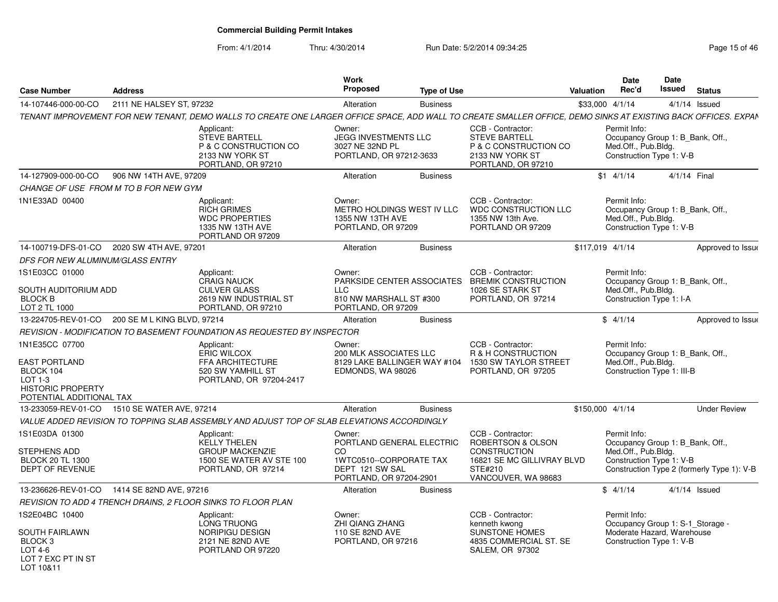From: 4/1/2014

| <b>Case Number</b>                                                                                                       | <b>Address</b>           |                                                                                                                                                                | Work<br>Proposed                                                                                                    | <b>Type of Use</b> |                                                                                                                               | Valuation        | <b>Date</b><br>Rec'd                                                                                  | Date<br><b>Issued</b> | <b>Status</b>                              |
|--------------------------------------------------------------------------------------------------------------------------|--------------------------|----------------------------------------------------------------------------------------------------------------------------------------------------------------|---------------------------------------------------------------------------------------------------------------------|--------------------|-------------------------------------------------------------------------------------------------------------------------------|------------------|-------------------------------------------------------------------------------------------------------|-----------------------|--------------------------------------------|
| 14-107446-000-00-CO                                                                                                      | 2111 NE HALSEY ST, 97232 |                                                                                                                                                                | Alteration                                                                                                          | <b>Business</b>    |                                                                                                                               | \$33,000 4/1/14  |                                                                                                       |                       | $4/1/14$ Issued                            |
|                                                                                                                          |                          | TENANT IMPROVEMENT FOR NEW TENANT, DEMO WALLS TO CREATE ONE LARGER OFFICE SPACE, ADD WALL TO CREATE SMALLER OFFICE, DEMO SINKS AT EXISTING BACK OFFICES. EXPAN |                                                                                                                     |                    |                                                                                                                               |                  |                                                                                                       |                       |                                            |
|                                                                                                                          |                          | Applicant:<br><b>STEVE BARTELL</b><br>P & C CONSTRUCTION CO<br>2133 NW YORK ST<br>PORTLAND, OR 97210                                                           | Owner:<br>JEGG INVESTMENTS LLC<br>3027 NE 32ND PL<br>PORTLAND, OR 97212-3633                                        |                    | CCB - Contractor:<br><b>STEVE BARTELL</b><br>P & C CONSTRUCTION CO<br>2133 NW YORK ST<br>PORTLAND, OR 97210                   |                  | Permit Info:<br>Occupancy Group 1: B Bank, Off.,<br>Med.Off., Pub.Bldg.<br>Construction Type 1: V-B   |                       |                                            |
| 14-127909-000-00-CO                                                                                                      | 906 NW 14TH AVE, 97209   |                                                                                                                                                                | Alteration                                                                                                          | <b>Business</b>    |                                                                                                                               |                  | $$1 \quad 4/1/14$                                                                                     |                       | 4/1/14 Final                               |
| CHANGE OF USE FROM M TO B FOR NEW GYM                                                                                    |                          |                                                                                                                                                                |                                                                                                                     |                    |                                                                                                                               |                  |                                                                                                       |                       |                                            |
| 1N1E33AD 00400                                                                                                           |                          | Applicant:<br><b>RICH GRIMES</b><br><b>WDC PROPERTIES</b><br>1335 NW 13TH AVE<br>PORTLAND OR 97209                                                             | Owner:<br>METRO HOLDINGS WEST IV LLC<br>1355 NW 13TH AVE<br>PORTLAND, OR 97209                                      |                    | CCB - Contractor:<br>WDC CONSTRUCTION LLC<br>1355 NW 13th Ave.<br>PORTLAND OR 97209                                           |                  | Permit Info:<br>Occupancy Group 1: B Bank, Off.,<br>Med.Off., Pub.Bldg.<br>Construction Type 1: V-B   |                       |                                            |
| 14-100719-DFS-01-CO   2020 SW 4TH AVE, 97201                                                                             |                          |                                                                                                                                                                | Alteration                                                                                                          | <b>Business</b>    |                                                                                                                               | \$117,019 4/1/14 |                                                                                                       |                       | Approved to Issue                          |
| DFS FOR NEW ALUMINUM/GLASS ENTRY                                                                                         |                          |                                                                                                                                                                |                                                                                                                     |                    |                                                                                                                               |                  |                                                                                                       |                       |                                            |
| 1S1E03CC 01000<br><b>SOUTH AUDITORIUM ADD</b><br><b>BLOCK B</b><br>LOT 2 TL 1000                                         |                          | Applicant:<br><b>CRAIG NAUCK</b><br><b>CULVER GLASS</b><br>2619 NW INDUSTRIAL ST<br>PORTLAND, OR 97210                                                         | Owner:<br><b>LLC</b><br>810 NW MARSHALL ST #300<br>PORTLAND, OR 97209                                               |                    | CCB - Contractor:<br>PARKSIDE CENTER ASSOCIATES BREMIK CONSTRUCTION<br>1026 SE STARK ST<br>PORTLAND, OR 97214                 |                  | Permit Info:<br>Occupancy Group 1: B Bank, Off.,<br>Med.Off., Pub.Bldg.<br>Construction Type 1: I-A   |                       |                                            |
| 13-224705-REV-01-CO 200 SE M L KING BLVD, 97214                                                                          |                          |                                                                                                                                                                | Alteration                                                                                                          | <b>Business</b>    |                                                                                                                               |                  | \$4/1/14                                                                                              |                       | Approved to Issue                          |
|                                                                                                                          |                          | REVISION - MODIFICATION TO BASEMENT FOUNDATION AS REQUESTED BY INSPECTOR                                                                                       |                                                                                                                     |                    |                                                                                                                               |                  |                                                                                                       |                       |                                            |
| 1N1E35CC 07700<br><b>EAST PORTLAND</b><br>BLOCK 104<br>$LOT 1-3$<br><b>HISTORIC PROPERTY</b><br>POTENTIAL ADDITIONAL TAX |                          | Applicant:<br><b>ERIC WILCOX</b><br>FFA ARCHITECTURE<br>520 SW YAMHILL ST<br>PORTLAND, OR 97204-2417                                                           | Owner:<br><b>200 MLK ASSOCIATES LLC</b><br>8129 LAKE BALLINGER WAY #104<br>EDMONDS, WA 98026                        |                    | CCB - Contractor:<br>R & H CONSTRUCTION<br>1530 SW TAYLOR STREET<br>PORTLAND, OR 97205                                        |                  | Permit Info:<br>Occupancy Group 1: B_Bank, Off.,<br>Med.Off., Pub.Bldg.<br>Construction Type 1: III-B |                       |                                            |
| 13-233059-REV-01-CO                                                                                                      | 1510 SE WATER AVE, 97214 |                                                                                                                                                                | Alteration                                                                                                          | <b>Business</b>    |                                                                                                                               | \$150.000 4/1/14 |                                                                                                       |                       | <b>Under Review</b>                        |
|                                                                                                                          |                          | VALUE ADDED REVISION TO TOPPING SLAB ASSEMBLY AND ADJUST TOP OF SLAB ELEVATIONS ACCORDINGLY                                                                    |                                                                                                                     |                    |                                                                                                                               |                  |                                                                                                       |                       |                                            |
| 1S1E03DA 01300<br>STEPHENS ADD<br><b>BLOCK 20 TL 1300</b><br>DEPT OF REVENUE                                             |                          | Applicant:<br><b>KELLY THELEN</b><br><b>GROUP MACKENZIE</b><br>1500 SE WATER AV STE 100<br>PORTLAND, OR 97214                                                  | Owner:<br>PORTLAND GENERAL ELECTRIC<br>CO.<br>1WTC0510--CORPORATE TAX<br>DEPT 121 SW SAL<br>PORTLAND, OR 97204-2901 |                    | CCB - Contractor:<br>ROBERTSON & OLSON<br><b>CONSTRUCTION</b><br>16821 SE MC GILLIVRAY BLVD<br>STE#210<br>VANCOUVER, WA 98683 |                  | Permit Info:<br>Occupancy Group 1: B Bank, Off.,<br>Med.Off., Pub.Bldg.<br>Construction Type 1: V-B   |                       | Construction Type 2 (formerly Type 1): V-B |
| 13-236626-REV-01-CO                                                                                                      | 1414 SE 82ND AVE, 97216  |                                                                                                                                                                | Alteration                                                                                                          | <b>Business</b>    |                                                                                                                               |                  | \$4/1/14                                                                                              |                       | $4/1/14$ Issued                            |
|                                                                                                                          |                          | REVISION TO ADD 4 TRENCH DRAINS, 2 FLOOR SINKS TO FLOOR PLAN                                                                                                   |                                                                                                                     |                    |                                                                                                                               |                  |                                                                                                       |                       |                                            |
| 1S2E04BC 10400                                                                                                           |                          | Applicant:                                                                                                                                                     | Owner:                                                                                                              |                    | CCB - Contractor:                                                                                                             |                  | Permit Info:                                                                                          |                       |                                            |
| SOUTH FAIRLAWN<br>BLOCK 3<br>$LOT4-6$<br>LOT 7 EXC PT IN ST<br>LOT 10&11                                                 |                          | <b>LONG TRUONG</b><br><b>NORIPIGU DESIGN</b><br>2121 NE 82ND AVE<br>PORTLAND OR 97220                                                                          | <b>ZHI QIANG ZHANG</b><br>110 SE 82ND AVE<br>PORTLAND, OR 97216                                                     |                    | kenneth kwong<br><b>SUNSTONE HOMES</b><br>4835 COMMERCIAL ST. SE<br>SALEM, OR 97302                                           |                  | Occupancy Group 1: S-1_Storage -<br>Moderate Hazard, Warehouse<br>Construction Type 1: V-B            |                       |                                            |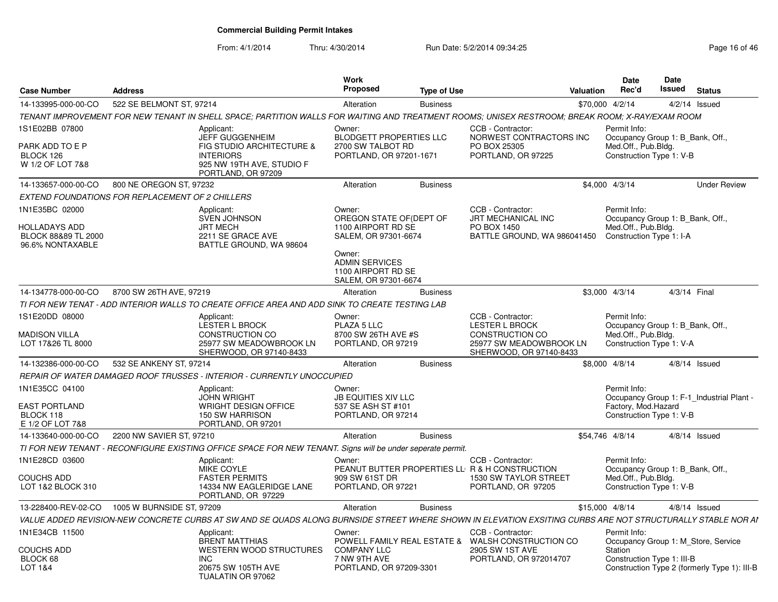| <b>Case Number</b>                                                                | <b>Address</b>                                                                                                                                              | Work<br>Proposed                                                                                                                                                  | <b>Type of Use</b> | Valuation                                                                                                                  | <b>Date</b><br>Rec'd                 | Date<br>Issued                                               | <b>Status</b>                                                                       |
|-----------------------------------------------------------------------------------|-------------------------------------------------------------------------------------------------------------------------------------------------------------|-------------------------------------------------------------------------------------------------------------------------------------------------------------------|--------------------|----------------------------------------------------------------------------------------------------------------------------|--------------------------------------|--------------------------------------------------------------|-------------------------------------------------------------------------------------|
| 14-133995-000-00-CO                                                               | 522 SE BELMONT ST, 97214                                                                                                                                    | Alteration                                                                                                                                                        | <b>Business</b>    |                                                                                                                            | \$70,000 4/2/14                      |                                                              | $4/2/14$ Issued                                                                     |
|                                                                                   | TENANT IMPROVEMENT FOR NEW TENANT IN SHELL SPACE: PARTITION WALLS FOR WAITING AND TREATMENT ROOMS; UNISEX RESTROOM; BREAK ROOM; X-RAY/EXAM ROOM             |                                                                                                                                                                   |                    |                                                                                                                            |                                      |                                                              |                                                                                     |
| 1S1E02BB 07800<br>PARK ADD TO E P<br>BLOCK 126<br>W 1/2 OF LOT 7&8                | Applicant:<br><b>JEFF GUGGENHEIM</b><br><b>FIG STUDIO ARCHITECTURE &amp;</b><br><b>INTERIORS</b><br>925 NW 19TH AVE, STUDIO F<br>PORTLAND, OR 97209         | Owner:<br><b>BLODGETT PROPERTIES LLC</b><br>2700 SW TALBOT RD<br>PORTLAND, OR 97201-1671                                                                          |                    | CCB - Contractor:<br>NORWEST CONTRACTORS INC<br>PO BOX 25305<br>PORTLAND, OR 97225                                         | Permit Info:<br>Med.Off., Pub.Bldg.  | Occupancy Group 1: B Bank, Off.,<br>Construction Type 1: V-B |                                                                                     |
| 14-133657-000-00-CO                                                               | 800 NE OREGON ST, 97232                                                                                                                                     | Alteration                                                                                                                                                        | <b>Business</b>    |                                                                                                                            | \$4,000 4/3/14                       |                                                              | <b>Under Review</b>                                                                 |
|                                                                                   | EXTEND FOUNDATIONS FOR REPLACEMENT OF 2 CHILLERS                                                                                                            |                                                                                                                                                                   |                    |                                                                                                                            |                                      |                                                              |                                                                                     |
| 1N1E35BC 02000<br><b>HOLLADAYS ADD</b><br>BLOCK 88&89 TL 2000<br>96.6% NONTAXABLE | Applicant:<br><b>SVEN JOHNSON</b><br><b>JRT MECH</b><br>2211 SE GRACE AVE<br>BATTLE GROUND, WA 98604                                                        | Owner:<br>OREGON STATE OF (DEPT OF<br>1100 AIRPORT RD SE<br>SALEM, OR 97301-6674<br>Owner:<br><b>ADMIN SERVICES</b><br>1100 AIRPORT RD SE<br>SALEM, OR 97301-6674 |                    | CCB - Contractor:<br>JRT MECHANICAL INC<br>PO BOX 1450<br>BATTLE GROUND, WA 986041450                                      | Permit Info:<br>Med.Off., Pub.Bldg.  | Occupancy Group 1: B Bank, Off.,<br>Construction Type 1: I-A |                                                                                     |
| 14-134778-000-00-CO                                                               | 8700 SW 26TH AVE, 97219                                                                                                                                     | Alteration                                                                                                                                                        | <b>Business</b>    |                                                                                                                            | \$3,000 4/3/14                       |                                                              | 4/3/14 Final                                                                        |
|                                                                                   | TI FOR NEW TENAT - ADD INTERIOR WALLS TO CREATE OFFICE AREA AND ADD SINK TO CREATE TESTING LAB                                                              |                                                                                                                                                                   |                    |                                                                                                                            |                                      |                                                              |                                                                                     |
| 1S1E20DD 08000<br><b>MADISON VILLA</b><br>LOT 17&26 TL 8000                       | Applicant:<br><b>LESTER L BROCK</b><br><b>CONSTRUCTION CO</b><br>25977 SW MEADOWBROOK LN<br>SHERWOOD, OR 97140-8433                                         | Owner:<br>PLAZA 5 LLC<br>8700 SW 26TH AVE #S<br>PORTLAND, OR 97219                                                                                                |                    | CCB - Contractor:<br><b>LESTER L BROCK</b><br><b>CONSTRUCTION CO</b><br>25977 SW MEADOWBROOK LN<br>SHERWOOD, OR 97140-8433 | Permit Info:<br>Med.Off., Pub.Bldg.  | Occupancy Group 1: B_Bank, Off.,<br>Construction Type 1: V-A |                                                                                     |
| 14-132386-000-00-CO                                                               | 532 SE ANKENY ST. 97214                                                                                                                                     | Alteration                                                                                                                                                        | <b>Business</b>    |                                                                                                                            | \$8,000 4/8/14                       |                                                              | $4/8/14$ Issued                                                                     |
|                                                                                   | REPAIR OF WATER DAMAGED ROOF TRUSSES - INTERIOR - CURRENTLY UNOCCUPIED                                                                                      |                                                                                                                                                                   |                    |                                                                                                                            |                                      |                                                              |                                                                                     |
| 1N1E35CC 04100<br><b>EAST PORTLAND</b><br>BLOCK 118<br>E 1/2 OF LOT 7&8           | Applicant:<br><b>JOHN WRIGHT</b><br><b>WRIGHT DESIGN OFFICE</b><br><b>150 SW HARRISON</b><br>PORTLAND, OR 97201                                             | Owner:<br><b>JB EQUITIES XIV LLC</b><br>537 SE ASH ST #101<br>PORTLAND, OR 97214                                                                                  |                    |                                                                                                                            | Permit Info:<br>Factory, Mod. Hazard | Construction Type 1: V-B                                     | Occupancy Group 1: F-1 Industrial Plant -                                           |
| 14-133640-000-00-CO                                                               | 2200 NW SAVIER ST, 97210                                                                                                                                    | Alteration                                                                                                                                                        | <b>Business</b>    |                                                                                                                            | \$54,746 4/8/14                      |                                                              | $4/8/14$ Issued                                                                     |
|                                                                                   | TI FOR NEW TENANT - RECONFIGURE EXISTING OFFICE SPACE FOR NEW TENANT. Signs will be under seperate permit.                                                  |                                                                                                                                                                   |                    |                                                                                                                            |                                      |                                                              |                                                                                     |
| 1N1E28CD 03600<br><b>COUCHS ADD</b><br>LOT 1&2 BLOCK 310                          | Applicant:<br>MIKE COYLE<br><b>FASTER PERMITS</b><br>14334 NW EAGLERIDGE LANE<br>PORTLAND, OR 97229                                                         | Owner:<br>909 SW 61ST DR<br>PORTLAND, OR 97221                                                                                                                    |                    | CCB - Contractor:<br>PEANUT BUTTER PROPERTIES LL R & H CONSTRUCTION<br>1530 SW TAYLOR STREET<br>PORTLAND, OR 97205         | Permit Info:<br>Med.Off., Pub.Bldg.  | Occupancy Group 1: B Bank, Off.,<br>Construction Type 1: V-B |                                                                                     |
| 13-228400-REV-02-CO                                                               | 1005 W BURNSIDE ST, 97209                                                                                                                                   | Alteration                                                                                                                                                        | <b>Business</b>    |                                                                                                                            | \$15,000 4/8/14                      |                                                              | $4/8/14$ Issued                                                                     |
|                                                                                   | VALUE ADDED REVISION-NEW CONCRETE CURBS AT SW AND SE QUADS ALONG BURNSIDE STREET WHERE SHOWN IN ELEVATION EXSITING CURBS ARE NOT STRUCTURALLY STABLE NOR AI |                                                                                                                                                                   |                    |                                                                                                                            |                                      |                                                              |                                                                                     |
| 1N1E34CB 11500<br><b>COUCHS ADD</b><br>BLOCK 68<br><b>LOT 1&amp;4</b>             | Applicant:<br><b>BRENT MATTHIAS</b><br>WESTERN WOOD STRUCTURES<br><b>INC</b><br>20675 SW 105TH AVE<br>TUALATIN OR 97062                                     | Owner:<br><b>COMPANY LLC</b><br>7 NW 9TH AVE<br>PORTLAND, OR 97209-3301                                                                                           |                    | CCB - Contractor:<br>POWELL FAMILY REAL ESTATE & WALSH CONSTRUCTION CO<br>2905 SW 1ST AVE<br>PORTLAND, OR 972014707        | Permit Info:<br>Station              | Construction Type 1: III-B                                   | Occupancy Group 1: M Store, Service<br>Construction Type 2 (formerly Type 1): III-B |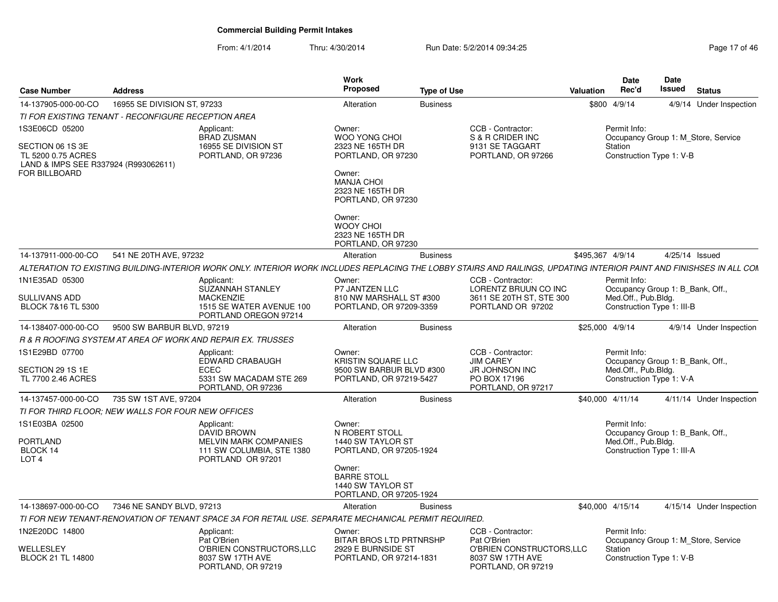| <b>Case Number</b>                                                             | <b>Address</b>              |                                                                                                                                                                      | Work<br><b>Proposed</b>                                                      | <b>Type of Use</b> |                                                                     | <b>Valuation</b> | <b>Date</b><br>Rec'd                              | Date<br>Issued | <b>Status</b>                       |
|--------------------------------------------------------------------------------|-----------------------------|----------------------------------------------------------------------------------------------------------------------------------------------------------------------|------------------------------------------------------------------------------|--------------------|---------------------------------------------------------------------|------------------|---------------------------------------------------|----------------|-------------------------------------|
| 14-137905-000-00-CO                                                            | 16955 SE DIVISION ST, 97233 |                                                                                                                                                                      | Alteration                                                                   | <b>Business</b>    |                                                                     |                  | \$800 4/9/14                                      |                | 4/9/14 Under Inspection             |
| TI FOR EXISTING TENANT - RECONFIGURE RECEPTION AREA                            |                             |                                                                                                                                                                      |                                                                              |                    |                                                                     |                  |                                                   |                |                                     |
| 1S3E06CD 05200                                                                 |                             | Applicant:<br><b>BRAD ZUSMAN</b>                                                                                                                                     | Owner:<br><b>WOO YONG CHOI</b>                                               |                    | CCB - Contractor:<br>S & R CRIDER INC                               |                  | Permit Info:                                      |                | Occupancy Group 1: M_Store, Service |
| SECTION 06 1S 3E<br>TL 5200 0.75 ACRES<br>LAND & IMPS SEE R337924 (R993062611) |                             | 16955 SE DIVISION ST<br>PORTLAND, OR 97236                                                                                                                           | 2323 NE 165TH DR<br>PORTLAND, OR 97230                                       |                    | 9131 SE TAGGART<br>PORTLAND, OR 97266                               |                  | Station<br>Construction Type 1: V-B               |                |                                     |
| <b>FOR BILLBOARD</b>                                                           |                             |                                                                                                                                                                      | Owner:<br><b>MANJA CHOI</b><br>2323 NE 165TH DR<br>PORTLAND, OR 97230        |                    |                                                                     |                  |                                                   |                |                                     |
|                                                                                |                             |                                                                                                                                                                      | Owner:<br><b>WOOY CHOI</b><br>2323 NE 165TH DR<br>PORTLAND, OR 97230         |                    |                                                                     |                  |                                                   |                |                                     |
| 14-137911-000-00-CO                                                            | 541 NE 20TH AVE, 97232      |                                                                                                                                                                      | Alteration                                                                   | <b>Business</b>    |                                                                     |                  | \$495,367 4/9/14                                  | 4/25/14 Issued |                                     |
|                                                                                |                             | ALTERATION TO EXISTING BUILDING-INTERIOR WORK ONLY. INTERIOR WORK INCLUDES REPLACING THE LOBBY STAIRS AND RAILINGS, UPDATING INTERIOR PAINT AND FINISHSES IN ALL COM |                                                                              |                    |                                                                     |                  |                                                   |                |                                     |
| 1N1E35AD 05300                                                                 |                             | Applicant:<br><b>SUZANNAH STANLEY</b>                                                                                                                                | Owner:<br>P7 JANTZEN LLC                                                     |                    | CCB - Contractor:<br>LORENTZ BRUUN CO INC                           |                  | Permit Info:<br>Occupancy Group 1: B_Bank, Off.,  |                |                                     |
| <b>SULLIVANS ADD</b><br>BLOCK 7&16 TL 5300                                     |                             | <b>MACKENZIE</b><br>1515 SE WATER AVENUE 100<br>PORTLAND OREGON 97214                                                                                                | 810 NW MARSHALL ST #300<br>PORTLAND, OR 97209-3359                           |                    | 3611 SE 20TH ST, STE 300<br>PORTLAND OR 97202                       |                  | Med.Off., Pub.Bldg.<br>Construction Type 1: III-B |                |                                     |
| 14-138407-000-00-CO                                                            | 9500 SW BARBUR BLVD, 97219  |                                                                                                                                                                      | Alteration                                                                   | <b>Business</b>    |                                                                     |                  | \$25,000 4/9/14                                   |                | 4/9/14 Under Inspection             |
|                                                                                |                             | R & R ROOFING SYSTEM AT AREA OF WORK AND REPAIR EX. TRUSSES                                                                                                          |                                                                              |                    |                                                                     |                  |                                                   |                |                                     |
| 1S1E29BD 07700                                                                 |                             | Applicant:<br><b>EDWARD CRABAUGH</b>                                                                                                                                 | Owner:<br>KRISTIN SQUARE LLC                                                 |                    | CCB - Contractor:<br><b>JIM CAREY</b>                               |                  | Permit Info:<br>Occupancy Group 1: B Bank, Off.,  |                |                                     |
| SECTION 29 1S 1E<br>TL 7700 2.46 ACRES                                         |                             | <b>ECEC</b><br>5331 SW MACADAM STE 269<br>PORTLAND, OR 97236                                                                                                         | 9500 SW BARBUR BLVD #300<br>PORTLAND, OR 97219-5427                          |                    | JR JOHNSON INC<br>PO BOX 17196<br>PORTLAND, OR 97217                |                  | Med.Off., Pub.Bldg.<br>Construction Type 1: V-A   |                |                                     |
| 14-137457-000-00-CO                                                            | 735 SW 1ST AVE, 97204       |                                                                                                                                                                      | Alteration                                                                   | <b>Business</b>    |                                                                     |                  | \$40,000 4/11/14                                  |                | 4/11/14 Under Inspection            |
| TI FOR THIRD FLOOR; NEW WALLS FOR FOUR NEW OFFICES                             |                             |                                                                                                                                                                      |                                                                              |                    |                                                                     |                  |                                                   |                |                                     |
| 1S1E03BA 02500                                                                 |                             | Applicant:<br>DAVID BROWN                                                                                                                                            | Owner:<br>N ROBERT STOLL                                                     |                    |                                                                     |                  | Permit Info:<br>Occupancy Group 1: B_Bank, Off.,  |                |                                     |
| PORTLAND<br>BLOCK 14<br>LOT <sub>4</sub>                                       |                             | MELVIN MARK COMPANIES<br>111 SW COLUMBIA, STE 1380<br>PORTLAND OR 97201                                                                                              | 1440 SW TAYLOR ST<br>PORTLAND, OR 97205-1924                                 |                    |                                                                     |                  | Med.Off., Pub.Bldg.<br>Construction Type 1: III-A |                |                                     |
|                                                                                |                             |                                                                                                                                                                      | Owner:<br><b>BARRE STOLL</b><br>1440 SW TAYLOR ST<br>PORTLAND, OR 97205-1924 |                    |                                                                     |                  |                                                   |                |                                     |
| 14-138697-000-00-CO                                                            | 7346 NE SANDY BLVD, 97213   |                                                                                                                                                                      | Alteration                                                                   | <b>Business</b>    |                                                                     |                  | \$40,000 4/15/14                                  |                | 4/15/14 Under Inspection            |
|                                                                                |                             | TI FOR NEW TENANT-RENOVATION OF TENANT SPACE 3A FOR RETAIL USE. SEPARATE MECHANICAL PERMIT REQUIRED.                                                                 |                                                                              |                    |                                                                     |                  |                                                   |                |                                     |
| 1N2E20DC 14800                                                                 |                             | Applicant:<br>Pat O'Brien                                                                                                                                            | Owner:<br><b>BITAR BROS LTD PRTNRSHP</b>                                     |                    | CCB - Contractor:<br>Pat O'Brien                                    |                  | Permit Info:                                      |                | Occupancy Group 1: M_Store, Service |
| WELLESLEY<br><b>BLOCK 21 TL 14800</b>                                          |                             | O'BRIEN CONSTRUCTORS, LLC<br>8037 SW 17TH AVE<br>PORTLAND, OR 97219                                                                                                  | 2929 E BURNSIDE ST<br>PORTLAND, OR 97214-1831                                |                    | O'BRIEN CONSTRUCTORS, LLC<br>8037 SW 17TH AVE<br>PORTLAND, OR 97219 |                  | Station<br>Construction Type 1: V-B               |                |                                     |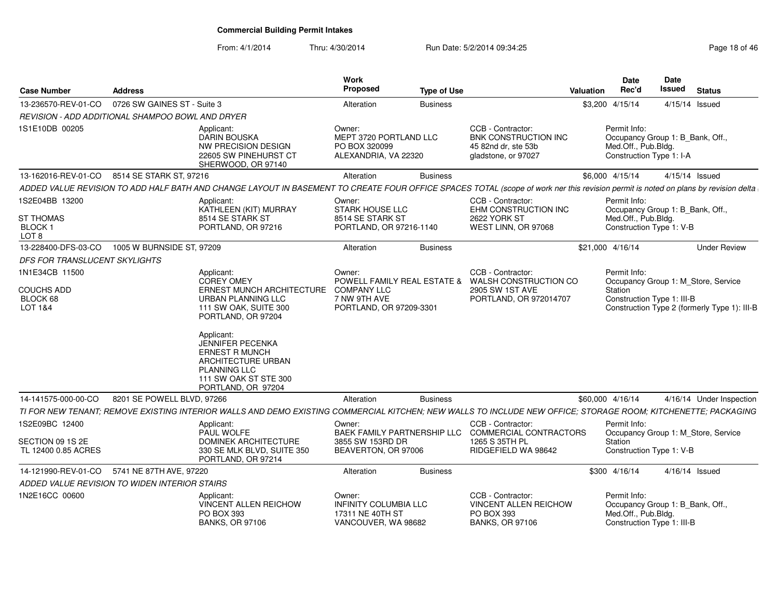From: 4/1/2014

| <b>Case Number</b>                                     | <b>Address</b>              |                                                                                                                                                                                                                                                             | <b>Work</b><br><b>Proposed</b>                                                    | <b>Type of Use</b> |                                                                                                  | <b>Valuation</b> | <b>Date</b><br>Rec'd                | Date<br>Issued                                                 | <b>Status</b>                                                                       |
|--------------------------------------------------------|-----------------------------|-------------------------------------------------------------------------------------------------------------------------------------------------------------------------------------------------------------------------------------------------------------|-----------------------------------------------------------------------------------|--------------------|--------------------------------------------------------------------------------------------------|------------------|-------------------------------------|----------------------------------------------------------------|-------------------------------------------------------------------------------------|
| 13-236570-REV-01-CO                                    | 0726 SW GAINES ST - Suite 3 |                                                                                                                                                                                                                                                             | Alteration                                                                        | <b>Business</b>    |                                                                                                  |                  | \$3,200 4/15/14                     |                                                                | 4/15/14 Issued                                                                      |
| REVISION - ADD ADDITIONAL SHAMPOO BOWL AND DRYER       |                             |                                                                                                                                                                                                                                                             |                                                                                   |                    |                                                                                                  |                  |                                     |                                                                |                                                                                     |
| 1S1E10DB 00205                                         |                             | Applicant:<br>DARIN BOUSKA<br><b>NW PRECISION DESIGN</b><br>22605 SW PINEHURST CT<br>SHERWOOD, OR 97140                                                                                                                                                     | Owner:<br>MEPT 3720 PORTLAND LLC<br>PO BOX 320099<br>ALEXANDRIA, VA 22320         |                    | CCB - Contractor:<br><b>BNK CONSTRUCTION INC</b><br>45 82nd dr. ste 53b<br>gladstone, or 97027   |                  | Permit Info:<br>Med.Off., Pub.Bldg. | Occupancy Group 1: B Bank, Off.,<br>Construction Type 1: I-A   |                                                                                     |
| 13-162016-REV-01-CO                                    | 8514 SE STARK ST, 97216     |                                                                                                                                                                                                                                                             | Alteration                                                                        | <b>Business</b>    |                                                                                                  |                  | \$6,000 4/15/14                     |                                                                | 4/15/14 Issued                                                                      |
|                                                        |                             | ADDED VALUE REVISION TO ADD HALF BATH AND CHANGE LAYOUT IN BASEMENT TO CREATE FOUR OFFICE SPACES TOTAL (scope of work ner this revision permit is noted on plans by revision delta                                                                          |                                                                                   |                    |                                                                                                  |                  |                                     |                                                                |                                                                                     |
| 1S2E04BB 13200<br><b>ST THOMAS</b><br>BLOCK 1<br>LOT 8 |                             | Applicant:<br>KATHLEEN (KIT) MURRAY<br>8514 SE STARK ST<br>PORTLAND, OR 97216                                                                                                                                                                               | Owner:<br><b>STARK HOUSE LLC</b><br>8514 SE STARK ST<br>PORTLAND, OR 97216-1140   |                    | CCB - Contractor:<br>EHM CONSTRUCTION INC<br>2622 YORK ST<br>WEST LINN, OR 97068                 |                  | Permit Info:<br>Med.Off., Pub.Bldg. | Occupancy Group 1: B_Bank, Off.,<br>Construction Type 1: V-B   |                                                                                     |
| 13-228400-DFS-03-CO                                    | 1005 W BURNSIDE ST, 97209   |                                                                                                                                                                                                                                                             | Alteration                                                                        | <b>Business</b>    |                                                                                                  |                  | \$21,000 4/16/14                    |                                                                | <b>Under Review</b>                                                                 |
| DFS FOR TRANSLUCENT SKYLIGHTS                          |                             |                                                                                                                                                                                                                                                             |                                                                                   |                    |                                                                                                  |                  |                                     |                                                                |                                                                                     |
| 1N1E34CB 11500                                         |                             | Applicant:                                                                                                                                                                                                                                                  | Owner:                                                                            |                    | CCB - Contractor:                                                                                |                  | Permit Info:                        |                                                                |                                                                                     |
| <b>COUCHS ADD</b><br>BLOCK 68<br>LOT 1&4               |                             | <b>COREY OMEY</b><br>ERNEST MUNCH ARCHITECTURE<br>URBAN PLANNING LLC<br>111 SW OAK, SUITE 300<br>PORTLAND, OR 97204<br>Applicant:<br><b>JENNIFER PECENKA</b><br><b>ERNEST R MUNCH</b><br>ARCHITECTURE URBAN<br><b>PLANNING LLC</b><br>111 SW OAK ST STE 300 | <b>COMPANY LLC</b><br>7 NW 9TH AVE<br>PORTLAND, OR 97209-3301                     |                    | POWELL FAMILY REAL ESTATE & WALSH CONSTRUCTION CO<br>2905 SW 1ST AVE<br>PORTLAND, OR 972014707   |                  | Station                             | Construction Type 1: III-B                                     | Occupancy Group 1: M_Store, Service<br>Construction Type 2 (formerly Type 1): III-B |
| 14-141575-000-00-CO                                    | 8201 SE POWELL BLVD, 97266  | PORTLAND, OR 97204                                                                                                                                                                                                                                          | Alteration                                                                        | <b>Business</b>    |                                                                                                  |                  | \$60,000 4/16/14                    |                                                                | 4/16/14 Under Inspection                                                            |
|                                                        |                             | TI FOR NEW TENANT; REMOVE EXISTING INTERIOR WALLS AND DEMO EXISTING COMMERCIAL KITCHEN; NEW WALLS TO INCLUDE NEW OFFICE; STORAGE ROOM; KITCHENETTE; PACKAGING                                                                                               |                                                                                   |                    |                                                                                                  |                  |                                     |                                                                |                                                                                     |
| 1S2E09BC 12400                                         |                             | Applicant:<br>PAUL WOLFE                                                                                                                                                                                                                                    | Owner:<br>BAEK FAMILY PARTNERSHIP LLC                                             |                    | CCB - Contractor:<br>COMMERCIAL CONTRACTORS                                                      |                  | Permit Info:                        |                                                                | Occupancy Group 1: M Store, Service                                                 |
| SECTION 09 1S 2E<br>TL 12400 0.85 ACRES                |                             | DOMINEK ARCHITECTURE<br>330 SE MLK BLVD, SUITE 350<br>PORTLAND, OR 97214                                                                                                                                                                                    | 3855 SW 153RD DR<br>BEAVERTON, OR 97006                                           |                    | 1265 S 35TH PL<br>RIDGEFIELD WA 98642                                                            |                  | Station                             | Construction Type 1: V-B                                       |                                                                                     |
| 14-121990-REV-01-CO                                    | 5741 NE 87TH AVE, 97220     |                                                                                                                                                                                                                                                             | Alteration                                                                        | <b>Business</b>    |                                                                                                  |                  | \$300 4/16/14                       |                                                                | 4/16/14 Issued                                                                      |
| ADDED VALUE REVISION TO WIDEN INTERIOR STAIRS          |                             |                                                                                                                                                                                                                                                             |                                                                                   |                    |                                                                                                  |                  |                                     |                                                                |                                                                                     |
| 1N2E16CC 00600                                         |                             | Applicant:<br><b>VINCENT ALLEN REICHOW</b><br>PO BOX 393<br><b>BANKS, OR 97106</b>                                                                                                                                                                          | Owner:<br><b>INFINITY COLUMBIA LLC</b><br>17311 NE 40TH ST<br>VANCOUVER, WA 98682 |                    | CCB - Contractor:<br><b>VINCENT ALLEN REICHOW</b><br><b>PO BOX 393</b><br><b>BANKS, OR 97106</b> |                  | Permit Info:<br>Med.Off., Pub.Bldg. | Occupancy Group 1: B Bank, Off.,<br>Construction Type 1: III-B |                                                                                     |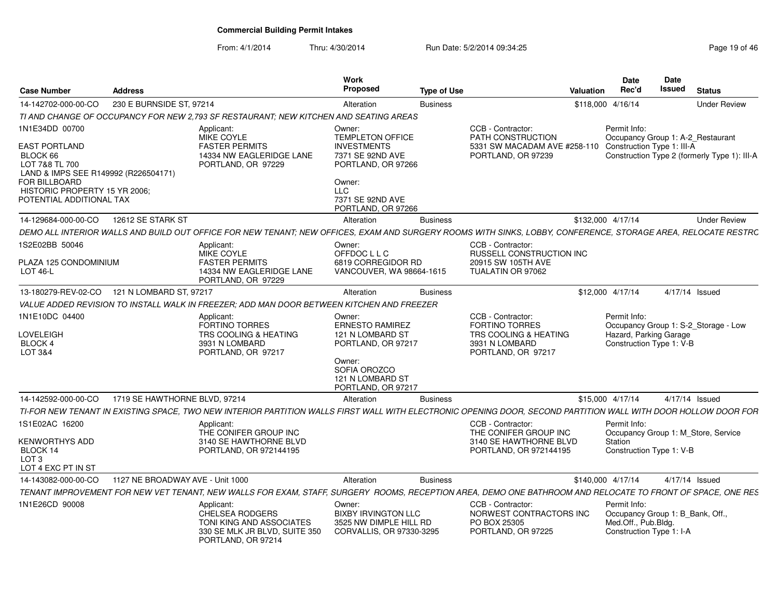| <b>Case Number</b>                                                                                       | <b>Address</b>                   |                                                                                                                                                                | Work<br><b>Proposed</b>                                                                              | <b>Type of Use</b> |                                                                                                             | <b>Valuation</b> | <b>Date</b><br>Rec'd                                                                                | Date<br>Issued | <b>Status</b>                                |
|----------------------------------------------------------------------------------------------------------|----------------------------------|----------------------------------------------------------------------------------------------------------------------------------------------------------------|------------------------------------------------------------------------------------------------------|--------------------|-------------------------------------------------------------------------------------------------------------|------------------|-----------------------------------------------------------------------------------------------------|----------------|----------------------------------------------|
| 14-142702-000-00-CO                                                                                      | 230 E BURNSIDE ST, 97214         |                                                                                                                                                                | Alteration                                                                                           | <b>Business</b>    |                                                                                                             |                  | \$118,000 4/16/14                                                                                   |                | <b>Under Review</b>                          |
|                                                                                                          |                                  | TI AND CHANGE OF OCCUPANCY FOR NEW 2.793 SF RESTAURANT: NEW KITCHEN AND SEATING AREAS                                                                          |                                                                                                      |                    |                                                                                                             |                  |                                                                                                     |                |                                              |
| 1N1E34DD 00700<br>EAST PORTLAND<br>BLOCK 66                                                              |                                  | Applicant:<br><b>MIKE COYLE</b><br><b>FASTER PERMITS</b><br>14334 NW EAGLERIDGE LANE                                                                           | Owner:<br>TEMPLETON OFFICE<br><b>INVESTMENTS</b><br>7371 SE 92ND AVE                                 |                    | CCB - Contractor:<br>PATH CONSTRUCTION<br>5331 SW MACADAM AVE #258-110<br>PORTLAND, OR 97239                |                  | Permit Info:<br>Occupancy Group 1: A-2_Restaurant<br>Construction Type 1: III-A                     |                | Construction Type 2 (formerly Type 1): III-A |
| LOT 7&8 TL 700<br>LAND & IMPS SEE R149992 (R226504171)<br>FOR BILLBOARD<br>HISTORIC PROPERTY 15 YR 2006; |                                  | PORTLAND, OR 97229                                                                                                                                             | PORTLAND, OR 97266<br>Owner:<br><b>LLC</b>                                                           |                    |                                                                                                             |                  |                                                                                                     |                |                                              |
| POTENTIAL ADDITIONAL TAX                                                                                 |                                  |                                                                                                                                                                | 7371 SE 92ND AVE<br>PORTLAND, OR 97266                                                               |                    |                                                                                                             |                  |                                                                                                     |                |                                              |
| 14-129684-000-00-CO                                                                                      | 12612 SE STARK ST                |                                                                                                                                                                | Alteration                                                                                           | <b>Business</b>    |                                                                                                             |                  | \$132,000 4/17/14                                                                                   |                | <b>Under Review</b>                          |
|                                                                                                          |                                  | DEMO ALL INTERIOR WALLS AND BUILD OUT OFFICE FOR NEW TENANT: NEW OFFICES. EXAM AND SURGERY ROOMS WITH SINKS. LOBBY. CONFERENCE. STORAGE AREA. RELOCATE RESTRC  |                                                                                                      |                    |                                                                                                             |                  |                                                                                                     |                |                                              |
| S2E02BB 50046                                                                                            |                                  | Applicant:<br><b>MIKE COYLE</b>                                                                                                                                | Owner:<br>OFFDOC L L C                                                                               |                    | CCB - Contractor:<br>RUSSELL CONSTRUCTION INC                                                               |                  |                                                                                                     |                |                                              |
| PLAZA 125 CONDOMINIUM<br>LOT 46-L                                                                        |                                  | <b>FASTER PERMITS</b><br>14334 NW EAGLERIDGE LANE<br>PORTLAND, OR 97229                                                                                        | 6819 CORREGIDOR RD<br>VANCOUVER, WA 98664-1615                                                       |                    | 20915 SW 105TH AVE<br>TUALATIN OR 97062                                                                     |                  |                                                                                                     |                |                                              |
| 13-180279-REV-02-CO                                                                                      | 121 N LOMBARD ST, 97217          |                                                                                                                                                                | Alteration                                                                                           | <b>Business</b>    |                                                                                                             |                  | \$12,000 4/17/14                                                                                    |                | 4/17/14 Issued                               |
|                                                                                                          |                                  | VALUE ADDED REVISION TO INSTALL WALK IN FREEZER; ADD MAN DOOR BETWEEN KITCHEN AND FREEZER                                                                      |                                                                                                      |                    |                                                                                                             |                  |                                                                                                     |                |                                              |
| 1N1E10DC 04400<br>LOVELEIGH<br>BLOCK 4<br>LOT 3&4                                                        |                                  | Applicant:<br><b>FORTINO TORRES</b><br>TRS COOLING & HEATING<br>3931 N LOMBARD<br>PORTLAND, OR 97217                                                           | Owner:<br><b>ERNESTO RAMIREZ</b><br>121 N LOMBARD ST<br>PORTLAND, OR 97217<br>Owner:<br>SOFIA OROZCO |                    | CCB - Contractor:<br><b>FORTINO TORRES</b><br>TRS COOLING & HEATING<br>3931 N LOMBARD<br>PORTLAND, OR 97217 |                  | Permit Info:<br>Hazard, Parking Garage<br>Construction Type 1: V-B                                  |                | Occupancy Group 1: S-2_Storage - Low         |
|                                                                                                          |                                  |                                                                                                                                                                | 121 N LOMBARD ST<br>PORTLAND, OR 97217                                                               |                    |                                                                                                             |                  |                                                                                                     |                |                                              |
| 14-142592-000-00-CO                                                                                      | 1719 SE HAWTHORNE BLVD, 97214    |                                                                                                                                                                | Alteration                                                                                           | <b>Business</b>    |                                                                                                             |                  | \$15,000 4/17/14                                                                                    |                | 4/17/14 Issued                               |
|                                                                                                          |                                  | TI-FOR NEW TENANT IN EXISTING SPACE, TWO NEW INTERIOR PARTITION WALLS FIRST WALL WITH ELECTRONIC OPENING DOOR, SECOND PARTITION WALL WITH DOOR HOLLOW DOOR FOR |                                                                                                      |                    |                                                                                                             |                  |                                                                                                     |                |                                              |
| 1S1E02AC 16200                                                                                           |                                  | Applicant:<br>THE CONIFER GROUP INC                                                                                                                            |                                                                                                      |                    | CCB - Contractor:<br>THE CONIFER GROUP INC                                                                  |                  | Permit Info:                                                                                        |                | Occupancy Group 1: M Store, Service          |
| <b>KENWORTHYS ADD</b><br>BLOCK 14<br>LOT <sub>3</sub><br>LOT 4 EXC PT IN ST                              |                                  | 3140 SE HAWTHORNE BLVD<br>PORTLAND, OR 972144195                                                                                                               |                                                                                                      |                    | 3140 SE HAWTHORNE BLVD<br>PORTLAND, OR 972144195                                                            |                  | Station<br>Construction Type 1: V-B                                                                 |                |                                              |
| 14-143082-000-00-CO                                                                                      | 1127 NE BROADWAY AVE - Unit 1000 |                                                                                                                                                                | Alteration                                                                                           | <b>Business</b>    |                                                                                                             |                  | \$140,000 4/17/14                                                                                   |                | 4/17/14 Issued                               |
|                                                                                                          |                                  | TENANT IMPROVEMENT FOR NEW VET TENANT, NEW WALLS FOR EXAM, STAFF, SURGERY ROOMS, RECEPTION AREA, DEMO ONE BATHROOM AND RELOCATE TO FRONT OF SPACE, ONE RES     |                                                                                                      |                    |                                                                                                             |                  |                                                                                                     |                |                                              |
| 1N1E26CD 90008                                                                                           |                                  | Applicant:<br><b>CHELSEA RODGERS</b><br>TONI KING AND ASSOCIATES<br>330 SE MLK JR BLVD, SUITE 350<br>PORTLAND, OR 97214                                        | Owner:<br><b>BIXBY IRVINGTON LLC</b><br>3525 NW DIMPLE HILL RD<br>CORVALLIS, OR 97330-3295           |                    | CCB - Contractor:<br>NORWEST CONTRACTORS INC<br>PO BOX 25305<br>PORTLAND, OR 97225                          |                  | Permit Info:<br>Occupancy Group 1: B Bank, Off.,<br>Med.Off., Pub.Bldg.<br>Construction Type 1: I-A |                |                                              |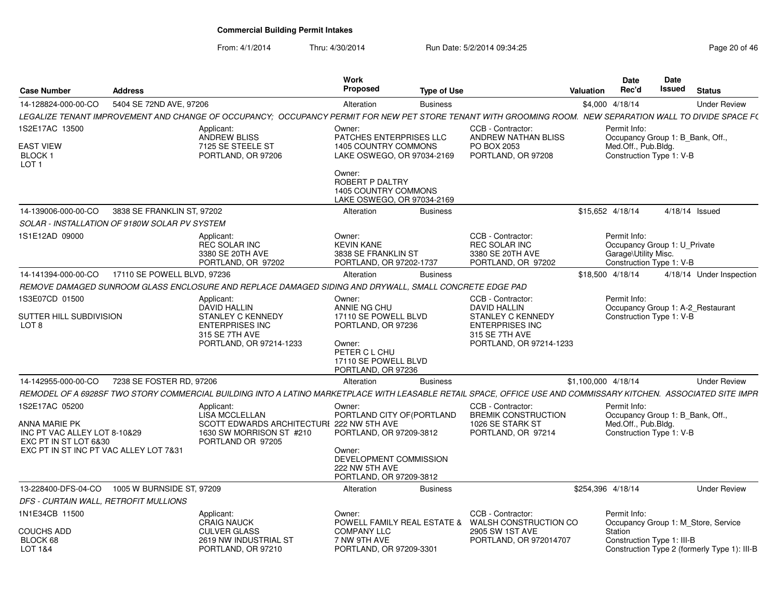|                                                                                                                                                                 |                                                                                                                               | Work                                                                                                                                          |                                                                                                                               | Date                                                             | Date                                         |
|-----------------------------------------------------------------------------------------------------------------------------------------------------------------|-------------------------------------------------------------------------------------------------------------------------------|-----------------------------------------------------------------------------------------------------------------------------------------------|-------------------------------------------------------------------------------------------------------------------------------|------------------------------------------------------------------|----------------------------------------------|
| Case Number<br><b>Address</b>                                                                                                                                   |                                                                                                                               | Proposed                                                                                                                                      | <b>Type of Use</b>                                                                                                            | Rec'd<br>Valuation                                               | Issued<br><b>Status</b>                      |
| 14-128824-000-00-CO<br>5404 SE 72ND AVE, 97206                                                                                                                  |                                                                                                                               | Alteration<br><b>Business</b>                                                                                                                 |                                                                                                                               | \$4,000 4/18/14                                                  | <b>Under Review</b>                          |
| LEGALIZE TENANT IMPROVEMENT AND CHANGE OF OCCUPANCY; OCCUPANCY PERMIT FOR NEW PET STORE TENANT WITH GROOMING ROOM. NEW SEPARATION WALL TO DIVIDE SPACE F(       |                                                                                                                               |                                                                                                                                               |                                                                                                                               |                                                                  |                                              |
| 1S2E17AC 13500<br><b>EAST VIEW</b>                                                                                                                              | Applicant:<br><b>ANDREW BLISS</b><br>7125 SE STEELE ST                                                                        | Owner:<br><b>PATCHES ENTERPRISES LLC</b><br>1405 COUNTRY COMMONS                                                                              | CCB - Contractor:<br>ANDREW NATHAN BLISS<br>PO BOX 2053                                                                       | Permit Info:<br>Med.Off., Pub.Bldg.                              | Occupancy Group 1: B_Bank, Off.,             |
| <b>BLOCK1</b><br>LOT <sub>1</sub>                                                                                                                               | PORTLAND, OR 97206                                                                                                            | LAKE OSWEGO, OR 97034-2169<br>Owner:<br>ROBERT P DALTRY<br>1405 COUNTRY COMMONS                                                               | PORTLAND, OR 97208                                                                                                            | Construction Type 1: V-B                                         |                                              |
|                                                                                                                                                                 |                                                                                                                               | LAKE OSWEGO, OR 97034-2169                                                                                                                    |                                                                                                                               |                                                                  |                                              |
| 3838 SE FRANKLIN ST. 97202<br>14-139006-000-00-CO                                                                                                               |                                                                                                                               | Alteration<br><b>Business</b>                                                                                                                 |                                                                                                                               | \$15,652 4/18/14                                                 | 4/18/14 Issued                               |
| SOLAR - INSTALLATION OF 9180W SOLAR PV SYSTEM                                                                                                                   |                                                                                                                               |                                                                                                                                               |                                                                                                                               |                                                                  |                                              |
| 1S1E12AD 09000                                                                                                                                                  | Applicant:<br>REC SOLAR INC<br>3380 SE 20TH AVE<br>PORTLAND, OR 97202                                                         | Owner:<br><b>KEVIN KANE</b><br>3838 SE FRANKLIN ST<br>PORTLAND, OR 97202-1737                                                                 | CCB - Contractor:<br>REC SOLAR INC<br>3380 SE 20TH AVE<br>PORTLAND, OR 97202                                                  | Permit Info:<br>Garage\Utility Misc.<br>Construction Type 1: V-B | Occupancy Group 1: U Private                 |
| 14-141394-000-00-CO 17110 SE POWELL BLVD, 97236                                                                                                                 |                                                                                                                               | Alteration<br><b>Business</b>                                                                                                                 |                                                                                                                               | \$18,500 4/18/14                                                 | 4/18/14 Under Inspection                     |
| REMOVE DAMAGED SUNROOM GLASS ENCLOSURE AND REPLACE DAMAGED SIDING AND DRYWALL, SMALL CONCRETE EDGE PAD                                                          |                                                                                                                               |                                                                                                                                               |                                                                                                                               |                                                                  |                                              |
| 1S3E07CD 01500<br>SUTTER HILL SUBDIVISION<br>LOT <sub>8</sub>                                                                                                   | Applicant:<br>DAVID HALLIN<br><b>STANLEY C KENNEDY</b><br><b>ENTERPRISES INC</b><br>315 SE 7TH AVE<br>PORTLAND, OR 97214-1233 | Owner:<br>ANNIE NG CHU<br>17110 SE POWELL BLVD<br>PORTLAND, OR 97236<br>Owner:<br>PETER C L CHU<br>17110 SE POWELL BLVD<br>PORTLAND, OR 97236 | CCB - Contractor:<br>DAVID HALLIN<br>STANLEY C KENNEDY<br><b>ENTERPRISES INC</b><br>315 SE 7TH AVE<br>PORTLAND, OR 97214-1233 | Permit Info:<br>Construction Type 1: V-B                         | Occupancy Group 1: A-2 Restaurant            |
| 7238 SE FOSTER RD, 97206<br>14-142955-000-00-CO                                                                                                                 |                                                                                                                               | Alteration<br><b>Business</b>                                                                                                                 |                                                                                                                               | \$1,100,000 4/18/14                                              | <b>Under Review</b>                          |
| REMODEL OF A 6928SF TWO STORY COMMERCIAL BUILDING INTO A LATINO MARKETPLACE WITH LEASABLE RETAIL SPACE, OFFICE USE AND COMMISSARY KITCHEN. ASSOCIATED SITE IMPR |                                                                                                                               |                                                                                                                                               |                                                                                                                               |                                                                  |                                              |
| 1S2E17AC 05200<br>ANNA MARIE PK<br>INC PT VAC ALLEY LOT 8-10&29<br>EXC PT IN ST LOT 6&30                                                                        | Applicant:<br>LISA MCCLELLAN<br>SCOTT EDWARDS ARCHITECTURI 222 NW 5TH AVE<br>1630 SW MORRISON ST #210<br>PORTLAND OR 97205    | Owner:<br>PORTLAND CITY OF (PORTLAND<br>PORTLAND, OR 97209-3812                                                                               | CCB - Contractor:<br><b>BREMIK CONSTRUCTION</b><br>1026 SE STARK ST<br>PORTLAND, OR 97214                                     | Permit Info:<br>Med.Off., Pub.Bldg.<br>Construction Type 1: V-B  | Occupancy Group 1: B_Bank, Off.,             |
| EXC PT IN ST INC PT VAC ALLEY LOT 7&31                                                                                                                          |                                                                                                                               | Owner:<br>DEVELOPMENT COMMISSION<br>222 NW 5TH AVE<br>PORTLAND, OR 97209-3812                                                                 |                                                                                                                               |                                                                  |                                              |
| 13-228400-DFS-04-CO 1005 W BURNSIDE ST, 97209                                                                                                                   |                                                                                                                               | Alteration<br><b>Business</b>                                                                                                                 |                                                                                                                               | \$254,396 4/18/14                                                | <b>Under Review</b>                          |
| DFS - CURTAIN WALL, RETROFIT MULLIONS                                                                                                                           |                                                                                                                               |                                                                                                                                               |                                                                                                                               |                                                                  |                                              |
| 1N1E34CB 11500                                                                                                                                                  | Applicant:<br><b>CRAIG NAUCK</b>                                                                                              | Owner:                                                                                                                                        | CCB - Contractor:<br>POWELL FAMILY REAL ESTATE & WALSH CONSTRUCTION CO                                                        | Permit Info:                                                     | Occupancy Group 1: M_Store, Service          |
| COUCHS ADD<br>BLOCK 68<br>LOT 1&4                                                                                                                               | <b>CULVER GLASS</b><br>2619 NW INDUSTRIAL ST<br>PORTLAND, OR 97210                                                            | <b>COMPANY LLC</b><br>7 NW 9TH AVE<br>PORTLAND, OR 97209-3301                                                                                 | 2905 SW 1ST AVE<br>PORTLAND, OR 972014707                                                                                     | Station<br>Construction Type 1: III-B                            | Construction Type 2 (formerly Type 1): III-B |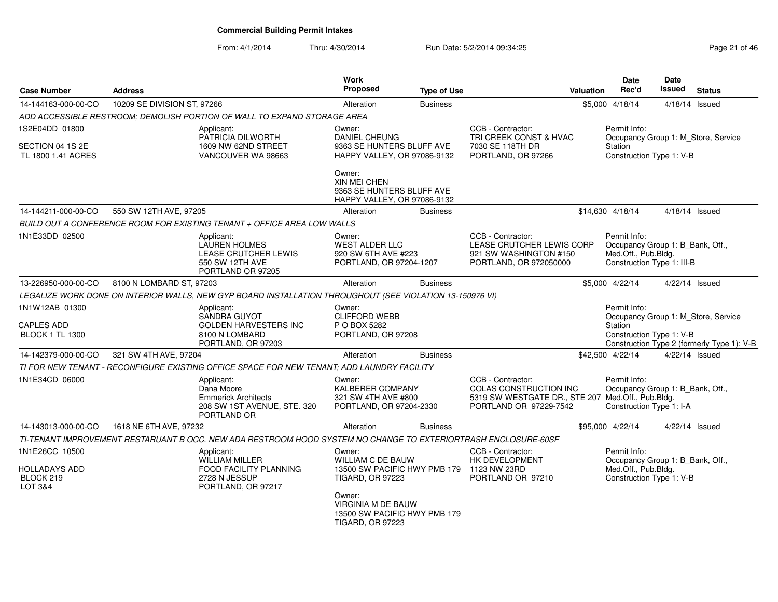| <b>Case Number</b>                                             | <b>Address</b>              |                                                                                                                | <b>Work</b><br>Proposed                                                                                       | <b>Type of Use</b> |                                                                                                                            | <b>Valuation</b> | Date<br>Rec'd                                                                                         | <b>Date</b><br>Issued | <b>Status</b>                                                                     |
|----------------------------------------------------------------|-----------------------------|----------------------------------------------------------------------------------------------------------------|---------------------------------------------------------------------------------------------------------------|--------------------|----------------------------------------------------------------------------------------------------------------------------|------------------|-------------------------------------------------------------------------------------------------------|-----------------------|-----------------------------------------------------------------------------------|
| 14-144163-000-00-CO                                            | 10209 SE DIVISION ST, 97266 |                                                                                                                | Alteration                                                                                                    | <b>Business</b>    |                                                                                                                            |                  | \$5,000 4/18/14                                                                                       |                       | 4/18/14 Issued                                                                    |
|                                                                |                             | ADD ACCESSIBLE RESTROOM: DEMOLISH PORTION OF WALL TO EXPAND STORAGE AREA                                       |                                                                                                               |                    |                                                                                                                            |                  |                                                                                                       |                       |                                                                                   |
| 1S2E04DD 01800                                                 |                             | Applicant:<br>PATRICIA DILWORTH                                                                                | Owner:<br>DANIEL CHEUNG                                                                                       |                    | CCB - Contractor:<br>TRI CREEK CONST & HVAC                                                                                |                  | Permit Info:                                                                                          |                       | Occupancy Group 1: M_Store, Service                                               |
| SECTION 04 1S 2E<br>TL 1800 1.41 ACRES                         |                             | 1609 NW 62ND STREET<br>VANCOUVER WA 98663                                                                      | 9363 SE HUNTERS BLUFF AVE<br>HAPPY VALLEY, OR 97086-9132                                                      |                    | 7030 SE 118TH DR<br>PORTLAND, OR 97266                                                                                     |                  | Station<br>Construction Type 1: V-B                                                                   |                       |                                                                                   |
|                                                                |                             |                                                                                                                | Owner:<br><b>XIN MEI CHEN</b><br>9363 SE HUNTERS BLUFF AVE<br>HAPPY VALLEY, OR 97086-9132                     |                    |                                                                                                                            |                  |                                                                                                       |                       |                                                                                   |
| 14-144211-000-00-CO                                            | 550 SW 12TH AVE, 97205      |                                                                                                                | Alteration                                                                                                    | <b>Business</b>    |                                                                                                                            |                  | \$14,630 4/18/14                                                                                      |                       | 4/18/14 Issued                                                                    |
|                                                                |                             | BUILD OUT A CONFERENCE ROOM FOR EXISTING TENANT + OFFICE AREA LOW WALLS                                        |                                                                                                               |                    |                                                                                                                            |                  |                                                                                                       |                       |                                                                                   |
| 1N1E33DD 02500                                                 |                             | Applicant:<br><b>LAUREN HOLMES</b><br>LEASE CRUTCHER LEWIS<br>550 SW 12TH AVE<br>PORTLAND OR 97205             | Owner:<br>WEST ALDER LLC<br>920 SW 6TH AVE #223<br>PORTLAND, OR 97204-1207                                    |                    | CCB - Contractor:<br>LEASE CRUTCHER LEWIS CORP<br>921 SW WASHINGTON #150<br>PORTLAND, OR 972050000                         |                  | Permit Info:<br>Occupancy Group 1: B Bank, Off.,<br>Med.Off., Pub.Bldg.<br>Construction Type 1: III-B |                       |                                                                                   |
| 13-226950-000-00-CO                                            | 8100 N LOMBARD ST, 97203    |                                                                                                                | Alteration                                                                                                    | <b>Business</b>    |                                                                                                                            |                  | \$5,000 4/22/14                                                                                       |                       | 4/22/14 Issued                                                                    |
|                                                                |                             | LEGALIZE WORK DONE ON INTERIOR WALLS, NEW GYP BOARD INSTALLATION THROUGHOUT (SEE VIOLATION 13-150976 VI)       |                                                                                                               |                    |                                                                                                                            |                  |                                                                                                       |                       |                                                                                   |
| 1N1W12AB 01300<br>CAPLES ADD<br><b>BLOCK 1 TL 1300</b>         |                             | Applicant:<br>SANDRA GUYOT<br><b>GOLDEN HARVESTERS INC</b><br>8100 N LOMBARD<br>PORTLAND, OR 97203             | Owner:<br><b>CLIFFORD WEBB</b><br>P O BOX 5282<br>PORTLAND, OR 97208                                          |                    |                                                                                                                            |                  | Permit Info:<br>Station<br>Construction Type 1: V-B                                                   |                       | Occupancy Group 1: M_Store, Service<br>Construction Type 2 (formerly Type 1): V-B |
| 14-142379-000-00-CO                                            | 321 SW 4TH AVE, 97204       |                                                                                                                | Alteration                                                                                                    | <b>Business</b>    |                                                                                                                            |                  | \$42,500 4/22/14                                                                                      |                       | 4/22/14 Issued                                                                    |
|                                                                |                             | TI FOR NEW TENANT - RECONFIGURE EXISTING OFFICE SPACE FOR NEW TENANT; ADD LAUNDRY FACILITY                     |                                                                                                               |                    |                                                                                                                            |                  |                                                                                                       |                       |                                                                                   |
| 1N1E34CD 06000                                                 |                             | Applicant:<br>Dana Moore<br><b>Emmerick Architects</b><br>208 SW 1ST AVENUE, STE. 320<br>PORTLAND OR           | Owner:<br><b>KALBERER COMPANY</b><br>321 SW 4TH AVE #800<br>PORTLAND, OR 97204-2330                           |                    | CCB - Contractor:<br>COLAS CONSTRUCTION INC<br>5319 SW WESTGATE DR., STE 207 Med.Off., Pub.Bldg.<br>PORTLAND OR 97229-7542 |                  | Permit Info:<br>Occupancy Group 1: B_Bank, Off.,<br>Construction Type 1: I-A                          |                       |                                                                                   |
| 14-143013-000-00-CO                                            | 1618 NE 6TH AVE, 97232      |                                                                                                                | Alteration                                                                                                    | <b>Business</b>    |                                                                                                                            |                  | \$95,000 4/22/14                                                                                      |                       | 4/22/14 Issued                                                                    |
|                                                                |                             | TI-TENANT IMPROVEMENT RESTARUANT B OCC. NEW ADA RESTROOM HOOD SYSTEM NO CHANGE TO EXTERIORTRASH ENCLOSURE-60SF |                                                                                                               |                    |                                                                                                                            |                  |                                                                                                       |                       |                                                                                   |
| 1N1E26CC 10500<br><b>HOLLADAYS ADD</b><br>BLOCK 219<br>LOT 3&4 |                             | Applicant:<br><b>WILLIAM MILLER</b><br>FOOD FACILITY PLANNING<br>2728 N JESSUP<br>PORTLAND, OR 97217           | Owner:<br>WILLIAM C DE BAUW<br>13500 SW PACIFIC HWY PMB 179 1123 NW 23RD<br><b>TIGARD, OR 97223</b><br>Owner: |                    | CCB - Contractor:<br>HK DEVELOPMENT<br>PORTLAND OR 97210                                                                   |                  | Permit Info:<br>Occupancy Group 1: B_Bank, Off.,<br>Med.Off., Pub.Bldg.<br>Construction Type 1: V-B   |                       |                                                                                   |
|                                                                |                             |                                                                                                                | <b>VIRGINIA M DE BAUW</b><br>13500 SW PACIFIC HWY PMB 179<br><b>TIGARD, OR 97223</b>                          |                    |                                                                                                                            |                  |                                                                                                       |                       |                                                                                   |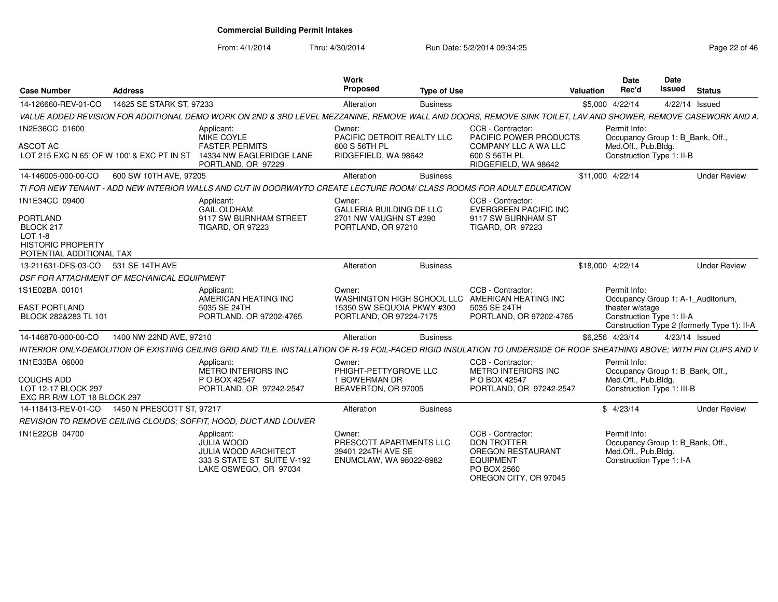From: 4/1/2014

| <b>Case Number</b>                                                                        | <b>Address</b>                             |                                                                                                                                                                         | Work<br><b>Proposed</b>                                                                       | <b>Type of Use</b> |                                                                                                                                 | Valuation        | <b>Date</b><br>Rec'd                                                                                  | <b>Date</b><br>Issued | <b>Status</b>                                                                     |
|-------------------------------------------------------------------------------------------|--------------------------------------------|-------------------------------------------------------------------------------------------------------------------------------------------------------------------------|-----------------------------------------------------------------------------------------------|--------------------|---------------------------------------------------------------------------------------------------------------------------------|------------------|-------------------------------------------------------------------------------------------------------|-----------------------|-----------------------------------------------------------------------------------|
| 14-126660-REV-01-CO                                                                       | 14625 SE STARK ST, 97233                   |                                                                                                                                                                         | Alteration                                                                                    | <b>Business</b>    |                                                                                                                                 | \$5,000 4/22/14  |                                                                                                       |                       | 4/22/14 Issued                                                                    |
|                                                                                           |                                            | VALUE ADDED REVISION FOR ADDITIONAL DEMO WORK ON 2ND & 3RD LEVEL MEZZANINE. REMOVE WALL AND DOORS. REMOVE SINK TOILET. LAV AND SHOWER. REMOVE CASEWORK AND A            |                                                                                               |                    |                                                                                                                                 |                  |                                                                                                       |                       |                                                                                   |
| 1N2E36CC 01600<br><b>ASCOT AC</b>                                                         | LOT 215 EXC N 65' OF W 100' & EXC PT IN ST | Applicant:<br>MIKE COYLE<br><b>FASTER PERMITS</b><br>14334 NW EAGLERIDGE LANE                                                                                           | Owner:<br>PACIFIC DETROIT REALTY LLC<br>600 S 56TH PL<br>RIDGEFIELD, WA 98642                 |                    | CCB - Contractor:<br>PACIFIC POWER PRODUCTS<br><b>COMPANY LLC A WA LLC</b><br>600 S 56TH PL                                     |                  | Permit Info:<br>Occupancy Group 1: B_Bank, Off.,<br>Med.Off., Pub.Bldg.<br>Construction Type 1: II-B  |                       |                                                                                   |
|                                                                                           |                                            | PORTLAND, OR 97229                                                                                                                                                      |                                                                                               |                    | RIDGEFIELD, WA 98642                                                                                                            |                  |                                                                                                       |                       |                                                                                   |
| 14-146005-000-00-CO                                                                       | 600 SW 10TH AVE, 97205                     |                                                                                                                                                                         | Alteration                                                                                    | <b>Business</b>    |                                                                                                                                 | \$11,000 4/22/14 |                                                                                                       |                       | <b>Under Review</b>                                                               |
|                                                                                           |                                            | TI FOR NEW TENANT - ADD NEW INTERIOR WALLS AND CUT IN DOORWAYTO CREATE LECTURE ROOM/ CLASS ROOMS FOR ADULT EDUCATION                                                    |                                                                                               |                    |                                                                                                                                 |                  |                                                                                                       |                       |                                                                                   |
| 1N1E34CC 09400<br>PORTLAND                                                                |                                            | Applicant:<br><b>GAIL OLDHAM</b><br>9117 SW BURNHAM STREET                                                                                                              | Owner:<br><b>GALLERIA BUILDING DE LLC</b><br>2701 NW VAUGHN ST #390                           |                    | CCB - Contractor:<br><b>EVERGREEN PACIFIC INC</b><br>9117 SW BURNHAM ST                                                         |                  |                                                                                                       |                       |                                                                                   |
| BLOCK 217<br>LOT 1-8<br><b>HISTORIC PROPERTY</b><br>POTENTIAL ADDITIONAL TAX              |                                            | <b>TIGARD, OR 97223</b>                                                                                                                                                 | PORTLAND, OR 97210                                                                            |                    | <b>TIGARD, OR 97223</b>                                                                                                         |                  |                                                                                                       |                       |                                                                                   |
| 13-211631-DFS-03-CO                                                                       | 531 SE 14TH AVE                            |                                                                                                                                                                         | Alteration                                                                                    | <b>Business</b>    |                                                                                                                                 | \$18,000 4/22/14 |                                                                                                       |                       | <b>Under Review</b>                                                               |
|                                                                                           | DSF FOR ATTACHMENT OF MECHANICAL EQUIPMENT |                                                                                                                                                                         |                                                                                               |                    |                                                                                                                                 |                  |                                                                                                       |                       |                                                                                   |
| 1S1E02BA 00101<br><b>EAST PORTLAND</b><br>BLOCK 282&283 TL 101                            |                                            | Applicant:<br>AMERICAN HEATING INC<br>5035 SE 24TH<br>PORTLAND, OR 97202-4765                                                                                           | Owner:<br>WASHINGTON HIGH SCHOOL LLC<br>15350 SW SEQUOIA PKWY #300<br>PORTLAND, OR 97224-7175 |                    | CCB - Contractor:<br>AMERICAN HEATING INC<br>5035 SE 24TH<br>PORTLAND, OR 97202-4765                                            |                  | Permit Info:<br>theater w/stage<br>Construction Type 1: II-A                                          |                       | Occupancy Group 1: A-1 Auditorium,<br>Construction Type 2 (formerly Type 1): II-A |
| 14-146870-000-00-CO                                                                       | 1400 NW 22ND AVE, 97210                    |                                                                                                                                                                         | Alteration                                                                                    | <b>Business</b>    |                                                                                                                                 | \$6,256 4/23/14  |                                                                                                       |                       | 4/23/14 Issued                                                                    |
|                                                                                           |                                            | INTERIOR ONLY-DEMOLITION OF EXISTING CEILING GRID AND TILE. INSTALLATION OF R-19 FOIL-FACED RIGID INSULATION TO UNDERSIDE OF ROOF SHEATHING ABOVE: WITH PIN CLIPS AND W |                                                                                               |                    |                                                                                                                                 |                  |                                                                                                       |                       |                                                                                   |
| 1N1E33BA 06000<br><b>COUCHS ADD</b><br>LOT 12-17 BLOCK 297<br>EXC RR R/W LOT 18 BLOCK 297 |                                            | Applicant:<br>METRO INTERIORS INC<br>P O BOX 42547<br>PORTLAND, OR 97242-2547                                                                                           | Owner:<br>PHIGHT-PETTYGROVE LLC<br>1 BOWERMAN DR<br>BEAVERTON, OR 97005                       |                    | CCB - Contractor:<br>METRO INTERIORS INC<br>P O BOX 42547<br>PORTLAND, OR 97242-2547                                            |                  | Permit Info:<br>Occupancy Group 1: B_Bank, Off.,<br>Med.Off., Pub.Bldg.<br>Construction Type 1: III-B |                       |                                                                                   |
| 14-118413-REV-01-CO                                                                       | 1450 N PRESCOTT ST, 97217                  |                                                                                                                                                                         | Alteration                                                                                    | <b>Business</b>    |                                                                                                                                 |                  | \$4/23/14                                                                                             |                       | <b>Under Review</b>                                                               |
|                                                                                           |                                            | REVISION TO REMOVE CEILING CLOUDS: SOFFIT, HOOD, DUCT AND LOUVER                                                                                                        |                                                                                               |                    |                                                                                                                                 |                  |                                                                                                       |                       |                                                                                   |
| 1N1E22CB 04700                                                                            |                                            | Applicant:<br><b>JULIA WOOD</b><br><b>JULIA WOOD ARCHITECT</b><br>333 S STATE ST SUITE V-192<br>LAKE OSWEGO, OR 97034                                                   | Owner:<br>PRESCOTT APARTMENTS LLC<br>39401 224TH AVE SE<br>ENUMCLAW, WA 98022-8982            |                    | CCB - Contractor:<br><b>DON TROTTER</b><br><b>OREGON RESTAURANT</b><br><b>EQUIPMENT</b><br>PO BOX 2560<br>OREGON CITY, OR 97045 |                  | Permit Info:<br>Occupancy Group 1: B_Bank, Off.,<br>Med.Off., Pub.Bldg.<br>Construction Type 1: I-A   |                       |                                                                                   |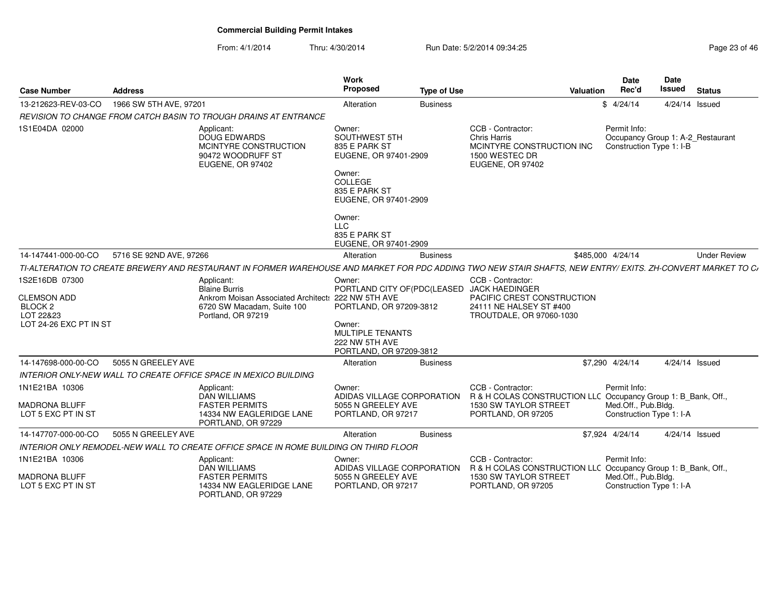| <b>Case Number</b>                                                                                | <b>Address</b>          |                                                                                                                                                              | Work<br>Proposed                                                                                                                                                  | <b>Type of Use</b> |                                                                                                             | Valuation | <b>Date</b><br>Rec'd                            | Date<br><b>Issued</b>    | <b>Status</b>                     |  |
|---------------------------------------------------------------------------------------------------|-------------------------|--------------------------------------------------------------------------------------------------------------------------------------------------------------|-------------------------------------------------------------------------------------------------------------------------------------------------------------------|--------------------|-------------------------------------------------------------------------------------------------------------|-----------|-------------------------------------------------|--------------------------|-----------------------------------|--|
| 13-212623-REV-03-CO                                                                               | 1966 SW 5TH AVE, 97201  |                                                                                                                                                              | Alteration                                                                                                                                                        | <b>Business</b>    |                                                                                                             |           | \$4/24/14                                       |                          | 4/24/14 Issued                    |  |
|                                                                                                   |                         | REVISION TO CHANGE FROM CATCH BASIN TO TROUGH DRAINS AT ENTRANCE                                                                                             |                                                                                                                                                                   |                    |                                                                                                             |           |                                                 |                          |                                   |  |
| 1S1E04DA 02000                                                                                    |                         | Applicant:<br>DOUG EDWARDS<br>MCINTYRE CONSTRUCTION<br>90472 WOODRUFF ST<br>EUGENE, OR 97402                                                                 | Owner:<br>SOUTHWEST 5TH<br>835 E PARK ST<br>EUGENE, OR 97401-2909<br>Owner:<br>COLLEGE                                                                            |                    | CCB - Contractor:<br>Chris Harris<br>MCINTYRE CONSTRUCTION INC<br>1500 WESTEC DR<br><b>EUGENE, OR 97402</b> |           | Permit Info:<br>Construction Type 1: I-B        |                          | Occupancy Group 1: A-2 Restaurant |  |
|                                                                                                   |                         |                                                                                                                                                              | 835 E PARK ST<br>EUGENE, OR 97401-2909                                                                                                                            |                    |                                                                                                             |           |                                                 |                          |                                   |  |
|                                                                                                   |                         |                                                                                                                                                              | Owner:<br><b>LLC</b><br>835 E PARK ST<br>EUGENE, OR 97401-2909                                                                                                    |                    |                                                                                                             |           |                                                 |                          |                                   |  |
| 14-147441-000-00-CO                                                                               | 5716 SE 92ND AVE, 97266 |                                                                                                                                                              | Alteration                                                                                                                                                        | <b>Business</b>    |                                                                                                             |           | \$485,000 4/24/14                               |                          | <b>Under Review</b>               |  |
|                                                                                                   |                         | TI-ALTERATION TO CREATE BREWERY AND RESTAURANT IN FORMER WAREHOUSE AND MARKET FOR PDC ADDING TWO NEW STAIR SHAFTS, NEW ENTRY/ EXITS. ZH-CONVERT MARKET TO C/ |                                                                                                                                                                   |                    |                                                                                                             |           |                                                 |                          |                                   |  |
| 1S2E16DB 07300<br><b>CLEMSON ADD</b><br>BLOCK <sub>2</sub><br>LOT 22&23<br>LOT 24-26 EXC PT IN ST |                         | Applicant:<br><b>Blaine Burris</b><br>Ankrom Moisan Associated Architect: 222 NW 5TH AVE<br>6720 SW Macadam, Suite 100<br>Portland, OR 97219                 | Owner:<br>PORTLAND CITY OF(PDC(LEASED JACK HAEDINGER<br>PORTLAND, OR 97209-3812<br>Owner:<br><b>MULTIPLE TENANTS</b><br>222 NW 5TH AVE<br>PORTLAND, OR 97209-3812 |                    | CCB - Contractor:<br>PACIFIC CREST CONSTRUCTION<br>24111 NE HALSEY ST #400<br>TROUTDALE, OR 97060-1030      |           |                                                 |                          |                                   |  |
| 14-147698-000-00-CO                                                                               | 5055 N GREELEY AVE      |                                                                                                                                                              | Alteration                                                                                                                                                        | <b>Business</b>    |                                                                                                             |           | \$7,290 4/24/14                                 |                          | 4/24/14 Issued                    |  |
|                                                                                                   |                         | INTERIOR ONLY-NEW WALL TO CREATE OFFICE SPACE IN MEXICO BUILDING                                                                                             |                                                                                                                                                                   |                    |                                                                                                             |           |                                                 |                          |                                   |  |
| 1N1E21BA 10306                                                                                    |                         | Applicant:<br><b>DAN WILLIAMS</b>                                                                                                                            | Owner:<br>ADIDAS VILLAGE CORPORATION                                                                                                                              |                    | CCB - Contractor:<br>R & H COLAS CONSTRUCTION LLC Occupancy Group 1: B Bank, Off.,                          |           | Permit Info:                                    |                          |                                   |  |
| <b>MADRONA BLUFF</b><br>LOT 5 EXC PT IN ST                                                        |                         | <b>FASTER PERMITS</b><br>14334 NW EAGLERIDGE LANE<br>PORTLAND, OR 97229                                                                                      | 5055 N GREELEY AVE<br>PORTLAND, OR 97217                                                                                                                          |                    | 1530 SW TAYLOR STREET<br>PORTLAND, OR 97205                                                                 |           | Med.Off., Pub.Bldg.                             | Construction Type 1: I-A |                                   |  |
| 14-147707-000-00-CO                                                                               | 5055 N GREELEY AVE      |                                                                                                                                                              | Alteration                                                                                                                                                        | <b>Business</b>    |                                                                                                             |           | \$7,924 4/24/14                                 |                          | 4/24/14 Issued                    |  |
|                                                                                                   |                         | INTERIOR ONLY REMODEL-NEW WALL TO CREATE OFFICE SPACE IN ROME BUILDING ON THIRD FLOOR                                                                        |                                                                                                                                                                   |                    |                                                                                                             |           |                                                 |                          |                                   |  |
| 1N1E21BA 10306                                                                                    |                         | Applicant:<br><b>DAN WILLIAMS</b>                                                                                                                            | Owner:<br>ADIDAS VILLAGE CORPORATION                                                                                                                              |                    | CCB - Contractor:<br>R & H COLAS CONSTRUCTION LLC Occupancy Group 1: B_Bank, Off.,                          |           | Permit Info:                                    |                          |                                   |  |
| <b>MADRONA BLUFF</b><br>LOT 5 EXC PT IN ST                                                        |                         | <b>FASTER PERMITS</b><br>14334 NW EAGLERIDGE LANE<br>PORTLAND, OR 97229                                                                                      | 5055 N GREELEY AVE<br>PORTLAND, OR 97217                                                                                                                          |                    | <b>1530 SW TAYLOR STREET</b><br>PORTLAND, OR 97205                                                          |           | Med.Off., Pub.Bldg.<br>Construction Type 1: I-A |                          |                                   |  |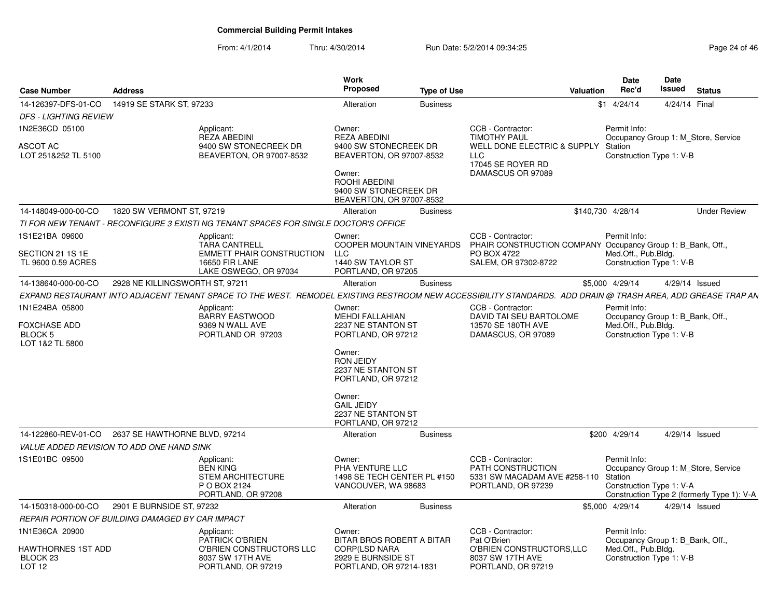| <b>Case Number</b>                                                         | <b>Address</b>                  |                                                                                                                                                             | Work<br><b>Proposed</b>                                                                                                                                                                                                    |                                       |                                                                                                                         | <b>Valuation</b> | Date<br>Rec'd                                                                                       | <b>Date</b><br><b>Issued</b> | <b>Status</b>                                                                     |
|----------------------------------------------------------------------------|---------------------------------|-------------------------------------------------------------------------------------------------------------------------------------------------------------|----------------------------------------------------------------------------------------------------------------------------------------------------------------------------------------------------------------------------|---------------------------------------|-------------------------------------------------------------------------------------------------------------------------|------------------|-----------------------------------------------------------------------------------------------------|------------------------------|-----------------------------------------------------------------------------------|
| 14-126397-DFS-01-CO                                                        | 14919 SE STARK ST, 97233        |                                                                                                                                                             | Alteration                                                                                                                                                                                                                 | <b>Type of Use</b><br><b>Business</b> |                                                                                                                         |                  | $$1$ 4/24/14                                                                                        | 4/24/14 Final                |                                                                                   |
| <b>DFS - LIGHTING REVIEW</b>                                               |                                 |                                                                                                                                                             |                                                                                                                                                                                                                            |                                       |                                                                                                                         |                  |                                                                                                     |                              |                                                                                   |
| 1N2E36CD 05100                                                             |                                 |                                                                                                                                                             |                                                                                                                                                                                                                            |                                       | CCB - Contractor:                                                                                                       |                  |                                                                                                     |                              |                                                                                   |
| ASCOT AC<br>LOT 251&252 TL 5100                                            |                                 | Applicant:<br><b>REZA ABEDINI</b><br>9400 SW STONECREEK DR<br>BEAVERTON, OR 97007-8532                                                                      | Owner:<br><b>REZA ABEDINI</b><br>9400 SW STONECREEK DR<br>BEAVERTON, OR 97007-8532<br>Owner:<br>ROOHI ABEDINI<br>9400 SW STONECREEK DR<br>BEAVERTON, OR 97007-8532                                                         |                                       | <b>TIMOTHY PAUL</b><br>WELL DONE ELECTRIC & SUPPLY<br><b>LLC</b><br>17045 SE ROYER RD<br>DAMASCUS OR 97089              |                  | Permit Info:<br>Station<br>Construction Type 1: V-B                                                 |                              | Occupancy Group 1: M_Store, Service                                               |
| 14-148049-000-00-CO                                                        | 1820 SW VERMONT ST, 97219       |                                                                                                                                                             | Alteration                                                                                                                                                                                                                 | <b>Business</b>                       |                                                                                                                         |                  | \$140,730 4/28/14                                                                                   |                              | <b>Under Review</b>                                                               |
|                                                                            |                                 | TI FOR NEW TENANT - RECONFIGURE 3 EXISTI NG TENANT SPACES FOR SINGLE DOCTOR'S OFFICE                                                                        |                                                                                                                                                                                                                            |                                       |                                                                                                                         |                  |                                                                                                     |                              |                                                                                   |
| 1S1E21BA 09600<br>SECTION 21 1S 1E<br>TL 9600 0.59 ACRES                   |                                 | Applicant:<br><b>TARA CANTRELL</b><br><b>EMMETT PHAIR CONSTRUCTION</b><br><b>16650 FIR LANE</b><br>LAKE OSWEGO, OR 97034                                    | Owner:<br>COOPER MOUNTAIN VINEYARDS<br><b>LLC</b><br>1440 SW TAYLOR ST<br>PORTLAND, OR 97205                                                                                                                               |                                       | CCB - Contractor:<br>PHAIR CONSTRUCTION COMPANY Occupancy Group 1: B_Bank, Off.,<br>PO BOX 4722<br>SALEM, OR 97302-8722 |                  | Permit Info:<br>Med.Off., Pub.Bldg.<br>Construction Type 1: V-B                                     |                              |                                                                                   |
| 14-138640-000-00-CO                                                        | 2928 NE KILLINGSWORTH ST, 97211 |                                                                                                                                                             | Alteration                                                                                                                                                                                                                 | <b>Business</b>                       |                                                                                                                         |                  | \$5,000 4/29/14                                                                                     |                              | 4/29/14 Issued                                                                    |
|                                                                            |                                 | EXPAND RESTAURANT INTO ADJACENT TENANT SPACE TO THE WEST. REMODEL EXISTING RESTROOM NEW ACCESSIBILITY STANDARDS. ADD DRAIN @ TRASH AREA, ADD GREASE TRAP AN |                                                                                                                                                                                                                            |                                       |                                                                                                                         |                  |                                                                                                     |                              |                                                                                   |
| 1N1E24BA 05800<br><b>FOXCHASE ADD</b><br><b>BLOCK 5</b><br>LOT 1&2 TL 5800 |                                 | Applicant:<br><b>BARRY EASTWOOD</b><br>9369 N WALL AVE<br>PORTLAND OR 97203                                                                                 | Owner:<br>MEHDI FALLAHIAN<br>2237 NE STANTON ST<br>PORTLAND, OR 97212<br>Owner:<br><b>RON JEIDY</b><br>2237 NE STANTON ST<br>PORTLAND, OR 97212<br>Owner:<br><b>GAIL JEIDY</b><br>2237 NE STANTON ST<br>PORTLAND, OR 97212 |                                       | CCB - Contractor:<br>DAVID TAI SEU BARTOLOME<br>13570 SE 180TH AVE<br>DAMASCUS, OR 97089                                |                  | Permit Info:<br>Occupancy Group 1: B_Bank, Off.,<br>Med.Off., Pub.Bldg.<br>Construction Type 1: V-B |                              |                                                                                   |
| 14-122860-REV-01-CO                                                        | 2637 SE HAWTHORNE BLVD, 97214   |                                                                                                                                                             | Alteration                                                                                                                                                                                                                 | <b>Business</b>                       |                                                                                                                         |                  | \$200 4/29/14                                                                                       |                              | 4/29/14 Issued                                                                    |
| <b>VALUE ADDED REVISION TO ADD ONE HAND SINK</b>                           |                                 |                                                                                                                                                             |                                                                                                                                                                                                                            |                                       |                                                                                                                         |                  |                                                                                                     |                              |                                                                                   |
| 1S1E01BC 09500                                                             |                                 | Applicant:<br><b>BEN KING</b><br><b>STEM ARCHITECTURE</b><br>P O BOX 2124<br>PORTLAND, OR 97208                                                             | Owner:<br>PHA VENTURE LLC<br>1498 SE TECH CENTER PL #150<br>VANCOUVER, WA 98683                                                                                                                                            |                                       | CCB - Contractor:<br>PATH CONSTRUCTION<br>5331 SW MACADAM AVE #258-110<br>PORTLAND, OR 97239                            |                  | Permit Info:<br>Station<br>Construction Type 1: V-A                                                 |                              | Occupancy Group 1: M Store, Service<br>Construction Type 2 (formerly Type 1): V-A |
| 14-150318-000-00-CO                                                        | 2901 E BURNSIDE ST, 97232       |                                                                                                                                                             | Alteration                                                                                                                                                                                                                 | <b>Business</b>                       |                                                                                                                         |                  | \$5,000 4/29/14                                                                                     |                              | 4/29/14 Issued                                                                    |
| REPAIR PORTION OF BUILDING DAMAGED BY CAR IMPACT                           |                                 |                                                                                                                                                             |                                                                                                                                                                                                                            |                                       |                                                                                                                         |                  |                                                                                                     |                              |                                                                                   |
| 1N1E36CA 20900<br><b>HAWTHORNES 1ST ADD</b>                                |                                 | Applicant:<br><b>PATRICK O'BRIEN</b><br>O'BRIEN CONSTRUCTORS LLC                                                                                            | Owner:<br>BITAR BROS ROBERT A BITAR<br><b>CORP(LSD NARA</b>                                                                                                                                                                |                                       | CCB - Contractor:<br>Pat O'Brien<br>O'BRIEN CONSTRUCTORS, LLC                                                           |                  | Permit Info:<br>Occupancy Group 1: B Bank, Off.,<br>Med.Off., Pub.Bldg.                             |                              |                                                                                   |
| BLOCK <sub>23</sub><br>LOT <sub>12</sub>                                   |                                 | 8037 SW 17TH AVE<br>PORTLAND, OR 97219                                                                                                                      | 2929 E BURNSIDE ST<br>PORTLAND, OR 97214-1831                                                                                                                                                                              |                                       | 8037 SW 17TH AVE<br>PORTLAND, OR 97219                                                                                  |                  | Construction Type 1: V-B                                                                            |                              |                                                                                   |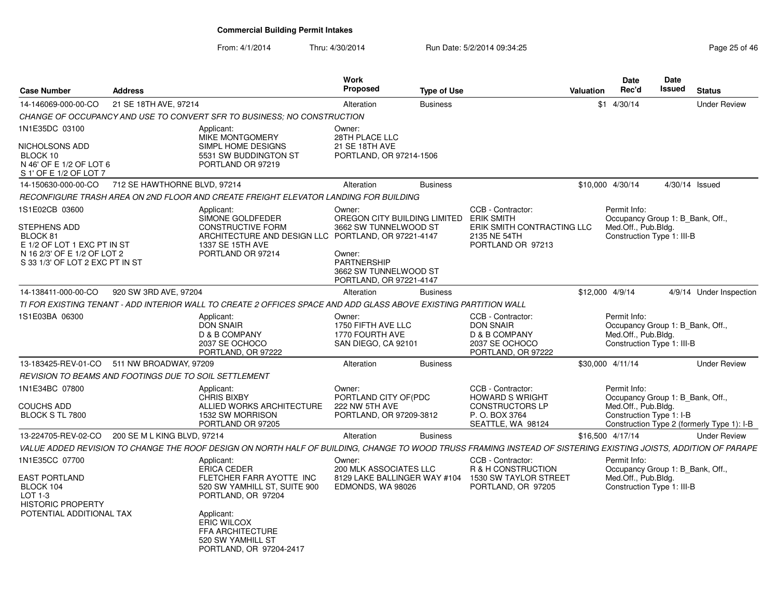| <b>Case Number</b>                                                                                                                          | <b>Address</b>               |                                                                                                                                                                 | Work<br>Proposed                                                                                                                                                               | <b>Type of Use</b> |                                                                                                             | Valuation | <b>Date</b><br>Rec'd                                                                                  | <b>Date</b><br>Issued | <b>Status</b>                              |
|---------------------------------------------------------------------------------------------------------------------------------------------|------------------------------|-----------------------------------------------------------------------------------------------------------------------------------------------------------------|--------------------------------------------------------------------------------------------------------------------------------------------------------------------------------|--------------------|-------------------------------------------------------------------------------------------------------------|-----------|-------------------------------------------------------------------------------------------------------|-----------------------|--------------------------------------------|
| 14-146069-000-00-CO                                                                                                                         | 21 SE 18TH AVE, 97214        |                                                                                                                                                                 | Alteration                                                                                                                                                                     | <b>Business</b>    |                                                                                                             |           | $$1$ 4/30/14                                                                                          |                       | <b>Under Review</b>                        |
|                                                                                                                                             |                              | CHANGE OF OCCUPANCY AND USE TO CONVERT SFR TO BUSINESS: NO CONSTRUCTION                                                                                         |                                                                                                                                                                                |                    |                                                                                                             |           |                                                                                                       |                       |                                            |
| 1N1E35DC 03100<br>NICHOLSONS ADD<br>BLOCK 10<br>N 46' OF E 1/2 OF LOT 6<br>S 1' OF E 1/2 OF LOT 7                                           |                              | Applicant:<br><b>MIKE MONTGOMERY</b><br>SIMPL HOME DESIGNS<br>5531 SW BUDDINGTON ST<br>PORTLAND OR 97219                                                        | Owner:<br>28TH PLACE LLC<br>21 SE 18TH AVE<br>PORTLAND, OR 97214-1506                                                                                                          |                    |                                                                                                             |           |                                                                                                       |                       |                                            |
| 14-150630-000-00-CO                                                                                                                         | 712 SE HAWTHORNE BLVD. 97214 |                                                                                                                                                                 | Alteration                                                                                                                                                                     | <b>Business</b>    |                                                                                                             |           | \$10,000 4/30/14                                                                                      | 4/30/14 Issued        |                                            |
|                                                                                                                                             |                              | RECONFIGURE TRASH AREA ON 2ND FLOOR AND CREATE FREIGHT ELEVATOR LANDING FOR BUILDING                                                                            |                                                                                                                                                                                |                    |                                                                                                             |           |                                                                                                       |                       |                                            |
| 1S1E02CB 03600<br>STEPHENS ADD<br>BLOCK 81<br>E 1/2 OF LOT 1 EXC PT IN ST<br>N 16 2/3' OF E 1/2 OF LOT 2<br>S 33 1/3' OF LOT 2 EXC PT IN ST |                              | Applicant:<br>SIMONE GOLDFEDER<br><b>CONSTRUCTIVE FORM</b><br>ARCHITECTURE AND DESIGN LLC<br>1337 SE 15TH AVE<br>PORTLAND OR 97214                              | Owner:<br>OREGON CITY BUILDING LIMITED<br>3662 SW TUNNELWOOD ST<br>PORTLAND, OR 97221-4147<br>Owner:<br><b>PARTNERSHIP</b><br>3662 SW TUNNELWOOD ST<br>PORTLAND, OR 97221-4147 |                    | CCB - Contractor:<br><b>ERIK SMITH</b><br>ERIK SMITH CONTRACTING LLC<br>2135 NE 54TH<br>PORTLAND OR 97213   |           | Permit Info:<br>Occupancy Group 1: B Bank, Off.,<br>Med.Off., Pub.Bldg.<br>Construction Type 1: III-B |                       |                                            |
| 14-138411-000-00-CO                                                                                                                         | 920 SW 3RD AVE, 97204        |                                                                                                                                                                 | Alteration                                                                                                                                                                     | <b>Business</b>    |                                                                                                             |           | \$12,000 4/9/14                                                                                       |                       | 4/9/14 Under Inspection                    |
|                                                                                                                                             |                              | TI FOR EXISTING TENANT - ADD INTERIOR WALL TO CREATE 2 OFFICES SPACE AND ADD GLASS ABOVE EXISTING PARTITION WALL                                                |                                                                                                                                                                                |                    |                                                                                                             |           |                                                                                                       |                       |                                            |
| 1S1E03BA 06300                                                                                                                              |                              | Applicant:<br><b>DON SNAIR</b><br>D & B COMPANY<br>2037 SE OCHOCO<br>PORTLAND, OR 97222                                                                         | Owner:<br>1750 FIFTH AVE LLC<br>1770 FOURTH AVE<br>SAN DIEGO, CA 92101                                                                                                         |                    | CCB - Contractor:<br><b>DON SNAIR</b><br>D & B COMPANY<br>2037 SE OCHOCO<br>PORTLAND, OR 97222              |           | Permit Info:<br>Occupancy Group 1: B Bank, Off.,<br>Med.Off., Pub.Bldg.<br>Construction Type 1: III-B |                       |                                            |
| 13-183425-REV-01-CO                                                                                                                         | 511 NW BROADWAY, 97209       |                                                                                                                                                                 | Alteration                                                                                                                                                                     | <b>Business</b>    |                                                                                                             |           | \$30,000 4/11/14                                                                                      |                       | <b>Under Review</b>                        |
| <b>REVISION TO BEAMS AND FOOTINGS DUE TO SOIL SETTLEMENT</b>                                                                                |                              |                                                                                                                                                                 |                                                                                                                                                                                |                    |                                                                                                             |           |                                                                                                       |                       |                                            |
| 1N1E34BC 07800<br><b>COUCHS ADD</b><br>BLOCK S TL 7800                                                                                      |                              | Applicant:<br><b>CHRIS BIXBY</b><br>ALLIED WORKS ARCHITECTURE<br>1532 SW MORRISON<br>PORTLAND OR 97205                                                          | Owner:<br>PORTLAND CITY OF (PDC<br>222 NW 5TH AVE<br>PORTLAND, OR 97209-3812                                                                                                   |                    | CCB - Contractor:<br><b>HOWARD S WRIGHT</b><br><b>CONSTRUCTORS LP</b><br>P.O. BOX 3764<br>SEATTLE, WA 98124 |           | Permit Info:<br>Occupancy Group 1: B Bank, Off.,<br>Med.Off., Pub.Bldg.<br>Construction Type 1: I-B   |                       | Construction Type 2 (formerly Type 1): I-B |
| 13-224705-REV-02-CO                                                                                                                         | 200 SE M L KING BLVD, 97214  |                                                                                                                                                                 | Alteration                                                                                                                                                                     | <b>Business</b>    |                                                                                                             |           | \$16,500 4/17/14                                                                                      |                       | <b>Under Review</b>                        |
|                                                                                                                                             |                              | VALUE ADDED REVISION TO CHANGE THE ROOF DESIGN ON NORTH HALF OF BUILDING. CHANGE TO WOOD TRUSS FRAMING INSTEAD OF SISTERING EXISTING JOISTS. ADDITION OF PARAPE |                                                                                                                                                                                |                    |                                                                                                             |           |                                                                                                       |                       |                                            |
| 1N1E35CC 07700<br>EAST PORTLAND<br>BLOCK 104<br>LOT 1-3<br><b>HISTORIC PROPERTY</b><br>POTENTIAL ADDITIONAL TAX                             |                              | Applicant:<br><b>ERICA CEDER</b><br>FLETCHER FARR AYOTTE INC<br>520 SW YAMHILL ST, SUITE 900<br>PORTLAND, OR 97204<br>Applicant:<br><b>ERIC WILCOX</b>          | Owner:<br>200 MLK ASSOCIATES LLC<br>8129 LAKE BALLINGER WAY #104<br>EDMONDS, WA 98026                                                                                          |                    | CCB - Contractor:<br>R & H CONSTRUCTION<br>1530 SW TAYLOR STREET<br>PORTLAND, OR 97205                      |           | Permit Info:<br>Occupancy Group 1: B Bank, Off.,<br>Med.Off., Pub.Bldg.<br>Construction Type 1: III-B |                       |                                            |
|                                                                                                                                             |                              | <b>FFA ARCHITECTURE</b><br>520 SW YAMHILL ST<br>PORTLAND, OR 97204-2417                                                                                         |                                                                                                                                                                                |                    |                                                                                                             |           |                                                                                                       |                       |                                            |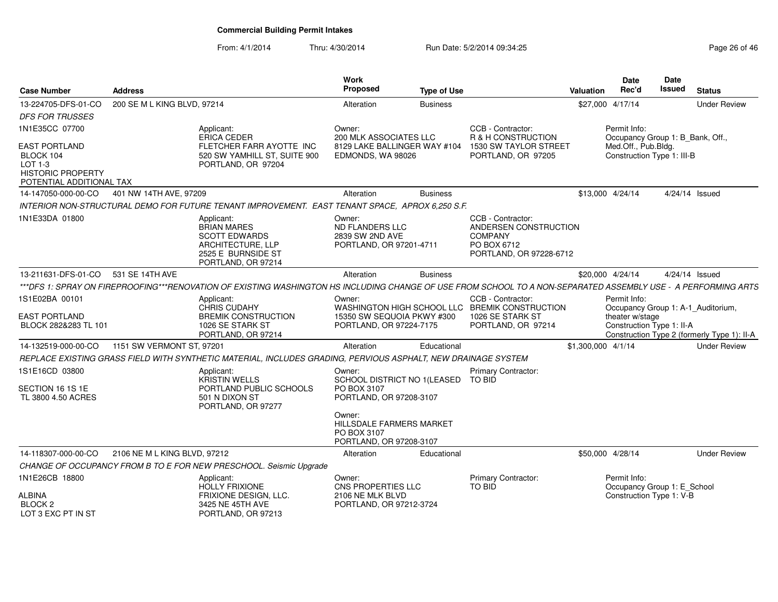| <b>Case Number</b>                                                                                     | <b>Address</b>               |                                                                                                                                                                | Work<br>Proposed                                                               | <b>Type of Use</b> |                                                                                                        | Valuation          | <b>Date</b><br>Rec'd                                                                  | Date<br><b>Issued</b> | <b>Status</b>                               |
|--------------------------------------------------------------------------------------------------------|------------------------------|----------------------------------------------------------------------------------------------------------------------------------------------------------------|--------------------------------------------------------------------------------|--------------------|--------------------------------------------------------------------------------------------------------|--------------------|---------------------------------------------------------------------------------------|-----------------------|---------------------------------------------|
| 13-224705-DFS-01-CO                                                                                    | 200 SE M L KING BLVD, 97214  |                                                                                                                                                                | Alteration                                                                     | <b>Business</b>    |                                                                                                        | \$27,000 4/17/14   |                                                                                       |                       | <b>Under Review</b>                         |
| <b>DFS FOR TRUSSES</b>                                                                                 |                              |                                                                                                                                                                |                                                                                |                    |                                                                                                        |                    |                                                                                       |                       |                                             |
| 1N1E35CC 07700                                                                                         |                              | Applicant:                                                                                                                                                     | Owner:                                                                         |                    | CCB - Contractor:                                                                                      |                    | Permit Info:                                                                          |                       |                                             |
| <b>EAST PORTLAND</b><br>BLOCK 104<br>$LOT 1-3$<br><b>HISTORIC PROPERTY</b><br>POTENTIAL ADDITIONAL TAX |                              | ERICA CEDER<br>FLETCHER FARR AYOTTE INC<br>520 SW YAMHILL ST, SUITE 900<br>PORTLAND, OR 97204                                                                  | 200 MLK ASSOCIATES LLC<br>8129 LAKE BALLINGER WAY #104<br>EDMONDS, WA 98026    |                    | R & H CONSTRUCTION<br>1530 SW TAYLOR STREET<br>PORTLAND, OR 97205                                      |                    | Occupancy Group 1: B_Bank, Off.,<br>Med.Off., Pub.Bldg.<br>Construction Type 1: III-B |                       |                                             |
| 14-147050-000-00-CO                                                                                    | 401 NW 14TH AVE. 97209       |                                                                                                                                                                | Alteration                                                                     | <b>Business</b>    |                                                                                                        | \$13,000 4/24/14   |                                                                                       |                       | 4/24/14 Issued                              |
|                                                                                                        |                              | INTERIOR NON-STRUCTURAL DEMO FOR FUTURE TENANT IMPROVEMENT. EAST TENANT SPACE, APROX 6,250 S.F.                                                                |                                                                                |                    |                                                                                                        |                    |                                                                                       |                       |                                             |
| 1N1E33DA 01800                                                                                         |                              | Applicant:<br><b>BRIAN MARES</b><br><b>SCOTT EDWARDS</b><br>ARCHITECTURE, LLP<br>2525 E BURNSIDE ST<br>PORTLAND, OR 97214                                      | Owner:<br><b>ND FLANDERS LLC</b><br>2839 SW 2ND AVE<br>PORTLAND, OR 97201-4711 |                    | CCB - Contractor:<br>ANDERSEN CONSTRUCTION<br><b>COMPANY</b><br>PO BOX 6712<br>PORTLAND, OR 97228-6712 |                    |                                                                                       |                       |                                             |
| 13-211631-DFS-01-CO 531 SE 14TH AVE                                                                    |                              |                                                                                                                                                                | Alteration                                                                     | <b>Business</b>    |                                                                                                        | \$20,000 4/24/14   |                                                                                       |                       | 4/24/14 Issued                              |
|                                                                                                        |                              | ***DFS 1: SPRAY ON FIREPROOFING***RENOVATION OF EXISTING WASHINGTON HS INCLUDING CHANGE OF USE FROM SCHOOL TO A NON-SEPARATED ASSEMBLY USE - A PERFORMING ARTS |                                                                                |                    |                                                                                                        |                    |                                                                                       |                       |                                             |
| 1S1E02BA 00101<br><b>EAST PORTLAND</b>                                                                 |                              | Applicant:<br>CHRIS CUDAHY<br><b>BREMIK CONSTRUCTION</b>                                                                                                       | Owner:<br>15350 SW SEQUOIA PKWY #300                                           |                    | CCB - Contractor:<br>WASHINGTON HIGH SCHOOL LLC BREMIK CONSTRUCTION<br>1026 SE STARK ST                |                    | Permit Info:<br>theater w/stage                                                       |                       | Occupancy Group 1: A-1 Auditorium,          |
| BLOCK 282&283 TL 101                                                                                   |                              | 1026 SE STARK ST<br>PORTLAND, OR 97214                                                                                                                         | PORTLAND, OR 97224-7175                                                        |                    | PORTLAND, OR 97214                                                                                     |                    | Construction Type 1: II-A                                                             |                       | Construction Type 2 (formerly Type 1): II-A |
| 14-132519-000-00-CO                                                                                    | 1151 SW VERMONT ST, 97201    |                                                                                                                                                                | Alteration                                                                     | Educational        |                                                                                                        | \$1,300,000 4/1/14 |                                                                                       |                       | <b>Under Review</b>                         |
|                                                                                                        |                              | REPLACE EXISTING GRASS FIELD WITH SYNTHETIC MATERIAL, INCLUDES GRADING, PERVIOUS ASPHALT, NEW DRAINAGE SYSTEM                                                  |                                                                                |                    |                                                                                                        |                    |                                                                                       |                       |                                             |
| 1S1E16CD 03800                                                                                         |                              | Applicant:                                                                                                                                                     | Owner:                                                                         |                    | <b>Primary Contractor:</b>                                                                             |                    |                                                                                       |                       |                                             |
| SECTION 16 1S 1E<br>TL 3800 4.50 ACRES                                                                 |                              | KRISTIN WELLS<br>PORTLAND PUBLIC SCHOOLS<br>501 N DIXON ST<br>PORTLAND, OR 97277                                                                               | SCHOOL DISTRICT NO 1(LEASED TO BID<br>PO BOX 3107<br>PORTLAND, OR 97208-3107   |                    |                                                                                                        |                    |                                                                                       |                       |                                             |
|                                                                                                        |                              |                                                                                                                                                                | Owner:<br>HILLSDALE FARMERS MARKET<br>PO BOX 3107<br>PORTLAND, OR 97208-3107   |                    |                                                                                                        |                    |                                                                                       |                       |                                             |
| 14-118307-000-00-CO                                                                                    | 2106 NE M L KING BLVD, 97212 |                                                                                                                                                                | Alteration                                                                     | Educational        |                                                                                                        | \$50,000 4/28/14   |                                                                                       |                       | <b>Under Review</b>                         |
|                                                                                                        |                              | CHANGE OF OCCUPANCY FROM B TO E FOR NEW PRESCHOOL. Seismic Upgrade                                                                                             |                                                                                |                    |                                                                                                        |                    |                                                                                       |                       |                                             |
| 1N1E26CB 18800                                                                                         |                              | Applicant:                                                                                                                                                     | Owner:                                                                         |                    | Primary Contractor:                                                                                    |                    | Permit Info:                                                                          |                       |                                             |
| <b>ALBINA</b><br>BLOCK <sub>2</sub><br>LOT 3 EXC PT IN ST                                              |                              | HOLLY FRIXIONE<br><b>FRIXIONE DESIGN, LLC.</b><br>3425 NE 45TH AVE<br>PORTLAND, OR 97213                                                                       | CNS PROPERTIES LLC<br>2106 NE MLK BLVD<br>PORTLAND, OR 97212-3724              |                    | TO BID                                                                                                 |                    | Occupancy Group 1: E_School<br>Construction Type 1: V-B                               |                       |                                             |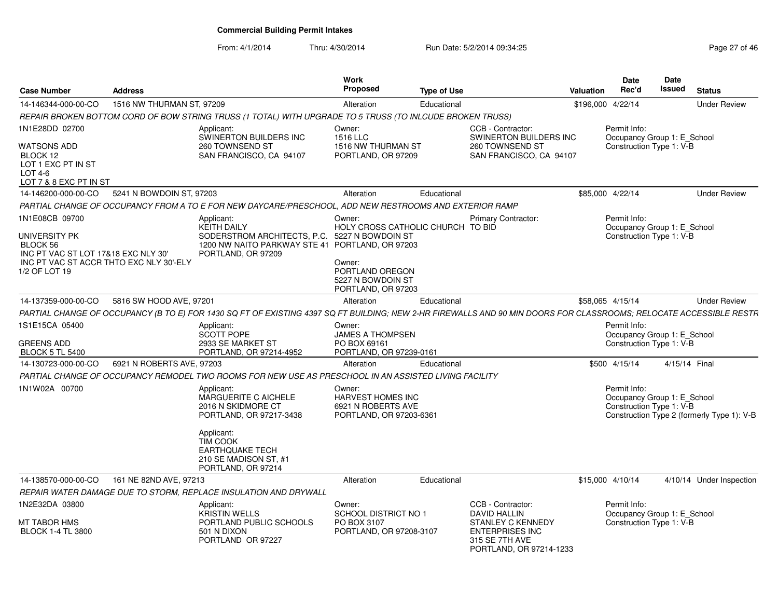| <b>Case Number</b>                                                                                                                             | <b>Address</b>            |                                                                                                                                                                                               | <b>Work</b><br>Proposed                                                                                             | <b>Type of Use</b> |                                                                                                           | <b>Valuation</b>  | <b>Date</b><br>Rec'd                                                    | Date<br>Issued | <b>Status</b>                              |
|------------------------------------------------------------------------------------------------------------------------------------------------|---------------------------|-----------------------------------------------------------------------------------------------------------------------------------------------------------------------------------------------|---------------------------------------------------------------------------------------------------------------------|--------------------|-----------------------------------------------------------------------------------------------------------|-------------------|-------------------------------------------------------------------------|----------------|--------------------------------------------|
| 14-146344-000-00-CO                                                                                                                            | 1516 NW THURMAN ST, 97209 |                                                                                                                                                                                               | Alteration                                                                                                          | Educational        |                                                                                                           | \$196,000 4/22/14 |                                                                         |                | <b>Under Review</b>                        |
|                                                                                                                                                |                           | REPAIR BROKEN BOTTOM CORD OF BOW STRING TRUSS (1 TOTAL) WITH UPGRADE TO 5 TRUSS (TO INLCUDE BROKEN TRUSS)                                                                                     |                                                                                                                     |                    |                                                                                                           |                   |                                                                         |                |                                            |
| 1N1E28DD 02700                                                                                                                                 |                           | Applicant:                                                                                                                                                                                    | Owner:                                                                                                              |                    | CCB - Contractor:                                                                                         |                   | Permit Info:                                                            |                |                                            |
| <b>WATSONS ADD</b><br>BLOCK 12<br>LOT 1 EXC PT IN ST<br><b>LOT 4-6</b><br>LOT 7 & 8 EXC PT IN ST                                               |                           | SWINERTON BUILDERS INC<br>260 TOWNSEND ST<br>SAN FRANCISCO, CA 94107                                                                                                                          | 1516 LLC<br>1516 NW THURMAN ST<br>PORTLAND, OR 97209                                                                |                    | SWINERTON BUILDERS INC<br>260 TOWNSEND ST<br>SAN FRANCISCO, CA 94107                                      |                   | Occupancy Group 1: E_School<br>Construction Type 1: V-B                 |                |                                            |
| 14-146200-000-00-CO                                                                                                                            | 5241 N BOWDOIN ST, 97203  |                                                                                                                                                                                               | Alteration                                                                                                          | Educational        |                                                                                                           |                   | \$85,000 4/22/14                                                        |                | <b>Under Review</b>                        |
|                                                                                                                                                |                           | PARTIAL CHANGE OF OCCUPANCY FROM A TO E FOR NEW DAYCARE/PRESCHOOL. ADD NEW RESTROOMS AND EXTERIOR RAMP                                                                                        |                                                                                                                     |                    |                                                                                                           |                   |                                                                         |                |                                            |
| 1N1E08CB 09700<br>UNIVERSITY PK<br>BLOCK 56<br>INC PT VAC ST LOT 17&18 EXC NLY 30'<br>INC PT VAC ST ACCR THTO EXC NLY 30'-ELY<br>1/2 OF LOT 19 |                           | Applicant:<br><b>KEITH DAILY</b><br>SODERSTROM ARCHITECTS, P.C. 5227 N BOWDOIN ST<br>1200 NW NAITO PARKWAY STE 41 PORTLAND, OR 97203<br>PORTLAND, OR 97209                                    | Owner:<br>HOLY CROSS CATHOLIC CHURCH TO BID<br>Owner:<br>PORTLAND OREGON<br>5227 N BOWDOIN ST<br>PORTLAND, OR 97203 |                    | <b>Primary Contractor:</b>                                                                                |                   | Permit Info:<br>Occupancy Group 1: E_School<br>Construction Type 1: V-B |                |                                            |
| 14-137359-000-00-CO                                                                                                                            | 5816 SW HOOD AVE, 97201   |                                                                                                                                                                                               | Alteration                                                                                                          | Educational        |                                                                                                           |                   | \$58.065 4/15/14                                                        |                | <b>Under Review</b>                        |
|                                                                                                                                                |                           | PARTIAL CHANGE OF OCCUPANCY (B TO E) FOR 1430 SQ FT OF EXISTING 4397 SQ FT BUILDING; NEW 2-HR FIREWALLS AND 90 MIN DOORS FOR CLASSROOMS; RELOCATE ACCESSIBLE RESTR                            |                                                                                                                     |                    |                                                                                                           |                   |                                                                         |                |                                            |
| 1S1E15CA 05400<br><b>GREENS ADD</b><br><b>BLOCK 5 TL 5400</b>                                                                                  |                           | Applicant:<br><b>SCOTT POPE</b><br>2933 SE MARKET ST<br>PORTLAND, OR 97214-4952                                                                                                               | Owner:<br><b>JAMES A THOMPSEN</b><br>PO BOX 69161<br>PORTLAND, OR 97239-0161                                        |                    |                                                                                                           |                   | Permit Info:<br>Occupancy Group 1: E_School<br>Construction Type 1: V-B |                |                                            |
| 14-130723-000-00-CO                                                                                                                            | 6921 N ROBERTS AVE, 97203 |                                                                                                                                                                                               | Alteration                                                                                                          | Educational        |                                                                                                           |                   | \$500 4/15/14                                                           | 4/15/14 Final  |                                            |
|                                                                                                                                                |                           | PARTIAL CHANGE OF OCCUPANCY REMODEL TWO ROOMS FOR NEW USE AS PRESCHOOL IN AN ASSISTED LIVING FACILITY                                                                                         |                                                                                                                     |                    |                                                                                                           |                   |                                                                         |                |                                            |
| 1N1W02A 00700                                                                                                                                  |                           | Applicant:<br>MARGUERITE C AICHELE<br>2016 N SKIDMORE CT<br>PORTLAND, OR 97217-3438<br>Applicant:<br><b>TIM COOK</b><br><b>EARTHQUAKE TECH</b><br>210 SE MADISON ST, #1<br>PORTLAND, OR 97214 | Owner:<br>HARVEST HOMES INC<br>6921 N ROBERTS AVE<br>PORTLAND, OR 97203-6361                                        |                    |                                                                                                           |                   | Permit Info:<br>Occupancy Group 1: E_School<br>Construction Type 1: V-B |                | Construction Type 2 (formerly Type 1): V-B |
| 14-138570-000-00-CO                                                                                                                            | 161 NE 82ND AVE, 97213    |                                                                                                                                                                                               | Alteration                                                                                                          | Educational        |                                                                                                           | \$15,000 4/10/14  |                                                                         |                | 4/10/14 Under Inspection                   |
|                                                                                                                                                |                           | REPAIR WATER DAMAGE DUE TO STORM, REPLACE INSULATION AND DRYWALL                                                                                                                              |                                                                                                                     |                    |                                                                                                           |                   |                                                                         |                |                                            |
| 1N2E32DA 03800<br><b>MT TABOR HMS</b><br><b>BLOCK 1-4 TL 3800</b>                                                                              |                           | Applicant:<br><b>KRISTIN WELLS</b><br>PORTLAND PUBLIC SCHOOLS<br>501 N DIXON<br>PORTLAND OR 97227                                                                                             | Owner:<br><b>SCHOOL DISTRICT NO 1</b><br>PO BOX 3107<br>PORTLAND, OR 97208-3107                                     |                    | CCB - Contractor:<br><b>DAVID HALLIN</b><br>STANLEY C KENNEDY<br><b>ENTERPRISES INC</b><br>315 SE 7TH AVE |                   | Permit Info:<br>Occupancy Group 1: E_School<br>Construction Type 1: V-B |                |                                            |
|                                                                                                                                                |                           |                                                                                                                                                                                               |                                                                                                                     |                    | PORTLAND, OR 97214-1233                                                                                   |                   |                                                                         |                |                                            |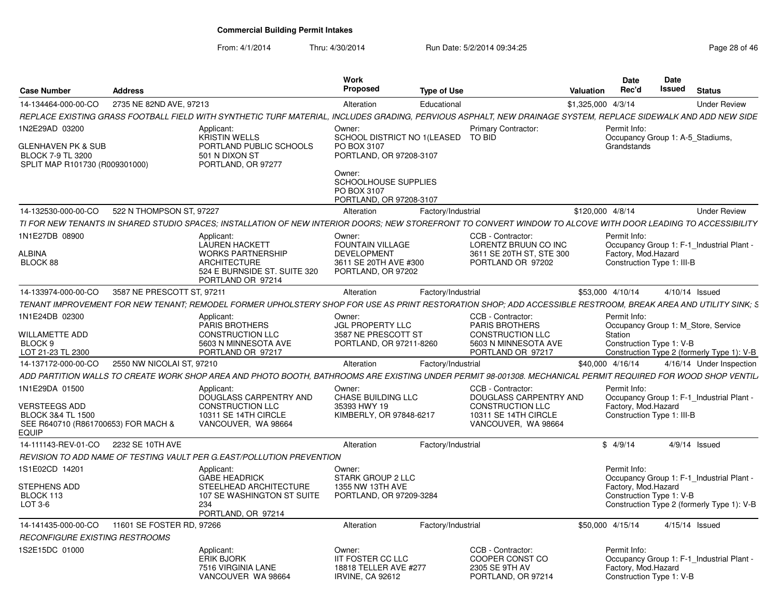| <b>Case Number</b>                                                                                                     | <b>Address</b>             |                                                                                                                                                                | Work<br><b>Proposed</b>                                                                                                                                             | <b>Type of Use</b> |                                                                                                                       | <b>Valuation</b>   | <b>Date</b><br>Rec'd                                              | Date<br>Issued | <b>Status</b>                                                                     |
|------------------------------------------------------------------------------------------------------------------------|----------------------------|----------------------------------------------------------------------------------------------------------------------------------------------------------------|---------------------------------------------------------------------------------------------------------------------------------------------------------------------|--------------------|-----------------------------------------------------------------------------------------------------------------------|--------------------|-------------------------------------------------------------------|----------------|-----------------------------------------------------------------------------------|
| 14-134464-000-00-CO                                                                                                    | 2735 NE 82ND AVE, 97213    |                                                                                                                                                                | Alteration                                                                                                                                                          | Educational        |                                                                                                                       | \$1,325,000 4/3/14 |                                                                   |                | <b>Under Review</b>                                                               |
|                                                                                                                        |                            | REPLACE EXISTING GRASS FOOTBALL FIELD WITH SYNTHETIC TURF MATERIAL, INCLUDES GRADING, PERVIOUS ASPHALT, NEW DRAINAGE SYSTEM, REPLACE SIDEWALK AND ADD NEW SIDE |                                                                                                                                                                     |                    |                                                                                                                       |                    |                                                                   |                |                                                                                   |
| IN2E29AD 03200<br>GLENHAVEN PK & SUB<br><b>BLOCK 7-9 TL 3200</b><br>SPLIT MAP R101730 (R009301000)                     |                            | Applicant:<br><b>KRISTIN WELLS</b><br>PORTLAND PUBLIC SCHOOLS<br>501 N DIXON ST<br>PORTLAND, OR 97277                                                          | Owner:<br>SCHOOL DISTRICT NO 1 (LEASED<br>PO BOX 3107<br>PORTLAND, OR 97208-3107<br>Owner:<br><b>SCHOOLHOUSE SUPPLIES</b><br>PO BOX 3107<br>PORTLAND, OR 97208-3107 |                    | <b>Primary Contractor:</b><br>TO BID                                                                                  |                    | Permit Info:<br>Occupancy Group 1: A-5 Stadiums,<br>Grandstands   |                |                                                                                   |
| 14-132530-000-00-CO                                                                                                    | 522 N THOMPSON ST, 97227   |                                                                                                                                                                | Alteration                                                                                                                                                          | Factory/Industrial |                                                                                                                       | \$120,000 4/8/14   |                                                                   |                | <b>Under Review</b>                                                               |
|                                                                                                                        |                            | TI FOR NEW TENANTS IN SHARED STUDIO SPACES; INSTALLATION OF NEW INTERIOR DOORS; NEW STOREFRONT TO CONVERT WINDOW TO ALCOVE WITH DOOR LEADING TO ACCESSIBILITY  |                                                                                                                                                                     |                    |                                                                                                                       |                    |                                                                   |                |                                                                                   |
| 1N1E27DB 08900<br>ALBINA<br><b>BLOCK 88</b>                                                                            |                            | Applicant:<br><b>LAUREN HACKETT</b><br><b>WORKS PARTNERSHIP</b><br><b>ARCHITECTURE</b><br>524 E BURNSIDE ST. SUITE 320<br>PORTLAND OR 97214                    | Owner:<br><b>FOUNTAIN VILLAGE</b><br><b>DEVELOPMENT</b><br>3611 SE 20TH AVE #300<br>PORTLAND, OR 97202                                                              |                    | CCB - Contractor:<br>LORENTZ BRUUN CO INC<br>3611 SE 20TH ST, STE 300<br>PORTLAND OR 97202                            |                    | Permit Info:<br>Factory, Mod.Hazard<br>Construction Type 1: III-B |                | Occupancy Group 1: F-1_Industrial Plant -                                         |
| 14-133974-000-00-CO                                                                                                    | 3587 NE PRESCOTT ST, 97211 |                                                                                                                                                                | Alteration                                                                                                                                                          | Factory/Industrial |                                                                                                                       |                    | \$53,000 4/10/14                                                  |                | 4/10/14 Issued                                                                    |
|                                                                                                                        |                            | TENANT IMPROVEMENT FOR NEW TENANT: REMODEL FORMER UPHOLSTERY SHOP FOR USE AS PRINT RESTORATION SHOP: ADD ACCESSIBLE RESTROOM. BREAK AREA AND UTILITY SINK: S   |                                                                                                                                                                     |                    |                                                                                                                       |                    |                                                                   |                |                                                                                   |
| 1N1E24DB 02300<br>WILLAMETTE ADD<br>BLOCK <sub>9</sub><br>LOT 21-23 TL 2300                                            |                            | Applicant:<br>PARIS BROTHERS<br>CONSTRUCTION LLC<br>5603 N MINNESOTA AVE<br>PORTLAND OR 97217                                                                  | Owner:<br>JGL PROPERTY LLC<br>3587 NE PRESCOTT ST<br>PORTLAND, OR 97211-8260                                                                                        |                    | CCB - Contractor:<br><b>PARIS BROTHERS</b><br><b>CONSTRUCTION LLC</b><br>5603 N MINNESOTA AVE<br>PORTLAND OR 97217    |                    | Permit Info:<br>Station<br>Construction Type 1: V-B               |                | Occupancy Group 1: M Store, Service<br>Construction Type 2 (formerly Type 1): V-B |
| 14-137172-000-00-CO                                                                                                    | 2550 NW NICOLAI ST, 97210  |                                                                                                                                                                | Alteration                                                                                                                                                          | Factory/Industrial |                                                                                                                       |                    | \$40,000 4/16/14                                                  |                | 4/16/14 Under Inspection                                                          |
|                                                                                                                        |                            | ADD PARTITION WALLS TO CREATE WORK SHOP AREA AND PHOTO BOOTH. BATHROOMS ARE EXISTING UNDER PERMIT 98-001308. MECHANICAL PERMIT REQUIRED FOR WOOD SHOP VENTIL,  |                                                                                                                                                                     |                    |                                                                                                                       |                    |                                                                   |                |                                                                                   |
| 1N1E29DA 01500<br>VERSTEEGS ADD<br><b>BLOCK 3&amp;4 TL 1500</b><br>SEE R640710 (R861700653) FOR MACH &<br><b>EQUIP</b> |                            | Applicant:<br>DOUGLASS CARPENTRY AND<br><b>CONSTRUCTION LLC</b><br>10311 SE 14TH CIRCLE<br>VANCOUVER, WA 98664                                                 | Owner:<br>CHASE BUILDING LLC<br>35393 HWY 19<br>KIMBERLY, OR 97848-6217                                                                                             |                    | CCB - Contractor:<br>DOUGLASS CARPENTRY AND<br><b>CONSTRUCTION LLC</b><br>10311 SE 14TH CIRCLE<br>VANCOUVER, WA 98664 |                    | Permit Info:<br>Factory, Mod.Hazard<br>Construction Type 1: III-B |                | Occupancy Group 1: F-1_Industrial Plant -                                         |
| 14-111143-REV-01-CO                                                                                                    | 2232 SE 10TH AVE           |                                                                                                                                                                | Alteration                                                                                                                                                          | Factory/Industrial |                                                                                                                       |                    | \$4/9/14                                                          |                | $4/9/14$ Issued                                                                   |
|                                                                                                                        |                            | REVISION TO ADD NAME OF TESTING VAULT PER G.EAST/POLLUTION PREVENTION                                                                                          |                                                                                                                                                                     |                    |                                                                                                                       |                    |                                                                   |                |                                                                                   |
| 1S1E02CD 14201                                                                                                         |                            | Applicant:<br><b>GABE HEADRICK</b>                                                                                                                             | Owner:<br>STARK GROUP 2 LLC                                                                                                                                         |                    |                                                                                                                       |                    | Permit Info:                                                      |                | Occupancy Group 1: F-1_Industrial Plant -                                         |
| <b>STEPHENS ADD</b><br>BLOCK 113<br>LOT 3-6                                                                            |                            | STEELHEAD ARCHITECTURE<br>107 SE WASHINGTON ST SUITE<br>234<br>PORTLAND, OR 97214                                                                              | 1355 NW 13TH AVE<br>PORTLAND, OR 97209-3284                                                                                                                         |                    |                                                                                                                       |                    | Factory, Mod.Hazard<br>Construction Type 1: V-B                   |                | Construction Type 2 (formerly Type 1): V-B                                        |
| 14-141435-000-00-CO                                                                                                    | 11601 SE FOSTER RD, 97266  |                                                                                                                                                                | Alteration                                                                                                                                                          | Factory/Industrial |                                                                                                                       |                    | \$50,000 4/15/14                                                  |                | 4/15/14 Issued                                                                    |
| RECONFIGURE EXISTING RESTROOMS                                                                                         |                            |                                                                                                                                                                |                                                                                                                                                                     |                    |                                                                                                                       |                    |                                                                   |                |                                                                                   |
| IS2E15DC 01000                                                                                                         |                            | Applicant:<br><b>ERIK BJORK</b><br>7516 VIRGINIA LANE<br>VANCOUVER WA 98664                                                                                    | Owner:<br><b>IIT FOSTER CC LLC</b><br>18818 TELLER AVE #277<br><b>IRVINE, CA 92612</b>                                                                              |                    | CCB - Contractor:<br>COOPER CONST CO<br>2305 SE 9TH AV<br>PORTLAND, OR 97214                                          |                    | Permit Info:<br>Factory, Mod.Hazard<br>Construction Type 1: V-B   |                | Occupancy Group 1: F-1 Industrial Plant -                                         |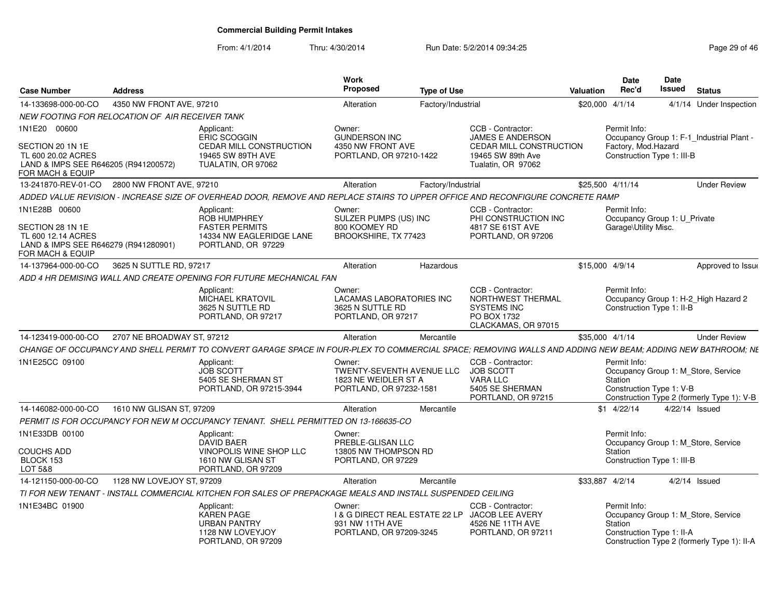| <b>Case Number</b>                                                                                                  | <b>Address</b>             |                                                                                                                                                            | <b>Work</b><br><b>Proposed</b>                                                                   | <b>Type of Use</b> |                                                                                                                           | <b>Valuation</b> | Date<br>Rec'd                                                        | Date<br><b>Issued</b> | <b>Status</b>                                                                      |
|---------------------------------------------------------------------------------------------------------------------|----------------------------|------------------------------------------------------------------------------------------------------------------------------------------------------------|--------------------------------------------------------------------------------------------------|--------------------|---------------------------------------------------------------------------------------------------------------------------|------------------|----------------------------------------------------------------------|-----------------------|------------------------------------------------------------------------------------|
| 14-133698-000-00-CO                                                                                                 | 4350 NW FRONT AVE, 97210   |                                                                                                                                                            | Alteration                                                                                       | Factory/Industrial |                                                                                                                           | \$20,000 4/1/14  |                                                                      |                       | 4/1/14 Under Inspection                                                            |
| NEW FOOTING FOR RELOCATION OF AIR RECEIVER TANK                                                                     |                            |                                                                                                                                                            |                                                                                                  |                    |                                                                                                                           |                  |                                                                      |                       |                                                                                    |
| 1N1E20 00600<br>SECTION 20 1N 1E<br>TL 600 20.02 ACRES<br>LAND & IMPS SEE R646205 (R941200572)<br>FOR MACH & EQUIP  |                            | Applicant:<br><b>ERIC SCOGGIN</b><br>CEDAR MILL CONSTRUCTION<br>19465 SW 89TH AVE<br>TUALATIN, OR 97062                                                    | Owner:<br><b>GUNDERSON INC</b><br>4350 NW FRONT AVE<br>PORTLAND, OR 97210-1422                   |                    | CCB - Contractor:<br><b>JAMES E ANDERSON</b><br><b>CEDAR MILL CONSTRUCTION</b><br>19465 SW 89th Ave<br>Tualatin, OR 97062 |                  | Permit Info:<br>Factory, Mod.Hazard<br>Construction Type 1: III-B    |                       | Occupancy Group 1: F-1_Industrial Plant -                                          |
| 13-241870-REV-01-CO                                                                                                 | 2800 NW FRONT AVE, 97210   |                                                                                                                                                            | Alteration                                                                                       | Factory/Industrial |                                                                                                                           | \$25.500 4/11/14 |                                                                      |                       | <b>Under Review</b>                                                                |
|                                                                                                                     |                            | ADDED VALUE REVISION - INCREASE SIZE OF OVERHEAD DOOR, REMOVE AND REPLACE STAIRS TO UPPER OFFICE AND RECONFIGURE CONCRETE RAMP                             |                                                                                                  |                    |                                                                                                                           |                  |                                                                      |                       |                                                                                    |
| 1N1E28B 00600<br>SECTION 28 1N 1E<br>TL 600 12.14 ACRES<br>LAND & IMPS SEE R646279 (R941280901)<br>FOR MACH & EQUIP |                            | Applicant:<br><b>ROB HUMPHREY</b><br><b>FASTER PERMITS</b><br>14334 NW EAGLERIDGE LANE<br>PORTLAND, OR 97229                                               | Owner:<br>SULZER PUMPS (US) INC<br>800 KOOMEY RD<br>BROOKSHIRE, TX 77423                         |                    | CCB - Contractor:<br>PHI CONSTRUCTION INC<br>4817 SE 61ST AVE<br>PORTLAND, OR 97206                                       |                  | Permit Info:<br>Occupancy Group 1: U_Private<br>Garage\Utility Misc. |                       |                                                                                    |
| 14-137964-000-00-CO                                                                                                 | 3625 N SUTTLE RD, 97217    |                                                                                                                                                            | Alteration                                                                                       | Hazardous          |                                                                                                                           | \$15,000 4/9/14  |                                                                      |                       | Approved to Issue                                                                  |
|                                                                                                                     |                            | ADD 4 HR DEMISING WALL AND CREATE OPENING FOR FUTURE MECHANICAL FAN                                                                                        |                                                                                                  |                    |                                                                                                                           |                  |                                                                      |                       |                                                                                    |
|                                                                                                                     |                            | Applicant:<br><b>MICHAEL KRATOVIL</b><br>3625 N SUTTLE RD<br>PORTLAND, OR 97217                                                                            | Owner:<br><b>LACAMAS LABORATORIES INC</b><br>3625 N SUTTLE RD<br>PORTLAND, OR 97217              |                    | CCB - Contractor:<br>NORTHWEST THERMAL<br><b>SYSTEMS INC</b><br>PO BOX 1732<br>CLACKAMAS, OR 97015                        |                  | Permit Info:<br>Construction Type 1: II-B                            |                       | Occupancy Group 1: H-2 High Hazard 2                                               |
| 14-123419-000-00-CO                                                                                                 | 2707 NE BROADWAY ST, 97212 |                                                                                                                                                            | Alteration                                                                                       | Mercantile         |                                                                                                                           | \$35,000 4/1/14  |                                                                      |                       | <b>Under Review</b>                                                                |
|                                                                                                                     |                            | CHANGE OF OCCUPANCY AND SHELL PERMIT TO CONVERT GARAGE SPACE IN FOUR-PLEX TO COMMERCIAL SPACE; REMOVING WALLS AND ADDING NEW BEAM; ADDING NEW BATHROOM; NE |                                                                                                  |                    |                                                                                                                           |                  |                                                                      |                       |                                                                                    |
| 1N1E25CC 09100                                                                                                      |                            | Applicant:<br><b>JOB SCOTT</b><br>5405 SE SHERMAN ST<br>PORTLAND, OR 97215-3944                                                                            | Owner:<br><b>TWENTY-SEVENTH AVENUE LLC</b><br>1823 NE WEIDLER ST A<br>PORTLAND, OR 97232-1581    |                    | CCB - Contractor:<br><b>JOB SCOTT</b><br><b>VARA LLC</b><br>5405 SE SHERMAN<br>PORTLAND, OR 97215                         |                  | Permit Info:<br>Station<br>Construction Type 1: V-B                  |                       | Occupancy Group 1: M_Store, Service<br>Construction Type 2 (formerly Type 1): V-B  |
| 14-146082-000-00-CO                                                                                                 | 1610 NW GLISAN ST, 97209   |                                                                                                                                                            | Alteration                                                                                       | Mercantile         |                                                                                                                           |                  | $$1$ 4/22/14                                                         | 4/22/14 Issued        |                                                                                    |
|                                                                                                                     |                            | PERMIT IS FOR OCCUPANCY FOR NEW M OCCUPANCY TENANT. SHELL PERMITTED ON 13-166635-CO                                                                        |                                                                                                  |                    |                                                                                                                           |                  |                                                                      |                       |                                                                                    |
| 1N1E33DB 00100<br><b>COUCHS ADD</b><br>BLOCK 153<br>LOT 5&8                                                         |                            | Applicant:<br><b>DAVID BAER</b><br>VINOPOLIS WINE SHOP LLC<br>1610 NW GLISAN ST<br>PORTLAND, OR 97209                                                      | Owner:<br>PREBLE-GLISAN LLC<br>13805 NW THOMPSON RD<br>PORTLAND, OR 97229                        |                    |                                                                                                                           |                  | Permit Info:<br>Station<br>Construction Type 1: III-B                |                       | Occupancy Group 1: M Store, Service                                                |
| 14-121150-000-00-CO                                                                                                 | 1128 NW LOVEJOY ST, 97209  |                                                                                                                                                            | Alteration                                                                                       | Mercantile         |                                                                                                                           | \$33,887 4/2/14  |                                                                      |                       | $4/2/14$ Issued                                                                    |
|                                                                                                                     |                            | TI FOR NEW TENANT - INSTALL COMMERCIAL KITCHEN FOR SALES OF PREPACKAGE MEALS AND INSTALL SUSPENDED CEILING                                                 |                                                                                                  |                    |                                                                                                                           |                  |                                                                      |                       |                                                                                    |
| 1N1E34BC 01900                                                                                                      |                            | Applicant:<br><b>KAREN PAGE</b><br><b>URBAN PANTRY</b><br>1128 NW LOVEYJOY<br>PORTLAND, OR 97209                                                           | Owner:<br><b>1&amp; G DIRECT REAL ESTATE 22 LP</b><br>931 NW 11TH AVE<br>PORTLAND, OR 97209-3245 |                    | CCB - Contractor:<br>JACOB LEE AVERY<br>4526 NE 11TH AVE<br>PORTLAND, OR 97211                                            |                  | Permit Info:<br>Station<br>Construction Type 1: II-A                 |                       | Occupancy Group 1: M_Store, Service<br>Construction Type 2 (formerly Type 1): II-A |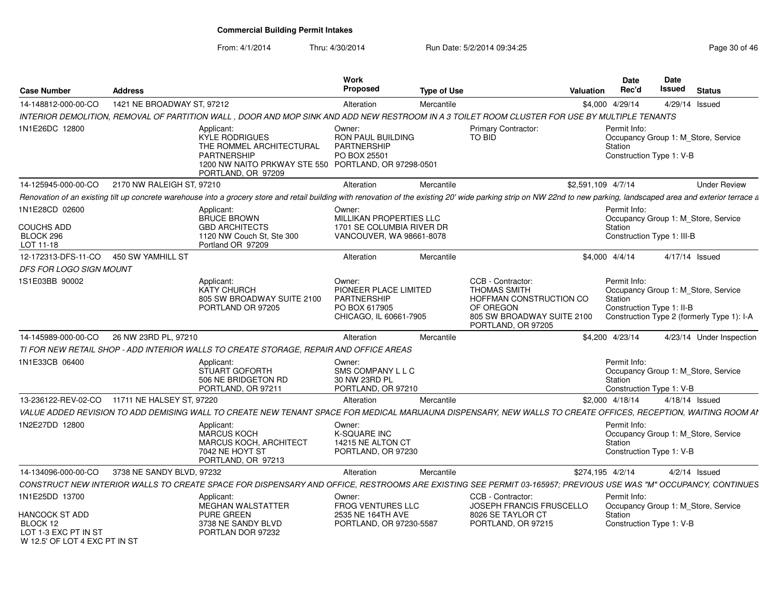| <b>Case Number</b>                                                                                    | <b>Address</b>             |                                                                                                                                                                                                                        | Work<br><b>Proposed</b>                                                                    | <b>Type of Use</b> |                                                                                                                                      | Valuation          | <b>Date</b><br>Rec'd    | Date<br>Issued             | <b>Status</b>                                                                     |
|-------------------------------------------------------------------------------------------------------|----------------------------|------------------------------------------------------------------------------------------------------------------------------------------------------------------------------------------------------------------------|--------------------------------------------------------------------------------------------|--------------------|--------------------------------------------------------------------------------------------------------------------------------------|--------------------|-------------------------|----------------------------|-----------------------------------------------------------------------------------|
| 14-148812-000-00-CO                                                                                   | 1421 NE BROADWAY ST, 97212 |                                                                                                                                                                                                                        | Alteration                                                                                 | Mercantile         |                                                                                                                                      |                    | \$4,000 4/29/14         |                            | 4/29/14 Issued                                                                    |
|                                                                                                       |                            | INTERIOR DEMOLITION. REMOVAL OF PARTITION WALL . DOOR AND MOP SINK AND ADD NEW RESTROOM IN A 3 TOILET ROOM CLUSTER FOR USE BY MULTIPLE TENANTS                                                                         |                                                                                            |                    |                                                                                                                                      |                    |                         |                            |                                                                                   |
| 1N1E26DC 12800                                                                                        |                            | Applicant:<br><b>KYLE RODRIGUES</b><br>THE ROMMEL ARCHITECTURAL<br><b>PARTNERSHIP</b><br>1200 NW NAITO PRKWAY STE 550 PORTLAND, OR 97298-0501<br>PORTLAND, OR 97209                                                    | Owner:<br>RON PAUL BUILDING<br><b>PARTNERSHIP</b><br>PO BOX 25501                          |                    | <b>Primary Contractor:</b><br><b>TO BID</b>                                                                                          |                    | Permit Info:<br>Station | Construction Type 1: V-B   | Occupancy Group 1: M_Store, Service                                               |
| 14-125945-000-00-CO                                                                                   | 2170 NW RALEIGH ST, 97210  |                                                                                                                                                                                                                        | Alteration                                                                                 | Mercantile         |                                                                                                                                      | \$2,591,109 4/7/14 |                         |                            | <b>Under Review</b>                                                               |
|                                                                                                       |                            | Renovation of an existing tilt up concrete warehouse into a grocery store and retail building with renovation of the existing 20' wide parking strip on NW 22nd to new parking, landscaped area and exterior terrace a |                                                                                            |                    |                                                                                                                                      |                    |                         |                            |                                                                                   |
| 1N1E28CD 02600<br><b>COUCHS ADD</b><br>BLOCK 296<br>LOT 11-18                                         |                            | Applicant:<br><b>BRUCE BROWN</b><br><b>GBD ARCHITECTS</b><br>1120 NW Couch St, Ste 300<br>Portland OR 97209                                                                                                            | Owner:<br>MILLIKAN PROPERTIES LLC<br>1701 SE COLUMBIA RIVER DR<br>VANCOUVER, WA 98661-8078 |                    |                                                                                                                                      |                    | Permit Info:<br>Station | Construction Type 1: III-B | Occupancy Group 1: M_Store, Service                                               |
| 12-172313-DFS-11-CO                                                                                   | 450 SW YAMHILL ST          |                                                                                                                                                                                                                        | Alteration                                                                                 | Mercantile         |                                                                                                                                      |                    | \$4,000 4/4/14          |                            | 4/17/14 Issued                                                                    |
| DFS FOR LOGO SIGN MOUNT                                                                               |                            |                                                                                                                                                                                                                        |                                                                                            |                    |                                                                                                                                      |                    |                         |                            |                                                                                   |
| 1S1E03BB 90002                                                                                        |                            | Applicant:<br><b>KATY CHURCH</b><br>805 SW BROADWAY SUITE 2100<br>PORTLAND OR 97205                                                                                                                                    | Owner:<br>PIONEER PLACE LIMITED<br>PARTNERSHIP<br>PO BOX 617905<br>CHICAGO, IL 60661-7905  |                    | CCB - Contractor:<br><b>THOMAS SMITH</b><br>HOFFMAN CONSTRUCTION CO<br>OF OREGON<br>805 SW BROADWAY SUITE 2100<br>PORTLAND, OR 97205 |                    | Permit Info:<br>Station | Construction Type 1: II-B  | Occupancy Group 1: M Store, Service<br>Construction Type 2 (formerly Type 1): I-A |
| 14-145989-000-00-CO                                                                                   | 26 NW 23RD PL, 97210       |                                                                                                                                                                                                                        | Alteration                                                                                 | Mercantile         |                                                                                                                                      |                    | \$4,200 4/23/14         |                            | 4/23/14 Under Inspection                                                          |
|                                                                                                       |                            | TI FOR NEW RETAIL SHOP - ADD INTERIOR WALLS TO CREATE STORAGE, REPAIR AND OFFICE AREAS                                                                                                                                 |                                                                                            |                    |                                                                                                                                      |                    |                         |                            |                                                                                   |
| 1N1E33CB 06400                                                                                        |                            | Applicant:<br><b>STUART GOFORTH</b><br>506 NE BRIDGETON RD<br>PORTLAND, OR 97211                                                                                                                                       | Owner:<br>SMS COMPANY L L C<br>30 NW 23RD PL<br>PORTLAND, OR 97210                         |                    |                                                                                                                                      |                    | Permit Info:<br>Station | Construction Type 1: V-B   | Occupancy Group 1: M_Store, Service                                               |
| 13-236122-REV-02-CO 11711 NE HALSEY ST, 97220                                                         |                            |                                                                                                                                                                                                                        | Alteration                                                                                 | Mercantile         |                                                                                                                                      |                    | \$2,000 4/18/14         |                            | $4/18/14$ Issued                                                                  |
|                                                                                                       |                            | VALUE ADDED REVISION TO ADD DEMISING WALL TO CREATE NEW TENANT SPACE FOR MEDICAL MARIJAUNA DISPENSARY, NEW WALLS TO CREATE OFFICES, RECEPTION, WAITING ROOM AI                                                         |                                                                                            |                    |                                                                                                                                      |                    |                         |                            |                                                                                   |
| 1N2E27DD 12800                                                                                        |                            | Applicant:<br><b>MARCUS KOCH</b><br><b>MARCUS KOCH, ARCHITECT</b><br>7042 NE HOYT ST<br>PORTLAND, OR 97213                                                                                                             | Owner:<br><b>K-SQUARE INC</b><br>14215 NE ALTON CT<br>PORTLAND, OR 97230                   |                    |                                                                                                                                      |                    | Permit Info:<br>Station | Construction Type 1: V-B   | Occupancy Group 1: M_Store, Service                                               |
| 14-134096-000-00-CO                                                                                   | 3738 NE SANDY BLVD, 97232  |                                                                                                                                                                                                                        | Alteration                                                                                 | Mercantile         |                                                                                                                                      | \$274,195 4/2/14   |                         |                            | $4/2/14$ Issued                                                                   |
|                                                                                                       |                            | CONSTRUCT NEW INTERIOR WALLS TO CREATE SPACE FOR DISPENSARY AND OFFICE, RESTROOMS ARE EXISTING SEE PERMIT 03-165957; PREVIOUS USE WAS "M" OCCUPANCY, CONTINUES                                                         |                                                                                            |                    |                                                                                                                                      |                    |                         |                            |                                                                                   |
| 1N1E25DD 13700<br>HANCOCK ST ADD<br>BLOCK 12<br>LOT 1-3 EXC PT IN ST<br>W 12.5' OF LOT 4 EXC PT IN ST |                            | Applicant:<br>MEGHAN WALSTATTER<br><b>PURE GREEN</b><br>3738 NE SANDY BLVD<br>PORTLAN DOR 97232                                                                                                                        | Owner:<br>FROG VENTURES LLC<br>2535 NE 164TH AVE<br>PORTLAND, OR 97230-5587                |                    | CCB - Contractor:<br>JOSEPH FRANCIS FRUSCELLO<br>8026 SE TAYLOR CT<br>PORTLAND, OR 97215                                             |                    | Permit Info:<br>Station | Construction Type 1: V-B   | Occupancy Group 1: M Store, Service                                               |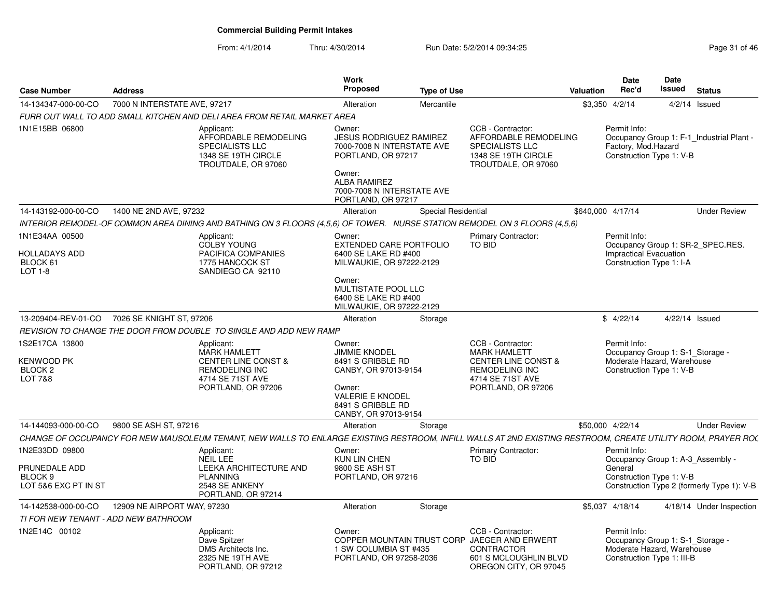| <b>Case Number</b>                                                   | <b>Address</b>               |                                                                                                                                                              | <b>Work</b><br><b>Proposed</b>                                                                                                | <b>Type of Use</b>  |                                                                                                                                               | <b>Valuation</b> | <b>Date</b><br>Rec'd                                                                                         | <b>Date</b><br><b>Issued</b> | <b>Status</b>                              |
|----------------------------------------------------------------------|------------------------------|--------------------------------------------------------------------------------------------------------------------------------------------------------------|-------------------------------------------------------------------------------------------------------------------------------|---------------------|-----------------------------------------------------------------------------------------------------------------------------------------------|------------------|--------------------------------------------------------------------------------------------------------------|------------------------------|--------------------------------------------|
| 14-134347-000-00-CO                                                  | 7000 N INTERSTATE AVE, 97217 |                                                                                                                                                              | Alteration                                                                                                                    | Mercantile          |                                                                                                                                               |                  | \$3,350 4/2/14                                                                                               |                              | $4/2/14$ Issued                            |
|                                                                      |                              | FURR OUT WALL TO ADD SMALL KITCHEN AND DELI AREA FROM RETAIL MARKET AREA                                                                                     |                                                                                                                               |                     |                                                                                                                                               |                  |                                                                                                              |                              |                                            |
| 1N1E15BB 06800                                                       |                              | Applicant:<br>AFFORDABLE REMODELING<br>SPECIALISTS LLC<br>1348 SE 19TH CIRCLE<br>TROUTDALE, OR 97060                                                         | Owner:<br><b>JESUS RODRIGUEZ RAMIREZ</b><br>7000-7008 N INTERSTATE AVE<br>PORTLAND, OR 97217<br>Owner:<br><b>ALBA RAMIREZ</b> |                     | CCB - Contractor:<br>AFFORDABLE REMODELING<br><b>SPECIALISTS LLC</b><br>1348 SE 19TH CIRCLE<br>TROUTDALE, OR 97060                            |                  | Permit Info:<br>Factory, Mod.Hazard<br>Construction Type 1: V-B                                              |                              | Occupancy Group 1: F-1_Industrial Plant -  |
|                                                                      |                              |                                                                                                                                                              | 7000-7008 N INTERSTATE AVE<br>PORTLAND, OR 97217                                                                              |                     |                                                                                                                                               |                  |                                                                                                              |                              |                                            |
| 14-143192-000-00-CO                                                  | 1400 NE 2ND AVE, 97232       |                                                                                                                                                              | Alteration                                                                                                                    | Special Residential |                                                                                                                                               |                  | \$640,000 4/17/14                                                                                            |                              | <b>Under Review</b>                        |
|                                                                      |                              | INTERIOR REMODEL-OF COMMON AREA DINING AND BATHING ON 3 FLOORS (4.5.6) OF TOWER. NURSE STATION REMODEL ON 3 FLOORS (4.5.6)                                   |                                                                                                                               |                     |                                                                                                                                               |                  |                                                                                                              |                              |                                            |
| 1N1E34AA 00500<br><b>HOLLADAYS ADD</b><br>BLOCK 61<br>LOT 1-8        |                              | Applicant:<br>COLBY YOUNG<br>PACIFICA COMPANIES<br>1775 HANCOCK ST<br>SANDIEGO CA 92110                                                                      | Owner:<br><b>EXTENDED CARE PORTFOLIO</b><br>6400 SE LAKE RD #400<br>MILWAUKIE, OR 97222-2129                                  |                     | <b>Primary Contractor:</b><br>TO BID                                                                                                          |                  | Permit Info:<br>Impractical Evacuation<br>Construction Type 1: I-A                                           |                              | Occupancy Group 1: SR-2_SPEC.RES.          |
|                                                                      |                              |                                                                                                                                                              | Owner:<br>MULTISTATE POOL LLC<br>6400 SE LAKE RD #400<br>MILWAUKIE, OR 97222-2129                                             |                     |                                                                                                                                               |                  |                                                                                                              |                              |                                            |
| 13-209404-REV-01-CO                                                  | 7026 SE KNIGHT ST, 97206     |                                                                                                                                                              | Alteration                                                                                                                    | Storage             |                                                                                                                                               |                  | \$4/22/14                                                                                                    | 4/22/14 Issued               |                                            |
|                                                                      |                              | REVISION TO CHANGE THE DOOR FROM DOUBLE TO SINGLE AND ADD NEW RAMP                                                                                           |                                                                                                                               |                     |                                                                                                                                               |                  |                                                                                                              |                              |                                            |
| 1S2E17CA 13800<br>KENWOOD PK<br><b>BLOCK 2</b><br><b>LOT 7&amp;8</b> |                              | Applicant:<br><b>MARK HAMLETT</b><br><b>CENTER LINE CONST &amp;</b><br><b>REMODELING INC</b><br>4714 SE 71ST AVE<br>PORTLAND, OR 97206                       | Owner:<br><b>JIMMIE KNODEL</b><br>8491 S GRIBBLE RD<br>CANBY, OR 97013-9154<br>Owner:<br><b>VALERIE E KNODEL</b>              |                     | CCB - Contractor:<br><b>MARK HAMLETT</b><br><b>CENTER LINE CONST &amp;</b><br><b>REMODELING INC</b><br>4714 SE 71ST AVE<br>PORTLAND, OR 97206 |                  | Permit Info:<br>Occupancy Group 1: S-1_Storage -<br>Moderate Hazard, Warehouse<br>Construction Type 1: V-B   |                              |                                            |
|                                                                      |                              |                                                                                                                                                              | 8491 S GRIBBLE RD<br>CANBY, OR 97013-9154                                                                                     |                     |                                                                                                                                               |                  |                                                                                                              |                              |                                            |
| 14-144093-000-00-CO                                                  | 9800 SE ASH ST, 97216        |                                                                                                                                                              | Alteration                                                                                                                    | Storage             |                                                                                                                                               |                  | \$50,000 4/22/14                                                                                             |                              | <b>Under Review</b>                        |
|                                                                      |                              | CHANGE OF OCCUPANCY FOR NEW MAUSOLEUM TENANT, NEW WALLS TO ENLARGE EXISTING RESTROOM, INFILL WALLS AT 2ND EXISTING RESTROOM, CREATE UTILITY ROOM, PRAYER ROC |                                                                                                                               |                     |                                                                                                                                               |                  |                                                                                                              |                              |                                            |
| 1N2E33DD 09800                                                       |                              | Applicant:<br>NEIL LEE                                                                                                                                       | Owner:<br>KUN LIN CHEN                                                                                                        |                     | <b>Primary Contractor:</b><br>TO BID                                                                                                          |                  | Permit Info:<br>Occupancy Group 1: A-3 Assembly -                                                            |                              |                                            |
| PRUNEDALE ADD<br>BLOCK <sub>9</sub><br>LOT 5&6 EXC PT IN ST          |                              | LEEKA ARCHITECTURE AND<br><b>PLANNING</b><br>2548 SE ANKENY<br>PORTLAND, OR 97214                                                                            | 9800 SE ASH ST<br>PORTLAND, OR 97216                                                                                          |                     |                                                                                                                                               |                  | General<br>Construction Type 1: V-B                                                                          |                              | Construction Type 2 (formerly Type 1): V-B |
| 14-142538-000-00-CO                                                  | 12909 NE AIRPORT WAY, 97230  |                                                                                                                                                              | Alteration                                                                                                                    | Storage             |                                                                                                                                               |                  | \$5,037 4/18/14                                                                                              |                              | 4/18/14 Under Inspection                   |
| TI FOR NEW TENANT - ADD NEW BATHROOM                                 |                              |                                                                                                                                                              |                                                                                                                               |                     |                                                                                                                                               |                  |                                                                                                              |                              |                                            |
| 1N2E14C 00102                                                        |                              | Applicant:<br>Dave Spitzer<br>DMS Architects Inc.<br>2325 NE 19TH AVE<br>PORTLAND, OR 97212                                                                  | Owner:<br>1 SW COLUMBIA ST #435<br>PORTLAND, OR 97258-2036                                                                    |                     | CCB - Contractor:<br>COPPER MOUNTAIN TRUST CORP JAEGER AND ERWERT<br>CONTRACTOR<br>601 S MCLOUGHLIN BLVD<br>OREGON CITY, OR 97045             |                  | Permit Info:<br>Occupancy Group 1: S-1_Storage -<br>Moderate Hazard, Warehouse<br>Construction Type 1: III-B |                              |                                            |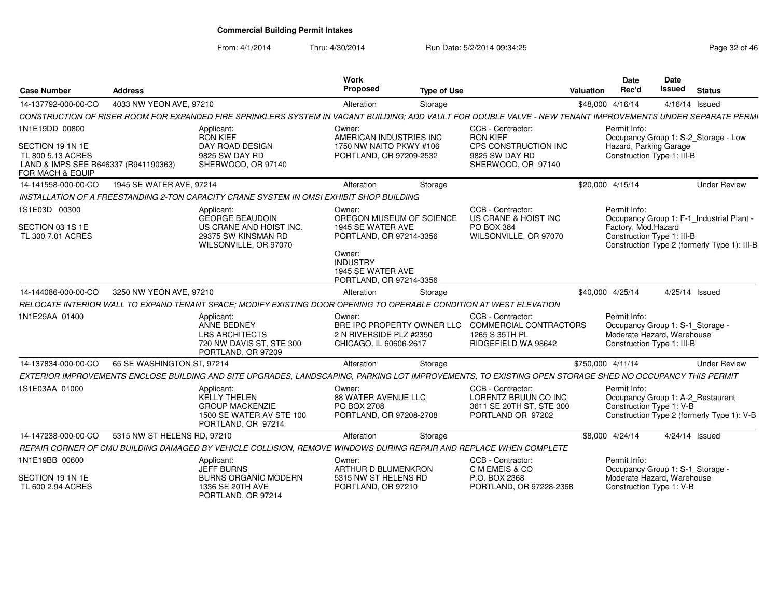From: 4/1/2014

| <b>Case Number</b>                                                                                                  | <b>Address</b>              |                                                                                                                                                              | <b>Work</b><br><b>Proposed</b>                                                                                                                                  | <b>Type of Use</b> |                                                                                                      | Valuation         | <b>Date</b><br>Rec'd                                                                                         | <b>Date</b><br><b>Issued</b> | <b>Status</b>                                                                             |
|---------------------------------------------------------------------------------------------------------------------|-----------------------------|--------------------------------------------------------------------------------------------------------------------------------------------------------------|-----------------------------------------------------------------------------------------------------------------------------------------------------------------|--------------------|------------------------------------------------------------------------------------------------------|-------------------|--------------------------------------------------------------------------------------------------------------|------------------------------|-------------------------------------------------------------------------------------------|
| 14-137792-000-00-CO                                                                                                 | 4033 NW YEON AVE, 97210     |                                                                                                                                                              | Alteration                                                                                                                                                      | Storage            |                                                                                                      |                   | \$48,000 4/16/14                                                                                             | 4/16/14 Issued               |                                                                                           |
|                                                                                                                     |                             | CONSTRUCTION OF RISER ROOM FOR EXPANDED FIRE SPRINKLERS SYSTEM IN VACANT BUILDING; ADD VAULT FOR DOUBLE VALVE - NEW TENANT IMPROVEMENTS UNDER SEPARATE PERMI |                                                                                                                                                                 |                    |                                                                                                      |                   |                                                                                                              |                              |                                                                                           |
| 1N1E19DD 00800<br>SECTION 19 1N 1E<br>TL 800 5.13 ACRES<br>LAND & IMPS SEE R646337 (R941190363)<br>FOR MACH & EQUIP |                             | Applicant:<br><b>RON KIEF</b><br>DAY ROAD DESIGN<br>9825 SW DAY RD<br>SHERWOOD, OR 97140                                                                     | Owner:<br>AMERICAN INDUSTRIES INC<br>1750 NW NAITO PKWY #106<br>PORTLAND, OR 97209-2532                                                                         |                    | CCB - Contractor:<br><b>RON KIEF</b><br>CPS CONSTRUCTION INC<br>9825 SW DAY RD<br>SHERWOOD, OR 97140 |                   | Permit Info:<br>Hazard, Parking Garage<br>Construction Type 1: III-B                                         |                              | Occupancy Group 1: S-2_Storage - Low                                                      |
| 14-141558-000-00-CO                                                                                                 | 1945 SE WATER AVE, 97214    |                                                                                                                                                              | Alteration                                                                                                                                                      | Storage            |                                                                                                      |                   | \$20.000 4/15/14                                                                                             |                              | <b>Under Review</b>                                                                       |
|                                                                                                                     |                             | INSTALLATION OF A FREESTANDING 2-TON CAPACITY CRANE SYSTEM IN OMSI EXHIBIT SHOP BUILDING                                                                     |                                                                                                                                                                 |                    |                                                                                                      |                   |                                                                                                              |                              |                                                                                           |
| 1S1E03D 00300<br>SECTION 03 1S 1E<br>TL 300 7.01 ACRES                                                              |                             | Applicant:<br><b>GEORGE BEAUDOIN</b><br>US CRANE AND HOIST INC.<br>29375 SW KINSMAN RD<br>WILSONVILLE, OR 97070                                              | Owner:<br>OREGON MUSEUM OF SCIENCE<br>1945 SE WATER AVE<br>PORTLAND, OR 97214-3356<br>Owner:<br><b>INDUSTRY</b><br>1945 SE WATER AVE<br>PORTLAND, OR 97214-3356 |                    | CCB - Contractor:<br>US CRANE & HOIST INC<br>PO BOX 384<br>WILSONVILLE, OR 97070                     |                   | Permit Info:<br>Factory, Mod.Hazard<br>Construction Type 1: III-B                                            |                              | Occupancy Group 1: F-1 Industrial Plant -<br>Construction Type 2 (formerly Type 1): III-B |
| 14-144086-000-00-CO                                                                                                 | 3250 NW YEON AVE, 97210     |                                                                                                                                                              | Alteration                                                                                                                                                      | Storage            |                                                                                                      |                   | \$40,000 4/25/14                                                                                             | 4/25/14 Issued               |                                                                                           |
|                                                                                                                     |                             | RELOCATE INTERIOR WALL TO EXPAND TENANT SPACE; MODIFY EXISTING DOOR OPENING TO OPERABLE CONDITION AT WEST ELEVATION                                          |                                                                                                                                                                 |                    |                                                                                                      |                   |                                                                                                              |                              |                                                                                           |
| 1N1E29AA 01400                                                                                                      |                             | Applicant:<br><b>ANNE BEDNEY</b><br><b>LRS ARCHITECTS</b><br>720 NW DAVIS ST, STE 300<br>PORTLAND, OR 97209                                                  | Owner:<br>BRE IPC PROPERTY OWNER LLC<br>2 N RIVERSIDE PLZ #2350<br>CHICAGO, IL 60606-2617                                                                       |                    | CCB - Contractor:<br><b>COMMERCIAL CONTRACTORS</b><br>1265 S 35TH PL<br>RIDGEFIELD WA 98642          |                   | Permit Info:<br>Occupancy Group 1: S-1_Storage -<br>Moderate Hazard, Warehouse<br>Construction Type 1: III-B |                              |                                                                                           |
| 14-137834-000-00-CO                                                                                                 | 65 SE WASHINGTON ST, 97214  |                                                                                                                                                              | Alteration                                                                                                                                                      | Storage            |                                                                                                      | \$750,000 4/11/14 |                                                                                                              |                              | <b>Under Review</b>                                                                       |
|                                                                                                                     |                             | EXTERIOR IMPROVEMENTS ENCLOSE BUILDING AND SITE UPGRADES, LANDSCAPING, PARKING LOT IMPROVEMENTS, TO EXISTING OPEN STORAGE SHED NO OCCUPANCY THIS PERMIT      |                                                                                                                                                                 |                    |                                                                                                      |                   |                                                                                                              |                              |                                                                                           |
| 1S1E03AA 01000                                                                                                      |                             | Applicant:<br><b>KELLY THELEN</b><br><b>GROUP MACKENZIE</b><br>1500 SE WATER AV STE 100<br>PORTLAND, OR 97214                                                | Owner:<br><b>88 WATER AVENUE LLC</b><br>PO BOX 2708<br>PORTLAND, OR 97208-2708                                                                                  |                    | CCB - Contractor:<br>LORENTZ BRUUN CO INC<br>3611 SE 20TH ST, STE 300<br>PORTLAND OR 97202           |                   | Permit Info:<br>Occupancy Group 1: A-2_Restaurant<br>Construction Type 1: V-B                                |                              | Construction Type 2 (formerly Type 1): V-B                                                |
| 14-147238-000-00-CO                                                                                                 | 5315 NW ST HELENS RD, 97210 |                                                                                                                                                              | Alteration                                                                                                                                                      | Storage            |                                                                                                      |                   | \$8,000 4/24/14                                                                                              | 4/24/14 Issued               |                                                                                           |
|                                                                                                                     |                             | REPAIR CORNER OF CMU BUILDING DAMAGED BY VEHICLE COLLISION, REMOVE WINDOWS DURING REPAIR AND REPLACE WHEN COMPLETE                                           |                                                                                                                                                                 |                    |                                                                                                      |                   |                                                                                                              |                              |                                                                                           |
| 1N1E19BB 00600                                                                                                      |                             | Applicant:<br><b>JEFF BURNS</b>                                                                                                                              | Owner:<br>ARTHUR D BLUMENKRON                                                                                                                                   |                    | CCB - Contractor:<br>C M EMEIS & CO                                                                  |                   | Permit Info:<br>Occupancy Group 1: S-1_Storage -                                                             |                              |                                                                                           |
| SECTION 19 1N 1E<br>TL 600 2.94 ACRES                                                                               |                             | <b>BURNS ORGANIC MODERN</b><br>1336 SE 20TH AVE<br>PORTLAND, OR 97214                                                                                        | 5315 NW ST HELENS RD<br>PORTLAND, OR 97210                                                                                                                      |                    | P.O. BOX 2368<br>PORTLAND, OR 97228-2368                                                             |                   | Moderate Hazard, Warehouse<br>Construction Type 1: V-B                                                       |                              |                                                                                           |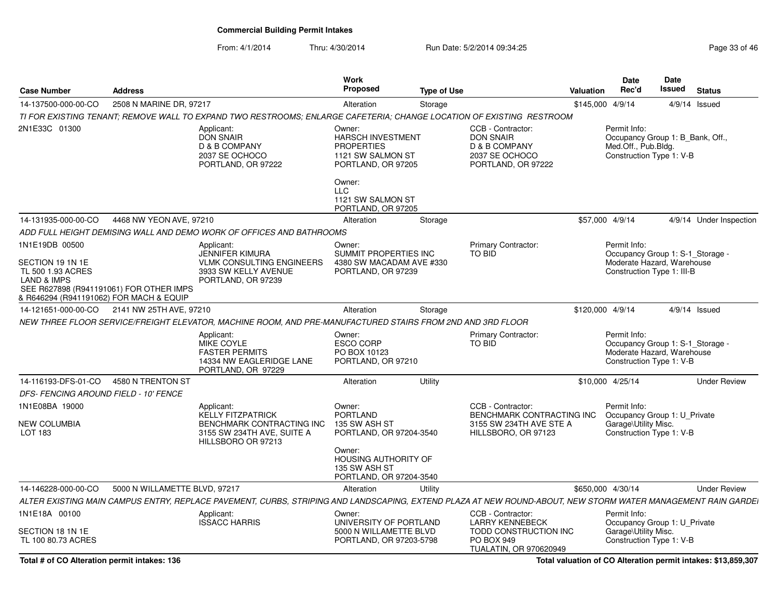#### From: 4/1/2014Thru: 4/30/2014 Run Date: 5/2/2014 09:34:25

| Page 33 of 46 |  |  |
|---------------|--|--|
|---------------|--|--|

| <b>Case Number</b>                                                                                                           | <b>Address</b>                          |                                                                                                                                                              | <b>Work</b><br>Proposed                                                                            | <b>Type of Use</b> |                                                                                                  | <b>Valuation</b>  | <b>Date</b><br>Rec'd                                                                                         | Date<br><b>Issued</b> | <b>Status</b>           |
|------------------------------------------------------------------------------------------------------------------------------|-----------------------------------------|--------------------------------------------------------------------------------------------------------------------------------------------------------------|----------------------------------------------------------------------------------------------------|--------------------|--------------------------------------------------------------------------------------------------|-------------------|--------------------------------------------------------------------------------------------------------------|-----------------------|-------------------------|
| 14-137500-000-00-CO                                                                                                          | 2508 N MARINE DR, 97217                 |                                                                                                                                                              | Alteration                                                                                         | Storage            |                                                                                                  | \$145,000 4/9/14  |                                                                                                              |                       | $4/9/14$ Issued         |
|                                                                                                                              |                                         | TI FOR EXISTING TENANT; REMOVE WALL TO EXPAND TWO RESTROOMS; ENLARGE CAFETERIA; CHANGE LOCATION OF EXISTING RESTROOM                                         |                                                                                                    |                    |                                                                                                  |                   |                                                                                                              |                       |                         |
| 2N1E33C 01300                                                                                                                |                                         | Applicant:<br><b>DON SNAIR</b><br>D & B COMPANY<br>2037 SE OCHOCO<br>PORTLAND, OR 97222                                                                      | Owner:<br><b>HARSCH INVESTMENT</b><br><b>PROPERTIES</b><br>1121 SW SALMON ST<br>PORTLAND, OR 97205 |                    | CCB - Contractor:<br><b>DON SNAIR</b><br>D & B COMPANY<br>2037 SE OCHOCO<br>PORTLAND, OR 97222   |                   | Permit Info:<br>Occupancy Group 1: B_Bank, Off.,<br>Med.Off., Pub.Bldg.<br>Construction Type 1: V-B          |                       |                         |
|                                                                                                                              |                                         |                                                                                                                                                              | Owner:<br><b>LLC</b><br>1121 SW SALMON ST<br>PORTLAND, OR 97205                                    |                    |                                                                                                  |                   |                                                                                                              |                       |                         |
| 14-131935-000-00-CO                                                                                                          | 4468 NW YEON AVE, 97210                 |                                                                                                                                                              | Alteration                                                                                         | Storage            |                                                                                                  | \$57,000 4/9/14   |                                                                                                              |                       | 4/9/14 Under Inspection |
|                                                                                                                              |                                         | ADD FULL HEIGHT DEMISING WALL AND DEMO WORK OF OFFICES AND BATHROOMS                                                                                         |                                                                                                    |                    |                                                                                                  |                   |                                                                                                              |                       |                         |
| 1N1E19DB 00500<br>SECTION 19 1N 1E<br>TL 500 1.93 ACRES<br><b>LAND &amp; IMPS</b><br>& R646294 (R941191062) FOR MACH & EQUIP | SEE R627898 (R941191061) FOR OTHER IMPS | Applicant:<br><b>JENNIFER KIMURA</b><br><b>VLMK CONSULTING ENGINEERS</b><br>3933 SW KELLY AVENUE<br>PORTLAND, OR 97239                                       | Owner:<br>SUMMIT PROPERTIES INC<br>4380 SW MACADAM AVE #330<br>PORTLAND, OR 97239                  |                    | <b>Primary Contractor:</b><br>TO BID                                                             |                   | Permit Info:<br>Occupancy Group 1: S-1_Storage -<br>Moderate Hazard, Warehouse<br>Construction Type 1: III-B |                       |                         |
| 14-121651-000-00-CO                                                                                                          | 2141 NW 25TH AVE, 97210                 |                                                                                                                                                              | Alteration                                                                                         | Storage            |                                                                                                  | \$120,000 4/9/14  |                                                                                                              |                       | $4/9/14$ Issued         |
|                                                                                                                              |                                         | NEW THREE FLOOR SERVICE/FREIGHT ELEVATOR. MACHINE ROOM. AND PRE-MANUFACTURED STAIRS FROM 2ND AND 3RD FLOOR                                                   |                                                                                                    |                    |                                                                                                  |                   |                                                                                                              |                       |                         |
|                                                                                                                              |                                         | Applicant:<br><b>MIKE COYLE</b><br><b>FASTER PERMITS</b><br>14334 NW EAGLERIDGE LANE<br>PORTLAND, OR 97229                                                   | Owner:<br><b>ESCO CORP</b><br>PO BOX 10123<br>PORTLAND, OR 97210                                   |                    | <b>Primary Contractor:</b><br>TO BID                                                             |                   | Permit Info:<br>Occupancy Group 1: S-1_Storage -<br>Moderate Hazard, Warehouse<br>Construction Type 1: V-B   |                       |                         |
| 14-116193-DFS-01-CO                                                                                                          | 4580 N TRENTON ST                       |                                                                                                                                                              | Alteration                                                                                         | Utility            |                                                                                                  | \$10,000 4/25/14  |                                                                                                              |                       | <b>Under Review</b>     |
| <b>DFS- FENCING AROUND FIELD - 10' FENCE</b>                                                                                 |                                         |                                                                                                                                                              |                                                                                                    |                    |                                                                                                  |                   |                                                                                                              |                       |                         |
| 1N1E08BA 19000<br><b>NEW COLUMBIA</b><br>LOT 183                                                                             |                                         | Applicant:<br><b>KELLY FITZPATRICK</b><br>BENCHMARK CONTRACTING INC<br>3155 SW 234TH AVE, SUITE A<br>HILLSBORO OR 97213                                      | Owner:<br><b>PORTLAND</b><br>135 SW ASH ST<br>PORTLAND, OR 97204-3540                              |                    | CCB - Contractor:<br>BENCHMARK CONTRACTING INC<br>3155 SW 234TH AVE STE A<br>HILLSBORO, OR 97123 |                   | Permit Info:<br>Occupancy Group 1: U_Private<br>Garage\Utility Misc.<br>Construction Type 1: V-B             |                       |                         |
|                                                                                                                              |                                         |                                                                                                                                                              | Owner:<br>HOUSING AUTHORITY OF<br>135 SW ASH ST<br>PORTLAND, OR 97204-3540                         |                    |                                                                                                  |                   |                                                                                                              |                       |                         |
| 14-146228-000-00-CO                                                                                                          | 5000 N WILLAMETTE BLVD, 97217           |                                                                                                                                                              | Alteration                                                                                         | Utility            |                                                                                                  | \$650,000 4/30/14 |                                                                                                              |                       | <b>Under Review</b>     |
|                                                                                                                              |                                         | ALTER EXISTING MAIN CAMPUS ENTRY, REPLACE PAVEMENT, CURBS, STRIPING AND LANDSCAPING, EXTEND PLAZA AT NEW ROUND-ABOUT, NEW STORM WATER MANAGEMENT RAIN GARDEI |                                                                                                    |                    |                                                                                                  |                   |                                                                                                              |                       |                         |
| 1N1E18A 00100                                                                                                                |                                         | Applicant:<br><b>ISSACC HARRIS</b>                                                                                                                           | Owner:<br>UNIVERSITY OF PORTLAND                                                                   |                    | CCB - Contractor:<br><b>LARRY KENNEBECK</b>                                                      |                   | Permit Info:<br>Occupancy Group 1: U_Private                                                                 |                       |                         |
| SECTION 18 1N 1E<br>TL 100 80.73 ACRES                                                                                       |                                         |                                                                                                                                                              | 5000 N WILLAMETTE BLVD<br>PORTLAND, OR 97203-5798                                                  |                    | TODD CONSTRUCTION INC<br>PO BOX 949<br>TUALATIN, OR 970620949                                    |                   | Garage\Utility Misc.<br>Construction Type 1: V-B                                                             |                       |                         |

**Total # of CO Alteration permit intakes: 136**

**Total valuation of CO Alteration permit intakes: \$13,859,307**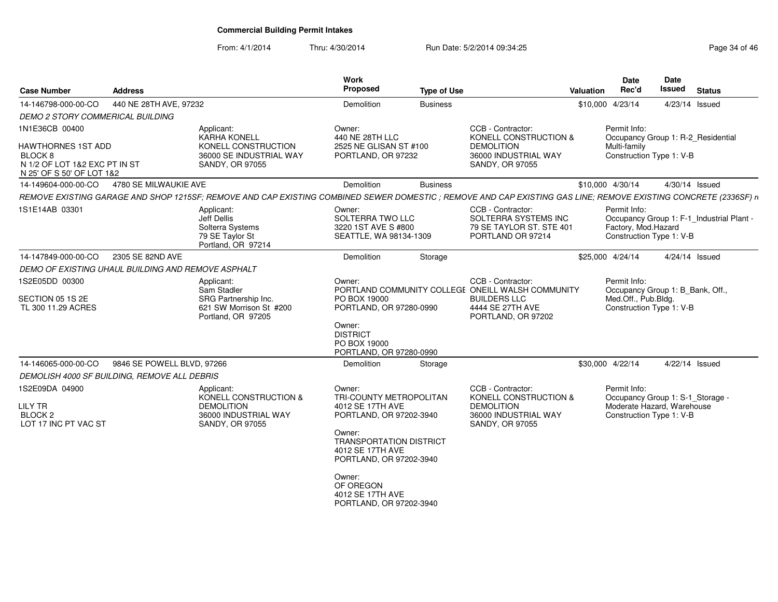| <b>Case Number</b>                                                                          | <b>Address</b>             |                                                                                                                                                                 | Work<br>Proposed                                                                                                                                                                                                                                  | <b>Type of Use</b> |                                                                                                                                         | Valuation | <b>Date</b><br>Rec'd                                                                                       | Date<br>Issued | <b>Status</b>                             |
|---------------------------------------------------------------------------------------------|----------------------------|-----------------------------------------------------------------------------------------------------------------------------------------------------------------|---------------------------------------------------------------------------------------------------------------------------------------------------------------------------------------------------------------------------------------------------|--------------------|-----------------------------------------------------------------------------------------------------------------------------------------|-----------|------------------------------------------------------------------------------------------------------------|----------------|-------------------------------------------|
| 14-146798-000-00-CO                                                                         | 440 NE 28TH AVE, 97232     |                                                                                                                                                                 | Demolition                                                                                                                                                                                                                                        | <b>Business</b>    |                                                                                                                                         |           | \$10,000 4/23/14                                                                                           | 4/23/14 Issued |                                           |
| <b>DEMO 2 STORY COMMERICAL BUILDING</b>                                                     |                            |                                                                                                                                                                 |                                                                                                                                                                                                                                                   |                    |                                                                                                                                         |           |                                                                                                            |                |                                           |
| 1N1E36CB 00400<br>HAWTHORNES 1ST ADD<br>BLOCK <sub>8</sub><br>N 1/2 OF LOT 1&2 EXC PT IN ST |                            | Applicant:<br><b>KARHA KONELL</b><br>KONELL CONSTRUCTION<br>36000 SE INDUSTRIAL WAY<br>SANDY, OR 97055                                                          | Owner:<br>440 NE 28TH LLC<br>2525 NE GLISAN ST #100<br>PORTLAND, OR 97232                                                                                                                                                                         |                    | CCB - Contractor:<br>KONELL CONSTRUCTION &<br><b>DEMOLITION</b><br>36000 INDUSTRIAL WAY<br>SANDY, OR 97055                              |           | Permit Info:<br>Occupancy Group 1: R-2_Residential<br>Multi-family<br>Construction Type 1: V-B             |                |                                           |
| N 25' OF S 50' OF LOT 1&2                                                                   |                            |                                                                                                                                                                 |                                                                                                                                                                                                                                                   |                    |                                                                                                                                         |           |                                                                                                            |                |                                           |
| 14-149604-000-00-CO                                                                         | 4780 SE MILWAUKIE AVE      |                                                                                                                                                                 | Demolition                                                                                                                                                                                                                                        | <b>Business</b>    |                                                                                                                                         |           | \$10,000 4/30/14                                                                                           | 4/30/14 Issued |                                           |
|                                                                                             |                            | REMOVE EXISTING GARAGE AND SHOP 1215SF; REMOVE AND CAP EXISTING COMBINED SEWER DOMESTIC ; REMOVE AND CAP EXISTING GAS LINE; REMOVE EXISTING CONCRETE (2336SF) n |                                                                                                                                                                                                                                                   |                    |                                                                                                                                         |           |                                                                                                            |                |                                           |
| 1S1E14AB 03301                                                                              |                            | Applicant:<br>Jeff Dellis<br>Solterra Systems<br>79 SE Taylor St<br>Portland, OR 97214                                                                          | Owner:<br>SOLTERRA TWO LLC<br>3220 1ST AVE S #800<br>SEATTLE, WA 98134-1309                                                                                                                                                                       |                    | CCB - Contractor:<br>SOLTERRA SYSTEMS INC<br>79 SE TAYLOR ST. STE 401<br>PORTLAND OR 97214                                              |           | Permit Info:<br>Factory, Mod.Hazard<br>Construction Type 1: V-B                                            |                | Occupancy Group 1: F-1_Industrial Plant - |
| 14-147849-000-00-CO                                                                         | 2305 SE 82ND AVE           |                                                                                                                                                                 | Demolition                                                                                                                                                                                                                                        | Storage            |                                                                                                                                         |           | \$25,000 4/24/14                                                                                           |                | 4/24/14 Issued                            |
| DEMO OF EXISTING UHAUL BUILDING AND REMOVE ASPHALT                                          |                            |                                                                                                                                                                 |                                                                                                                                                                                                                                                   |                    |                                                                                                                                         |           |                                                                                                            |                |                                           |
| 1S2E05DD 00300<br>SECTION 05 1S 2E<br>TL 300 11.29 ACRES                                    |                            | Applicant:<br>Sam Stadler<br>SRG Partnership Inc.<br>621 SW Morrison St #200<br>Portland, OR 97205                                                              | Owner:<br>PO BOX 19000<br>PORTLAND, OR 97280-0990<br>Owner:<br><b>DISTRICT</b><br>PO BOX 19000                                                                                                                                                    |                    | CCB - Contractor:<br>PORTLAND COMMUNITY COLLEGE ONEILL WALSH COMMUNITY<br><b>BUILDERS LLC</b><br>4444 SE 27TH AVE<br>PORTLAND, OR 97202 |           | Permit Info:<br>Occupancy Group 1: B Bank, Off.,<br>Med.Off., Pub.Bldg.<br>Construction Type 1: V-B        |                |                                           |
|                                                                                             |                            |                                                                                                                                                                 | PORTLAND, OR 97280-0990                                                                                                                                                                                                                           |                    |                                                                                                                                         |           |                                                                                                            |                |                                           |
| 14-146065-000-00-CO<br>DEMOLISH 4000 SF BUILDING, REMOVE ALL DEBRIS                         | 9846 SE POWELL BLVD, 97266 |                                                                                                                                                                 | Demolition                                                                                                                                                                                                                                        | Storage            |                                                                                                                                         |           | \$30,000 4/22/14                                                                                           | 4/22/14 Issued |                                           |
| 1S2E09DA 04900<br>LILY TR<br>BLOCK <sub>2</sub><br>LOT 17 INC PT VAC ST                     |                            | Applicant:<br>KONELL CONSTRUCTION &<br><b>DEMOLITION</b><br>36000 INDUSTRIAL WAY<br>SANDY, OR 97055                                                             | Owner:<br>TRI-COUNTY METROPOLITAN<br>4012 SE 17TH AVE<br>PORTLAND, OR 97202-3940<br>Owner:<br><b>TRANSPORTATION DISTRICT</b><br>4012 SE 17TH AVE<br>PORTLAND, OR 97202-3940<br>Owner:<br>OF OREGON<br>4012 SE 17TH AVE<br>PORTLAND, OR 97202-3940 |                    | CCB - Contractor:<br>KONELL CONSTRUCTION &<br><b>DEMOLITION</b><br>36000 INDUSTRIAL WAY<br><b>SANDY, OR 97055</b>                       |           | Permit Info:<br>Occupancy Group 1: S-1 Storage -<br>Moderate Hazard, Warehouse<br>Construction Type 1: V-B |                |                                           |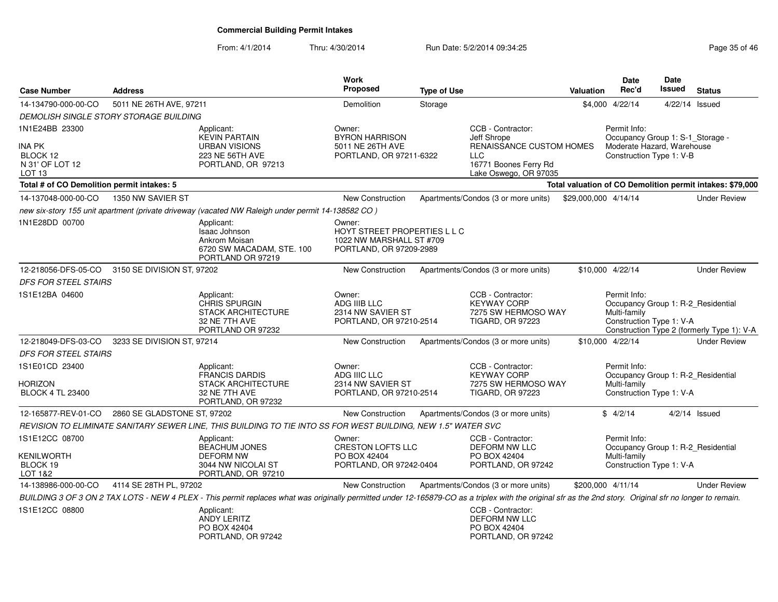| <b>Case Number</b>                                                           | <b>Address</b>                                 |                                                                                                                                                                                                           | <b>Work</b><br>Proposed                                                                       | <b>Type of Use</b> |                                                                                                                                     | <b>Valuation</b>     | Date<br>Rec'd                                                                                              | Date<br>Issued | <b>Status</b>                                             |
|------------------------------------------------------------------------------|------------------------------------------------|-----------------------------------------------------------------------------------------------------------------------------------------------------------------------------------------------------------|-----------------------------------------------------------------------------------------------|--------------------|-------------------------------------------------------------------------------------------------------------------------------------|----------------------|------------------------------------------------------------------------------------------------------------|----------------|-----------------------------------------------------------|
| 14-134790-000-00-CO                                                          | 5011 NE 26TH AVE, 97211                        |                                                                                                                                                                                                           | Demolition                                                                                    | Storage            |                                                                                                                                     |                      | \$4,000 4/22/14                                                                                            | 4/22/14 Issued |                                                           |
|                                                                              | DEMOLISH SINGLE STORY STORAGE BUILDING         |                                                                                                                                                                                                           |                                                                                               |                    |                                                                                                                                     |                      |                                                                                                            |                |                                                           |
| 1N1E24BB 23300<br>INA PK<br>BLOCK 12<br>N 31' OF LOT 12<br>LOT <sub>13</sub> |                                                | Applicant:<br><b>KEVIN PARTAIN</b><br><b>URBAN VISIONS</b><br>223 NE 56TH AVE<br>PORTLAND, OR 97213                                                                                                       | Owner:<br><b>BYRON HARRISON</b><br>5011 NE 26TH AVE<br>PORTLAND, OR 97211-6322                |                    | CCB - Contractor:<br>Jeff Shrope<br><b>RENAISSANCE CUSTOM HOMES</b><br><b>LLC</b><br>16771 Boones Ferry Rd<br>Lake Oswego, OR 97035 |                      | Permit Info:<br>Occupancy Group 1: S-1_Storage -<br>Moderate Hazard, Warehouse<br>Construction Type 1: V-B |                |                                                           |
| Total # of CO Demolition permit intakes: 5                                   |                                                |                                                                                                                                                                                                           |                                                                                               |                    |                                                                                                                                     |                      |                                                                                                            |                | Total valuation of CO Demolition permit intakes: \$79,000 |
| 14-137048-000-00-CO                                                          | 1350 NW SAVIER ST                              |                                                                                                                                                                                                           | <b>New Construction</b>                                                                       |                    | Apartments/Condos (3 or more units)                                                                                                 | \$29,000,000 4/14/14 |                                                                                                            |                | <b>Under Review</b>                                       |
|                                                                              |                                                | new six-story 155 unit apartment (private driveway (vacated NW Raleigh under permit 14-138582 CO)                                                                                                         |                                                                                               |                    |                                                                                                                                     |                      |                                                                                                            |                |                                                           |
| 1N1E28DD 00700                                                               |                                                | Applicant:<br><b>Isaac Johnson</b><br>Ankrom Moisan<br>6720 SW MACADAM, STE. 100<br>PORTLAND OR 97219                                                                                                     | Owner:<br>HOYT STREET PROPERTIES L L C<br>1022 NW MARSHALL ST #709<br>PORTLAND, OR 97209-2989 |                    |                                                                                                                                     |                      |                                                                                                            |                |                                                           |
|                                                                              | 12-218056-DFS-05-CO 3150 SE DIVISION ST, 97202 |                                                                                                                                                                                                           | <b>New Construction</b>                                                                       |                    | Apartments/Condos (3 or more units)                                                                                                 |                      | \$10,000 4/22/14                                                                                           |                | <b>Under Review</b>                                       |
| <b>DFS FOR STEEL STAIRS</b>                                                  |                                                |                                                                                                                                                                                                           |                                                                                               |                    |                                                                                                                                     |                      |                                                                                                            |                |                                                           |
| 1S1E12BA 04600                                                               |                                                | Applicant:<br>CHRIS SPURGIN<br><b>STACK ARCHITECTURE</b><br>32 NE 7TH AVE<br>PORTLAND OR 97232                                                                                                            | Owner:<br>ADG IIIB LLC<br>2314 NW SAVIER ST<br>PORTLAND, OR 97210-2514                        |                    | CCB - Contractor:<br><b>KEYWAY CORP</b><br>7275 SW HERMOSO WAY<br><b>TIGARD, OR 97223</b>                                           |                      | Permit Info:<br>Occupancy Group 1: R-2_Residential<br>Multi-family<br>Construction Type 1: V-A             |                | Construction Type 2 (formerly Type 1): V-A                |
| 12-218049-DFS-03-CO                                                          | 3233 SE DIVISION ST, 97214                     |                                                                                                                                                                                                           | <b>New Construction</b>                                                                       |                    | Apartments/Condos (3 or more units)                                                                                                 |                      | \$10,000 4/22/14                                                                                           |                | <b>Under Review</b>                                       |
| <b>DFS FOR STEEL STAIRS</b>                                                  |                                                |                                                                                                                                                                                                           |                                                                                               |                    |                                                                                                                                     |                      |                                                                                                            |                |                                                           |
| 1S1E01CD 23400<br>HORIZON<br><b>BLOCK 4 TL 23400</b>                         |                                                | Applicant:<br><b>FRANCIS DARDIS</b><br><b>STACK ARCHITECTURE</b><br>32 NE 7TH AVE<br>PORTLAND, OR 97232                                                                                                   | Owner:<br>ADG IIIC LLC<br>2314 NW SAVIER ST<br>PORTLAND, OR 97210-2514                        |                    | CCB - Contractor:<br><b>KEYWAY CORP</b><br>7275 SW HERMOSO WAY<br><b>TIGARD, OR 97223</b>                                           |                      | Permit Info:<br>Occupancy Group 1: R-2_Residential<br>Multi-family<br>Construction Type 1: V-A             |                |                                                           |
| 12-165877-REV-01-CO                                                          | 2860 SE GLADSTONE ST, 97202                    |                                                                                                                                                                                                           | <b>New Construction</b>                                                                       |                    | Apartments/Condos (3 or more units)                                                                                                 |                      | \$4/2/14                                                                                                   |                | $4/2/14$ Issued                                           |
|                                                                              |                                                | REVISION TO ELIMINATE SANITARY SEWER LINE, THIS BUILDING TO TIE INTO SS FOR WEST BUILDING, NEW 1.5" WATER SVC                                                                                             |                                                                                               |                    |                                                                                                                                     |                      |                                                                                                            |                |                                                           |
| 1S1E12CC 08700<br>KENILWORTH<br>BLOCK 19<br>LOT 1&2                          |                                                | Applicant:<br><b>BEACHUM JONES</b><br><b>DEFORM NW</b><br>3044 NW NICOLAI ST<br>PORTLAND, OR 97210                                                                                                        | Owner:<br><b>CRESTON LOFTS LLC</b><br>PO BOX 42404<br>PORTLAND, OR 97242-0404                 |                    | CCB - Contractor:<br>DEFORM NW LLC<br>PO BOX 42404<br>PORTLAND, OR 97242                                                            |                      | Permit Info:<br>Occupancy Group 1: R-2_Residential<br>Multi-family<br>Construction Type 1: V-A             |                |                                                           |
| 14-138986-000-00-CO                                                          | 4114 SE 28TH PL, 97202                         |                                                                                                                                                                                                           | <b>New Construction</b>                                                                       |                    | Apartments/Condos (3 or more units)                                                                                                 |                      | \$200.000 4/11/14                                                                                          |                | <b>Under Review</b>                                       |
|                                                                              |                                                | BUILDING 3 OF 3 ON 2 TAX LOTS - NEW 4 PLEX - This permit replaces what was originally permitted under 12-165879-CO as a triplex with the original sfr as the 2nd story. Original sfr no longer to remain. |                                                                                               |                    |                                                                                                                                     |                      |                                                                                                            |                |                                                           |
| 1S1E12CC 08800                                                               |                                                | Applicant:<br>ANDY LERITZ<br>PO BOX 42404<br>PORTLAND, OR 97242                                                                                                                                           |                                                                                               |                    | CCB - Contractor:<br>DEFORM NW LLC<br>PO BOX 42404<br>PORTLAND, OR 97242                                                            |                      |                                                                                                            |                |                                                           |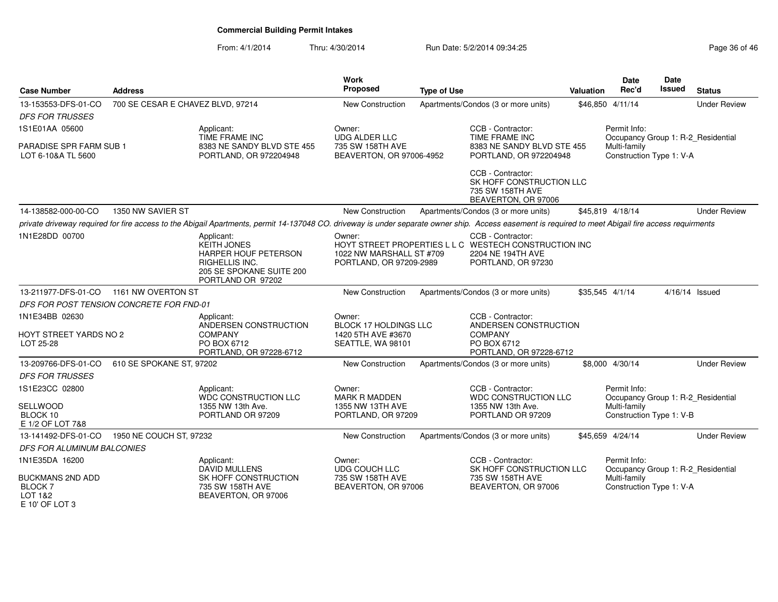| <b>Case Number</b>                                                    | <b>Address</b>                           |                                                                                                                                                                                                      | <b>Work</b><br><b>Proposed</b>                                             | <b>Type of Use</b> |                                                                                                                       | Valuation | <b>Date</b><br>Rec'd                     | <b>Date</b><br>Issued | <b>Status</b>                      |
|-----------------------------------------------------------------------|------------------------------------------|------------------------------------------------------------------------------------------------------------------------------------------------------------------------------------------------------|----------------------------------------------------------------------------|--------------------|-----------------------------------------------------------------------------------------------------------------------|-----------|------------------------------------------|-----------------------|------------------------------------|
| 13-153553-DFS-01-CO                                                   | 700 SE CESAR E CHAVEZ BLVD, 97214        |                                                                                                                                                                                                      | New Construction                                                           |                    | Apartments/Condos (3 or more units)                                                                                   |           | \$46,850 4/11/14                         |                       | <b>Under Review</b>                |
| <b>DFS FOR TRUSSES</b>                                                |                                          |                                                                                                                                                                                                      |                                                                            |                    |                                                                                                                       |           |                                          |                       |                                    |
| 1S1E01AA 05600                                                        |                                          | Applicant:<br>TIME FRAME INC                                                                                                                                                                         | Owner:<br><b>UDG ALDER LLC</b>                                             |                    | CCB - Contractor:<br>TIME FRAME INC                                                                                   |           | Permit Info:                             |                       | Occupancy Group 1: R-2_Residential |
| <b>PARADISE SPR FARM SUB 1</b><br>LOT 6-10&A TL 5600                  |                                          | 8383 NE SANDY BLVD STE 455<br>PORTLAND, OR 972204948                                                                                                                                                 | 735 SW 158TH AVE<br>BEAVERTON, OR 97006-4952                               |                    | 8383 NE SANDY BLVD STE 455<br>PORTLAND, OR 972204948                                                                  |           | Multi-family<br>Construction Type 1: V-A |                       |                                    |
|                                                                       |                                          |                                                                                                                                                                                                      |                                                                            |                    | CCB - Contractor:<br>SK HOFF CONSTRUCTION LLC<br>735 SW 158TH AVE<br>BEAVERTON, OR 97006                              |           |                                          |                       |                                    |
| 14-138582-000-00-CO                                                   | 1350 NW SAVIER ST                        |                                                                                                                                                                                                      | New Construction                                                           |                    | Apartments/Condos (3 or more units)                                                                                   |           | \$45.819 4/18/14                         |                       | <b>Under Review</b>                |
|                                                                       |                                          | private driveway required for fire access to the Abigail Apartments, permit 14-137048 CO. driveway is under separate owner ship. Access easement is required to meet Abigail fire access requirments |                                                                            |                    |                                                                                                                       |           |                                          |                       |                                    |
| 1N1E28DD 00700                                                        |                                          | Applicant:<br><b>KEITH JONES</b><br>HARPER HOUF PETERSON<br>RIGHELLIS INC.<br>205 SE SPOKANE SUITE 200<br>PORTLAND OR 97202                                                                          | Owner:<br>1022 NW MARSHALL ST #709<br>PORTLAND, OR 97209-2989              |                    | CCB - Contractor:<br>HOYT STREET PROPERTIES L L C WESTECH CONSTRUCTION INC<br>2204 NE 194TH AVE<br>PORTLAND, OR 97230 |           |                                          |                       |                                    |
| 13-211977-DFS-01-CO                                                   | 1161 NW OVERTON ST                       |                                                                                                                                                                                                      | <b>New Construction</b>                                                    |                    | Apartments/Condos (3 or more units)                                                                                   |           | \$35,545 4/1/14                          |                       | 4/16/14 Issued                     |
|                                                                       | DFS FOR POST TENSION CONCRETE FOR FND-01 |                                                                                                                                                                                                      |                                                                            |                    |                                                                                                                       |           |                                          |                       |                                    |
| 1N1E34BB 02630<br>HOYT STREET YARDS NO 2<br>LOT 25-28                 |                                          | Applicant:<br>ANDERSEN CONSTRUCTION<br><b>COMPANY</b><br>PO BOX 6712<br>PORTLAND, OR 97228-6712                                                                                                      | Owner:<br>BLOCK 17 HOLDINGS LLC<br>1420 5TH AVE #3670<br>SEATTLE, WA 98101 |                    | CCB - Contractor:<br>ANDERSEN CONSTRUCTION<br><b>COMPANY</b><br>PO BOX 6712<br>PORTLAND, OR 97228-6712                |           |                                          |                       |                                    |
| 13-209766-DFS-01-CO                                                   | 610 SE SPOKANE ST, 97202                 |                                                                                                                                                                                                      | <b>New Construction</b>                                                    |                    | Apartments/Condos (3 or more units)                                                                                   |           | \$8,000 4/30/14                          |                       | <b>Under Review</b>                |
| <b>DFS FOR TRUSSES</b>                                                |                                          |                                                                                                                                                                                                      |                                                                            |                    |                                                                                                                       |           |                                          |                       |                                    |
| 1S1E23CC 02800                                                        |                                          | Applicant:<br><b>WDC CONSTRUCTION LLC</b>                                                                                                                                                            | Owner:<br><b>MARK R MADDEN</b>                                             |                    | CCB - Contractor:<br><b>WDC CONSTRUCTION LLC</b>                                                                      |           | Permit Info:                             |                       | Occupancy Group 1: R-2_Residential |
| SELLWOOD<br>BLOCK 10<br>E 1/2 OF LOT 7&8                              |                                          | 1355 NW 13th Ave.<br>PORTLAND OR 97209                                                                                                                                                               | 1355 NW 13TH AVE<br>PORTLAND, OR 97209                                     |                    | 1355 NW 13th Ave.<br>PORTLAND OR 97209                                                                                |           | Multi-family<br>Construction Type 1: V-B |                       |                                    |
| 13-141492-DFS-01-CO                                                   | 1950 NE COUCH ST, 97232                  |                                                                                                                                                                                                      | New Construction                                                           |                    | Apartments/Condos (3 or more units)                                                                                   |           | \$45,659 4/24/14                         |                       | <b>Under Review</b>                |
| <b>DFS FOR ALUMINUM BALCONIES</b>                                     |                                          |                                                                                                                                                                                                      |                                                                            |                    |                                                                                                                       |           |                                          |                       |                                    |
| 1N1E35DA 16200                                                        |                                          | Applicant:<br>DAVID MULLENS                                                                                                                                                                          | Owner:<br><b>UDG COUCH LLC</b>                                             |                    | CCB - Contractor:<br>SK HOFF CONSTRUCTION LLC                                                                         |           | Permit Info:                             |                       | Occupancy Group 1: R-2_Residential |
| <b>BUCKMANS 2ND ADD</b><br><b>BLOCK7</b><br>LOT 1&2<br>E 10' OF LOT 3 |                                          | SK HOFF CONSTRUCTION<br>735 SW 158TH AVE<br>BEAVERTON, OR 97006                                                                                                                                      | 735 SW 158TH AVE<br>BEAVERTON, OR 97006                                    |                    | 735 SW 158TH AVE<br>BEAVERTON, OR 97006                                                                               |           | Multi-family<br>Construction Type 1: V-A |                       |                                    |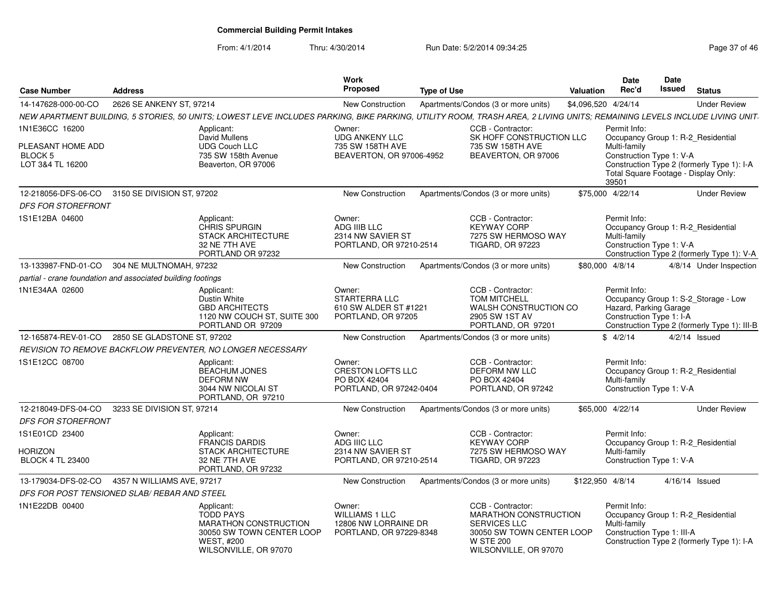| <b>Case Number</b>                                          | <b>Address</b>              |                                                                                                                                                                          | Work<br><b>Proposed</b>                                                            | <b>Type of Use</b> |                                                                                                                                                    | Valuation           | Date<br>Rec'd                                                                                    | Date<br><b>Issued</b> | <b>Status</b>                                                                        |
|-------------------------------------------------------------|-----------------------------|--------------------------------------------------------------------------------------------------------------------------------------------------------------------------|------------------------------------------------------------------------------------|--------------------|----------------------------------------------------------------------------------------------------------------------------------------------------|---------------------|--------------------------------------------------------------------------------------------------|-----------------------|--------------------------------------------------------------------------------------|
| 14-147628-000-00-CO                                         | 2626 SE ANKENY ST, 97214    |                                                                                                                                                                          | New Construction                                                                   |                    | Apartments/Condos (3 or more units)                                                                                                                | \$4,096,520 4/24/14 |                                                                                                  |                       | <b>Under Review</b>                                                                  |
|                                                             |                             | NEW APARTMENT BUILDING, 5 STORIES, 50 UNITS; LOWEST LEVE INCLUDES PARKING, BIKE PARKING, UTILITY ROOM, TRASH AREA, 2 LIVING UNITS; REMAINING LEVELS INCLUDE LIVING UNIT. |                                                                                    |                    |                                                                                                                                                    |                     |                                                                                                  |                       |                                                                                      |
| 1N1E36CC 16200                                              |                             | Applicant:<br>David Mullens                                                                                                                                              | Owner:<br><b>UDG ANKENY LLC</b>                                                    |                    | CCB - Contractor:<br>SK HOFF CONSTRUCTION LLC                                                                                                      |                     | Permit Info:<br>Occupancy Group 1: R-2_Residential                                               |                       |                                                                                      |
| PLEASANT HOME ADD<br><b>BLOCK 5</b><br>LOT 3&4 TL 16200     |                             | <b>UDG Couch LLC</b><br>735 SW 158th Avenue<br>Beaverton, OR 97006                                                                                                       | 735 SW 158TH AVE<br>BEAVERTON, OR 97006-4952                                       |                    | 735 SW 158TH AVE<br>BEAVERTON, OR 97006                                                                                                            |                     | Multi-family<br>Construction Type 1: V-A<br>Total Square Footage - Display Only:<br>39501        |                       | Construction Type 2 (formerly Type 1): I-A                                           |
| 12-218056-DFS-06-CO                                         | 3150 SE DIVISION ST, 97202  |                                                                                                                                                                          | <b>New Construction</b>                                                            |                    | Apartments/Condos (3 or more units)                                                                                                                |                     | \$75,000 4/22/14                                                                                 |                       | <b>Under Review</b>                                                                  |
| <b>DFS FOR STOREFRONT</b>                                   |                             |                                                                                                                                                                          |                                                                                    |                    |                                                                                                                                                    |                     |                                                                                                  |                       |                                                                                      |
| 1S1E12BA 04600                                              |                             | Applicant:<br><b>CHRIS SPURGIN</b><br><b>STACK ARCHITECTURE</b><br>32 NE 7TH AVE<br>PORTLAND OR 97232                                                                    | Owner:<br>ADG IIIB LLC<br>2314 NW SAVIER ST<br>PORTLAND, OR 97210-2514             |                    | CCB - Contractor:<br><b>KEYWAY CORP</b><br>7275 SW HERMOSO WAY<br><b>TIGARD, OR 97223</b>                                                          |                     | Permit Info:<br>Occupancy Group 1: R-2 Residential<br>Multi-family<br>Construction Type 1: V-A   |                       | Construction Type 2 (formerly Type 1): V-A                                           |
| 13-133987-FND-01-CO                                         | 304 NE MULTNOMAH, 97232     |                                                                                                                                                                          | New Construction                                                                   |                    | Apartments/Condos (3 or more units)                                                                                                                |                     | \$80,000 4/8/14                                                                                  |                       | 4/8/14 Under Inspection                                                              |
| partial - crane foundation and associated building footings |                             |                                                                                                                                                                          |                                                                                    |                    |                                                                                                                                                    |                     |                                                                                                  |                       |                                                                                      |
| 1N1E34AA 02600                                              |                             | Applicant:<br>Dustin White<br><b>GBD ARCHITECTS</b><br>1120 NW COUCH ST, SUITE 300<br>PORTLAND OR 97209                                                                  | Owner:<br>STARTERRA LLC<br>610 SW ALDER ST #1221<br>PORTLAND, OR 97205             |                    | CCB - Contractor:<br><b>TOM MITCHELL</b><br>WALSH CONSTRUCTION CO<br>2905 SW 1ST AV<br>PORTLAND, OR 97201                                          |                     | Permit Info:<br>Hazard, Parking Garage<br>Construction Type 1: I-A                               |                       | Occupancy Group 1: S-2_Storage - Low<br>Construction Type 2 (formerly Type 1): III-B |
| 12-165874-REV-01-CO                                         | 2850 SE GLADSTONE ST, 97202 |                                                                                                                                                                          | <b>New Construction</b>                                                            |                    | Apartments/Condos (3 or more units)                                                                                                                |                     | \$4/2/14                                                                                         |                       | $4/2/14$ Issued                                                                      |
|                                                             |                             | REVISION TO REMOVE BACKFLOW PREVENTER, NO LONGER NECESSARY                                                                                                               |                                                                                    |                    |                                                                                                                                                    |                     |                                                                                                  |                       |                                                                                      |
| 1S1E12CC 08700                                              |                             | Applicant:<br><b>BEACHUM JONES</b><br><b>DEFORM NW</b><br>3044 NW NICOLAI ST<br>PORTLAND, OR 97210                                                                       | Owner:<br><b>CRESTON LOFTS LLC</b><br>PO BOX 42404<br>PORTLAND, OR 97242-0404      |                    | CCB - Contractor:<br><b>DEFORM NW LLC</b><br>PO BOX 42404<br>PORTLAND, OR 97242                                                                    |                     | Permit Info:<br>Occupancy Group 1: R-2_Residential<br>Multi-family<br>Construction Type 1: V-A   |                       |                                                                                      |
| 12-218049-DFS-04-CO                                         | 3233 SE DIVISION ST, 97214  |                                                                                                                                                                          | <b>New Construction</b>                                                            |                    | Apartments/Condos (3 or more units)                                                                                                                |                     | \$65,000 4/22/14                                                                                 |                       | <b>Under Review</b>                                                                  |
| <b>DFS FOR STOREFRONT</b>                                   |                             |                                                                                                                                                                          |                                                                                    |                    |                                                                                                                                                    |                     |                                                                                                  |                       |                                                                                      |
| 1S1E01CD 23400                                              |                             | Applicant:<br>FRANCIS DARDIS                                                                                                                                             | Owner:<br>ADG IIIC LLC                                                             |                    | CCB - Contractor:<br><b>KEYWAY CORP</b>                                                                                                            |                     | Permit Info:<br>Occupancy Group 1: R-2_Residential                                               |                       |                                                                                      |
| HORIZON<br><b>BLOCK 4 TL 23400</b>                          |                             | <b>STACK ARCHITECTURE</b><br>32 NE 7TH AVE<br>PORTLAND, OR 97232                                                                                                         | 2314 NW SAVIER ST<br>PORTLAND, OR 97210-2514                                       |                    | 7275 SW HERMOSO WAY<br><b>TIGARD, OR 97223</b>                                                                                                     |                     | Multi-family<br>Construction Type 1: V-A                                                         |                       |                                                                                      |
| 13-179034-DFS-02-CO                                         | 4357 N WILLIAMS AVE, 97217  |                                                                                                                                                                          | <b>New Construction</b>                                                            |                    | Apartments/Condos (3 or more units)                                                                                                                | \$122,950 4/8/14    |                                                                                                  |                       | $4/16/14$ Issued                                                                     |
| DFS FOR POST TENSIONED SLAB/ REBAR AND STEEL                |                             |                                                                                                                                                                          |                                                                                    |                    |                                                                                                                                                    |                     |                                                                                                  |                       |                                                                                      |
| 1N1E22DB 00400                                              |                             | Applicant:<br><b>TODD PAYS</b><br><b>MARATHON CONSTRUCTION</b><br>30050 SW TOWN CENTER LOOP<br><b>WEST. #200</b><br>WILSONVILLE, OR 97070                                | Owner:<br><b>WILLIAMS 1 LLC</b><br>12806 NW LORRAINE DR<br>PORTLAND, OR 97229-8348 |                    | CCB - Contractor:<br><b>MARATHON CONSTRUCTION</b><br><b>SERVICES LLC</b><br>30050 SW TOWN CENTER LOOP<br><b>W STE 200</b><br>WILSONVILLE, OR 97070 |                     | Permit Info:<br>Occupancy Group 1: R-2 Residential<br>Multi-family<br>Construction Type 1: III-A |                       | Construction Type 2 (formerly Type 1): I-A                                           |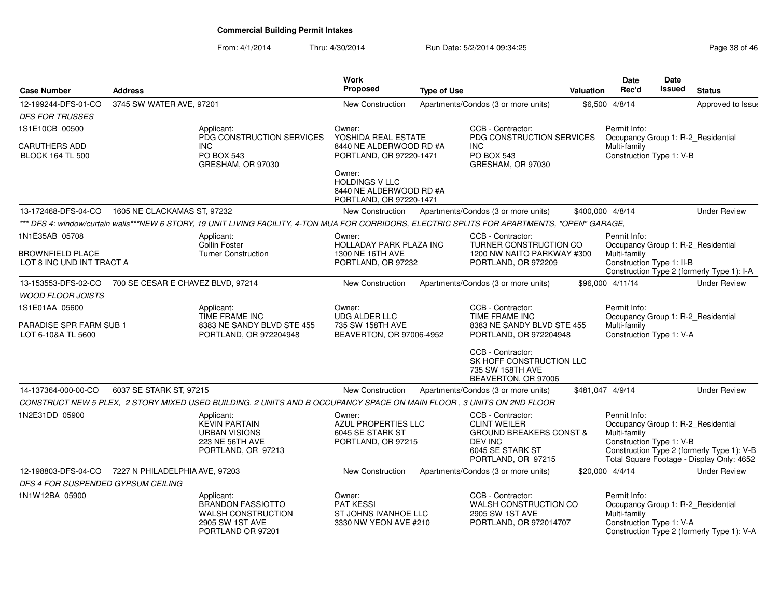| <b>Case Number</b>                                              | <b>Address</b>                    |                                                                                                                                                 | <b>Work</b><br><b>Proposed</b>                                                                                                              | <b>Type of Use</b> |                                                                                                                                     | <b>Valuation</b> | <b>Date</b><br>Rec'd                                                                           | Date<br><b>Issued</b> | <b>Status</b>                                                                           |
|-----------------------------------------------------------------|-----------------------------------|-------------------------------------------------------------------------------------------------------------------------------------------------|---------------------------------------------------------------------------------------------------------------------------------------------|--------------------|-------------------------------------------------------------------------------------------------------------------------------------|------------------|------------------------------------------------------------------------------------------------|-----------------------|-----------------------------------------------------------------------------------------|
| 12-199244-DFS-01-CO<br><b>DFS FOR TRUSSES</b>                   | 3745 SW WATER AVE, 97201          |                                                                                                                                                 | <b>New Construction</b>                                                                                                                     |                    | Apartments/Condos (3 or more units)                                                                                                 |                  | \$6,500 4/8/14                                                                                 |                       | Approved to Issue                                                                       |
| 1S1E10CB 00500                                                  |                                   | Applicant:<br>PDG CONSTRUCTION SERVICES                                                                                                         | Owner:<br>YOSHIDA REAL ESTATE                                                                                                               |                    | CCB - Contractor:<br>PDG CONSTRUCTION SERVICES                                                                                      |                  | Permit Info:<br>Occupancy Group 1: R-2_Residential                                             |                       |                                                                                         |
| <b>CARUTHERS ADD</b><br><b>BLOCK 164 TL 500</b>                 |                                   | <b>INC</b><br><b>PO BOX 543</b><br>GRESHAM, OR 97030                                                                                            | 8440 NE ALDERWOOD RD #A<br>PORTLAND, OR 97220-1471<br>Owner:<br><b>HOLDINGS V LLC</b><br>8440 NE ALDERWOOD RD #A<br>PORTLAND, OR 97220-1471 |                    | <b>INC</b><br><b>PO BOX 543</b><br>GRESHAM, OR 97030                                                                                |                  | Multi-family<br>Construction Type 1: V-B                                                       |                       |                                                                                         |
| 13-172468-DFS-04-CO                                             | 1605 NE CLACKAMAS ST, 97232       |                                                                                                                                                 | <b>New Construction</b>                                                                                                                     |                    | Apartments/Condos (3 or more units)                                                                                                 | \$400,000 4/8/14 |                                                                                                |                       | <b>Under Review</b>                                                                     |
|                                                                 |                                   | *** DFS 4: window/curtain walls***NEW 6 STORY, 19 UNIT LIVING FACILITY, 4-TON MUA FOR CORRIDORS, ELECTRIC SPLITS FOR APARTMENTS, "OPEN" GARAGE, |                                                                                                                                             |                    |                                                                                                                                     |                  |                                                                                                |                       |                                                                                         |
| 1N1E35AB 05708<br><b>BROWNFIELD PLACE</b>                       |                                   | Applicant:<br>Collin Foster<br><b>Turner Construction</b>                                                                                       | Owner:<br>HOLLADAY PARK PLAZA INC<br>1300 NE 16TH AVE                                                                                       |                    | CCB - Contractor:<br>TURNER CONSTRUCTION CO<br>1200 NW NAITO PARKWAY #300                                                           |                  | Permit Info:<br>Occupancy Group 1: R-2_Residential<br>Multi-family                             |                       |                                                                                         |
| LOT 8 INC UND INT TRACT A                                       |                                   |                                                                                                                                                 | PORTLAND, OR 97232                                                                                                                          |                    | PORTLAND, OR 972209                                                                                                                 |                  | Construction Type 1: II-B                                                                      |                       | Construction Type 2 (formerly Type 1): I-A                                              |
| 13-153553-DFS-02-CO                                             | 700 SE CESAR E CHAVEZ BLVD, 97214 |                                                                                                                                                 | <b>New Construction</b>                                                                                                                     |                    | Apartments/Condos (3 or more units)                                                                                                 |                  | \$96,000 4/11/14                                                                               |                       | <b>Under Review</b>                                                                     |
| <b>WOOD FLOOR JOISTS</b>                                        |                                   |                                                                                                                                                 |                                                                                                                                             |                    |                                                                                                                                     |                  |                                                                                                |                       |                                                                                         |
| 1S1E01AA 05600<br>PARADISE SPR FARM SUB 1<br>LOT 6-10&A TL 5600 |                                   | Applicant:<br>TIME FRAME INC<br>8383 NE SANDY BLVD STE 455<br>PORTLAND, OR 972204948                                                            | Owner:<br><b>UDG ALDER LLC</b><br>735 SW 158TH AVE<br>BEAVERTON, OR 97006-4952                                                              |                    | CCB - Contractor:<br>TIME FRAME INC<br>8383 NE SANDY BLVD STE 455<br>PORTLAND, OR 972204948<br>CCB - Contractor:                    |                  | Permit Info:<br>Occupancy Group 1: R-2_Residential<br>Multi-family<br>Construction Type 1: V-A |                       |                                                                                         |
|                                                                 |                                   |                                                                                                                                                 |                                                                                                                                             |                    | SK HOFF CONSTRUCTION LLC<br>735 SW 158TH AVE<br>BEAVERTON, OR 97006                                                                 |                  |                                                                                                |                       |                                                                                         |
| 14-137364-000-00-CO                                             | 6037 SE STARK ST, 97215           |                                                                                                                                                 | <b>New Construction</b>                                                                                                                     |                    | Apartments/Condos (3 or more units)                                                                                                 | \$481,047 4/9/14 |                                                                                                |                       | <b>Under Review</b>                                                                     |
|                                                                 |                                   | CONSTRUCT NEW 5 PLEX, 2 STORY MIXED USED BUILDING. 2 UNITS AND B OCCUPANCY SPACE ON MAIN FLOOR, 3 UNITS ON 2ND FLOOR                            |                                                                                                                                             |                    |                                                                                                                                     |                  |                                                                                                |                       |                                                                                         |
| 1N2E31DD 05900                                                  |                                   | Applicant:<br><b>KEVIN PARTAIN</b><br><b>URBAN VISIONS</b><br>223 NE 56TH AVE<br>PORTLAND, OR 97213                                             | Owner:<br>AZUL PROPERTIES LLC<br>6045 SE STARK ST<br>PORTLAND, OR 97215                                                                     |                    | CCB - Contractor:<br><b>CLINT WEILER</b><br><b>GROUND BREAKERS CONST &amp;</b><br>DEV INC<br>6045 SE STARK ST<br>PORTLAND, OR 97215 |                  | Permit Info:<br>Occupancy Group 1: R-2_Residential<br>Multi-family<br>Construction Type 1: V-B |                       | Construction Type 2 (formerly Type 1): V-B<br>Total Square Footage - Display Only: 4652 |
| 12-198803-DFS-04-CO                                             | 7227 N PHILADELPHIA AVE. 97203    |                                                                                                                                                 | <b>New Construction</b>                                                                                                                     |                    | Apartments/Condos (3 or more units)                                                                                                 |                  | \$20,000 4/4/14                                                                                |                       | <b>Under Review</b>                                                                     |
| DFS 4 FOR SUSPENDED GYPSUM CEILING                              |                                   |                                                                                                                                                 |                                                                                                                                             |                    |                                                                                                                                     |                  |                                                                                                |                       |                                                                                         |
| 1N1W12BA 05900                                                  |                                   | Applicant:<br><b>BRANDON FASSIOTTO</b><br><b>WALSH CONSTRUCTION</b><br>2905 SW 1ST AVE<br>PORTLAND OR 97201                                     | Owner:<br><b>PAT KESSI</b><br>ST JOHNS IVANHOE LLC<br>3330 NW YEON AVE #210                                                                 |                    | CCB - Contractor:<br>WALSH CONSTRUCTION CO<br>2905 SW 1ST AVE<br>PORTLAND, OR 972014707                                             |                  | Permit Info:<br>Occupancy Group 1: R-2_Residential<br>Multi-family<br>Construction Type 1: V-A |                       | Construction Type 2 (formerly Type 1): V-A                                              |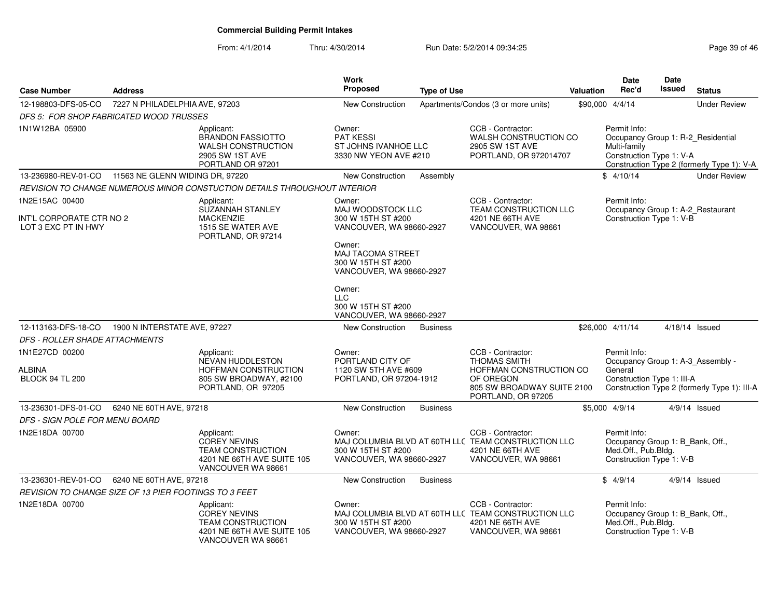| <b>Case Number</b>                                                | <b>Address</b>                  |                                                                                                                   | <b>Work</b><br><b>Proposed</b>                                                       | <b>Type of Use</b> |                                                                                                                                      | Valuation | <b>Date</b><br>Rec'd                                                                                | <b>Date</b><br>Issued | <b>Status</b>                                |
|-------------------------------------------------------------------|---------------------------------|-------------------------------------------------------------------------------------------------------------------|--------------------------------------------------------------------------------------|--------------------|--------------------------------------------------------------------------------------------------------------------------------------|-----------|-----------------------------------------------------------------------------------------------------|-----------------------|----------------------------------------------|
| 12-198803-DFS-05-CO                                               | 7227 N PHILADELPHIA AVE, 97203  |                                                                                                                   | <b>New Construction</b>                                                              |                    | Apartments/Condos (3 or more units)                                                                                                  |           | \$90,000 4/4/14                                                                                     |                       | <b>Under Review</b>                          |
| DFS 5: FOR SHOP FABRICATED WOOD TRUSSES                           |                                 |                                                                                                                   |                                                                                      |                    |                                                                                                                                      |           |                                                                                                     |                       |                                              |
| 1N1W12BA 05900                                                    |                                 | Applicant:<br><b>BRANDON FASSIOTTO</b><br><b>WALSH CONSTRUCTION</b><br>2905 SW 1ST AVE<br>PORTLAND OR 97201       | Owner:<br><b>PAT KESSI</b><br>ST JOHNS IVANHOE LLC<br>3330 NW YEON AVE #210          |                    | CCB - Contractor:<br>WALSH CONSTRUCTION CO<br>2905 SW 1ST AVE<br>PORTLAND, OR 972014707                                              |           | Permit Info:<br>Occupancy Group 1: R-2_Residential<br>Multi-family<br>Construction Type 1: V-A      |                       | Construction Type 2 (formerly Type 1): V-A   |
| 13-236980-REV-01-CO                                               | 11563 NE GLENN WIDING DR, 97220 |                                                                                                                   | <b>New Construction</b>                                                              | Assembly           |                                                                                                                                      |           | \$4/10/14                                                                                           |                       | <b>Under Review</b>                          |
|                                                                   |                                 | REVISION TO CHANGE NUMEROUS MINOR CONSTUCTION DETAILS THROUGHOUT INTERIOR                                         |                                                                                      |                    |                                                                                                                                      |           |                                                                                                     |                       |                                              |
| 1N2E15AC 00400<br>INT'L CORPORATE CTR NO 2<br>LOT 3 EXC PT IN HWY |                                 | Applicant:<br><b>SUZANNAH STANLEY</b><br><b>MACKENZIE</b><br>1515 SE WATER AVE<br>PORTLAND, OR 97214              | Owner:<br>MAJ WOODSTOCK LLC<br>300 W 15TH ST #200<br>VANCOUVER, WA 98660-2927        |                    | CCB - Contractor:<br>TEAM CONSTRUCTION LLC<br>4201 NE 66TH AVE<br>VANCOUVER, WA 98661                                                |           | Permit Info:<br>Occupancy Group 1: A-2_Restaurant<br>Construction Type 1: V-B                       |                       |                                              |
|                                                                   |                                 |                                                                                                                   | Owner:<br><b>MAJ TACOMA STREET</b><br>300 W 15TH ST #200<br>VANCOUVER, WA 98660-2927 |                    |                                                                                                                                      |           |                                                                                                     |                       |                                              |
|                                                                   |                                 |                                                                                                                   | Owner:<br><b>LLC</b><br>300 W 15TH ST #200<br>VANCOUVER, WA 98660-2927               |                    |                                                                                                                                      |           |                                                                                                     |                       |                                              |
| 12-113163-DFS-18-CO                                               | 1900 N INTERSTATE AVE, 97227    |                                                                                                                   | New Construction                                                                     | <b>Business</b>    |                                                                                                                                      |           | \$26,000 4/11/14                                                                                    |                       | $4/18/14$ Issued                             |
| <i>DFS - ROLLER SHADE ATTACHMENTS</i>                             |                                 |                                                                                                                   |                                                                                      |                    |                                                                                                                                      |           |                                                                                                     |                       |                                              |
| 1N1E27CD 00200<br>ALBINA<br><b>BLOCK 94 TL 200</b>                |                                 | Applicant:<br><b>NEVAN HUDDLESTON</b><br>HOFFMAN CONSTRUCTION<br>805 SW BROADWAY, #2100<br>PORTLAND, OR 97205     | Owner:<br>PORTLAND CITY OF<br>1120 SW 5TH AVE #609<br>PORTLAND, OR 97204-1912        |                    | CCB - Contractor:<br><b>THOMAS SMITH</b><br>HOFFMAN CONSTRUCTION CO<br>OF OREGON<br>805 SW BROADWAY SUITE 2100<br>PORTLAND, OR 97205 |           | Permit Info:<br>Occupancy Group 1: A-3_Assembly -<br>General<br>Construction Type 1: III-A          |                       | Construction Type 2 (formerly Type 1): III-A |
| 13-236301-DFS-01-CO                                               | 6240 NE 60TH AVE, 97218         |                                                                                                                   | New Construction                                                                     | <b>Business</b>    |                                                                                                                                      |           | \$5,000 4/9/14                                                                                      |                       | 4/9/14 Issued                                |
| <i>DFS - SIGN POLE FOR MENU BOARD</i>                             |                                 |                                                                                                                   |                                                                                      |                    |                                                                                                                                      |           |                                                                                                     |                       |                                              |
| 1N2E18DA 00700                                                    |                                 | Applicant:<br>COREY NEVINS<br><b>TEAM CONSTRUCTION</b><br>4201 NE 66TH AVE SUITE 105<br>VANCOUVER WA 98661        | Owner:<br>300 W 15TH ST #200<br>VANCOUVER, WA 98660-2927                             |                    | CCB - Contractor:<br>MAJ COLUMBIA BLVD AT 60TH LLC TEAM CONSTRUCTION LLC<br>4201 NE 66TH AVE<br>VANCOUVER, WA 98661                  |           | Permit Info:<br>Occupancy Group 1: B_Bank, Off.,<br>Med.Off., Pub.Bldg.<br>Construction Type 1: V-B |                       |                                              |
| 13-236301-REV-01-CO                                               | 6240 NE 60TH AVE, 97218         |                                                                                                                   | New Construction                                                                     | <b>Business</b>    |                                                                                                                                      |           | \$4/9/14                                                                                            |                       | $4/9/14$ Issued                              |
| <i>REVISION TO CHANGE SIZE OF 13 PIER FOOTINGS TO 3 FEET</i>      |                                 |                                                                                                                   |                                                                                      |                    |                                                                                                                                      |           |                                                                                                     |                       |                                              |
| 1N2E18DA 00700                                                    |                                 | Applicant:<br><b>COREY NEVINS</b><br><b>TEAM CONSTRUCTION</b><br>4201 NE 66TH AVE SUITE 105<br>VANCOUVER WA 98661 | Owner:<br>300 W 15TH ST #200<br>VANCOUVER, WA 98660-2927                             |                    | CCB - Contractor:<br>MAJ COLUMBIA BLVD AT 60TH LLC TEAM CONSTRUCTION LLC<br>4201 NE 66TH AVE<br>VANCOUVER, WA 98661                  |           | Permit Info:<br>Occupancy Group 1: B_Bank, Off.,<br>Med.Off., Pub.Bldg.<br>Construction Type 1: V-B |                       |                                              |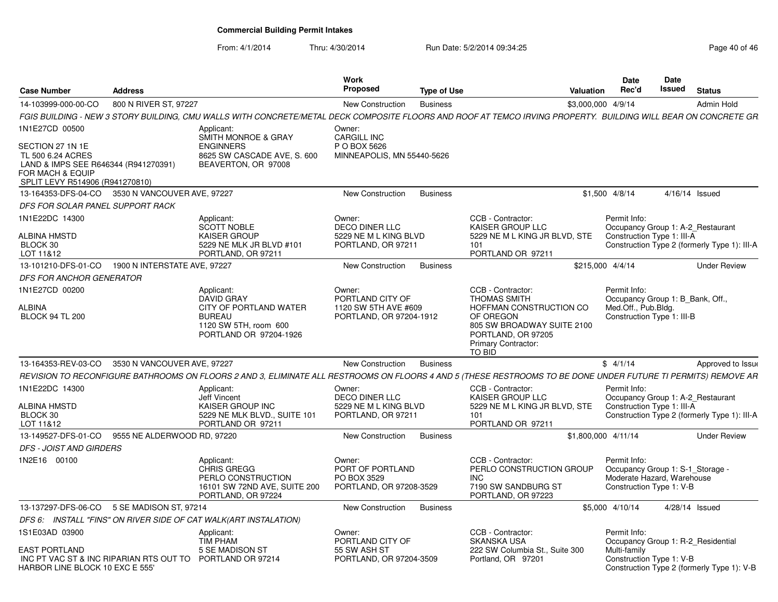| <b>Case Number</b>                                                                                                                                     | <b>Address</b>               |                                                                                                              | <b>Work</b><br>Proposed                                                        | <b>Type of Use</b> | Valuation                                                                                                                                                        |                     | <b>Date</b><br>Rec'd | Date<br>Issued                                         | <b>Status</b>                                                                     |
|--------------------------------------------------------------------------------------------------------------------------------------------------------|------------------------------|--------------------------------------------------------------------------------------------------------------|--------------------------------------------------------------------------------|--------------------|------------------------------------------------------------------------------------------------------------------------------------------------------------------|---------------------|----------------------|--------------------------------------------------------|-----------------------------------------------------------------------------------|
| 14-103999-000-00-CO                                                                                                                                    | 800 N RIVER ST, 97227        |                                                                                                              | <b>New Construction</b>                                                        | <b>Business</b>    |                                                                                                                                                                  | \$3,000,000 4/9/14  |                      |                                                        | <b>Admin Hold</b>                                                                 |
|                                                                                                                                                        |                              |                                                                                                              |                                                                                |                    | FGIS BUILDING - NEW 3 STORY BUILDING, CMU WALLS WITH CONCRETE/METAL DECK COMPOSITE FLOORS AND ROOF AT TEMCO IRVING PROPERTY.  BUILDING WILL BEAR ON CONCRETE GR. |                     |                      |                                                        |                                                                                   |
| 1N1E27CD 00500<br>SECTION 27 1N 1E<br>TL 500 6.24 ACRES<br>LAND & IMPS SEE R646344 (R941270391)<br>FOR MACH & EQUIP<br>SPLIT LEVY R514906 (R941270810) |                              | Applicant:<br>SMITH MONROE & GRAY<br><b>ENGINNERS</b><br>8625 SW CASCADE AVE, S. 600<br>BEAVERTON, OR 97008  | Owner:<br><b>CARGILL INC</b><br>P O BOX 5626<br>MINNEAPOLIS, MN 55440-5626     |                    |                                                                                                                                                                  |                     |                      |                                                        |                                                                                   |
| 13-164353-DFS-04-CO 3530 N VANCOUVER AVE, 97227                                                                                                        |                              |                                                                                                              | New Construction                                                               | <b>Business</b>    |                                                                                                                                                                  | \$1,500 4/8/14      |                      |                                                        | 4/16/14 Issued                                                                    |
| DFS FOR SOLAR PANEL SUPPORT RACK                                                                                                                       |                              |                                                                                                              |                                                                                |                    |                                                                                                                                                                  |                     |                      |                                                        |                                                                                   |
| 1N1E22DC 14300<br>ALBINA HMSTD<br>BLOCK 30<br>LOT 11&12                                                                                                |                              | Applicant:<br><b>SCOTT NOBLE</b><br><b>KAISER GROUP</b><br>5229 NE MLK JR BLVD #101<br>PORTLAND, OR 97211    | Owner:<br><b>DECO DINER LLC</b><br>5229 NE M L KING BLVD<br>PORTLAND, OR 97211 |                    | CCB - Contractor:<br><b>KAISER GROUP LLC</b><br>5229 NE M L KING JR BLVD, STE<br>101<br>PORTLAND OR 97211                                                        | Permit Info:        |                      | Construction Type 1: III-A                             | Occupancy Group 1: A-2 Restaurant<br>Construction Type 2 (formerly Type 1): III-A |
| 13-101210-DFS-01-CO                                                                                                                                    | 1900 N INTERSTATE AVE, 97227 |                                                                                                              | New Construction                                                               | <b>Business</b>    |                                                                                                                                                                  | \$215,000 4/4/14    |                      |                                                        | <b>Under Review</b>                                                               |
| DFS FOR ANCHOR GENERATOR                                                                                                                               |                              |                                                                                                              |                                                                                |                    |                                                                                                                                                                  |                     |                      |                                                        |                                                                                   |
| 1N1E27CD 00200<br>ALBINA                                                                                                                               |                              | Applicant:<br><b>DAVID GRAY</b><br>CITY OF PORTLAND WATER                                                    | Owner:<br>PORTLAND CITY OF<br>1120 SW 5TH AVE #609                             |                    | CCB - Contractor:<br><b>THOMAS SMITH</b><br>HOFFMAN CONSTRUCTION CO                                                                                              | Permit Info:        | Med.Off., Pub.Bldg.  |                                                        | Occupancy Group 1: B Bank, Off.,                                                  |
| <b>BLOCK 94 TL 200</b>                                                                                                                                 |                              | <b>BUREAU</b><br>1120 SW 5TH, room 600<br>PORTLAND OR 97204-1926                                             | PORTLAND, OR 97204-1912                                                        |                    | OF OREGON<br>805 SW BROADWAY SUITE 2100<br>PORTLAND, OR 97205<br><b>Primary Contractor:</b><br>TO BID                                                            |                     |                      | Construction Type 1: III-B                             |                                                                                   |
| 13-164353-REV-03-CO                                                                                                                                    | 3530 N VANCOUVER AVE, 97227  |                                                                                                              | New Construction                                                               | <b>Business</b>    |                                                                                                                                                                  | \$4/1/14            |                      |                                                        | Approved to Issue                                                                 |
|                                                                                                                                                        |                              |                                                                                                              |                                                                                |                    | REVISION TO RECONFIGURE BATHROOMS ON FLOORS 2 AND 3. ELIMINATE ALL RESTROOMS ON FLOORS 4 AND 5 (THESE RESTROOMS TO BE DONE UNDER FUTURE TI PERMITS) REMOVE AR    |                     |                      |                                                        |                                                                                   |
| 1N1E22DC 14300                                                                                                                                         |                              | Applicant:<br><b>Jeff Vincent</b>                                                                            | Owner:<br>DECO DINER LLC                                                       |                    | CCB - Contractor:<br>KAISER GROUP LLC                                                                                                                            | Permit Info:        |                      |                                                        | Occupancy Group 1: A-2_Restaurant                                                 |
| <b>ALBINA HMSTD</b><br>BLOCK 30<br>LOT 11&12                                                                                                           |                              | KAISER GROUP INC<br>5229 NE MLK BLVD., SUITE 101<br>PORTLAND OR 97211                                        | 5229 NE M L KING BLVD<br>PORTLAND, OR 97211                                    |                    | 5229 NE M L KING JR BLVD. STE<br>101<br>PORTLAND OR 97211                                                                                                        |                     |                      | Construction Type 1: III-A                             | Construction Type 2 (formerly Type 1): III-A                                      |
| 13-149527-DFS-01-CO                                                                                                                                    | 9555 NE ALDERWOOD RD. 97220  |                                                                                                              | New Construction                                                               | <b>Business</b>    |                                                                                                                                                                  | \$1,800,000 4/11/14 |                      |                                                        | <b>Under Review</b>                                                               |
| <b>DFS - JOIST AND GIRDERS</b>                                                                                                                         |                              |                                                                                                              |                                                                                |                    |                                                                                                                                                                  |                     |                      |                                                        |                                                                                   |
| 1N2E16 00100                                                                                                                                           |                              | Applicant:<br><b>CHRIS GREGG</b><br>PERLO CONSTRUCTION<br>16101 SW 72ND AVE, SUITE 200<br>PORTLAND, OR 97224 | Owner:<br>PORT OF PORTLAND<br>PO BOX 3529<br>PORTLAND, OR 97208-3529           |                    | CCB - Contractor:<br>PERLO CONSTRUCTION GROUP<br><b>INC</b><br>7190 SW SANDBURG ST<br>PORTLAND, OR 97223                                                         | Permit Info:        |                      | Moderate Hazard, Warehouse<br>Construction Type 1: V-B | Occupancy Group 1: S-1 Storage -                                                  |
| 13-137297-DFS-06-CO 5 SE MADISON ST, 97214                                                                                                             |                              |                                                                                                              | New Construction                                                               | <b>Business</b>    |                                                                                                                                                                  | \$5,000 4/10/14     |                      |                                                        | 4/28/14 Issued                                                                    |
|                                                                                                                                                        |                              | DFS 6: INSTALL "FINS" ON RIVER SIDE OF CAT WALK(ART INSTALATION)                                             |                                                                                |                    |                                                                                                                                                                  |                     |                      |                                                        |                                                                                   |
| 1S1E03AD 03900                                                                                                                                         |                              | Applicant:<br>TIM PHAM                                                                                       | Owner:<br>PORTLAND CITY OF                                                     |                    | CCB - Contractor:<br><b>SKANSKA USA</b>                                                                                                                          | Permit Info:        |                      |                                                        | Occupancy Group 1: R-2 Residential                                                |
| <b>EAST PORTLAND</b><br>INC PT VAC ST & INC RIPARIAN RTS OUT TO PORTLAND OR 97214<br>HARBOR LINE BLOCK 10 EXC E 555'                                   |                              | 5 SE MADISON ST                                                                                              | 55 SW ASH ST<br>PORTLAND, OR 97204-3509                                        |                    | 222 SW Columbia St., Suite 300<br>Portland, OR 97201                                                                                                             | Multi-family        |                      | Construction Type 1: V-B                               | Construction Type 2 (formerly Type 1): V-B                                        |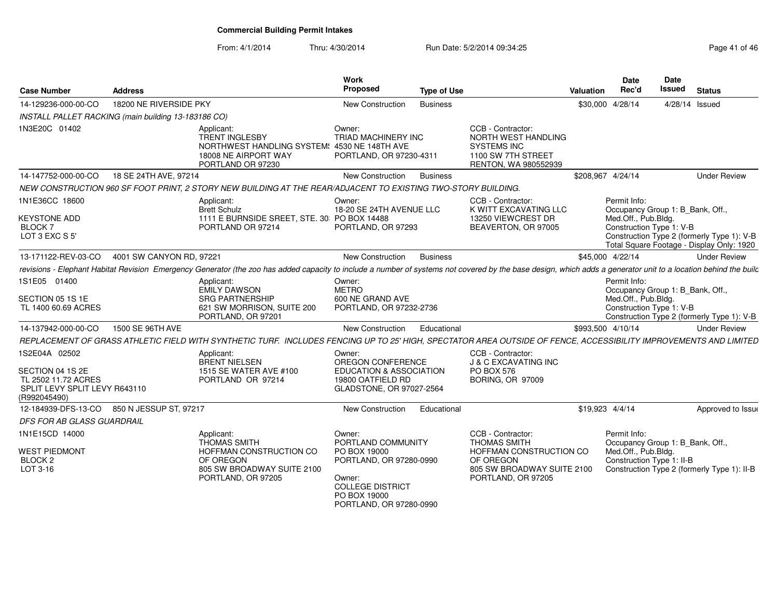| <b>Case Number</b>                                                                                        | <b>Address</b>           |                                                                                                                                                                                                                 | Work<br>Proposed                                                                                                                                        | <b>Type of Use</b> |                                                                                                                                      | <b>Valuation</b>  | <b>Date</b><br>Rec'd                | <b>Date</b><br>Issued                                         | <b>Status</b>                                                                           |
|-----------------------------------------------------------------------------------------------------------|--------------------------|-----------------------------------------------------------------------------------------------------------------------------------------------------------------------------------------------------------------|---------------------------------------------------------------------------------------------------------------------------------------------------------|--------------------|--------------------------------------------------------------------------------------------------------------------------------------|-------------------|-------------------------------------|---------------------------------------------------------------|-----------------------------------------------------------------------------------------|
| 14-129236-000-00-CO                                                                                       | 18200 NE RIVERSIDE PKY   |                                                                                                                                                                                                                 | <b>New Construction</b>                                                                                                                                 | <b>Business</b>    |                                                                                                                                      |                   | \$30,000 4/28/14                    | 4/28/14 Issued                                                |                                                                                         |
| INSTALL PALLET RACKING (main building 13-183186 CO)                                                       |                          |                                                                                                                                                                                                                 |                                                                                                                                                         |                    |                                                                                                                                      |                   |                                     |                                                               |                                                                                         |
| 1N3E20C 01402                                                                                             |                          | Applicant:<br><b>TRENT INGLESBY</b><br>NORTHWEST HANDLING SYSTEM: 4530 NE 148TH AVE<br>18008 NE AIRPORT WAY<br>PORTLAND OR 97230                                                                                | Owner:<br>TRIAD MACHINERY INC<br>PORTLAND, OR 97230-4311                                                                                                |                    | CCB - Contractor:<br><b>NORTH WEST HANDLING</b><br><b>SYSTEMS INC</b><br>1100 SW 7TH STREET<br>RENTON, WA 980552939                  |                   |                                     |                                                               |                                                                                         |
| 14-147752-000-00-CO                                                                                       | 18 SE 24TH AVE, 97214    |                                                                                                                                                                                                                 | <b>New Construction</b>                                                                                                                                 | <b>Business</b>    |                                                                                                                                      | \$208.967 4/24/14 |                                     |                                                               | <b>Under Review</b>                                                                     |
|                                                                                                           |                          | NEW CONSTRUCTION 960 SF FOOT PRINT, 2 STORY NEW BUILDING AT THE REAR/ADJACENT TO EXISTING TWO-STORY BUILDING.                                                                                                   |                                                                                                                                                         |                    |                                                                                                                                      |                   |                                     |                                                               |                                                                                         |
| 1N1E36CC 18600                                                                                            |                          | Applicant:<br><b>Brett Schulz</b>                                                                                                                                                                               | Owner:<br>18-20 SE 24TH AVENUE LLC                                                                                                                      |                    | CCB - Contractor:<br>K WITT EXCAVATING LLC                                                                                           |                   | Permit Info:                        | Occupancy Group 1: B_Bank, Off.,                              |                                                                                         |
| <b>KEYSTONE ADD</b><br><b>BLOCK7</b><br>LOT 3 EXC S 5'                                                    |                          | 1111 E BURNSIDE SREET, STE. 30 PO BOX 14488<br>PORTLAND OR 97214                                                                                                                                                | PORTLAND, OR 97293                                                                                                                                      |                    | 13250 VIEWCREST DR<br>BEAVERTON, OR 97005                                                                                            |                   | Med.Off., Pub.Bldg.                 | Construction Type 1: V-B                                      | Construction Type 2 (formerly Type 1): V-B<br>Total Square Footage - Display Only: 1920 |
| 13-171122-REV-03-CO                                                                                       | 4001 SW CANYON RD, 97221 |                                                                                                                                                                                                                 | <b>New Construction</b>                                                                                                                                 | <b>Business</b>    |                                                                                                                                      |                   | \$45,000 4/22/14                    |                                                               | <b>Under Review</b>                                                                     |
|                                                                                                           |                          | revisions - Elephant Habitat Revision Emergency Generator (the zoo has added capacity to include a number of systems not covered by the base design, which adds a generator unit to a location behind the builc |                                                                                                                                                         |                    |                                                                                                                                      |                   |                                     |                                                               |                                                                                         |
| 1S1E05 01400<br>SECTION 05 1S 1E<br>TL 1400 60.69 ACRES                                                   |                          | Applicant:<br>EMILY DAWSON<br><b>SRG PARTNERSHIP</b><br>621 SW MORRISON, SUITE 200<br>PORTLAND, OR 97201                                                                                                        | Owner:<br><b>METRO</b><br>600 NE GRAND AVE<br>PORTLAND, OR 97232-2736                                                                                   |                    |                                                                                                                                      |                   | Permit Info:<br>Med.Off., Pub.Bldg. | Occupancy Group 1: B_Bank, Off.,<br>Construction Type 1: V-B  | Construction Type 2 (formerly Type 1): V-B                                              |
| 14-137942-000-00-CO                                                                                       | 1500 SE 96TH AVE         |                                                                                                                                                                                                                 | <b>New Construction</b>                                                                                                                                 | Educational        |                                                                                                                                      |                   | \$993,500 4/10/14                   |                                                               | <b>Under Review</b>                                                                     |
|                                                                                                           |                          | REPLACEMENT OF GRASS ATHLETIC FIELD WITH SYNTHETIC TURF. INCLUDES FENCING UP TO 25' HIGH, SPECTATOR AREA OUTSIDE OF FENCE, ACCESSIBILITY IMPROVEMENTS AND LIMITED                                               |                                                                                                                                                         |                    |                                                                                                                                      |                   |                                     |                                                               |                                                                                         |
| 1S2E04A 02502<br>SECTION 04 1S 2E<br>TL 2502 11.72 ACRES<br>SPLIT LEVY SPLIT LEVY R643110<br>(R992045490) |                          | Applicant:<br><b>BRENT NIELSEN</b><br>1515 SE WATER AVE #100<br>PORTLAND OR 97214                                                                                                                               | Owner:<br>OREGON CONFERENCE<br><b>EDUCATION &amp; ASSOCIATION</b><br>19800 OATFIELD RD<br>GLADSTONE, OR 97027-2564                                      |                    | CCB - Contractor:<br><b>J &amp; C EXCAVATING INC</b><br><b>PO BOX 576</b><br><b>BORING, OR 97009</b>                                 |                   |                                     |                                                               |                                                                                         |
| 12-184939-DFS-13-CO                                                                                       | 850 N JESSUP ST, 97217   |                                                                                                                                                                                                                 | New Construction                                                                                                                                        | Educational        |                                                                                                                                      |                   | \$19.923 4/4/14                     |                                                               | Approved to Issue                                                                       |
| DFS FOR AB GLASS GUARDRAIL                                                                                |                          |                                                                                                                                                                                                                 |                                                                                                                                                         |                    |                                                                                                                                      |                   |                                     |                                                               |                                                                                         |
| 1N1E15CD 14000<br><b>WEST PIEDMONT</b><br>BLOCK <sub>2</sub><br>LOT 3-16                                  |                          | Applicant:<br><b>THOMAS SMITH</b><br>HOFFMAN CONSTRUCTION CO<br>OF OREGON<br>805 SW BROADWAY SUITE 2100<br>PORTLAND, OR 97205                                                                                   | Owner:<br>PORTLAND COMMUNITY<br>PO BOX 19000<br>PORTLAND, OR 97280-0990<br>Owner:<br><b>COLLEGE DISTRICT</b><br>PO BOX 19000<br>PORTLAND, OR 97280-0990 |                    | CCB - Contractor:<br><b>THOMAS SMITH</b><br>HOFFMAN CONSTRUCTION CO<br>OF OREGON<br>805 SW BROADWAY SUITE 2100<br>PORTLAND, OR 97205 |                   | Permit Info:<br>Med.Off., Pub.Bldg. | Occupancy Group 1: B_Bank, Off.,<br>Construction Type 1: II-B | Construction Type 2 (formerly Type 1): II-B                                             |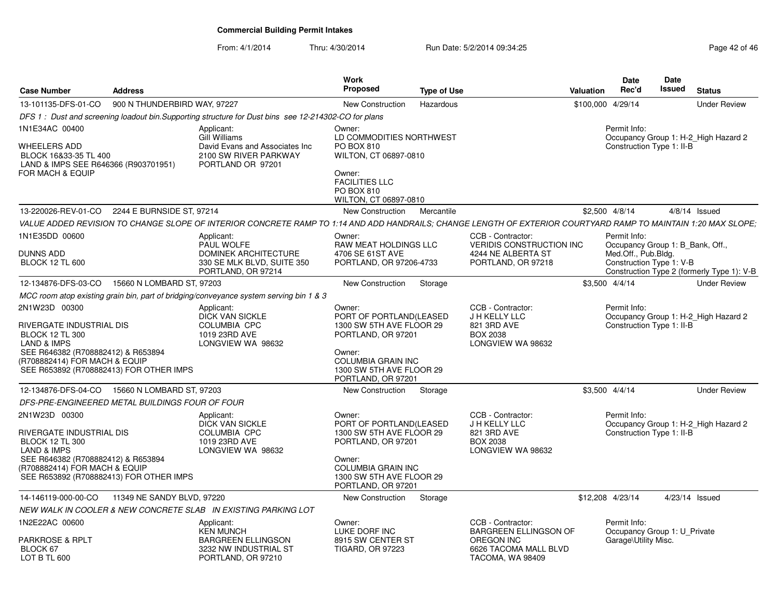From: 4/1/2014

| <b>Case Number</b>                                                                                                                       | <b>Address</b>               |                                                                                                                                                                | Work<br><b>Proposed</b>                                                                       | <b>Type of Use</b> |                                                                                           | <b>Valuation</b>  | Date<br>Rec'd                                                        | <b>Date</b><br>Issued | <b>Status</b>                              |
|------------------------------------------------------------------------------------------------------------------------------------------|------------------------------|----------------------------------------------------------------------------------------------------------------------------------------------------------------|-----------------------------------------------------------------------------------------------|--------------------|-------------------------------------------------------------------------------------------|-------------------|----------------------------------------------------------------------|-----------------------|--------------------------------------------|
| 13-101135-DFS-01-CO                                                                                                                      | 900 N THUNDERBIRD WAY, 97227 |                                                                                                                                                                | New Construction                                                                              | Hazardous          |                                                                                           | \$100,000 4/29/14 |                                                                      |                       | <b>Under Review</b>                        |
|                                                                                                                                          |                              | DFS 1: Dust and screening loadout bin. Supporting structure for Dust bins see 12-214302-CO for plans                                                           |                                                                                               |                    |                                                                                           |                   |                                                                      |                       |                                            |
| 1N1E34AC 00400                                                                                                                           |                              | Applicant:<br>Gill Williams                                                                                                                                    | Owner:<br>LD COMMODITIES NORTHWEST                                                            |                    |                                                                                           |                   | Permit Info:                                                         |                       | Occupancy Group 1: H-2_High Hazard 2       |
| WHEELERS ADD<br>BLOCK 16&33-35 TL 400<br>LAND & IMPS SEE R646366 (R903701951)<br>FOR MACH & EQUIP                                        |                              | David Evans and Associates Inc<br>2100 SW RIVER PARKWAY<br>PORTLAND OR 97201                                                                                   | PO BOX 810<br>WILTON, CT 06897-0810<br>Owner:<br><b>FACILITIES LLC</b><br>PO BOX 810          |                    |                                                                                           |                   | Construction Type 1: II-B                                            |                       |                                            |
|                                                                                                                                          |                              |                                                                                                                                                                | WILTON, CT 06897-0810                                                                         |                    |                                                                                           |                   |                                                                      |                       |                                            |
| 13-220026-REV-01-CO 2244 E BURNSIDE ST, 97214                                                                                            |                              |                                                                                                                                                                | New Construction                                                                              | Mercantile         |                                                                                           | \$2,500 4/8/14    |                                                                      |                       | $4/8/14$ Issued                            |
|                                                                                                                                          |                              | VALUE ADDED REVISION TO CHANGE SLOPE OF INTERIOR CONCRETE RAMP TO 1:14 AND ADD HANDRAILS; CHANGE LENGTH OF EXTERIOR COURTYARD RAMP TO MAINTAIN 1:20 MAX SLOPE; |                                                                                               |                    |                                                                                           |                   |                                                                      |                       |                                            |
| 1N1E35DD 00600                                                                                                                           |                              | Applicant:<br>PAUL WOLFE                                                                                                                                       | Owner:<br><b>RAW MEAT HOLDINGS LLC</b>                                                        |                    | CCB - Contractor:<br><b>VERIDIS CONSTRUCTION INC.</b>                                     |                   | Permit Info:<br>Occupancy Group 1: B_Bank, Off.,                     |                       |                                            |
| <b>DUNNS ADD</b><br><b>BLOCK 12 TL 600</b>                                                                                               |                              | <b>DOMINEK ARCHITECTURE</b><br>330 SE MLK BLVD, SUITE 350<br>PORTLAND, OR 97214                                                                                | 4706 SE 61ST AVE<br>PORTLAND, OR 97206-4733                                                   |                    | 4244 NE ALBERTA ST<br>PORTLAND, OR 97218                                                  |                   | Med.Off., Pub.Bldg.<br>Construction Type 1: V-B                      |                       | Construction Type 2 (formerly Type 1): V-B |
| 12-134876-DFS-03-CO                                                                                                                      | 15660 N LOMBARD ST, 97203    |                                                                                                                                                                | New Construction                                                                              | Storage            |                                                                                           | \$3,500 4/4/14    |                                                                      |                       | <b>Under Review</b>                        |
|                                                                                                                                          |                              | MCC room atop existing grain bin, part of bridging/conveyance system serving bin 1 & 3                                                                         |                                                                                               |                    |                                                                                           |                   |                                                                      |                       |                                            |
| 2N1W23D 00300<br>RIVERGATE INDUSTRIAL DIS<br><b>BLOCK 12 TL 300</b>                                                                      |                              | Applicant:<br><b>DICK VAN SICKLE</b><br><b>COLUMBIA CPC</b><br>1019 23RD AVE                                                                                   | Owner:<br>PORT OF PORTLAND(LEASED<br>1300 SW 5TH AVE FLOOR 29<br>PORTLAND, OR 97201           |                    | CCB - Contractor:<br>J H KELLY LLC<br>821 3RD AVE<br><b>BOX 2038</b><br>LONGVIEW WA 98632 |                   | Permit Info:<br>Construction Type 1: II-B                            |                       | Occupancy Group 1: H-2 High Hazard 2       |
| <b>LAND &amp; IMPS</b><br>SEE R646382 (R708882412) & R653894<br>(R708882414) FOR MACH & EQUIP<br>SEE R653892 (R708882413) FOR OTHER IMPS |                              | LONGVIEW WA 98632                                                                                                                                              | Owner:<br><b>COLUMBIA GRAIN INC</b><br>1300 SW 5TH AVE FLOOR 29<br>PORTLAND, OR 97201         |                    |                                                                                           |                   |                                                                      |                       |                                            |
| 12-134876-DFS-04-CO                                                                                                                      | 15660 N LOMBARD ST, 97203    |                                                                                                                                                                | New Construction                                                                              | Storage            |                                                                                           | \$3,500 4/4/14    |                                                                      |                       | <b>Under Review</b>                        |
| DFS-PRE-ENGINEERED METAL BUILDINGS FOUR OF FOUR                                                                                          |                              |                                                                                                                                                                |                                                                                               |                    |                                                                                           |                   |                                                                      |                       |                                            |
| 2N1W23D 00300<br>RIVERGATE INDUSTRIAL DIS<br><b>BLOCK 12 TL 300</b><br><b>LAND &amp; IMPS</b><br>SEE R646382 (R708882412) & R653894      |                              | Applicant:<br><b>DICK VAN SICKLE</b><br><b>COLUMBIA CPC</b><br>1019 23RD AVE<br>LONGVIEW WA 98632                                                              | Owner:<br>PORT OF PORTLAND(LEASED<br>1300 SW 5TH AVE FLOOR 29<br>PORTLAND, OR 97201<br>Owner: |                    | CCB - Contractor:<br>J H KELLY LLC<br>821 3RD AVE<br><b>BOX 2038</b><br>LONGVIEW WA 98632 |                   | Permit Info:<br>Construction Type 1: II-B                            |                       | Occupancy Group 1: H-2 High Hazard 2       |
| (R708882414) FOR MACH & EQUIP<br>SEE R653892 (R708882413) FOR OTHER IMPS                                                                 |                              |                                                                                                                                                                | <b>COLUMBIA GRAIN INC</b><br>1300 SW 5TH AVE FLOOR 29<br>PORTLAND, OR 97201                   |                    |                                                                                           |                   |                                                                      |                       |                                            |
| 14-146119-000-00-CO                                                                                                                      | 11349 NE SANDY BLVD, 97220   |                                                                                                                                                                | New Construction                                                                              | Storage            |                                                                                           | \$12,208 4/23/14  |                                                                      |                       | 4/23/14 Issued                             |
|                                                                                                                                          |                              | NEW WALK IN COOLER & NEW CONCRETE SLAB IN EXISTING PARKING LOT                                                                                                 |                                                                                               |                    |                                                                                           |                   |                                                                      |                       |                                            |
| 1N2E22AC 00600<br><b>PARKROSE &amp; RPLT</b>                                                                                             |                              | Applicant:<br><b>KEN MUNCH</b><br><b>BARGREEN ELLINGSON</b>                                                                                                    | Owner:<br>LUKE DORF INC<br>8915 SW CENTER ST                                                  |                    | CCB - Contractor:<br><b>BARGREEN ELLINGSON OF</b><br><b>OREGON INC</b>                    |                   | Permit Info:<br>Occupancy Group 1: U Private<br>Garage\Utility Misc. |                       |                                            |
| BLOCK 67<br>LOT B TL 600                                                                                                                 |                              | 3232 NW INDUSTRIAL ST<br>PORTLAND, OR 97210                                                                                                                    | <b>TIGARD, OR 97223</b>                                                                       |                    | 6626 TACOMA MALL BLVD<br>TACOMA, WA 98409                                                 |                   |                                                                      |                       |                                            |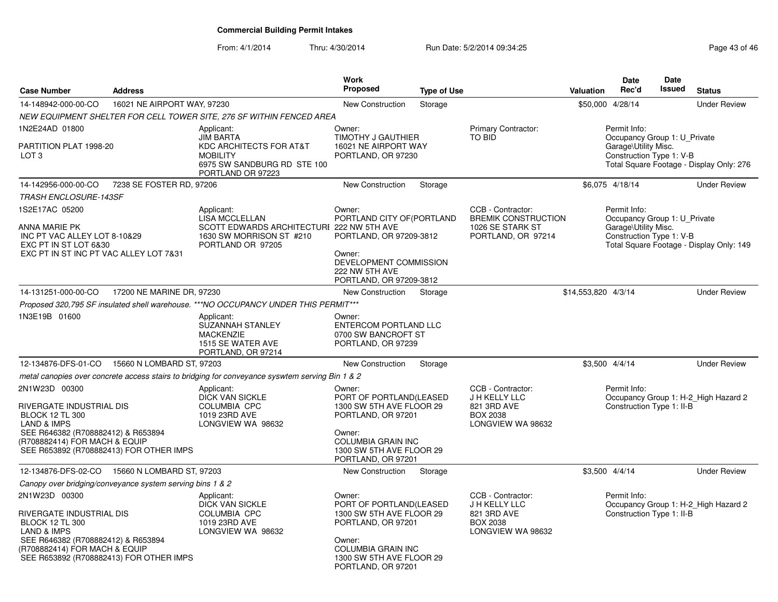| <b>Case Number</b>                                                                                                                                                   | <b>Address</b>                                            |                                                                                                                                  | <b>Work</b><br><b>Proposed</b>                                                                                                                                               |                    |                                                                                           |                     | Date<br>Rec'd                                                                                    | <b>Date</b><br><b>Issued</b> |                                          |
|----------------------------------------------------------------------------------------------------------------------------------------------------------------------|-----------------------------------------------------------|----------------------------------------------------------------------------------------------------------------------------------|------------------------------------------------------------------------------------------------------------------------------------------------------------------------------|--------------------|-------------------------------------------------------------------------------------------|---------------------|--------------------------------------------------------------------------------------------------|------------------------------|------------------------------------------|
|                                                                                                                                                                      |                                                           |                                                                                                                                  |                                                                                                                                                                              | <b>Type of Use</b> |                                                                                           | Valuation           |                                                                                                  |                              | <b>Status</b>                            |
| 14-148942-000-00-CO                                                                                                                                                  | 16021 NE AIRPORT WAY, 97230                               |                                                                                                                                  | <b>New Construction</b>                                                                                                                                                      | Storage            |                                                                                           | \$50,000 4/28/14    |                                                                                                  |                              | <b>Under Review</b>                      |
|                                                                                                                                                                      |                                                           | NEW EQUIPMENT SHELTER FOR CELL TOWER SITE, 276 SF WITHIN FENCED AREA                                                             |                                                                                                                                                                              |                    |                                                                                           |                     |                                                                                                  |                              |                                          |
| 1N2E24AD 01800<br>PARTITION PLAT 1998-20<br>LOT <sub>3</sub>                                                                                                         |                                                           | Applicant:<br><b>JIM BARTA</b><br>KDC ARCHITECTS FOR AT&T<br><b>MOBILITY</b><br>6975 SW SANDBURG RD STE 100<br>PORTLAND OR 97223 | Owner:<br><b>TIMOTHY J GAUTHIER</b><br>16021 NE AIRPORT WAY<br>PORTLAND, OR 97230                                                                                            |                    | Primary Contractor:<br><b>TO BID</b>                                                      |                     | Permit Info:<br>Occupancy Group 1: U_Private<br>Garage\Utility Misc.<br>Construction Type 1: V-B |                              | Total Square Footage - Display Only: 276 |
| 14-142956-000-00-CO                                                                                                                                                  | 7238 SE FOSTER RD, 97206                                  |                                                                                                                                  | <b>New Construction</b>                                                                                                                                                      | Storage            |                                                                                           |                     | \$6,075 4/18/14                                                                                  |                              | <b>Under Review</b>                      |
| <b>TRASH ENCLOSURE-143SF</b>                                                                                                                                         |                                                           |                                                                                                                                  |                                                                                                                                                                              |                    |                                                                                           |                     |                                                                                                  |                              |                                          |
| 1S2E17AC 05200<br>ANNA MARIE PK<br>INC PT VAC ALLEY LOT 8-10&29<br>EXC PT IN ST LOT 6&30<br>EXC PT IN ST INC PT VAC ALLEY LOT 7&31                                   |                                                           | Applicant:<br>LISA MCCLELLAN<br>SCOTT EDWARDS ARCHITECTURI 222 NW 5TH AVE<br>1630 SW MORRISON ST #210<br>PORTLAND OR 97205       | Owner:<br>PORTLAND CITY OF (PORTLAND<br>PORTLAND, OR 97209-3812<br>Owner:<br>DEVELOPMENT COMMISSION<br>222 NW 5TH AVE<br>PORTLAND, OR 97209-3812                             |                    | CCB - Contractor:<br><b>BREMIK CONSTRUCTION</b><br>1026 SE STARK ST<br>PORTLAND, OR 97214 |                     | Permit Info:<br>Occupancy Group 1: U Private<br>Garage\Utility Misc.<br>Construction Type 1: V-B |                              | Total Square Footage - Display Only: 149 |
| 14-131251-000-00-CO                                                                                                                                                  | 17200 NE MARINE DR, 97230                                 |                                                                                                                                  | New Construction                                                                                                                                                             | Storage            |                                                                                           | \$14,553,820 4/3/14 |                                                                                                  |                              | <b>Under Review</b>                      |
|                                                                                                                                                                      |                                                           | Proposed 320,795 SF insulated shell warehouse. ***NO OCCUPANCY UNDER THIS PERMIT***                                              |                                                                                                                                                                              |                    |                                                                                           |                     |                                                                                                  |                              |                                          |
| 1N3E19B 01600                                                                                                                                                        |                                                           | Applicant:<br>SUZANNAH STANLEY<br><b>MACKENZIE</b><br>1515 SE WATER AVE<br>PORTLAND, OR 97214                                    | Owner:<br>ENTERCOM PORTLAND LLC<br>0700 SW BANCROFT ST<br>PORTLAND, OR 97239                                                                                                 |                    |                                                                                           |                     |                                                                                                  |                              |                                          |
|                                                                                                                                                                      | 12-134876-DFS-01-CO  15660 N LOMBARD ST, 97203            |                                                                                                                                  | New Construction                                                                                                                                                             | Storage            |                                                                                           | \$3,500 4/4/14      |                                                                                                  |                              | <b>Under Review</b>                      |
|                                                                                                                                                                      |                                                           | metal canopies over concrete access stairs to bridging for conveyance syswtem serving Bin 1 & 2                                  |                                                                                                                                                                              |                    |                                                                                           |                     |                                                                                                  |                              |                                          |
| 2N1W23D 00300<br>RIVERGATE INDUSTRIAL DIS<br><b>BLOCK 12 TL 300</b><br><b>LAND &amp; IMPS</b><br>SEE R646382 (R708882412) & R653894<br>(R708882414) FOR MACH & EQUIP | SEE R653892 (R708882413) FOR OTHER IMPS                   | Applicant:<br><b>DICK VAN SICKLE</b><br><b>COLUMBIA CPC</b><br>1019 23RD AVE<br>LONGVIEW WA 98632                                | Owner:<br>PORT OF PORTLAND(LEASED<br>1300 SW 5TH AVE FLOOR 29<br>PORTLAND, OR 97201<br>Owner:<br><b>COLUMBIA GRAIN INC</b><br>1300 SW 5TH AVE FLOOR 29<br>PORTLAND, OR 97201 |                    | CCB - Contractor:<br>J H KELLY LLC<br>821 3RD AVE<br><b>BOX 2038</b><br>LONGVIEW WA 98632 |                     | Permit Info:<br>Construction Type 1: II-B                                                        |                              | Occupancy Group 1: H-2_High Hazard 2     |
| 12-134876-DFS-02-CO                                                                                                                                                  | 15660 N LOMBARD ST, 97203                                 |                                                                                                                                  | New Construction                                                                                                                                                             | Storage            |                                                                                           | \$3,500 4/4/14      |                                                                                                  |                              | <b>Under Review</b>                      |
|                                                                                                                                                                      | Canopy over bridging/conveyance system serving bins 1 & 2 |                                                                                                                                  |                                                                                                                                                                              |                    |                                                                                           |                     |                                                                                                  |                              |                                          |
| 2N1W23D 00300<br>RIVERGATE INDUSTRIAL DIS<br><b>BLOCK 12 TL 300</b><br><b>LAND &amp; IMPS</b><br>SEE R646382 (R708882412) & R653894<br>(R708882414) FOR MACH & EQUIP | SEE R653892 (R708882413) FOR OTHER IMPS                   | Applicant:<br><b>DICK VAN SICKLE</b><br><b>COLUMBIA CPC</b><br>1019 23RD AVE<br>LONGVIEW WA 98632                                | Owner:<br>PORT OF PORTLAND(LEASED<br>1300 SW 5TH AVE FLOOR 29<br>PORTLAND, OR 97201<br>Owner:<br>COLUMBIA GRAIN INC<br>1300 SW 5TH AVE FLOOR 29<br>PORTLAND, OR 97201        |                    | CCB - Contractor:<br>J H KELLY LLC<br>821 3RD AVE<br><b>BOX 2038</b><br>LONGVIEW WA 98632 |                     | Permit Info:<br>Construction Type 1: II-B                                                        |                              | Occupancy Group 1: H-2_High Hazard 2     |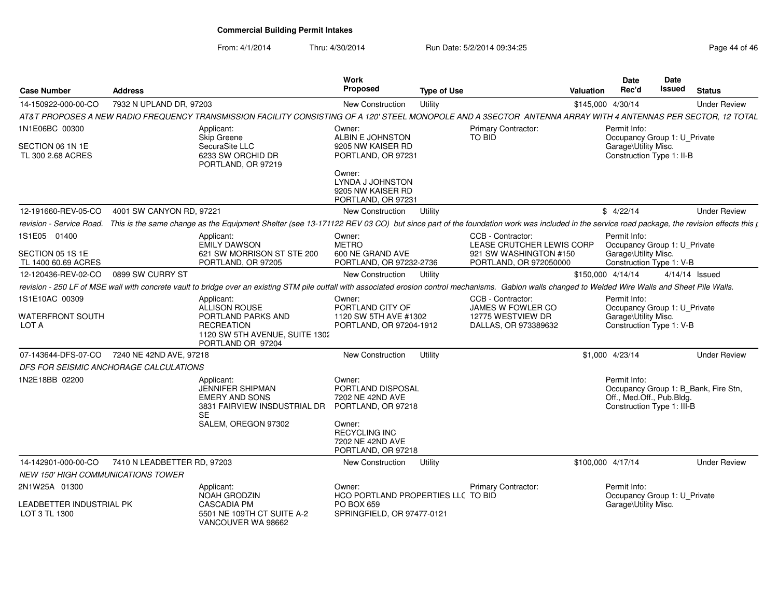| <b>Case Number</b>                               | <b>Address</b>                              |                                                                                                                                                                                                                 | Work<br><b>Proposed</b>                                                        | <b>Type of Use</b> |                                                  | Valuation | Date<br>Rec'd                                                           | <b>Date</b><br><b>Issued</b> | <b>Status</b>                        |  |
|--------------------------------------------------|---------------------------------------------|-----------------------------------------------------------------------------------------------------------------------------------------------------------------------------------------------------------------|--------------------------------------------------------------------------------|--------------------|--------------------------------------------------|-----------|-------------------------------------------------------------------------|------------------------------|--------------------------------------|--|
| 14-150922-000-00-CO                              | 7932 N UPLAND DR, 97203                     |                                                                                                                                                                                                                 | New Construction                                                               | Utility            |                                                  |           | \$145,000 4/30/14                                                       |                              | <b>Under Review</b>                  |  |
|                                                  |                                             | AT&T PROPOSES A NEW RADIO FREQUENCY TRANSMISSION FACILITY CONSISTING OF A 120' STEEL MONOPOLE AND A 3SECTOR ANTENNA ARRAY WITH 4 ANTENNAS PER SECTOR, 12 TOTAL                                                  |                                                                                |                    |                                                  |           |                                                                         |                              |                                      |  |
| 1N1E06BC 00300                                   |                                             | Applicant:<br>Skip Greene                                                                                                                                                                                       | Owner:<br>ALBIN E JOHNSTON                                                     |                    | Primary Contractor:<br>TO BID                    |           | Permit Info:<br>Occupancy Group 1: U_Private                            |                              |                                      |  |
| SECTION 06 1N 1E<br>TL 300 2.68 ACRES            |                                             | SecuraSite LLC<br>6233 SW ORCHID DR<br>PORTLAND, OR 97219                                                                                                                                                       | 9205 NW KAISER RD<br>PORTLAND, OR 97231                                        |                    |                                                  |           | Garage\Utility Misc.<br>Construction Type 1: II-B                       |                              |                                      |  |
|                                                  |                                             |                                                                                                                                                                                                                 | Owner:<br>LYNDA J JOHNSTON<br>9205 NW KAISER RD<br>PORTLAND, OR 97231          |                    |                                                  |           |                                                                         |                              |                                      |  |
| 12-191660-REV-05-CO                              | 4001 SW CANYON RD, 97221                    |                                                                                                                                                                                                                 | <b>New Construction</b>                                                        | Utility            |                                                  |           | \$4/22/14                                                               |                              | <b>Under Review</b>                  |  |
|                                                  |                                             | revision - Service Road. This is the same change as the Equipment Shelter (see 13-171122 REV 03 CO) but since part of the foundation work was included in the service road package, the revision effects this p |                                                                                |                    |                                                  |           |                                                                         |                              |                                      |  |
| 1S1E05 01400                                     |                                             | Applicant:<br><b>EMILY DAWSON</b>                                                                                                                                                                               | Owner:<br><b>METRO</b>                                                         |                    | CCB - Contractor:<br>LEASE CRUTCHER LEWIS CORP   |           | Permit Info:<br>Occupancy Group 1: U Private                            |                              |                                      |  |
| SECTION 05 1S 1E<br>TL 1400 60.69 ACRES          |                                             | 621 SW MORRISON ST STE 200<br>PORTLAND, OR 97205                                                                                                                                                                | 600 NE GRAND AVE<br>PORTLAND, OR 97232-2736                                    |                    | 921 SW WASHINGTON #150<br>PORTLAND, OR 972050000 |           | Garage\Utility Misc.<br>Construction Type 1: V-B                        |                              |                                      |  |
| 12-120436-REV-02-CO                              | 0899 SW CURRY ST                            |                                                                                                                                                                                                                 | New Construction                                                               | Utility            |                                                  |           | \$150,000 4/14/14                                                       |                              | 4/14/14 Issued                       |  |
|                                                  |                                             | revision - 250 LF of MSE wall with concrete vault to bridge over an existing STM pile outfall with associated erosion control mechanisms. Gabion walls changed to Welded Wire Walls and Sheet Pile Walls.       |                                                                                |                    |                                                  |           |                                                                         |                              |                                      |  |
| 1S1E10AC 00309                                   |                                             | Applicant:<br>ALLISON ROUSE                                                                                                                                                                                     | Owner:<br>PORTLAND CITY OF                                                     |                    | CCB - Contractor:<br>JAMES W FOWLER CO           |           | Permit Info:<br>Occupancy Group 1: U_Private                            |                              |                                      |  |
| <b>WATERFRONT SOUTH</b><br>LOT A                 |                                             | PORTLAND PARKS AND<br><b>RECREATION</b><br>1120 SW 5TH AVENUE, SUITE 1302<br>PORTLAND OR 97204                                                                                                                  | 1120 SW 5TH AVE #1302<br>PORTLAND, OR 97204-1912                               |                    | 12775 WESTVIEW DR<br>DALLAS, OR 973389632        |           | Garage\Utility Misc.<br>Construction Type 1: V-B                        |                              |                                      |  |
|                                                  | 07-143644-DFS-07-CO 7240 NE 42ND AVE, 97218 |                                                                                                                                                                                                                 | New Construction                                                               | Utility            |                                                  |           | \$1,000 4/23/14                                                         |                              | <b>Under Review</b>                  |  |
| DFS FOR SEISMIC ANCHORAGE CALCULATIONS           |                                             |                                                                                                                                                                                                                 |                                                                                |                    |                                                  |           |                                                                         |                              |                                      |  |
| 1N2E18BB 02200                                   |                                             | Applicant:<br><b>JENNIFER SHIPMAN</b><br><b>EMERY AND SONS</b><br>3831 FAIRVIEW INSDUSTRIAL DR<br><b>SE</b>                                                                                                     | Owner:<br>PORTLAND DISPOSAL<br>7202 NE 42ND AVE<br>PORTLAND, OR 97218          |                    |                                                  |           | Permit Info:<br>Off., Med.Off., Pub.Bldg.<br>Construction Type 1: III-B |                              | Occupancy Group 1: B Bank, Fire Stn, |  |
|                                                  |                                             | SALEM, OREGON 97302                                                                                                                                                                                             | Owner:<br><b>RECYCLING INC</b><br>7202 NE 42ND AVE<br>PORTLAND, OR 97218       |                    |                                                  |           |                                                                         |                              |                                      |  |
| 14-142901-000-00-CO                              | 7410 N LEADBETTER RD, 97203                 |                                                                                                                                                                                                                 | New Construction                                                               | Utility            |                                                  |           | \$100.000 4/17/14                                                       |                              | <b>Under Review</b>                  |  |
| <b>NEW 150' HIGH COMMUNICATIONS TOWER</b>        |                                             |                                                                                                                                                                                                                 |                                                                                |                    |                                                  |           |                                                                         |                              |                                      |  |
| 2N1W25A 01300                                    |                                             | Applicant:                                                                                                                                                                                                      | Owner:                                                                         |                    | Primary Contractor:                              |           | Permit Info:                                                            |                              |                                      |  |
| <b>LEADBETTER INDUSTRIAL PK</b><br>LOT 3 TL 1300 |                                             | NOAH GRODZIN<br><b>CASCADIA PM</b><br>5501 NE 109TH CT SUITE A-2<br>VANCOUVER WA 98662                                                                                                                          | HCO PORTLAND PROPERTIES LLC TO BID<br>PO BOX 659<br>SPRINGFIELD, OR 97477-0121 |                    |                                                  |           | Occupancy Group 1: U_Private<br>Garage\Utility Misc.                    |                              |                                      |  |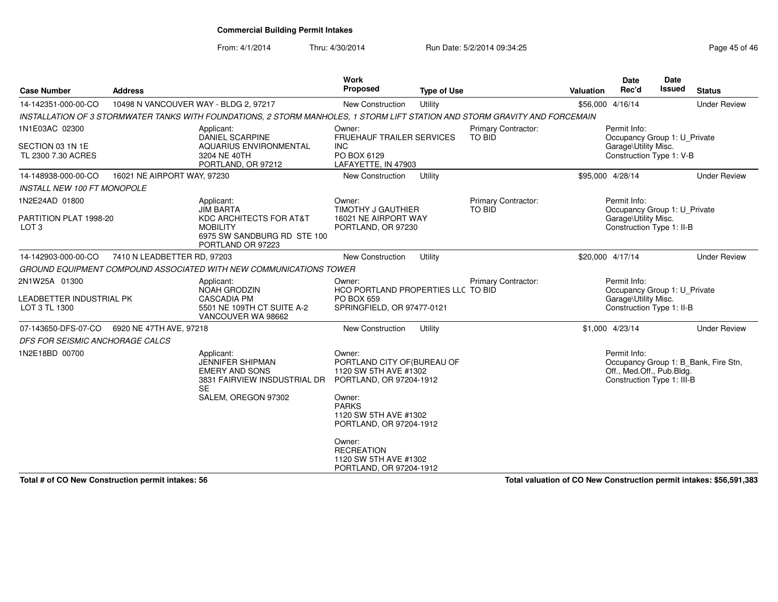From: 4/1/2014Thru: 4/30/2014 Run Date: 5/2/2014 09:34:25 Run Date: 5/2/2014 09:34:25

| <b>Case Number</b>                                                                                                    | <b>Address</b>                        |                                                                                                                                    | Work<br><b>Proposed</b>                                                                                                                                                 | <b>Type of Use</b> |                                      | <b>Valuation</b> | <b>Date</b><br>Rec'd                                                                              | Date<br><b>Issued</b> | <b>Status</b>                        |
|-----------------------------------------------------------------------------------------------------------------------|---------------------------------------|------------------------------------------------------------------------------------------------------------------------------------|-------------------------------------------------------------------------------------------------------------------------------------------------------------------------|--------------------|--------------------------------------|------------------|---------------------------------------------------------------------------------------------------|-----------------------|--------------------------------------|
| 14-142351-000-00-CO                                                                                                   | 10498 N VANCOUVER WAY - BLDG 2, 97217 |                                                                                                                                    | <b>New Construction</b>                                                                                                                                                 | Utility            |                                      |                  | \$56,000 4/16/14                                                                                  |                       | <b>Under Review</b>                  |
|                                                                                                                       |                                       | INSTALLATION OF 3 STORMWATER TANKS WITH FOUNDATIONS, 2 STORM MANHOLES, 1 STORM LIFT STATION AND STORM GRAVITY AND FORCEMAIN        |                                                                                                                                                                         |                    |                                      |                  |                                                                                                   |                       |                                      |
| 1N1E03AC 02300<br>SECTION 03 1N 1E<br>TL 2300 7.30 ACRES                                                              |                                       | Applicant:<br>DANIEL SCARPINE<br><b>AQUARIUS ENVIRONMENTAL</b><br>3204 NE 40TH<br>PORTLAND, OR 97212                               | Owner:<br><b>FRUEHAUF TRAILER SERVICES</b><br><b>INC</b><br>PO BOX 6129<br>LAFAYETTE, IN 47903                                                                          |                    | <b>Primary Contractor:</b><br>TO BID |                  | Permit Info:<br>Occupancy Group 1: U_Private<br>Garage\Utility Misc.<br>Construction Type 1: V-B  |                       |                                      |
| 14-148938-000-00-CO                                                                                                   | 16021 NE AIRPORT WAY, 97230           |                                                                                                                                    | New Construction                                                                                                                                                        | Utility            |                                      |                  | \$95,000 4/28/14                                                                                  |                       | <b>Under Review</b>                  |
| <b>INSTALL NEW 100 FT MONOPOLE</b>                                                                                    |                                       |                                                                                                                                    |                                                                                                                                                                         |                    |                                      |                  |                                                                                                   |                       |                                      |
| 1N2E24AD 01800<br>PARTITION PLAT 1998-20<br>LOT <sub>3</sub>                                                          |                                       | Applicant:<br><b>JIM BARTA</b><br>KDC ARCHITECTS FOR AT&T<br><b>MOBILITY</b><br>6975 SW SANDBURG RD STE 100<br>PORTLAND OR 97223   | Owner:<br><b>TIMOTHY J GAUTHIER</b><br>16021 NE AIRPORT WAY<br>PORTLAND, OR 97230                                                                                       |                    | Primary Contractor:<br>TO BID        |                  | Permit Info:<br>Occupancy Group 1: U_Private<br>Garage\Utility Misc.<br>Construction Type 1: II-B |                       |                                      |
| 14-142903-000-00-CO                                                                                                   | 7410 N LEADBETTER RD, 97203           |                                                                                                                                    | <b>New Construction</b>                                                                                                                                                 | Utility            |                                      |                  | \$20,000 4/17/14                                                                                  |                       | <b>Under Review</b>                  |
|                                                                                                                       |                                       | GROUND EQUIPMENT COMPOUND ASSOCIATED WITH NEW COMMUNICATIONS TOWER                                                                 |                                                                                                                                                                         |                    |                                      |                  |                                                                                                   |                       |                                      |
| 2N1W25A 01300<br>Applicant:<br><b>NOAH GRODZIN</b><br>LEADBETTER INDUSTRIAL PK<br><b>CASCADIA PM</b><br>LOT 3 TL 1300 |                                       | 5501 NE 109TH CT SUITE A-2<br>VANCOUVER WA 98662                                                                                   | Owner:<br>HCO PORTLAND PROPERTIES LLC TO BID<br>PO BOX 659<br>SPRINGFIELD, OR 97477-0121                                                                                |                    | Primary Contractor:                  |                  | Permit Info:<br>Occupancy Group 1: U Private<br>Garage\Utility Misc.<br>Construction Type 1: II-B |                       |                                      |
| 07-143650-DFS-07-CO                                                                                                   | 6920 NE 47TH AVE, 97218               |                                                                                                                                    | New Construction                                                                                                                                                        | Utility            |                                      |                  | \$1,000 4/23/14                                                                                   |                       | <b>Under Review</b>                  |
| DFS FOR SEISMIC ANCHORAGE CALCS                                                                                       |                                       |                                                                                                                                    |                                                                                                                                                                         |                    |                                      |                  |                                                                                                   |                       |                                      |
| 1N2E18BD 00700                                                                                                        |                                       | Applicant:<br><b>JENNIFER SHIPMAN</b><br><b>EMERY AND SONS</b><br>3831 FAIRVIEW INSDUSTRIAL DR<br><b>SE</b><br>SALEM, OREGON 97302 | Owner:<br>PORTLAND CITY OF (BUREAU OF<br>1120 SW 5TH AVE #1302<br>PORTLAND, OR 97204-1912<br>Owner:<br><b>PARKS</b><br>1120 SW 5TH AVE #1302<br>PORTLAND, OR 97204-1912 |                    |                                      |                  | Permit Info:<br>Off., Med.Off., Pub.Bldg.<br>Construction Type 1: III-B                           |                       | Occupancy Group 1: B Bank, Fire Stn, |
|                                                                                                                       |                                       |                                                                                                                                    | Owner:<br><b>RECREATION</b><br>1120 SW 5TH AVE #1302<br>PORTLAND, OR 97204-1912                                                                                         |                    |                                      |                  |                                                                                                   |                       |                                      |

**Total # of CO New Construction permit intakes: 56**

**Total valuation of CO New Construction permit intakes: \$56,591,383**